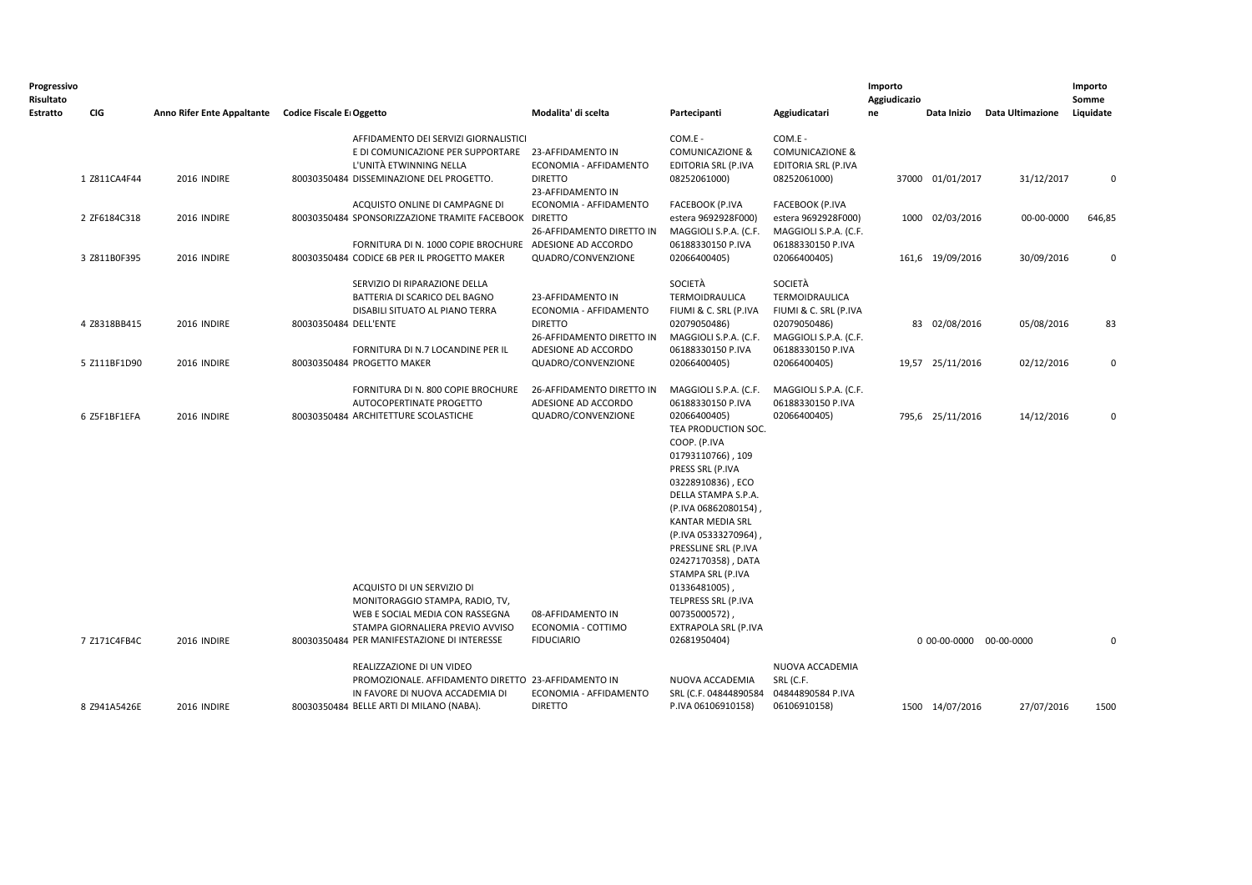| Estratto | CIG                          | Anno Rifer Ente Appaltante Codice Fiscale E Oggetto |                       |                                                                                                                                                                                                                                                                                               |                                                                                                                                         |                                                                                                                                                                                                                                                                                                                                                                                                                            |                                                                                                                                  |    |                                             |                          | Somme                      |
|----------|------------------------------|-----------------------------------------------------|-----------------------|-----------------------------------------------------------------------------------------------------------------------------------------------------------------------------------------------------------------------------------------------------------------------------------------------|-----------------------------------------------------------------------------------------------------------------------------------------|----------------------------------------------------------------------------------------------------------------------------------------------------------------------------------------------------------------------------------------------------------------------------------------------------------------------------------------------------------------------------------------------------------------------------|----------------------------------------------------------------------------------------------------------------------------------|----|---------------------------------------------|--------------------------|----------------------------|
|          |                              |                                                     |                       |                                                                                                                                                                                                                                                                                               | Modalita' di scelta                                                                                                                     | Partecipanti                                                                                                                                                                                                                                                                                                                                                                                                               | Aggiudicatari                                                                                                                    | ne | Data Inizio                                 | Data Ultimazione         | Liquidate                  |
|          | 1 Z811CA4F44                 | 2016 INDIRE                                         |                       | AFFIDAMENTO DEI SERVIZI GIORNALISTICI<br>E DI COMUNICAZIONE PER SUPPORTARE 23-AFFIDAMENTO IN<br>L'UNITÀ ETWINNING NELLA<br>80030350484 DISSEMINAZIONE DEL PROGETTO.                                                                                                                           | ECONOMIA - AFFIDAMENTO<br><b>DIRETTO</b>                                                                                                | COM.E -<br><b>COMUNICAZIONE &amp;</b><br>EDITORIA SRL (P.IVA<br>08252061000)                                                                                                                                                                                                                                                                                                                                               | COM.E -<br><b>COMUNICAZIONE &amp;</b><br><b>EDITORIA SRL (P.IVA</b><br>08252061000)                                              |    | 37000 01/01/2017                            | 31/12/2017               | $\mathbf 0$                |
|          | 2 ZF6184C318                 | 2016 INDIRE                                         |                       | ACQUISTO ONLINE DI CAMPAGNE DI<br>80030350484 SPONSORIZZAZIONE TRAMITE FACEBOOK DIRETTO                                                                                                                                                                                                       | 23-AFFIDAMENTO IN<br>ECONOMIA - AFFIDAMENTO<br>26-AFFIDAMENTO DIRETTO IN                                                                | <b>FACEBOOK (P.IVA</b><br>estera 9692928F000)<br>MAGGIOLI S.P.A. (C.F.                                                                                                                                                                                                                                                                                                                                                     | <b>FACEBOOK (P.IVA</b><br>estera 9692928F000)<br>MAGGIOLI S.P.A. (C.F.                                                           |    | 1000 02/03/2016                             | 00-00-0000               | 646,85                     |
|          | 3 Z811B0F395                 | 2016 INDIRE                                         |                       | FORNITURA DI N. 1000 COPIE BROCHURE ADESIONE AD ACCORDO<br>80030350484 CODICE 6B PER IL PROGETTO MAKER                                                                                                                                                                                        | QUADRO/CONVENZIONE                                                                                                                      | 06188330150 P.IVA<br>02066400405)                                                                                                                                                                                                                                                                                                                                                                                          | 06188330150 P.IVA<br>02066400405)                                                                                                |    | 161,6 19/09/2016                            | 30/09/2016               | $\mathbf 0$                |
|          | 4 Z8318BB415<br>5 Z111BF1D90 | 2016 INDIRE<br>2016 INDIRE                          | 80030350484 DELL'ENTE | SERVIZIO DI RIPARAZIONE DELLA<br>BATTERIA DI SCARICO DEL BAGNO<br>DISABILI SITUATO AL PIANO TERRA<br>FORNITURA DI N.7 LOCANDINE PER IL<br>80030350484 PROGETTO MAKER                                                                                                                          | 23-AFFIDAMENTO IN<br>ECONOMIA - AFFIDAMENTO<br><b>DIRETTO</b><br>26-AFFIDAMENTO DIRETTO IN<br>ADESIONE AD ACCORDO<br>QUADRO/CONVENZIONE | SOCIETÀ<br>TERMOIDRAULICA<br>FIUMI & C. SRL (P.IVA<br>02079050486)<br>MAGGIOLI S.P.A. (C.F.<br>06188330150 P.IVA<br>02066400405)                                                                                                                                                                                                                                                                                           | SOCIETÀ<br>TERMOIDRAULICA<br>FIUMI & C. SRL (P.IVA<br>02079050486)<br>MAGGIOLI S.P.A. (C.F.<br>06188330150 P.IVA<br>02066400405) |    | 83 02/08/2016<br>19,57 25/11/2016           | 05/08/2016<br>02/12/2016 | 83<br>$\mathbf 0$          |
|          | 6 Z5F1BF1EFA<br>7 Z171C4FB4C | 2016 INDIRE<br>2016 INDIRE                          |                       | FORNITURA DI N. 800 COPIE BROCHURE<br>AUTOCOPERTINATE PROGETTO<br>80030350484 ARCHITETTURE SCOLASTICHE<br>ACQUISTO DI UN SERVIZIO DI<br>MONITORAGGIO STAMPA, RADIO, TV,<br>WEB E SOCIAL MEDIA CON RASSEGNA<br>STAMPA GIORNALIERA PREVIO AVVISO<br>80030350484 PER MANIFESTAZIONE DI INTERESSE | 26-AFFIDAMENTO DIRETTO IN<br>ADESIONE AD ACCORDO<br>QUADRO/CONVENZIONE<br>08-AFFIDAMENTO IN<br>ECONOMIA - COTTIMO<br><b>FIDUCIARIO</b>  | MAGGIOLI S.P.A. (C.F.<br>06188330150 P.IVA<br>02066400405)<br>TEA PRODUCTION SOC.<br>COOP. (P.IVA<br>01793110766), 109<br>PRESS SRL (P.IVA<br>03228910836), ECO<br>DELLA STAMPA S.P.A.<br>(P.IVA 06862080154)<br>KANTAR MEDIA SRL<br>(P.IVA 05333270964)<br>PRESSLINE SRL (P.IVA<br>02427170358), DATA<br>STAMPA SRL (P.IVA<br>01336481005)<br>TELPRESS SRL (P.IVA<br>00735000572)<br>EXTRAPOLA SRL (P.IVA<br>02681950404) | MAGGIOLI S.P.A. (C.F.<br>06188330150 P.IVA<br>02066400405)                                                                       |    | 795,6 25/11/2016<br>0 00-00-0000 00-00-0000 | 14/12/2016               | $\mathbf 0$<br>$\mathbf 0$ |
|          | 8 Z941A5426E                 | 2016 INDIRE                                         |                       | REALIZZAZIONE DI UN VIDEO<br>PROMOZIONALE. AFFIDAMENTO DIRETTO 23-AFFIDAMENTO IN<br>IN FAVORE DI NUOVA ACCADEMIA DI<br>80030350484 BELLE ARTI DI MILANO (NABA).                                                                                                                               | ECONOMIA - AFFIDAMENTO<br><b>DIRETTO</b>                                                                                                | NUOVA ACCADEMIA<br>SRL (C.F. 04844890584<br>P.IVA 06106910158)                                                                                                                                                                                                                                                                                                                                                             | NUOVA ACCADEMIA<br>SRL (C.F.<br>04844890584 P.IVA<br>06106910158)                                                                |    | 1500 14/07/2016                             | 27/07/2016               | 1500                       |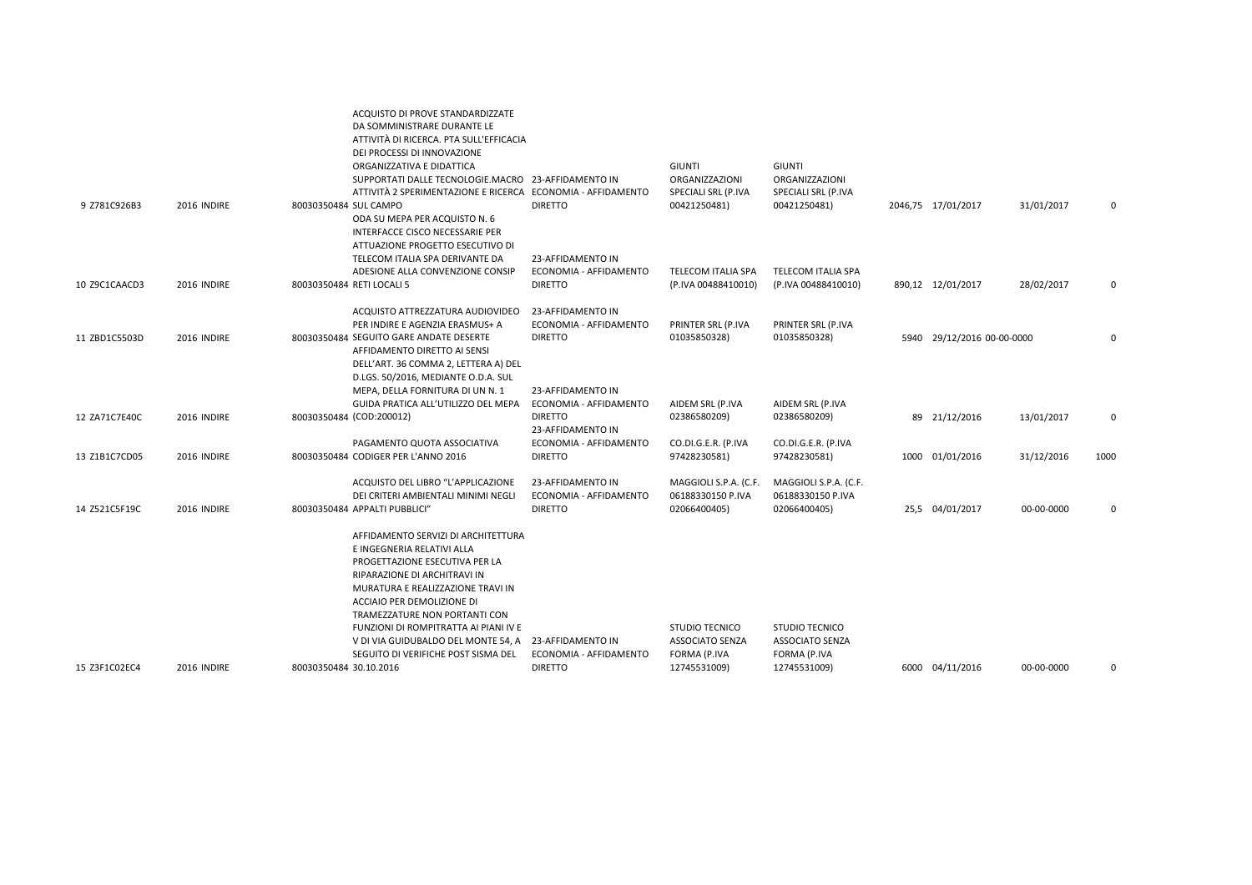|               |             | ACQUISTO DI PROVE STANDARDIZZATE<br>DA SOMMINISTRARE DURANTE LE<br>ATTIVITÀ DI RICERCA. PTA SULL'EFFICACIA<br>DEI PROCESSI DI INNOVAZIONE                                                                                                                                                                               |                                             | <b>GIUNTI</b>                                   | <b>GIUNTI</b>                            |                            |            |          |
|---------------|-------------|-------------------------------------------------------------------------------------------------------------------------------------------------------------------------------------------------------------------------------------------------------------------------------------------------------------------------|---------------------------------------------|-------------------------------------------------|------------------------------------------|----------------------------|------------|----------|
|               |             | ORGANIZZATIVA E DIDATTICA<br>SUPPORTATI DALLE TECNOLOGIE.MACRO 23-AFFIDAMENTO IN                                                                                                                                                                                                                                        |                                             | ORGANIZZAZIONI                                  | ORGANIZZAZIONI                           |                            |            |          |
|               |             | ATTIVITÀ 2 SPERIMENTAZIONE E RICERCA ECONOMIA - AFFIDAMENTO                                                                                                                                                                                                                                                             |                                             | SPECIALI SRL (P.IVA                             | SPECIALI SRL (P.IVA                      |                            |            |          |
| 9 Z781C926B3  | 2016 INDIRE | 80030350484 SUL CAMPO<br>ODA SU MEPA PER ACQUISTO N. 6<br>INTERFACCE CISCO NECESSARIE PER<br>ATTUAZIONE PROGETTO ESECUTIVO DI                                                                                                                                                                                           | <b>DIRETTO</b>                              | 00421250481)                                    | 00421250481)                             | 2046,75 17/01/2017         | 31/01/2017 | 0        |
|               |             | TELECOM ITALIA SPA DERIVANTE DA<br>ADESIONE ALLA CONVENZIONE CONSIP                                                                                                                                                                                                                                                     | 23-AFFIDAMENTO IN<br>ECONOMIA - AFFIDAMENTO | TELECOM ITALIA SPA                              | TELECOM ITALIA SPA                       |                            |            |          |
| 10 Z9C1CAACD3 | 2016 INDIRE | 80030350484 RETI LOCALI 5                                                                                                                                                                                                                                                                                               | <b>DIRETTO</b>                              | (P.IVA 00488410010)                             | (P.IVA 00488410010)                      | 890,12 12/01/2017          | 28/02/2017 | 0        |
|               |             | ACQUISTO ATTREZZATURA AUDIOVIDEO                                                                                                                                                                                                                                                                                        | 23-AFFIDAMENTO IN                           |                                                 |                                          |                            |            |          |
|               |             | PER INDIRE E AGENZIA ERASMUS+ A                                                                                                                                                                                                                                                                                         | ECONOMIA - AFFIDAMENTO                      | PRINTER SRL (P.IVA                              | PRINTER SRL (P.IVA                       |                            |            |          |
| 11 ZBD1C5503D | 2016 INDIRE | 80030350484 SEGUITO GARE ANDATE DESERTE<br>AFFIDAMENTO DIRETTO AI SENSI                                                                                                                                                                                                                                                 | <b>DIRETTO</b>                              | 01035850328)                                    | 01035850328)                             | 5940 29/12/2016 00-00-0000 |            | 0        |
|               |             | DELL'ART. 36 COMMA 2, LETTERA A) DEL                                                                                                                                                                                                                                                                                    |                                             |                                                 |                                          |                            |            |          |
|               |             | D.LGS. 50/2016, MEDIANTE O.D.A. SUL                                                                                                                                                                                                                                                                                     |                                             |                                                 |                                          |                            |            |          |
|               |             | MEPA, DELLA FORNITURA DI UN N. 1                                                                                                                                                                                                                                                                                        | 23-AFFIDAMENTO IN                           |                                                 |                                          |                            |            |          |
|               |             | GUIDA PRATICA ALL'UTILIZZO DEL MEPA                                                                                                                                                                                                                                                                                     | ECONOMIA - AFFIDAMENTO<br><b>DIRETTO</b>    | AIDEM SRL (P.IVA                                | AIDEM SRL (P.IVA                         |                            |            | 0        |
| 12 ZA71C7E40C | 2016 INDIRE | 80030350484 (COD:200012)                                                                                                                                                                                                                                                                                                | 23-AFFIDAMENTO IN                           | 02386580209)                                    | 02386580209)                             | 89 21/12/2016              | 13/01/2017 |          |
|               |             | PAGAMENTO QUOTA ASSOCIATIVA                                                                                                                                                                                                                                                                                             | ECONOMIA - AFFIDAMENTO                      | CO.DI.G.E.R. (P.IVA                             | CO.DI.G.E.R. (P.IVA                      |                            |            |          |
| 13 Z1B1C7CD05 | 2016 INDIRE | 80030350484 CODIGER PER L'ANNO 2016                                                                                                                                                                                                                                                                                     | <b>DIRETTO</b>                              | 97428230581)                                    | 97428230581)                             | 1000 01/01/2016            | 31/12/2016 | 1000     |
|               |             | ACQUISTO DEL LIBRO "L'APPLICAZIONE                                                                                                                                                                                                                                                                                      | 23-AFFIDAMENTO IN                           | MAGGIOLI S.P.A. (C.F.                           | MAGGIOLI S.P.A. (C.F.                    |                            |            |          |
|               |             | DEI CRITERI AMBIENTALI MINIMI NEGLI                                                                                                                                                                                                                                                                                     | ECONOMIA - AFFIDAMENTO                      | 06188330150 P.IVA                               | 06188330150 P.IVA                        |                            |            |          |
| 14 Z521C5F19C | 2016 INDIRE | 80030350484 APPALTI PUBBLICI"                                                                                                                                                                                                                                                                                           | <b>DIRETTO</b>                              | 02066400405)                                    | 02066400405)                             | 25,5 04/01/2017            | 00-00-0000 | $\Omega$ |
|               |             | AFFIDAMENTO SERVIZI DI ARCHITETTURA<br>E INGEGNERIA RELATIVI ALLA<br>PROGETTAZIONE ESECUTIVA PER LA<br>RIPARAZIONE DI ARCHITRAVI IN<br>MURATURA E REALIZZAZIONE TRAVI IN<br>ACCIAIO PER DEMOLIZIONE DI<br>TRAMEZZATURE NON PORTANTI CON<br>FUNZIONI DI ROMPITRATTA AI PIANI IV E<br>V DI VIA GUIDUBALDO DEL MONTE 54, A | 23-AFFIDAMENTO IN                           | <b>STUDIO TECNICO</b><br><b>ASSOCIATO SENZA</b> | <b>STUDIO TECNICO</b><br>ASSOCIATO SENZA |                            |            |          |
|               |             | SEGUITO DI VERIFICHE POST SISMA DEL                                                                                                                                                                                                                                                                                     | ECONOMIA - AFFIDAMENTO                      | FORMA (P.IVA                                    | FORMA (P.IVA                             |                            |            |          |
| 15 Z3F1C02EC4 | 2016 INDIRE | 80030350484 30.10.2016                                                                                                                                                                                                                                                                                                  | <b>DIRETTO</b>                              | 12745531009)                                    | 12745531009)                             | 6000 04/11/2016            | 00-00-0000 |          |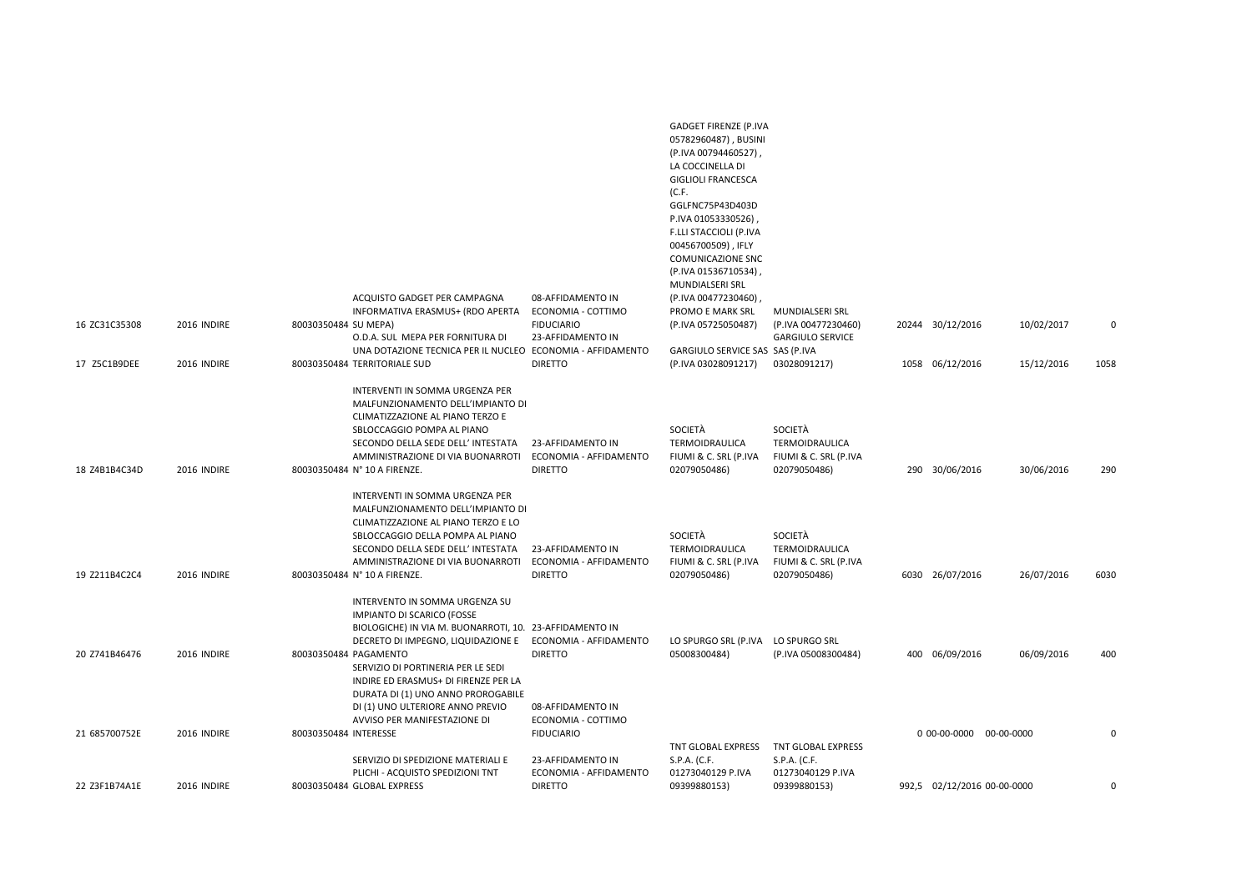| 16 ZC31C35308 | 2016 INDIRE | ACQUISTO GADGET PER CAMPAGNA<br>INFORMATIVA ERASMUS+ (RDO APERTA<br>80030350484 SU MEPA)<br>O.D.A. SUL MEPA PER FORNITURA DI                                                                                                                                                         | 08-AFFIDAMENTO IN<br>ECONOMIA - COTTIMO<br><b>FIDUCIARIO</b><br>23-AFFIDAMENTO IN | <b>GADGET FIRENZE (P.IVA</b><br>05782960487), BUSINI<br>(P.IVA 00794460527),<br>LA COCCINELLA DI<br><b>GIGLIOLI FRANCESCA</b><br>(C.F.<br>GGLFNC75P43D403D<br>P.IVA 01053330526),<br>F.LLI STACCIOLI (P.IVA<br>00456700509), IFLY<br><b>COMUNICAZIONE SNC</b><br>(P.IVA 01536710534),<br>MUNDIALSERI SRL<br>(P.IVA 00477230460),<br>PROMO E MARK SRL<br>(P.IVA 05725050487) | MUNDIALSERI SRL<br>(P.IVA 00477230460)<br><b>GARGIULO SERVICE</b>         | 20244 30/12/2016            | 10/02/2017 | $\Omega$ |
|---------------|-------------|--------------------------------------------------------------------------------------------------------------------------------------------------------------------------------------------------------------------------------------------------------------------------------------|-----------------------------------------------------------------------------------|-----------------------------------------------------------------------------------------------------------------------------------------------------------------------------------------------------------------------------------------------------------------------------------------------------------------------------------------------------------------------------|---------------------------------------------------------------------------|-----------------------------|------------|----------|
| 17 Z5C1B9DEE  | 2016 INDIRE | UNA DOTAZIONE TECNICA PER IL NUCLEO ECONOMIA - AFFIDAMENTO<br>80030350484 TERRITORIALE SUD                                                                                                                                                                                           | <b>DIRETTO</b>                                                                    | GARGIULO SERVICE SAS SAS (P.IVA<br>(P.IVA 03028091217)                                                                                                                                                                                                                                                                                                                      | 03028091217)                                                              | 1058 06/12/2016             | 15/12/2016 | 1058     |
| 18 Z4B1B4C34D | 2016 INDIRE | INTERVENTI IN SOMMA URGENZA PER<br>MALFUNZIONAMENTO DELL'IMPIANTO DI<br>CLIMATIZZAZIONE AL PIANO TERZO E<br>SBLOCCAGGIO POMPA AL PIANO<br>SECONDO DELLA SEDE DELL' INTESTATA<br>AMMINISTRAZIONE DI VIA BUONARROTI<br>80030350484 N° 10 A FIRENZE.<br>INTERVENTI IN SOMMA URGENZA PER | 23-AFFIDAMENTO IN<br>ECONOMIA - AFFIDAMENTO<br><b>DIRETTO</b>                     | SOCIETÀ<br>TERMOIDRAULICA<br>FIUMI & C. SRL (P.IVA<br>02079050486)                                                                                                                                                                                                                                                                                                          | SOCIETÀ<br>TERMOIDRAULICA<br>FIUMI & C. SRL (P.IVA<br>02079050486)        | 290 30/06/2016              | 30/06/2016 | 290      |
| 19 Z211B4C2C4 | 2016 INDIRE | MALFUNZIONAMENTO DELL'IMPIANTO DI<br>CLIMATIZZAZIONE AL PIANO TERZO E LO<br>SBLOCCAGGIO DELLA POMPA AL PIANO<br>SECONDO DELLA SEDE DELL' INTESTATA<br>AMMINISTRAZIONE DI VIA BUONARROTI<br>80030350484 N° 10 A FIRENZE.                                                              | 23-AFFIDAMENTO IN<br>ECONOMIA - AFFIDAMENTO<br><b>DIRETTO</b>                     | SOCIETÀ<br>TERMOIDRAULICA<br>FIUMI & C. SRL (P.IVA<br>02079050486)                                                                                                                                                                                                                                                                                                          | <b>SOCIETÀ</b><br>TERMOIDRAULICA<br>FIUMI & C. SRL (P.IVA<br>02079050486) | 6030 26/07/2016             | 26/07/2016 | 6030     |
| 20 Z741B46476 | 2016 INDIRE | INTERVENTO IN SOMMA URGENZA SU<br>IMPIANTO DI SCARICO (FOSSE<br>BIOLOGICHE) IN VIA M. BUONARROTI, 10. 23-AFFIDAMENTO IN<br>DECRETO DI IMPEGNO, LIQUIDAZIONE E<br>80030350484 PAGAMENTO<br>SERVIZIO DI PORTINERIA PER LE SEDI                                                         | ECONOMIA - AFFIDAMENTO<br><b>DIRETTO</b>                                          | LO SPURGO SRL (P.IVA<br>05008300484)                                                                                                                                                                                                                                                                                                                                        | LO SPURGO SRL<br>(P.IVA 05008300484)                                      | 400 06/09/2016              | 06/09/2016 | 400      |
| 21 685700752E | 2016 INDIRE | INDIRE ED ERASMUS+ DI FIRENZE PER LA<br>DURATA DI (1) UNO ANNO PROROGABILE<br>DI (1) UNO ULTERIORE ANNO PREVIO<br>AVVISO PER MANIFESTAZIONE DI<br>80030350484 INTERESSE                                                                                                              | 08-AFFIDAMENTO IN<br>ECONOMIA - COTTIMO<br><b>FIDUCIARIO</b>                      | TNT GLOBAL EXPRESS                                                                                                                                                                                                                                                                                                                                                          | TNT GLOBAL EXPRESS                                                        | 0 00-00-0000 00-00-0000     |            |          |
| 22 Z3F1B74A1E | 2016 INDIRE | SERVIZIO DI SPEDIZIONE MATERIALI E<br>PLICHI - ACQUISTO SPEDIZIONI TNT<br>80030350484 GLOBAL EXPRESS                                                                                                                                                                                 | 23-AFFIDAMENTO IN<br>ECONOMIA - AFFIDAMENTO<br><b>DIRETTO</b>                     | S.P.A. (C.F.<br>01273040129 P.IVA<br>09399880153)                                                                                                                                                                                                                                                                                                                           | S.P.A. (C.F.<br>01273040129 P.IVA<br>09399880153)                         | 992,5 02/12/2016 00-00-0000 |            | $\Omega$ |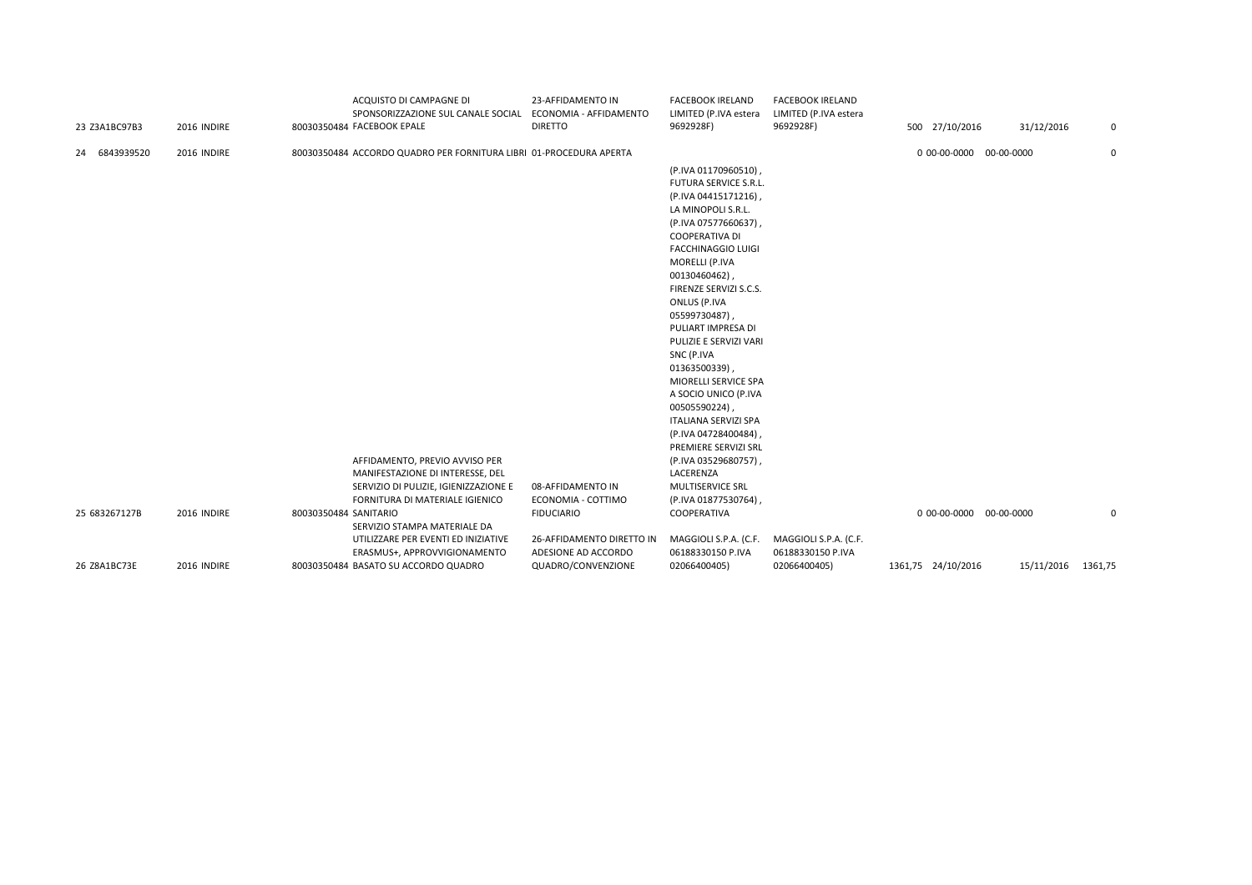| 23 Z3A1BC97B3 | 2016 INDIRE | ACQUISTO DI CAMPAGNE DI<br>SPONSORIZZAZIONE SUL CANALE SOCIAL<br>80030350484 FACEBOOK EPALE | 23-AFFIDAMENTO IN<br>ECONOMIA - AFFIDAMENTO<br><b>DIRETTO</b> | <b>FACEBOOK IRELAND</b><br>LIMITED (P.IVA estera<br>9692928F) | <b>FACEBOOK IRELAND</b><br>LIMITED (P.IVA estera<br>9692928F) | 500 27/10/2016          | 31/12/2016         | 0 |
|---------------|-------------|---------------------------------------------------------------------------------------------|---------------------------------------------------------------|---------------------------------------------------------------|---------------------------------------------------------------|-------------------------|--------------------|---|
| 24 6843939520 | 2016 INDIRE | 80030350484 ACCORDO QUADRO PER FORNITURA LIBRI 01-PROCEDURA APERTA                          |                                                               |                                                               |                                                               | 0 00-00-0000 00-00-0000 |                    | 0 |
|               |             |                                                                                             |                                                               | كالمحافظ الموالينات المراكب والمتحدث<br>(P.IVA 01170960510)   |                                                               |                         |                    |   |
|               |             |                                                                                             |                                                               | <b>FUTURA SERVICE S.R.L.</b>                                  |                                                               |                         |                    |   |
|               |             |                                                                                             |                                                               | (P.IVA 04415171216),                                          |                                                               |                         |                    |   |
|               |             |                                                                                             |                                                               | LA MINOPOLI S.R.L.                                            |                                                               |                         |                    |   |
|               |             |                                                                                             |                                                               | (P.IVA 07577660637),                                          |                                                               |                         |                    |   |
|               |             |                                                                                             |                                                               | <b>COOPERATIVA DI</b>                                         |                                                               |                         |                    |   |
|               |             |                                                                                             |                                                               | <b>FACCHINAGGIO LUIGI</b>                                     |                                                               |                         |                    |   |
|               |             |                                                                                             |                                                               | MORELLI (P.IVA                                                |                                                               |                         |                    |   |
|               |             |                                                                                             |                                                               | 00130460462)                                                  |                                                               |                         |                    |   |
|               |             |                                                                                             |                                                               | FIRENZE SERVIZI S.C.S.<br>ONLUS (P.IVA                        |                                                               |                         |                    |   |
|               |             |                                                                                             |                                                               | 05599730487),                                                 |                                                               |                         |                    |   |
|               |             |                                                                                             |                                                               | PULIART IMPRESA DI                                            |                                                               |                         |                    |   |
|               |             |                                                                                             |                                                               | PULIZIE E SERVIZI VARI                                        |                                                               |                         |                    |   |
|               |             |                                                                                             |                                                               | SNC (P.IVA                                                    |                                                               |                         |                    |   |
|               |             |                                                                                             |                                                               | 01363500339)                                                  |                                                               |                         |                    |   |
|               |             |                                                                                             |                                                               | MIORELLI SERVICE SPA                                          |                                                               |                         |                    |   |
|               |             |                                                                                             |                                                               | A SOCIO UNICO (P.IVA                                          |                                                               |                         |                    |   |
|               |             |                                                                                             |                                                               | 00505590224),                                                 |                                                               |                         |                    |   |
|               |             |                                                                                             |                                                               | <b>ITALIANA SERVIZI SPA</b>                                   |                                                               |                         |                    |   |
|               |             |                                                                                             |                                                               | (P.IVA 04728400484),<br>PREMIERE SERVIZI SRL                  |                                                               |                         |                    |   |
|               |             | AFFIDAMENTO, PREVIO AVVISO PER                                                              |                                                               | (P.IVA 03529680757),                                          |                                                               |                         |                    |   |
|               |             | MANIFESTAZIONE DI INTERESSE, DEL                                                            |                                                               | LACERENZA                                                     |                                                               |                         |                    |   |
|               |             | SERVIZIO DI PULIZIE, IGIENIZZAZIONE E                                                       | 08-AFFIDAMENTO IN                                             | MULTISERVICE SRL                                              |                                                               |                         |                    |   |
|               |             | FORNITURA DI MATERIALE IGIENICO                                                             | ECONOMIA - COTTIMO                                            | (P.IVA 01877530764),                                          |                                                               |                         |                    |   |
| 25 683267127B | 2016 INDIRE | 80030350484 SANITARIO                                                                       | <b>FIDUCIARIO</b>                                             | COOPERATIVA                                                   |                                                               | 0 00-00-0000 00-00-0000 |                    | 0 |
|               |             | SERVIZIO STAMPA MATERIALE DA                                                                |                                                               |                                                               |                                                               |                         |                    |   |
|               |             | UTILIZZARE PER EVENTI ED INIZIATIVE                                                         | 26-AFFIDAMENTO DIRETTO IN                                     | MAGGIOLI S.P.A. (C.F.                                         | MAGGIOLI S.P.A. (C.F.                                         |                         |                    |   |
|               |             | ERASMUS+, APPROVVIGIONAMENTO                                                                | ADESIONE AD ACCORDO                                           | 06188330150 P.IVA                                             | 06188330150 P.IVA                                             |                         |                    |   |
| 26 Z8A1BC73E  | 2016 INDIRE | 80030350484 BASATO SU ACCORDO QUADRO                                                        | QUADRO/CONVENZIONE                                            | 02066400405)                                                  | 02066400405)                                                  | 1361,75 24/10/2016      | 15/11/2016 1361,75 |   |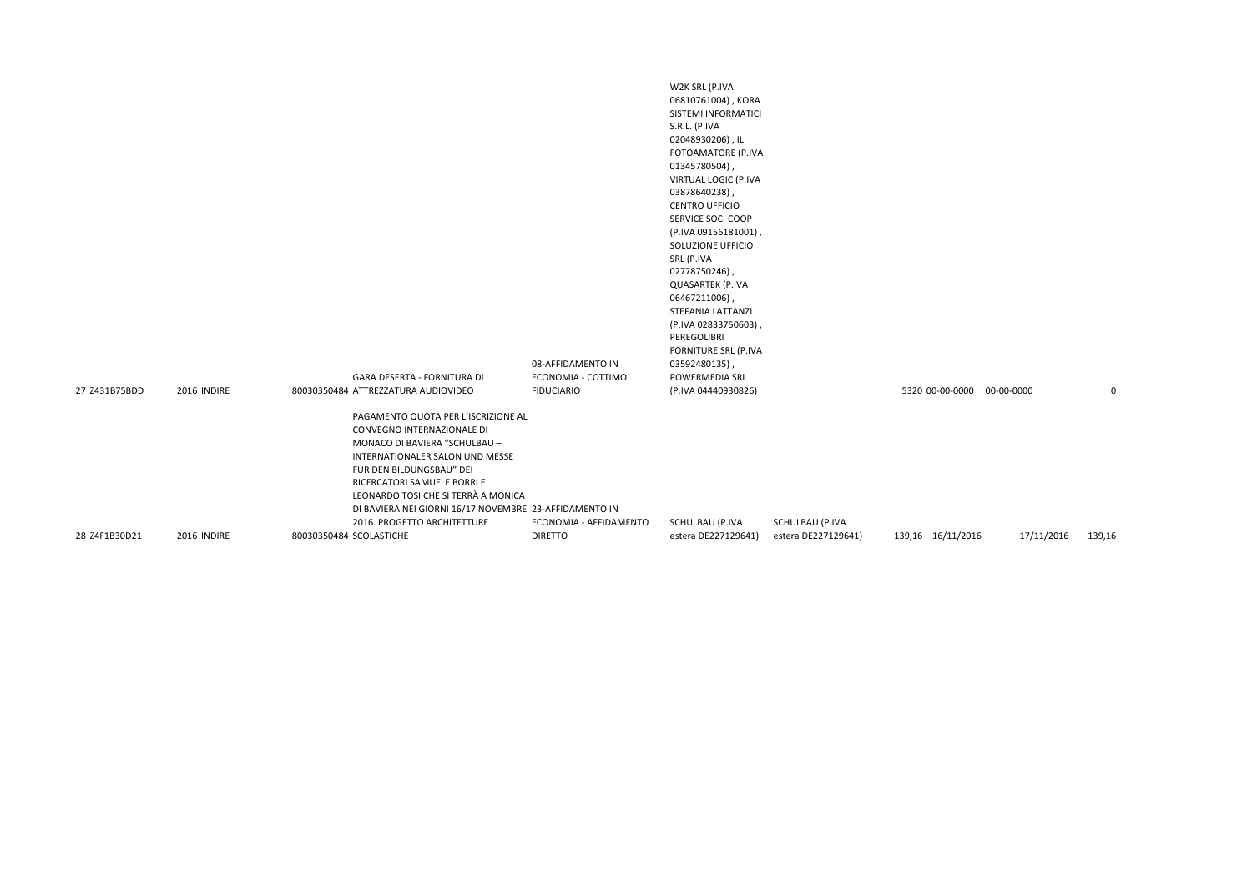| 27 Z431B75BDD | 2016 INDIRE | GARA DESERTA - FORNITURA DI<br>80030350484 ATTREZZATURA AUDIOVIDEO                                                                                                                                                                                                                                                               | 08-AFFIDAMENTO IN<br>ECONOMIA - COTTIMO<br><b>FIDUCIARIO</b> | W2K SRL (P.IVA<br>06810761004), KORA<br>SISTEMI INFORMATICI<br>S.R.L. (P.IVA<br>02048930206), IL<br>FOTOAMATORE (P.IVA<br>01345780504),<br>VIRTUAL LOGIC (P.IVA<br>03878640238),<br><b>CENTRO UFFICIO</b><br>SERVICE SOC. COOP<br>(P.IVA 09156181001),<br>SOLUZIONE UFFICIO<br>SRL (P.IVA<br>02778750246),<br><b>QUASARTEK (P.IVA</b><br>06467211006),<br>STEFANIA LATTANZI<br>(P.IVA 02833750603),<br>PEREGOLIBRI<br>FORNITURE SRL (P.IVA<br>03592480135),<br>POWERMEDIA SRL<br>(P.IVA 04440930826) |                     | 5320 00-00-0000 00-00-0000 |            | 0      |
|---------------|-------------|----------------------------------------------------------------------------------------------------------------------------------------------------------------------------------------------------------------------------------------------------------------------------------------------------------------------------------|--------------------------------------------------------------|------------------------------------------------------------------------------------------------------------------------------------------------------------------------------------------------------------------------------------------------------------------------------------------------------------------------------------------------------------------------------------------------------------------------------------------------------------------------------------------------------|---------------------|----------------------------|------------|--------|
|               |             | PAGAMENTO QUOTA PER L'ISCRIZIONE AL<br>CONVEGNO INTERNAZIONALE DI<br>MONACO DI BAVIERA "SCHULBAU -<br>INTERNATIONALER SALON UND MESSE<br>FUR DEN BILDUNGSBAU" DEI<br>RICERCATORI SAMUELE BORRI E<br>LEONARDO TOSI CHE SI TERRÀ A MONICA<br>DI BAVIERA NEI GIORNI 16/17 NOVEMBRE 23-AFFIDAMENTO IN<br>2016. PROGETTO ARCHITETTURE | ECONOMIA - AFFIDAMENTO                                       | SCHULBAU (P.IVA                                                                                                                                                                                                                                                                                                                                                                                                                                                                                      | SCHULBAU (P.IVA     |                            |            |        |
| 28 Z4F1B30D21 | 2016 INDIRE | 80030350484 SCOLASTICHE                                                                                                                                                                                                                                                                                                          | <b>DIRETTO</b>                                               | estera DE227129641)                                                                                                                                                                                                                                                                                                                                                                                                                                                                                  | estera DE227129641) | 139,16 16/11/2016          | 17/11/2016 | 139,16 |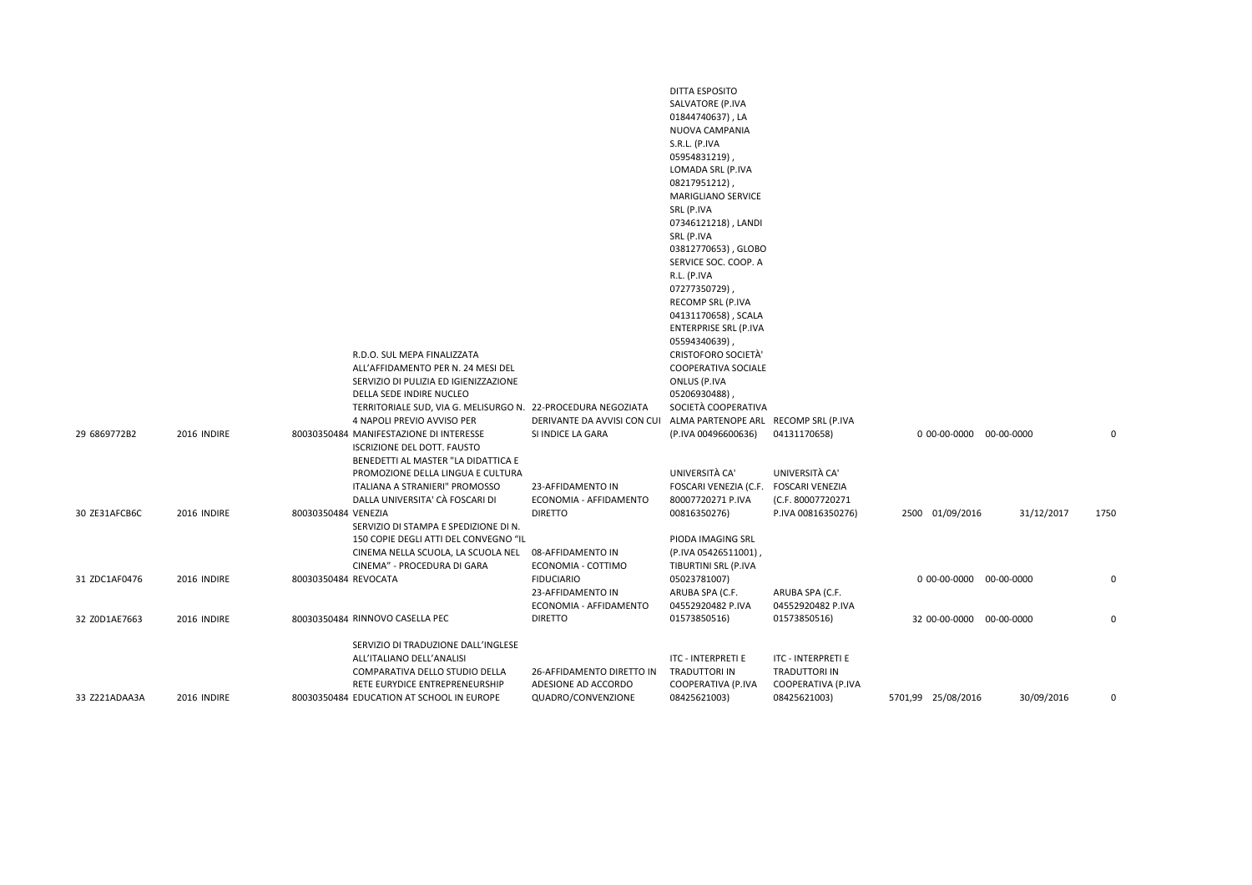|               |             | R.D.O. SUL MEPA FINALIZZATA<br>ALL'AFFIDAMENTO PER N. 24 MESI DEL<br>SERVIZIO DI PULIZIA ED IGIENIZZAZIONE<br>DELLA SEDE INDIRE NUCLEO                                                                             |                                                                  | DITTA ESPOSITO<br>SALVATORE (P.IVA<br>01844740637), LA<br>NUOVA CAMPANIA<br>S.R.L. (P.IVA<br>05954831219),<br>LOMADA SRL (P.IVA<br>08217951212)<br><b>MARIGLIANO SERVICE</b><br>SRL (P.IVA<br>07346121218), LANDI<br>SRL (P.IVA<br>03812770653), GLOBO<br>SERVICE SOC. COOP. A<br>R.L. (P.IVA<br>07277350729),<br>RECOMP SRL (P.IVA<br>04131170658), SCALA<br><b>ENTERPRISE SRL (P.IVA</b><br>05594340639),<br><b>CRISTOFORO SOCIETÀ'</b><br><b>COOPERATIVA SOCIALE</b><br>ONLUS (P.IVA<br>05206930488), |                                                                                     |                          |            |      |
|---------------|-------------|--------------------------------------------------------------------------------------------------------------------------------------------------------------------------------------------------------------------|------------------------------------------------------------------|----------------------------------------------------------------------------------------------------------------------------------------------------------------------------------------------------------------------------------------------------------------------------------------------------------------------------------------------------------------------------------------------------------------------------------------------------------------------------------------------------------|-------------------------------------------------------------------------------------|--------------------------|------------|------|
| 29 6869772B2  | 2016 INDIRE | TERRITORIALE SUD, VIA G. MELISURGO N. 22-PROCEDURA NEGOZIATA<br>4 NAPOLI PREVIO AVVISO PER<br>80030350484 MANIFESTAZIONE DI INTERESSE<br><b>ISCRIZIONE DEL DOTT. FAUSTO</b><br>BENEDETTI AL MASTER "LA DIDATTICA E | DERIVANTE DA AVVISI CON CUI<br>SI INDICE LA GARA                 | SOCIETÀ COOPERATIVA<br>ALMA PARTENOPE ARL RECOMP SRL (P.IVA<br>(P.IVA 00496600636)                                                                                                                                                                                                                                                                                                                                                                                                                       | 04131170658)                                                                        | 0 00-00-0000 00-00-0000  |            | 0    |
| 30 ZE31AFCB6C | 2016 INDIRE | PROMOZIONE DELLA LINGUA E CULTURA<br>ITALIANA A STRANIERI" PROMOSSO<br>DALLA UNIVERSITA' CÀ FOSCARI DI<br>80030350484 VENEZIA                                                                                      | 23-AFFIDAMENTO IN<br>ECONOMIA - AFFIDAMENTO<br><b>DIRETTO</b>    | UNIVERSITÀ CA'<br>FOSCARI VENEZIA (C.F.<br>80007720271 P.IVA<br>00816350276)                                                                                                                                                                                                                                                                                                                                                                                                                             | UNIVERSITÀ CA'<br><b>FOSCARI VENEZIA</b><br>(C.F. 80007720271<br>P.IVA 00816350276) | 2500 01/09/2016          | 31/12/2017 | 1750 |
|               |             | SERVIZIO DI STAMPA E SPEDIZIONE DI N.<br>150 COPIE DEGLI ATTI DEL CONVEGNO "IL<br>CINEMA NELLA SCUOLA, LA SCUOLA NEL<br>CINEMA" - PROCEDURA DI GARA                                                                | 08-AFFIDAMENTO IN<br>ECONOMIA - COTTIMO                          | PIODA IMAGING SRL<br>(P.IVA 05426511001)<br>TIBURTINI SRL (P.IVA                                                                                                                                                                                                                                                                                                                                                                                                                                         |                                                                                     |                          |            |      |
| 31 ZDC1AF0476 | 2016 INDIRE | 80030350484 REVOCATA                                                                                                                                                                                               | <b>FIDUCIARIO</b><br>23-AFFIDAMENTO IN<br>ECONOMIA - AFFIDAMENTO | 05023781007)<br>ARUBA SPA (C.F.<br>04552920482 P.IVA                                                                                                                                                                                                                                                                                                                                                                                                                                                     | ARUBA SPA (C.F.<br>04552920482 P.IVA                                                | 0 00-00-0000 00-00-0000  |            | 0    |
| 32 Z0D1AE7663 | 2016 INDIRE | 80030350484 RINNOVO CASELLA PEC                                                                                                                                                                                    | <b>DIRETTO</b>                                                   | 01573850516)                                                                                                                                                                                                                                                                                                                                                                                                                                                                                             | 01573850516)                                                                        | 32 00-00-0000 00-00-0000 |            | 0    |
|               |             | SERVIZIO DI TRADUZIONE DALL'INGLESE<br>ALL'ITALIANO DELL'ANALISI<br>COMPARATIVA DELLO STUDIO DELLA<br>RETE EURYDICE ENTREPRENEURSHIP                                                                               | 26-AFFIDAMENTO DIRETTO IN<br>ADESIONE AD ACCORDO                 | ITC - INTERPRETI E<br><b>TRADUTTORI IN</b><br>COOPERATIVA (P.IVA                                                                                                                                                                                                                                                                                                                                                                                                                                         | <b>ITC - INTERPRETI E</b><br><b>TRADUTTORI IN</b><br>COOPERATIVA (P.IVA             |                          |            |      |
| 33 Z221ADAA3A | 2016 INDIRE | 80030350484 EDUCATION AT SCHOOL IN EUROPE                                                                                                                                                                          | QUADRO/CONVENZIONE                                               | 08425621003)                                                                                                                                                                                                                                                                                                                                                                                                                                                                                             | 08425621003)                                                                        | 5701,99 25/08/2016       | 30/09/2016 | 0    |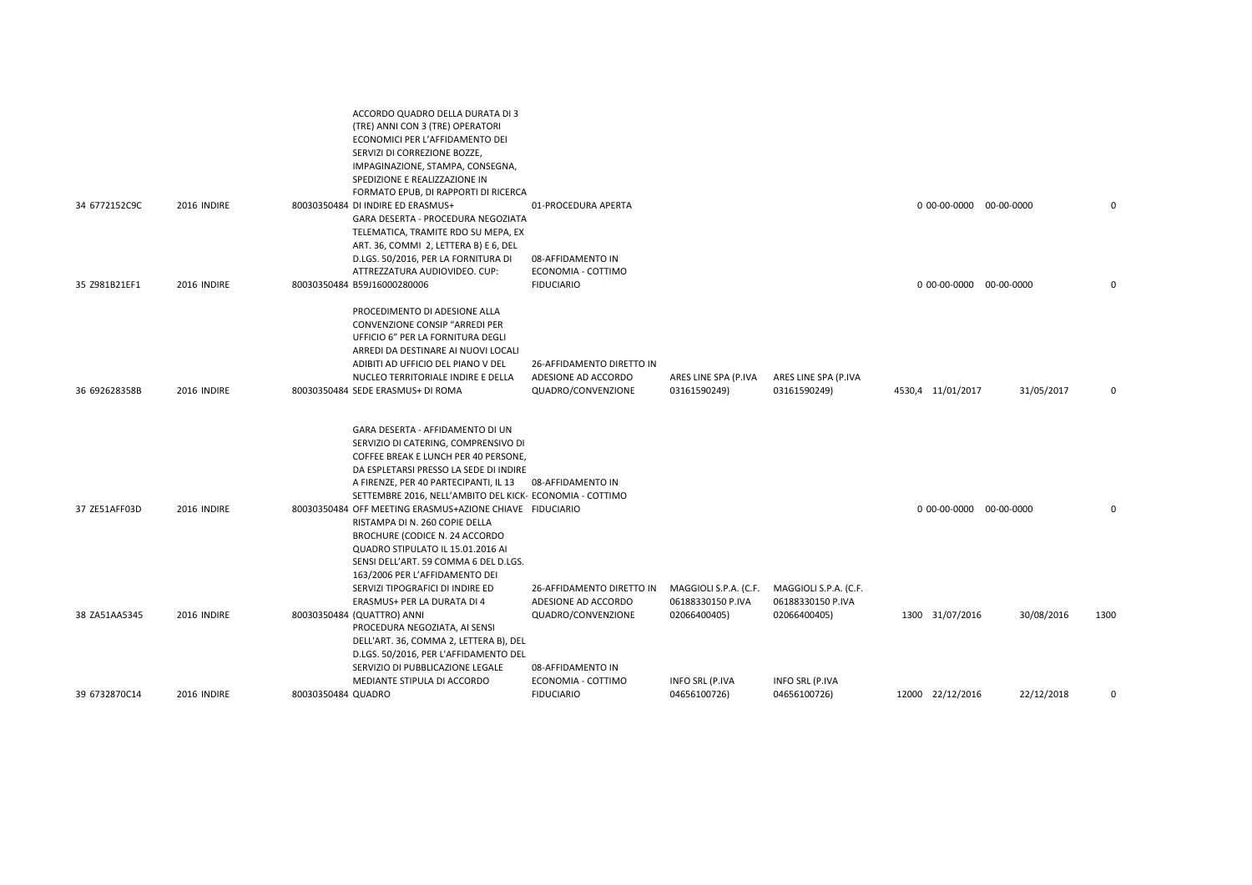|               |             | ACCORDO QUADRO DELLA DURATA DI 3<br>(TRE) ANNI CON 3 (TRE) OPERATORI<br>ECONOMICI PER L'AFFIDAMENTO DEI<br>SERVIZI DI CORREZIONE BOZZE,<br>IMPAGINAZIONE, STAMPA, CONSEGNA,<br>SPEDIZIONE E REALIZZAZIONE IN                                                                                                                                  |                                                                        |                                            |                                            |                         |            |          |
|---------------|-------------|-----------------------------------------------------------------------------------------------------------------------------------------------------------------------------------------------------------------------------------------------------------------------------------------------------------------------------------------------|------------------------------------------------------------------------|--------------------------------------------|--------------------------------------------|-------------------------|------------|----------|
| 34 6772152C9C | 2016 INDIRE | FORMATO EPUB, DI RAPPORTI DI RICERCA<br>80030350484 DI INDIRE ED ERASMUS+<br>GARA DESERTA - PROCEDURA NEGOZIATA<br>TELEMATICA, TRAMITE RDO SU MEPA, EX                                                                                                                                                                                        | 01-PROCEDURA APERTA                                                    |                                            |                                            | 0 00-00-0000 00-00-0000 |            | $\Omega$ |
| 35 Z981B21EF1 | 2016 INDIRE | ART. 36, COMMI 2, LETTERA B) E 6, DEL<br>D.LGS. 50/2016, PER LA FORNITURA DI<br>ATTREZZATURA AUDIOVIDEO. CUP:<br>80030350484 B59J16000280006                                                                                                                                                                                                  | 08-AFFIDAMENTO IN<br>ECONOMIA - COTTIMO<br><b>FIDUCIARIO</b>           |                                            |                                            | 0 00-00-0000 00-00-0000 |            | $\Omega$ |
| 36 692628358B | 2016 INDIRE | PROCEDIMENTO DI ADESIONE ALLA<br>CONVENZIONE CONSIP "ARREDI PER<br>UFFICIO 6" PER LA FORNITURA DEGLI<br>ARREDI DA DESTINARE AI NUOVI LOCALI<br>ADIBITI AD UFFICIO DEL PIANO V DEL<br>NUCLEO TERRITORIALE INDIRE E DELLA<br>80030350484 SEDE ERASMUS+ DI ROMA                                                                                  | 26-AFFIDAMENTO DIRETTO IN<br>ADESIONE AD ACCORDO<br>QUADRO/CONVENZIONE | ARES LINE SPA (P.IVA<br>03161590249)       | ARES LINE SPA (P.IVA<br>03161590249)       | 4530,4 11/01/2017       | 31/05/2017 | $\Omega$ |
| 37 ZE51AFF03D | 2016 INDIRE | GARA DESERTA - AFFIDAMENTO DI UN<br>SERVIZIO DI CATERING, COMPRENSIVO DI<br>COFFEE BREAK E LUNCH PER 40 PERSONE,<br>DA ESPLETARSI PRESSO LA SEDE DI INDIRE<br>A FIRENZE, PER 40 PARTECIPANTI, IL 13 08-AFFIDAMENTO IN<br>SETTEMBRE 2016, NELL'AMBITO DEL KICK- ECONOMIA - COTTIMO<br>80030350484 OFF MEETING ERASMUS+AZIONE CHIAVE FIDUCIARIO |                                                                        |                                            |                                            | 0 00-00-0000 00-00-0000 |            | $\Omega$ |
|               |             | RISTAMPA DI N. 260 COPIE DELLA<br>BROCHURE (CODICE N. 24 ACCORDO<br>QUADRO STIPULATO IL 15.01.2016 AI<br>SENSI DELL'ART. 59 COMMA 6 DEL D.LGS.<br>163/2006 PER L'AFFIDAMENTO DEI<br>SERVIZI TIPOGRAFICI DI INDIRE ED<br>ERASMUS+ PER LA DURATA DI 4                                                                                           | 26-AFFIDAMENTO DIRETTO IN<br>ADESIONE AD ACCORDO                       | MAGGIOLI S.P.A. (C.F.<br>06188330150 P.IVA | MAGGIOLI S.P.A. (C.F.<br>06188330150 P.IVA |                         |            |          |
| 38 ZA51AA5345 | 2016 INDIRE | 80030350484 (QUATTRO) ANNI<br>PROCEDURA NEGOZIATA, AI SENSI<br>DELL'ART. 36, COMMA 2, LETTERA B), DEL<br>D.LGS. 50/2016, PER L'AFFIDAMENTO DEL<br>SERVIZIO DI PUBBLICAZIONE LEGALE<br>MEDIANTE STIPULA DI ACCORDO                                                                                                                             | QUADRO/CONVENZIONE<br>08-AFFIDAMENTO IN<br>ECONOMIA - COTTIMO          | 02066400405)                               | 02066400405)<br>INFO SRL (P.IVA            | 1300 31/07/2016         | 30/08/2016 | 1300     |
| 39 6732870C14 | 2016 INDIRE | 80030350484 QUADRO                                                                                                                                                                                                                                                                                                                            | <b>FIDUCIARIO</b>                                                      | INFO SRL (P.IVA<br>04656100726)            | 04656100726)                               | 12000 22/12/2016        | 22/12/2018 | $\Omega$ |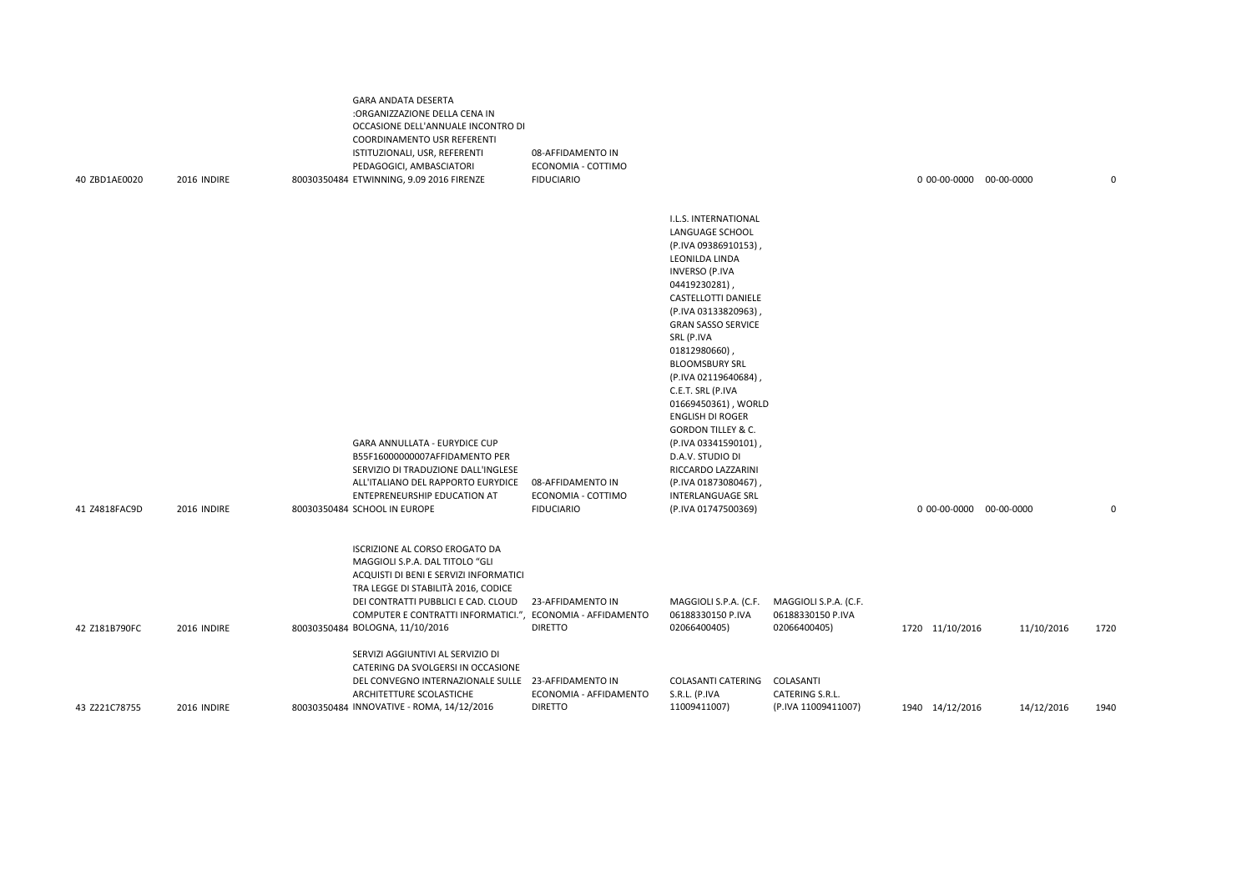| 40 ZBD1AE0020 | 2016 INDIRE | GARA ANDATA DESERTA<br>:ORGANIZZAZIONE DELLA CENA IN<br>OCCASIONE DELL'ANNUALE INCONTRO DI<br>COORDINAMENTO USR REFERENTI<br>ISTITUZIONALI, USR, REFERENTI<br>PEDAGOGICI, AMBASCIATORI<br>80030350484 ETWINNING, 9.09 2016 FIRENZE                                                         | 08-AFFIDAMENTO IN<br>ECONOMIA - COTTIMO<br><b>FIDUCIARIO</b> |                                                                                                                                                                                                                                                                                                                                                                                                                                                                                                                                                     |                                                            | 0 00-00-0000 00-00-0000 |            | 0           |
|---------------|-------------|--------------------------------------------------------------------------------------------------------------------------------------------------------------------------------------------------------------------------------------------------------------------------------------------|--------------------------------------------------------------|-----------------------------------------------------------------------------------------------------------------------------------------------------------------------------------------------------------------------------------------------------------------------------------------------------------------------------------------------------------------------------------------------------------------------------------------------------------------------------------------------------------------------------------------------------|------------------------------------------------------------|-------------------------|------------|-------------|
| 41 Z4818FAC9D | 2016 INDIRE | GARA ANNULLATA - EURYDICE CUP<br>B55F16000000007AFFIDAMENTO PER<br>SERVIZIO DI TRADUZIONE DALL'INGLESE<br>ALL'ITALIANO DEL RAPPORTO EURYDICE<br>ENTEPRENEURSHIP EDUCATION AT<br>80030350484 SCHOOL IN EUROPE                                                                               | 08-AFFIDAMENTO IN<br>ECONOMIA - COTTIMO<br><b>FIDUCIARIO</b> | I.L.S. INTERNATIONAL<br>LANGUAGE SCHOOL<br>(P.IVA 09386910153),<br>LEONILDA LINDA<br><b>INVERSO (P.IVA</b><br>04419230281),<br><b>CASTELLOTTI DANIELE</b><br>(P.IVA 03133820963),<br><b>GRAN SASSO SERVICE</b><br>SRL (P.IVA<br>01812980660),<br><b>BLOOMSBURY SRL</b><br>(P.IVA 02119640684),<br>C.E.T. SRL (P.IVA<br>01669450361), WORLD<br><b>ENGLISH DI ROGER</b><br><b>GORDON TILLEY &amp; C.</b><br>(P.IVA 03341590101),<br>D.A.V. STUDIO DI<br>RICCARDO LAZZARINI<br>(P.IVA 01873080467),<br><b>INTERLANGUAGE SRL</b><br>(P.IVA 01747500369) |                                                            | 0 00-00-0000 00-00-0000 |            | $\mathbf 0$ |
| 42 Z181B790FC | 2016 INDIRE | ISCRIZIONE AL CORSO EROGATO DA<br>MAGGIOLI S.P.A. DAL TITOLO "GLI<br>ACQUISTI DI BENI E SERVIZI INFORMATICI<br>TRA LEGGE DI STABILITÀ 2016, CODICE<br>DEI CONTRATTI PUBBLICI E CAD. CLOUD<br>COMPUTER E CONTRATTI INFORMATICI.", ECONOMIA - AFFIDAMENTO<br>80030350484 BOLOGNA, 11/10/2016 | 23-AFFIDAMENTO IN<br><b>DIRETTO</b>                          | MAGGIOLI S.P.A. (C.F.<br>06188330150 P.IVA<br>02066400405)                                                                                                                                                                                                                                                                                                                                                                                                                                                                                          | MAGGIOLI S.P.A. (C.F.<br>06188330150 P.IVA<br>02066400405) | 1720 11/10/2016         | 11/10/2016 | 1720        |
| 43 Z221C78755 | 2016 INDIRE | SERVIZI AGGIUNTIVI AL SERVIZIO DI<br>CATERING DA SVOLGERSI IN OCCASIONE<br>DEL CONVEGNO INTERNAZIONALE SULLE 23-AFFIDAMENTO IN<br>ARCHITETTURE SCOLASTICHE<br>80030350484 INNOVATIVE - ROMA, 14/12/2016                                                                                    | ECONOMIA - AFFIDAMENTO<br><b>DIRETTO</b>                     | COLASANTI CATERING<br>S.R.L. (P.IVA<br>11009411007)                                                                                                                                                                                                                                                                                                                                                                                                                                                                                                 | COLASANTI<br>CATERING S.R.L.<br>(P.IVA 11009411007)        | 1940 14/12/2016         | 14/12/2016 | 1940        |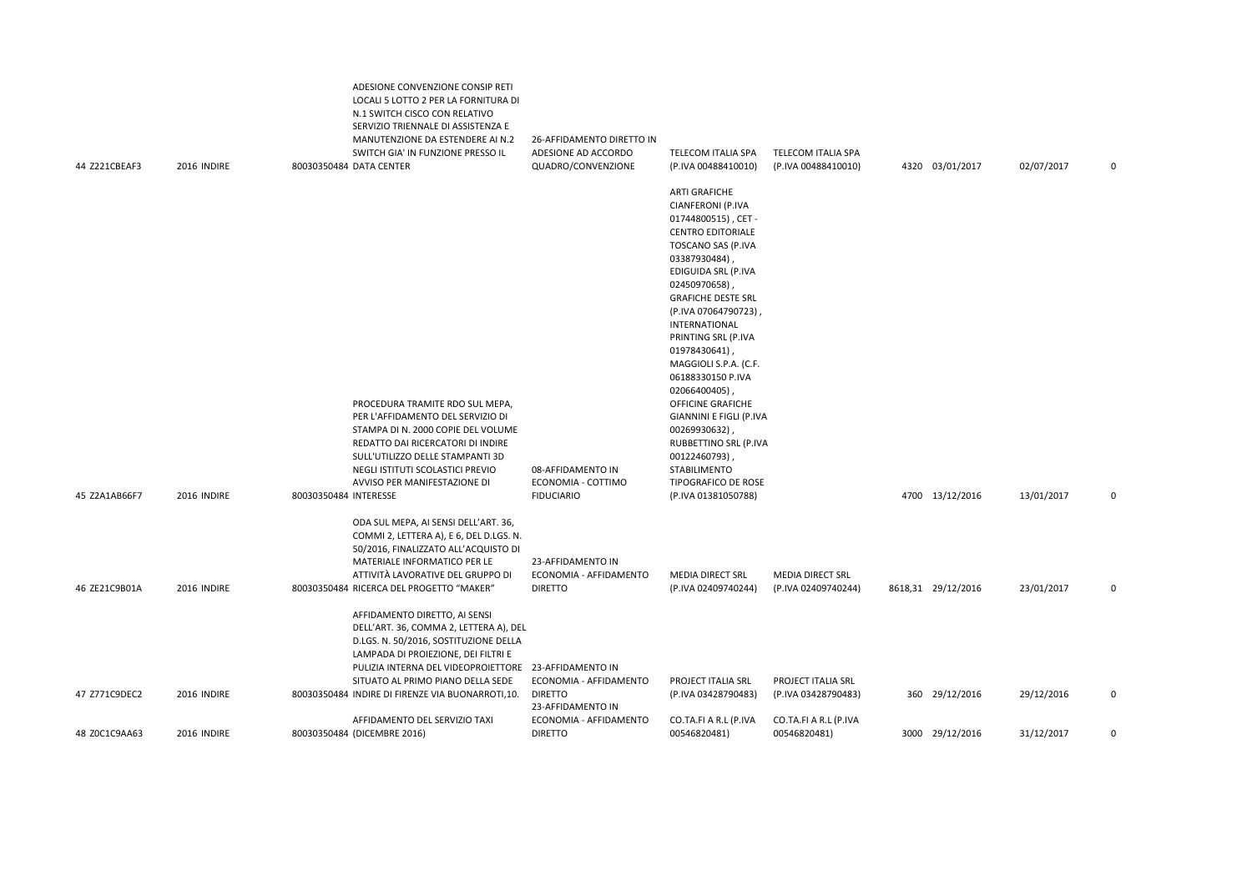| 44 Z221CBEAF3 | 2016 INDIRE |                       | ADESIONE CONVENZIONE CONSIP RETI<br>LOCALI 5 LOTTO 2 PER LA FORNITURA DI<br>N.1 SWITCH CISCO CON RELATIVO<br>SERVIZIO TRIENNALE DI ASSISTENZA E<br>MANUTENZIONE DA ESTENDERE AI N.2<br>SWITCH GIA' IN FUNZIONE PRESSO IL<br>80030350484 DATA CENTER     | 26-AFFIDAMENTO DIRETTO IN<br>ADESIONE AD ACCORDO<br>QUADRO/CONVENZIONE | TELECOM ITALIA SPA<br>(P.IVA 00488410010)                                                                                                                                                                                                                                                                                                                                                                                                                                                                                                         | <b>TELECOM ITALIA SPA</b><br>(P.IVA 00488410010) | 4320 03/01/2017    | 02/07/2017 | 0           |
|---------------|-------------|-----------------------|---------------------------------------------------------------------------------------------------------------------------------------------------------------------------------------------------------------------------------------------------------|------------------------------------------------------------------------|---------------------------------------------------------------------------------------------------------------------------------------------------------------------------------------------------------------------------------------------------------------------------------------------------------------------------------------------------------------------------------------------------------------------------------------------------------------------------------------------------------------------------------------------------|--------------------------------------------------|--------------------|------------|-------------|
| 45 Z2A1AB66F7 | 2016 INDIRE | 80030350484 INTERESSE | PROCEDURA TRAMITE RDO SUL MEPA,<br>PER L'AFFIDAMENTO DEL SERVIZIO DI<br>STAMPA DI N. 2000 COPIE DEL VOLUME<br>REDATTO DAI RICERCATORI DI INDIRE<br>SULL'UTILIZZO DELLE STAMPANTI 3D<br>NEGLI ISTITUTI SCOLASTICI PREVIO<br>AVVISO PER MANIFESTAZIONE DI | 08-AFFIDAMENTO IN<br>ECONOMIA - COTTIMO<br><b>FIDUCIARIO</b>           | <b>ARTI GRAFICHE</b><br>CIANFERONI (P.IVA<br>01744800515), CET-<br><b>CENTRO EDITORIALE</b><br>TOSCANO SAS (P.IVA<br>03387930484)<br>EDIGUIDA SRL (P.IVA<br>02450970658)<br><b>GRAFICHE DESTE SRL</b><br>(P.IVA 07064790723),<br><b>INTERNATIONAL</b><br>PRINTING SRL (P.IVA<br>01978430641)<br>MAGGIOLI S.P.A. (C.F.<br>06188330150 P.IVA<br>02066400405)<br>OFFICINE GRAFICHE<br>GIANNINI E FIGLI (P.IVA<br>00269930632),<br>RUBBETTINO SRL (P.IVA<br>00122460793),<br><b>STABILIMENTO</b><br><b>TIPOGRAFICO DE ROSE</b><br>(P.IVA 01381050788) |                                                  | 4700 13/12/2016    | 13/01/2017 | 0           |
| 46 ZE21C9B01A | 2016 INDIRE |                       | ODA SUL MEPA, AI SENSI DELL'ART. 36,<br>COMMI 2, LETTERA A), E 6, DEL D.LGS. N.<br>50/2016, FINALIZZATO ALL'ACQUISTO DI<br>MATERIALE INFORMATICO PER LE<br>ATTIVITÀ LAVORATIVE DEL GRUPPO DI<br>80030350484 RICERCA DEL PROGETTO "MAKER"                | 23-AFFIDAMENTO IN<br>ECONOMIA - AFFIDAMENTO<br><b>DIRETTO</b>          | MEDIA DIRECT SRL<br>(P.IVA 02409740244)                                                                                                                                                                                                                                                                                                                                                                                                                                                                                                           | MEDIA DIRECT SRL<br>(P.IVA 02409740244)          | 8618,31 29/12/2016 | 23/01/2017 | 0           |
|               |             |                       | AFFIDAMENTO DIRETTO, AI SENSI<br>DELL'ART. 36, COMMA 2, LETTERA A), DEL<br>D.LGS. N. 50/2016, SOSTITUZIONE DELLA<br>LAMPADA DI PROIEZIONE, DEI FILTRI E<br>PULIZIA INTERNA DEL VIDEOPROIETTORE 23-AFFIDAMENTO IN<br>SITUATO AL PRIMO PIANO DELLA SEDE   | ECONOMIA - AFFIDAMENTO                                                 | PROJECT ITALIA SRL                                                                                                                                                                                                                                                                                                                                                                                                                                                                                                                                | PROJECT ITALIA SRL                               |                    |            |             |
| 47 Z771C9DEC2 | 2016 INDIRE |                       | 80030350484 INDIRE DI FIRENZE VIA BUONARROTI,10.<br>AFFIDAMENTO DEL SERVIZIO TAXI                                                                                                                                                                       | <b>DIRETTO</b><br>23-AFFIDAMENTO IN<br>ECONOMIA - AFFIDAMENTO          | (P.IVA 03428790483)<br>CO.TA.FI A R.L (P.IVA                                                                                                                                                                                                                                                                                                                                                                                                                                                                                                      | (P.IVA 03428790483)<br>CO.TA.FI A R.L (P.IVA     | 360 29/12/2016     | 29/12/2016 | 0           |
| 48 Z0C1C9AA63 | 2016 INDIRE |                       | 80030350484 (DICEMBRE 2016)                                                                                                                                                                                                                             | <b>DIRETTO</b>                                                         | 00546820481)                                                                                                                                                                                                                                                                                                                                                                                                                                                                                                                                      | 00546820481)                                     | 3000 29/12/2016    | 31/12/2017 | $\mathbf 0$ |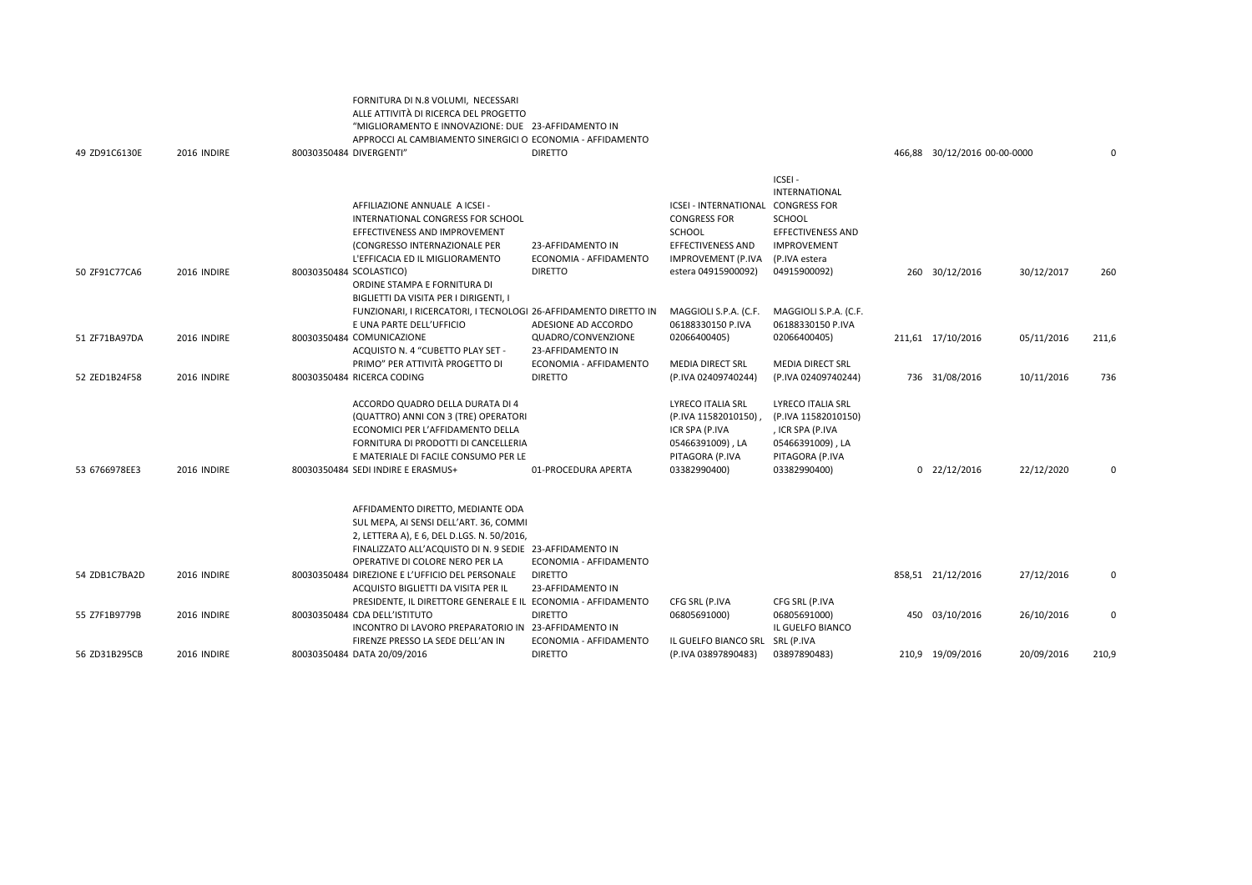| 49 ZD91C6130E | 2016 INDIRE | ALLE ATTIVITÀ DI RICERCA DEL PROGETTO<br>"MIGLIORAMENTO E INNOVAZIONE: DUE 23-AFFIDAMENTO IN<br>APPROCCI AL CAMBIAMENTO SINERGICI O ECONOMIA - AFFIDAMENTO<br>80030350484 DIVERGENTI"                                                                                         | <b>DIRETTO</b>                                                 |                                                                                                                                                     |                                                                                                                      | 466,88 30/12/2016 00-00-0000 |            | 0     |
|---------------|-------------|-------------------------------------------------------------------------------------------------------------------------------------------------------------------------------------------------------------------------------------------------------------------------------|----------------------------------------------------------------|-----------------------------------------------------------------------------------------------------------------------------------------------------|----------------------------------------------------------------------------------------------------------------------|------------------------------|------------|-------|
| 50 ZF91C77CA6 | 2016 INDIRE | AFFILIAZIONE ANNUALE A ICSEI -<br>INTERNATIONAL CONGRESS FOR SCHOOL<br>EFFECTIVENESS AND IMPROVEMENT<br>(CONGRESSO INTERNAZIONALE PER<br>L'EFFICACIA ED IL MIGLIORAMENTO<br>80030350484 SCOLASTICO)<br>ORDINE STAMPA E FORNITURA DI<br>BIGLIETTI DA VISITA PER I DIRIGENTI, I | 23-AFFIDAMENTO IN<br>ECONOMIA - AFFIDAMENTO<br><b>DIRETTO</b>  | ICSEI - INTERNATIONAL CONGRESS FOR<br><b>CONGRESS FOR</b><br><b>SCHOOL</b><br><b>EFFECTIVENESS AND</b><br>IMPROVEMENT (P.IVA<br>estera 04915900092) | ICSEI-<br>INTERNATIONAL<br><b>SCHOOL</b><br>EFFECTIVENESS AND<br><b>IMPROVEMENT</b><br>(P.IVA estera<br>04915900092) | 260 30/12/2016               | 30/12/2017 | 260   |
| 51 ZF71BA97DA | 2016 INDIRE | FUNZIONARI, I RICERCATORI, I TECNOLOGI 26-AFFIDAMENTO DIRETTO IN<br>E UNA PARTE DELL'UFFICIO<br>80030350484 COMUNICAZIONE<br>ACQUISTO N. 4 "CUBETTO PLAY SET -                                                                                                                | ADESIONE AD ACCORDO<br>QUADRO/CONVENZIONE<br>23-AFFIDAMENTO IN | MAGGIOLI S.P.A. (C.F.<br>06188330150 P.IVA<br>02066400405)                                                                                          | MAGGIOLI S.P.A. (C.F.<br>06188330150 P.IVA<br>02066400405)                                                           | 211,61 17/10/2016            | 05/11/2016 | 211,6 |
| 52 ZED1B24F58 | 2016 INDIRE | PRIMO" PER ATTIVITÀ PROGETTO DI<br>80030350484 RICERCA CODING                                                                                                                                                                                                                 | ECONOMIA - AFFIDAMENTO<br><b>DIRETTO</b>                       | <b>MEDIA DIRECT SRL</b><br>(P.IVA 02409740244)                                                                                                      | <b>MEDIA DIRECT SRL</b><br>(P.IVA 02409740244)                                                                       | 736 31/08/2016               | 10/11/2016 | 736   |
| 53 6766978EE3 | 2016 INDIRE | ACCORDO QUADRO DELLA DURATA DI 4<br>(QUATTRO) ANNI CON 3 (TRE) OPERATORI<br>ECONOMICI PER L'AFFIDAMENTO DELLA<br>FORNITURA DI PRODOTTI DI CANCELLERIA<br>E MATERIALE DI FACILE CONSUMO PER LE<br>80030350484 SEDI INDIRE E ERASMUS+                                           | 01-PROCEDURA APERTA                                            | LYRECO ITALIA SRL<br>(P.IVA 11582010150)<br>ICR SPA (P.IVA<br>05466391009), LA<br>PITAGORA (P.IVA<br>03382990400)                                   | LYRECO ITALIA SRL<br>(P.IVA 11582010150)<br>, ICR SPA (P.IVA<br>05466391009), LA<br>PITAGORA (P.IVA<br>03382990400)  | $0$ 22/12/2016               | 22/12/2020 | 0     |
|               |             | AFFIDAMENTO DIRETTO, MEDIANTE ODA<br>SUL MEPA, AI SENSI DELL'ART. 36, COMMI<br>2, LETTERA A), E 6, DEL D.LGS. N. 50/2016,<br>FINALIZZATO ALL'ACQUISTO DI N. 9 SEDIE 23-AFFIDAMENTO IN<br>OPERATIVE DI COLORE NERO PER LA                                                      | ECONOMIA - AFFIDAMENTO                                         |                                                                                                                                                     |                                                                                                                      |                              |            |       |
| 54 ZDB1C7BA2D | 2016 INDIRE | 80030350484 DIREZIONE E L'UFFICIO DEL PERSONALE<br>ACQUISTO BIGLIETTI DA VISITA PER IL                                                                                                                                                                                        | <b>DIRETTO</b><br>23-AFFIDAMENTO IN                            |                                                                                                                                                     |                                                                                                                      | 858,51 21/12/2016            | 27/12/2016 | 0     |
| 55 Z7F1B9779B | 2016 INDIRE | PRESIDENTE, IL DIRETTORE GENERALE E IL ECONOMIA - AFFIDAMENTO<br>80030350484 CDA DELL'ISTITUTO<br>INCONTRO DI LAVORO PREPARATORIO IN<br>FIRENZE PRESSO LA SEDE DELL'AN IN                                                                                                     | <b>DIRETTO</b><br>23-AFFIDAMENTO IN<br>ECONOMIA - AFFIDAMENTO  | CFG SRL (P.IVA<br>06805691000)<br>IL GUELFO BIANCO SRL                                                                                              | CFG SRL (P.IVA<br>06805691000)<br>IL GUELFO BIANCO<br>SRL (P.IVA                                                     | 450 03/10/2016               | 26/10/2016 | 0     |
| 56 ZD31B295CB | 2016 INDIRE | 80030350484 DATA 20/09/2016                                                                                                                                                                                                                                                   | <b>DIRETTO</b>                                                 | (P.IVA 03897890483)                                                                                                                                 | 03897890483)                                                                                                         | 210,9 19/09/2016             | 20/09/2016 | 210,9 |

FORNITURA DI N.8 VOLUMI, NECESSARI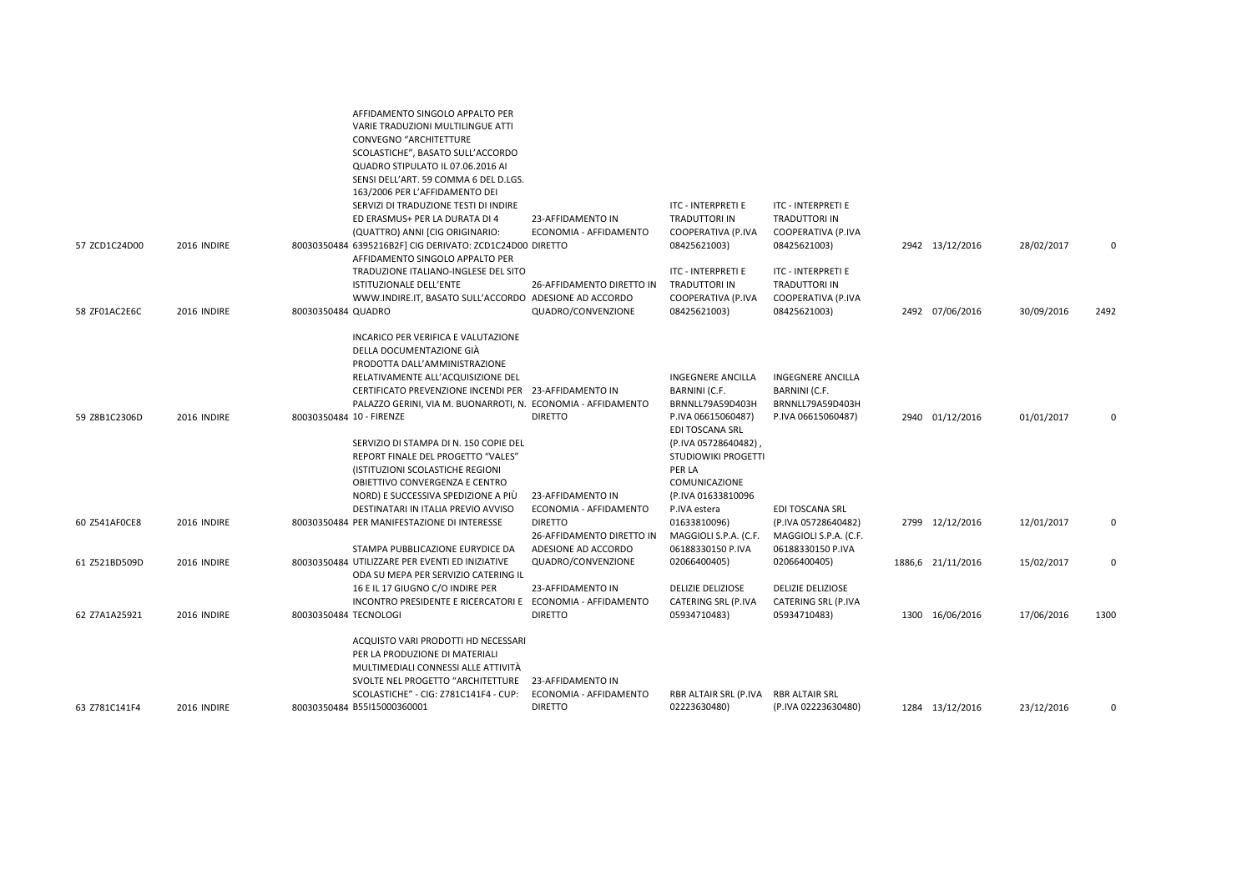|               |             | AFFIDAMENTO SINGOLO APPALTO PER<br>VARIE TRADUZIONI MULTILINGUE ATTI<br>CONVEGNO "ARCHITETTURE<br>SCOLASTICHE", BASATO SULL'ACCORDO<br>QUADRO STIPULATO IL 07.06.2016 AI<br>SENSI DELL'ART. 59 COMMA 6 DEL D.LGS.<br>163/2006 PER L'AFFIDAMENTO DEI<br>SERVIZI DI TRADUZIONE TESTI DI INDIRE<br>ED ERASMUS+ PER LA DURATA DI 4<br>(QUATTRO) ANNI [CIG ORIGINARIO:                                                                                                                        | 23-AFFIDAMENTO IN<br>ECONOMIA - AFFIDAMENTO                   | <b>ITC - INTERPRETI E</b><br>TRADUTTORI IN<br>COOPERATIVA (P.IVA                                                                                                                                      | ITC - INTERPRETI E<br>TRADUTTORI IN<br>COOPERATIVA (P.IVA                           |                   |            |             |
|---------------|-------------|------------------------------------------------------------------------------------------------------------------------------------------------------------------------------------------------------------------------------------------------------------------------------------------------------------------------------------------------------------------------------------------------------------------------------------------------------------------------------------------|---------------------------------------------------------------|-------------------------------------------------------------------------------------------------------------------------------------------------------------------------------------------------------|-------------------------------------------------------------------------------------|-------------------|------------|-------------|
| 57 ZCD1C24D00 | 2016 INDIRE | 80030350484 6395216B2F] CIG DERIVATO: ZCD1C24D00 DIRETTO                                                                                                                                                                                                                                                                                                                                                                                                                                 |                                                               | 08425621003)                                                                                                                                                                                          | 08425621003)                                                                        | 2942 13/12/2016   | 28/02/2017 | 0           |
| 58 ZF01AC2E6C | 2016 INDIRE | AFFIDAMENTO SINGOLO APPALTO PER<br>TRADUZIONE ITALIANO-INGLESE DEL SITO<br>ISTITUZIONALE DELL'ENTE<br>WWW.INDIRE.IT, BASATO SULL'ACCORDO ADESIONE AD ACCORDO<br>80030350484 QUADRO                                                                                                                                                                                                                                                                                                       | 26-AFFIDAMENTO DIRETTO IN<br>QUADRO/CONVENZIONE               | ITC - INTERPRETI E<br>TRADUTTORI IN<br>COOPERATIVA (P.IVA<br>08425621003)                                                                                                                             | ITC - INTERPRETI E<br><b>TRADUTTORI IN</b><br>COOPERATIVA (P.IVA<br>08425621003)    | 2492 07/06/2016   | 30/09/2016 | 2492        |
| 59 Z8B1C2306D | 2016 INDIRE | INCARICO PER VERIFICA E VALUTAZIONE<br>DELLA DOCUMENTAZIONE GIÀ<br>PRODOTTA DALL'AMMINISTRAZIONE<br>RELATIVAMENTE ALL'ACQUISIZIONE DEL<br>CERTIFICATO PREVENZIONE INCENDI PER 23-AFFIDAMENTO IN<br>PALAZZO GERINI, VIA M. BUONARROTI, N. ECONOMIA - AFFIDAMENTO<br>80030350484 10 - FIRENZE<br>SERVIZIO DI STAMPA DI N. 150 COPIE DEL<br>REPORT FINALE DEL PROGETTO "VALES"<br>(ISTITUZIONI SCOLASTICHE REGIONI<br>OBIETTIVO CONVERGENZA E CENTRO<br>NORD) E SUCCESSIVA SPEDIZIONE A PIÙ | <b>DIRETTO</b><br>23-AFFIDAMENTO IN                           | <b>INGEGNERE ANCILLA</b><br>BARNINI (C.F.<br>BRNNLL79A59D403H<br>P.IVA 06615060487)<br>EDI TOSCANA SRL<br>(P.IVA 05728640482)<br>STUDIOWIKI PROGETTI<br>PER LA<br>COMUNICAZIONE<br>(P.IVA 01633810096 | <b>INGEGNERE ANCILLA</b><br>BARNINI (C.F.<br>BRNNLL79A59D403H<br>P.IVA 06615060487) | 2940 01/12/2016   | 01/01/2017 | 0           |
|               | 2016 INDIRE | DESTINATARI IN ITALIA PREVIO AVVISO                                                                                                                                                                                                                                                                                                                                                                                                                                                      | ECONOMIA - AFFIDAMENTO<br><b>DIRETTO</b>                      | P.IVA estera                                                                                                                                                                                          | <b>EDI TOSCANA SRL</b>                                                              |                   |            |             |
| 60 Z541AF0CE8 |             | 80030350484 PER MANIFESTAZIONE DI INTERESSE                                                                                                                                                                                                                                                                                                                                                                                                                                              | 26-AFFIDAMENTO DIRETTO IN                                     | 01633810096)<br>MAGGIOLI S.P.A. (C.F.                                                                                                                                                                 | (P.IVA 05728640482)<br>MAGGIOLI S.P.A. (C.F.                                        | 2799 12/12/2016   | 12/01/2017 | 0           |
| 61 Z521BD509D | 2016 INDIRE | STAMPA PUBBLICAZIONE EURYDICE DA<br>80030350484 UTILIZZARE PER EVENTI ED INIZIATIVE<br>ODA SU MEPA PER SERVIZIO CATERING IL                                                                                                                                                                                                                                                                                                                                                              | ADESIONE AD ACCORDO<br>QUADRO/CONVENZIONE                     | 06188330150 P.IVA<br>02066400405)                                                                                                                                                                     | 06188330150 P.IVA<br>02066400405)                                                   | 1886,6 21/11/2016 | 15/02/2017 | $\mathbf 0$ |
| 62 Z7A1A25921 | 2016 INDIRE | 16 E IL 17 GIUGNO C/O INDIRE PER<br>INCONTRO PRESIDENTE E RICERCATORI E ECONOMIA - AFFIDAMENTO<br>80030350484 TECNOLOGI                                                                                                                                                                                                                                                                                                                                                                  | 23-AFFIDAMENTO IN<br><b>DIRETTO</b>                           | <b>DELIZIE DELIZIOSE</b><br>CATERING SRL (P.IVA<br>05934710483)                                                                                                                                       | <b>DELIZIE DELIZIOSE</b><br>CATERING SRL (P.IVA<br>05934710483)                     | 1300 16/06/2016   | 17/06/2016 | 1300        |
| 63 Z781C141F4 | 2016 INDIRE | ACQUISTO VARI PRODOTTI HD NECESSARI<br>PER LA PRODUZIONE DI MATERIALI<br>MULTIMEDIALI CONNESSI ALLE ATTIVITÀ<br>SVOLTE NEL PROGETTO "ARCHITETTURE<br>SCOLASTICHE" - CIG: Z781C141F4 - CUP:<br>80030350484 B55I15000360001                                                                                                                                                                                                                                                                | 23-AFFIDAMENTO IN<br>ECONOMIA - AFFIDAMENTO<br><b>DIRETTO</b> | RBR ALTAIR SRL (P.IVA<br>02223630480)                                                                                                                                                                 | RBR ALTAIR SRL<br>(P.IVA 02223630480)                                               | 1284 13/12/2016   | 23/12/2016 | $\Omega$    |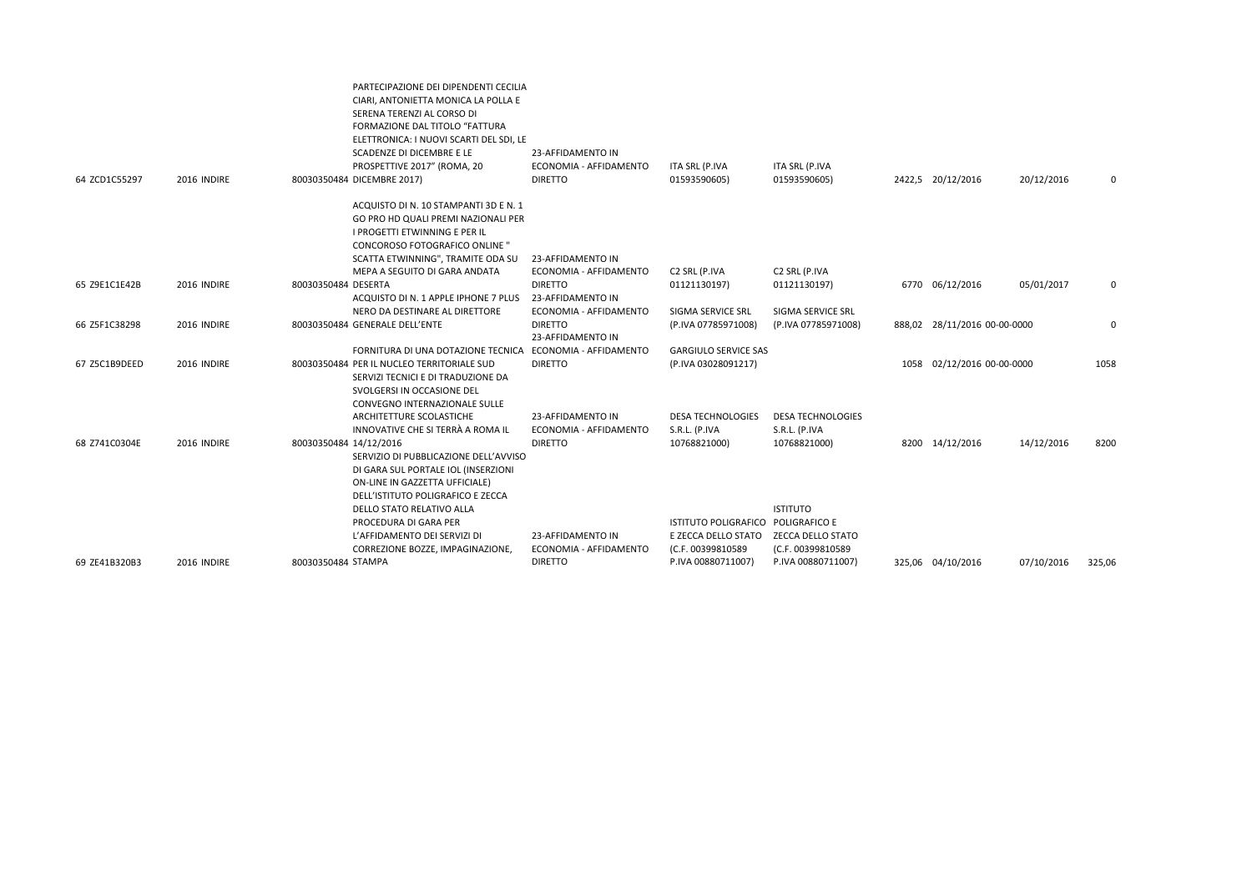| 64 ZCD1C55297 | 2016 INDIRE | PARTECIPAZIONE DEI DIPENDENTI CECILIA<br>CIARI, ANTONIETTA MONICA LA POLLA E<br>SERENA TERENZI AL CORSO DI<br>FORMAZIONE DAL TITOLO "FATTURA<br>ELETTRONICA: I NUOVI SCARTI DEL SDI, LE<br>SCADENZE DI DICEMBRE E LE<br>PROSPETTIVE 2017" (ROMA, 20<br>80030350484 DICEMBRE 2017) | 23-AFFIDAMENTO IN<br>ECONOMIA - AFFIDAMENTO<br><b>DIRETTO</b> | ITA SRL (P.IVA<br>01593590605)            | ITA SRL (P.IVA<br>01593590605)            | 2422,5 20/12/2016            | 20/12/2016 | 0        |
|---------------|-------------|-----------------------------------------------------------------------------------------------------------------------------------------------------------------------------------------------------------------------------------------------------------------------------------|---------------------------------------------------------------|-------------------------------------------|-------------------------------------------|------------------------------|------------|----------|
|               |             | ACQUISTO DI N. 10 STAMPANTI 3D E N. 1<br>GO PRO HD QUALI PREMI NAZIONALI PER<br>I PROGETTI ETWINNING E PER IL<br><b>CONCOROSO FOTOGRAFICO ONLINE "</b><br>SCATTA ETWINNING", TRAMITE ODA SU                                                                                       | 23-AFFIDAMENTO IN                                             |                                           |                                           |                              |            |          |
|               |             | MEPA A SEGUITO DI GARA ANDATA                                                                                                                                                                                                                                                     | ECONOMIA - AFFIDAMENTO                                        | C2 SRL (P.IVA                             | C2 SRL (P.IVA                             |                              |            |          |
| 65 Z9E1C1E42B | 2016 INDIRE | 80030350484 DESERTA<br>ACQUISTO DI N. 1 APPLE IPHONE 7 PLUS                                                                                                                                                                                                                       | <b>DIRETTO</b><br>23-AFFIDAMENTO IN                           | 01121130197)                              | 01121130197)                              | 6770 06/12/2016              | 05/01/2017 | 0        |
|               |             | NERO DA DESTINARE AL DIRETTORE                                                                                                                                                                                                                                                    | ECONOMIA - AFFIDAMENTO                                        | SIGMA SERVICE SRL                         | SIGMA SERVICE SRL                         |                              |            |          |
| 66 Z5F1C38298 | 2016 INDIRE | 80030350484 GENERALE DELL'ENTE                                                                                                                                                                                                                                                    | <b>DIRETTO</b><br>23-AFFIDAMENTO IN                           | (P.IVA 07785971008)                       | (P.IVA 07785971008)                       | 888,02 28/11/2016 00-00-0000 |            | $\Omega$ |
|               |             | FORNITURA DI UNA DOTAZIONE TECNICA                                                                                                                                                                                                                                                | ECONOMIA - AFFIDAMENTO                                        | <b>GARGIULO SERVICE SAS</b>               |                                           |                              |            |          |
| 67 Z5C1B9DEED | 2016 INDIRE | 80030350484 PER IL NUCLEO TERRITORIALE SUD<br>SERVIZI TECNICI E DI TRADUZIONE DA<br>SVOLGERSI IN OCCASIONE DEL<br>CONVEGNO INTERNAZIONALE SULLE                                                                                                                                   | <b>DIRETTO</b>                                                | (P.IVA 03028091217)                       |                                           | 1058 02/12/2016 00-00-0000   |            | 1058     |
|               |             | ARCHITETTURE SCOLASTICHE<br>INNOVATIVE CHE SI TERRÀ A ROMA IL                                                                                                                                                                                                                     | 23-AFFIDAMENTO IN<br>ECONOMIA - AFFIDAMENTO                   | <b>DESA TECHNOLOGIES</b><br>S.R.L. (P.IVA | <b>DESA TECHNOLOGIES</b><br>S.R.L. (P.IVA |                              |            |          |
| 68 Z741C0304E | 2016 INDIRE | 80030350484 14/12/2016<br>SERVIZIO DI PUBBLICAZIONE DELL'AVVISO<br>DI GARA SUL PORTALE IOL (INSERZIONI<br>ON-LINE IN GAZZETTA UFFICIALE)<br>DELL'ISTITUTO POLIGRAFICO E ZECCA                                                                                                     | <b>DIRETTO</b>                                                | 10768821000)                              | 10768821000)                              | 8200 14/12/2016              | 14/12/2016 | 8200     |
|               |             | DELLO STATO RELATIVO ALLA                                                                                                                                                                                                                                                         |                                                               |                                           | <b>ISTITUTO</b>                           |                              |            |          |
|               |             | PROCEDURA DI GARA PER                                                                                                                                                                                                                                                             |                                                               | ISTITUTO POLIGRAFICO POLIGRAFICO E        |                                           |                              |            |          |
|               |             | L'AFFIDAMENTO DEI SERVIZI DI                                                                                                                                                                                                                                                      | 23-AFFIDAMENTO IN                                             | E ZECCA DELLO STATO                       | <b>ZECCA DELLO STATO</b>                  |                              |            |          |
|               |             | CORREZIONE BOZZE, IMPAGINAZIONE,                                                                                                                                                                                                                                                  | ECONOMIA - AFFIDAMENTO                                        | (C.F. 00399810589                         | (C.F. 00399810589                         |                              |            |          |
| 69 ZE41B320B3 | 2016 INDIRE | 80030350484 STAMPA                                                                                                                                                                                                                                                                | <b>DIRETTO</b>                                                | P.IVA 00880711007)                        | P.IVA 00880711007)                        | 325,06 04/10/2016            | 07/10/2016 | 325,06   |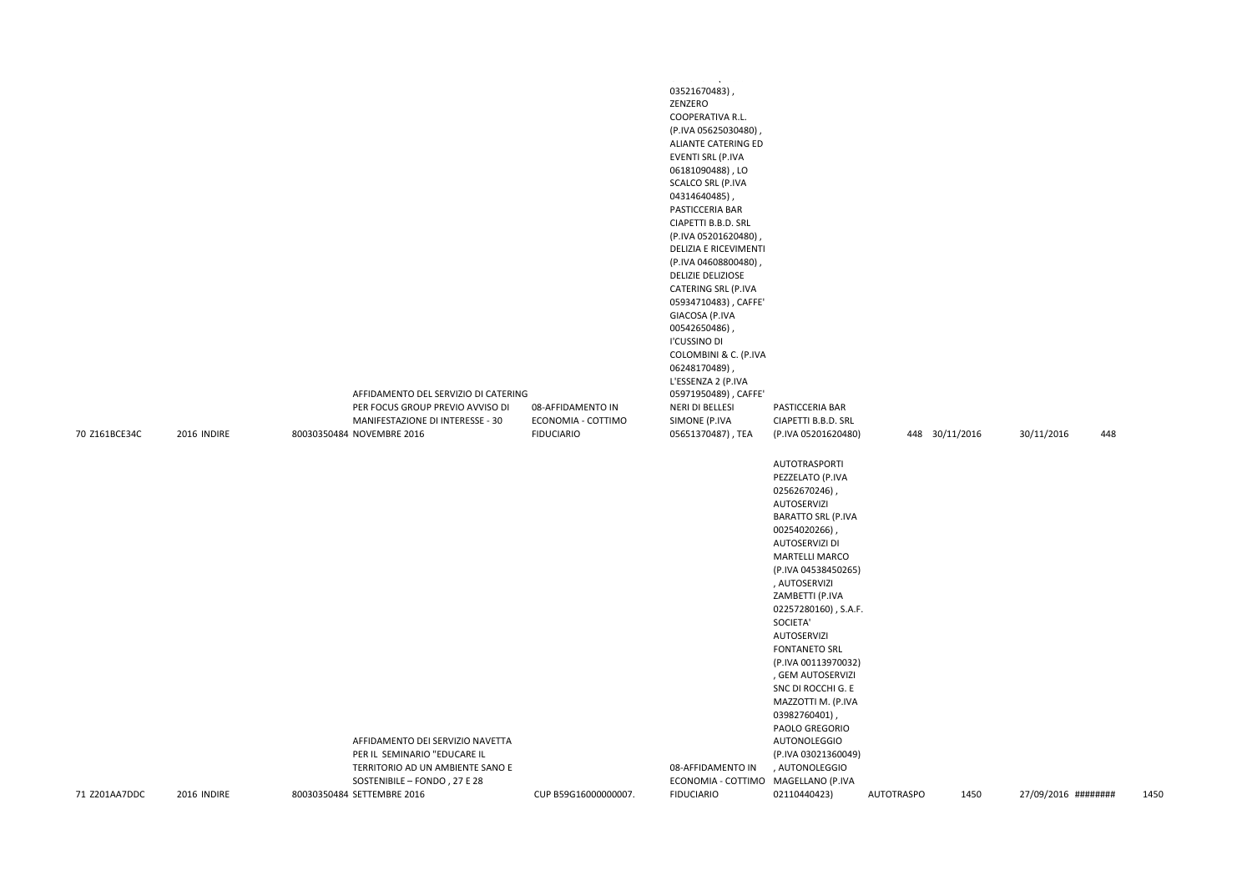|                                |                            | AFFIDAMENTO DEL SERVIZIO DI CATERING<br>PER FOCUS GROUP PREVIO AVVISO DI<br>MANIFESTAZIONE DI INTERESSE - 30                                                                                    | 08-AFFIDAMENTO IN<br>ECONOMIA - COTTIMO   | والمحامر والمحاف والمستملم<br>03521670483),<br>ZENZERO<br><b>COOPERATIVA R.L.</b><br>(P.IVA 05625030480),<br>ALIANTE CATERING ED<br>EVENTI SRL (P.IVA<br>06181090488), LO<br><b>SCALCO SRL (P.IVA</b><br>04314640485),<br>PASTICCERIA BAR<br>CIAPETTI B.B.D. SRL<br>(P.IVA 05201620480),<br>DELIZIA E RICEVIMENTI<br>(P.IVA 04608800480),<br><b>DELIZIE DELIZIOSE</b><br>CATERING SRL (P.IVA<br>05934710483), CAFFE'<br>GIACOSA (P.IVA<br>00542650486),<br>I'CUSSINO DI<br>COLOMBINI & C. (P.IVA<br>06248170489),<br>L'ESSENZA 2 (P.IVA<br>05971950489), CAFFE'<br>NERI DI BELLESI<br>SIMONE (P.IVA | PASTICCERIA BAR<br>CIAPETTI B.B.D. SRL                                                                                                                                                                                                                                                                                                                                                                                                                                                                                                         |                   |                        |                                          |      |
|--------------------------------|----------------------------|-------------------------------------------------------------------------------------------------------------------------------------------------------------------------------------------------|-------------------------------------------|-----------------------------------------------------------------------------------------------------------------------------------------------------------------------------------------------------------------------------------------------------------------------------------------------------------------------------------------------------------------------------------------------------------------------------------------------------------------------------------------------------------------------------------------------------------------------------------------------------|------------------------------------------------------------------------------------------------------------------------------------------------------------------------------------------------------------------------------------------------------------------------------------------------------------------------------------------------------------------------------------------------------------------------------------------------------------------------------------------------------------------------------------------------|-------------------|------------------------|------------------------------------------|------|
| 70 Z161BCE34C<br>71 Z201AA7DDC | 2016 INDIRE<br>2016 INDIRE | 80030350484 NOVEMBRE 2016<br>AFFIDAMENTO DEI SERVIZIO NAVETTA<br>PER IL SEMINARIO "EDUCARE IL<br>TERRITORIO AD UN AMBIENTE SANO E<br>SOSTENIBILE - FONDO, 27 E 28<br>80030350484 SETTEMBRE 2016 | <b>FIDUCIARIO</b><br>CUP B59G16000000007. | 05651370487), TEA<br>08-AFFIDAMENTO IN<br>ECONOMIA - COTTIMO MAGELLANO (P.IVA<br><b>FIDUCIARIO</b>                                                                                                                                                                                                                                                                                                                                                                                                                                                                                                  | (P.IVA 05201620480)<br>AUTOTRASPORTI<br>PEZZELATO (P.IVA<br>02562670246),<br><b>AUTOSERVIZI</b><br><b>BARATTO SRL (P.IVA</b><br>00254020266)<br>AUTOSERVIZI DI<br><b>MARTELLI MARCO</b><br>(P.IVA 04538450265)<br>, AUTOSERVIZI<br>ZAMBETTI (P.IVA<br>02257280160), S.A.F.<br>SOCIETA'<br><b>AUTOSERVIZI</b><br><b>FONTANETO SRL</b><br>(P.IVA 00113970032)<br>, GEM AUTOSERVIZI<br>SNC DI ROCCHI G. E<br>MAZZOTTI M. (P.IVA<br>03982760401)<br>PAOLO GREGORIO<br><b>AUTONOLEGGIO</b><br>(P.IVA 03021360049)<br>, AUTONOLEGGIO<br>02110440423) | <b>AUTOTRASPO</b> | 448 30/11/2016<br>1450 | 30/11/2016<br>448<br>27/09/2016 ######## | 1450 |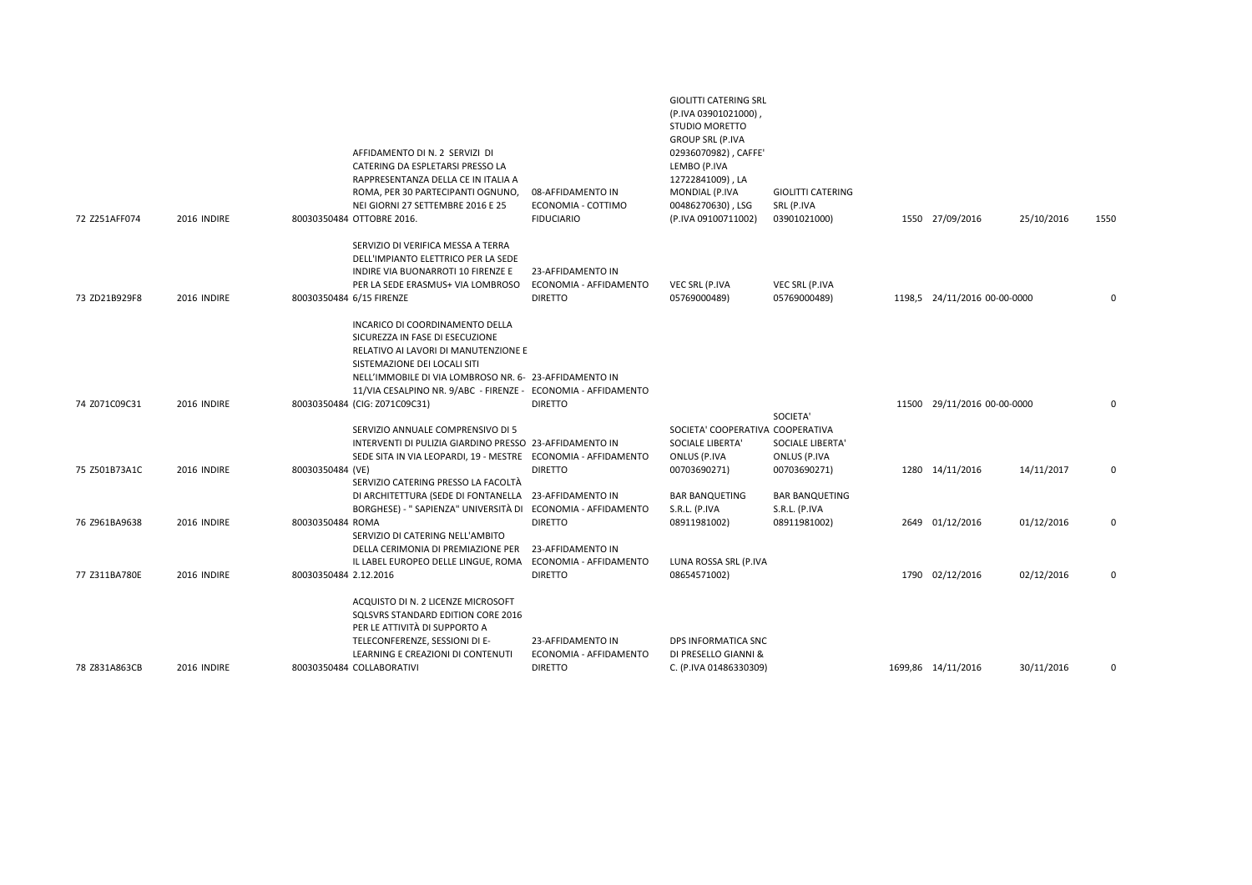| 72 Z251AFF074 | 2016 INDIRE | AFFIDAMENTO DI N. 2 SERVIZI DI<br>CATERING DA ESPLETARSI PRESSO LA<br>RAPPRESENTANZA DELLA CE IN ITALIA A<br>ROMA, PER 30 PARTECIPANTI OGNUNO,<br>NEI GIORNI 27 SETTEMBRE 2016 E 25<br>80030350484 OTTOBRE 2016.                                                      | 08-AFFIDAMENTO IN<br>ECONOMIA - COTTIMO<br><b>FIDUCIARIO</b>  | (P.IVA 03901021000),<br><b>STUDIO MORETTO</b><br><b>GROUP SRL (P.IVA</b><br>02936070982), CAFFE'<br>LEMBO (P.IVA<br>12722841009), LA<br>MONDIAL (P.IVA<br>00486270630), LSG<br>(P.IVA 09100711002) | <b>GIOLITTI CATERING</b><br>SRL (P.IVA<br>03901021000) | 1550 27/09/2016              | 25/10/2016 | 1550 |
|---------------|-------------|-----------------------------------------------------------------------------------------------------------------------------------------------------------------------------------------------------------------------------------------------------------------------|---------------------------------------------------------------|----------------------------------------------------------------------------------------------------------------------------------------------------------------------------------------------------|--------------------------------------------------------|------------------------------|------------|------|
| 73 ZD21B929F8 | 2016 INDIRE | SERVIZIO DI VERIFICA MESSA A TERRA<br>DELL'IMPIANTO ELETTRICO PER LA SEDE<br>INDIRE VIA BUONARROTI 10 FIRENZE E<br>PER LA SEDE ERASMUS+ VIA LOMBROSO<br>80030350484 6/15 FIRENZE                                                                                      | 23-AFFIDAMENTO IN<br>ECONOMIA - AFFIDAMENTO<br><b>DIRETTO</b> | VEC SRL (P.IVA<br>05769000489)                                                                                                                                                                     | VEC SRL (P.IVA<br>05769000489)                         | 1198,5 24/11/2016 00-00-0000 |            | 0    |
|               |             | INCARICO DI COORDINAMENTO DELLA<br>SICUREZZA IN FASE DI ESECUZIONE<br>RELATIVO AI LAVORI DI MANUTENZIONE E<br>SISTEMAZIONE DEI LOCALI SITI<br>NELL'IMMOBILE DI VIA LOMBROSO NR. 6- 23-AFFIDAMENTO IN<br>11/VIA CESALPINO NR. 9/ABC - FIRENZE - ECONOMIA - AFFIDAMENTO |                                                               |                                                                                                                                                                                                    |                                                        |                              |            |      |
| 74 Z071C09C31 | 2016 INDIRE | 80030350484 (CIG: Z071C09C31)<br>SERVIZIO ANNUALE COMPRENSIVO DI 5<br>INTERVENTI DI PULIZIA GIARDINO PRESSO 23-AFFIDAMENTO IN                                                                                                                                         | <b>DIRETTO</b>                                                | SOCIETA' COOPERATIVA COOPERATIVA<br>SOCIALE LIBERTA'                                                                                                                                               | SOCIETA'<br>SOCIALE LIBERTA'                           | 11500 29/11/2016 00-00-0000  |            | 0    |
| 75 Z501B73A1C | 2016 INDIRE | SEDE SITA IN VIA LEOPARDI, 19 - MESTRE ECONOMIA - AFFIDAMENTO<br>80030350484 (VE)<br>SERVIZIO CATERING PRESSO LA FACOLTÀ                                                                                                                                              | <b>DIRETTO</b>                                                | ONLUS (P.IVA<br>00703690271)                                                                                                                                                                       | ONLUS (P.IVA<br>00703690271)                           | 1280 14/11/2016              | 14/11/2017 | 0    |
| 76 Z961BA9638 | 2016 INDIRE | DI ARCHITETTURA (SEDE DI FONTANELLA 23-AFFIDAMENTO IN<br>BORGHESE) - "SAPIENZA" UNIVERSITÀ DI ECONOMIA - AFFIDAMENTO<br>80030350484 ROMA<br>SERVIZIO DI CATERING NELL'AMBITO<br>DELLA CERIMONIA DI PREMIAZIONE PER                                                    | <b>DIRETTO</b><br>23-AFFIDAMENTO IN                           | <b>BAR BANQUETING</b><br>S.R.L. (P.IVA<br>08911981002)                                                                                                                                             | <b>BAR BANQUETING</b><br>S.R.L. (P.IVA<br>08911981002) | 2649 01/12/2016              | 01/12/2016 | 0    |
| 77 Z311BA780E | 2016 INDIRE | IL LABEL EUROPEO DELLE LINGUE, ROMA ECONOMIA - AFFIDAMENTO<br>80030350484 2.12.2016                                                                                                                                                                                   | <b>DIRETTO</b>                                                | LUNA ROSSA SRL (P.IVA<br>08654571002)                                                                                                                                                              |                                                        | 1790 02/12/2016              | 02/12/2016 | 0    |
| 78 Z831A863CB | 2016 INDIRE | ACQUISTO DI N. 2 LICENZE MICROSOFT<br>SQLSVRS STANDARD EDITION CORE 2016<br>PER LE ATTIVITÀ DI SUPPORTO A<br>TELECONFERENZE, SESSIONI DI E-<br>LEARNING E CREAZIONI DI CONTENUTI<br>80030350484 COLLABORATIVI                                                         | 23-AFFIDAMENTO IN<br>ECONOMIA - AFFIDAMENTO<br><b>DIRETTO</b> | DPS INFORMATICA SNC<br>DI PRESELLO GIANNI &<br>C. (P.IVA 01486330309)                                                                                                                              |                                                        | 1699,86 14/11/2016           | 30/11/2016 |      |

GIOLITTI CATERING SRL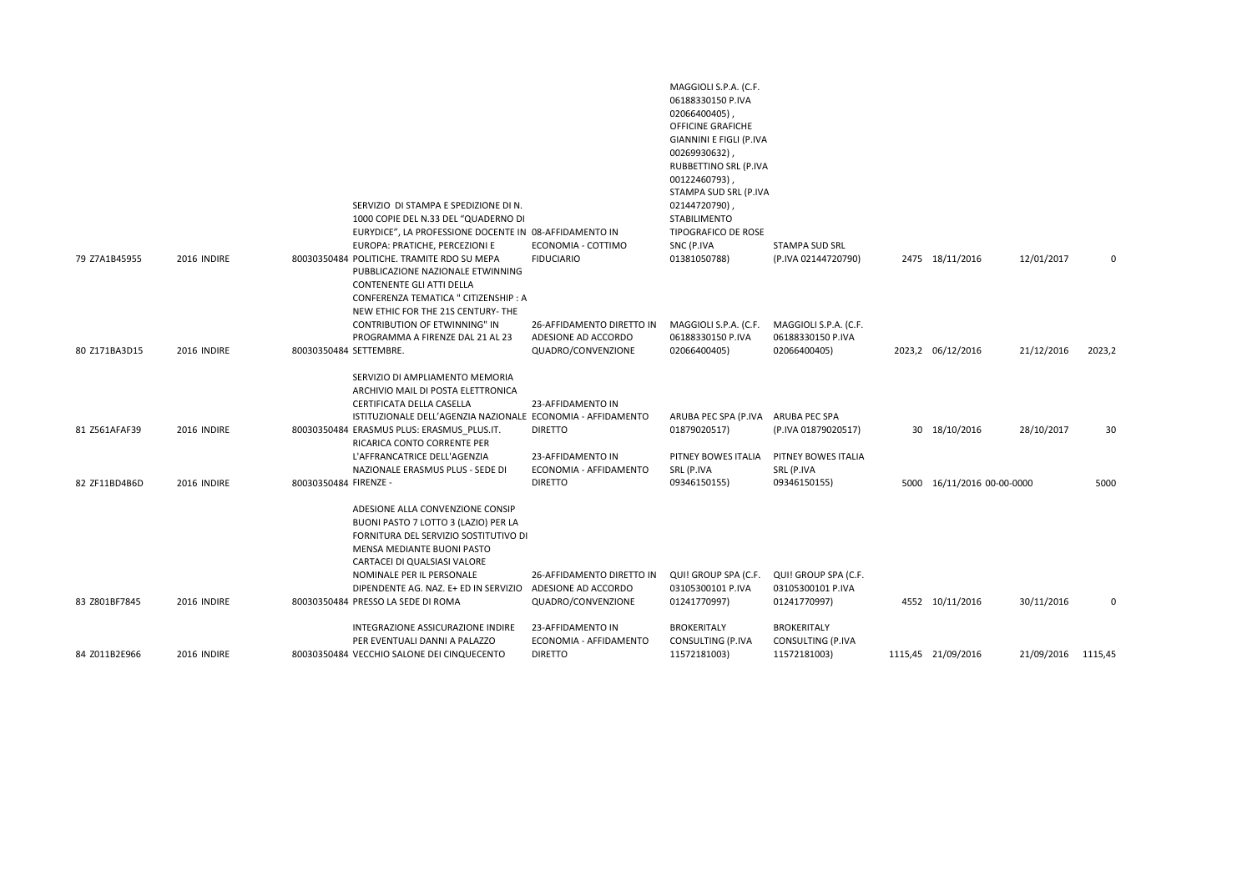| 79 Z7A1B45955 | 2016 INDIRE | SERVIZIO DI STAMPA E SPEDIZIONE DI N.<br>1000 COPIE DEL N.33 DEL "QUADERNO DI<br>EURYDICE", LA PROFESSIONE DOCENTE IN 08-AFFIDAMENTO IN<br>EUROPA: PRATICHE, PERCEZIONI E<br>80030350484 POLITICHE. TRAMITE RDO SU MEPA                                                        | ECONOMIA - COTTIMO<br><b>FIDUCIARIO</b>                  | MAGGIOLI S.P.A. (C.F.<br>06188330150 P.IVA<br>02066400405)<br>OFFICINE GRAFICHE<br>GIANNINI E FIGLI (P.IVA<br>00269930632),<br>RUBBETTINO SRL (P.IVA<br>00122460793),<br>STAMPA SUD SRL (P.IVA<br>02144720790),<br><b>STABILIMENTO</b><br>TIPOGRAFICO DE ROSE<br>SNC (P.IVA<br>01381050788) | STAMPA SUD SRL<br>(P.IVA 02144720790)                       | 2475 18/11/2016            | 12/01/2017         | 0      |
|---------------|-------------|--------------------------------------------------------------------------------------------------------------------------------------------------------------------------------------------------------------------------------------------------------------------------------|----------------------------------------------------------|---------------------------------------------------------------------------------------------------------------------------------------------------------------------------------------------------------------------------------------------------------------------------------------------|-------------------------------------------------------------|----------------------------|--------------------|--------|
|               |             | PUBBLICAZIONE NAZIONALE ETWINNING<br>CONTENENTE GLI ATTI DELLA<br>CONFERENZA TEMATICA " CITIZENSHIP : A<br>NEW ETHIC FOR THE 21S CENTURY- THE<br>CONTRIBUTION OF ETWINNING" IN                                                                                                 | 26-AFFIDAMENTO DIRETTO IN                                | MAGGIOLI S.P.A. (C.F.                                                                                                                                                                                                                                                                       | MAGGIOLI S.P.A. (C.F.                                       |                            |                    |        |
| 80 Z171BA3D15 | 2016 INDIRE | PROGRAMMA A FIRENZE DAL 21 AL 23<br>80030350484 SETTEMBRE.                                                                                                                                                                                                                     | ADESIONE AD ACCORDO<br>QUADRO/CONVENZIONE                | 06188330150 P.IVA<br>02066400405)                                                                                                                                                                                                                                                           | 06188330150 P.IVA<br>02066400405)                           | 2023,2 06/12/2016          | 21/12/2016         | 2023,2 |
| 81 Z561AFAF39 | 2016 INDIRE | SERVIZIO DI AMPLIAMENTO MEMORIA<br>ARCHIVIO MAIL DI POSTA ELETTRONICA<br>CERTIFICATA DELLA CASELLA<br>ISTITUZIONALE DELL'AGENZIA NAZIONALE ECONOMIA - AFFIDAMENTO<br>80030350484 ERASMUS PLUS: ERASMUS PLUS.IT.<br>RICARICA CONTO CORRENTE PER<br>L'AFFRANCATRICE DELL'AGENZIA | 23-AFFIDAMENTO IN<br><b>DIRETTO</b><br>23-AFFIDAMENTO IN | ARUBA PEC SPA (P.IVA<br>01879020517)<br>PITNEY BOWES ITALIA                                                                                                                                                                                                                                 | ARUBA PEC SPA<br>(P.IVA 01879020517)<br>PITNEY BOWES ITALIA | 30 18/10/2016              | 28/10/2017         | 30     |
| 82 ZF11BD4B6D | 2016 INDIRE | NAZIONALE ERASMUS PLUS - SEDE DI<br>80030350484 FIRENZE -                                                                                                                                                                                                                      | ECONOMIA - AFFIDAMENTO<br><b>DIRETTO</b>                 | SRL (P.IVA<br>09346150155)                                                                                                                                                                                                                                                                  | SRL (P.IVA<br>09346150155)                                  | 5000 16/11/2016 00-00-0000 |                    | 5000   |
|               |             | ADESIONE ALLA CONVENZIONE CONSIP<br>BUONI PASTO 7 LOTTO 3 (LAZIO) PER LA<br>FORNITURA DEL SERVIZIO SOSTITUTIVO DI<br>MENSA MEDIANTE BUONI PASTO<br>CARTACEI DI QUALSIASI VALORE<br>NOMINALE PER IL PERSONALE<br>DIPENDENTE AG. NAZ. E+ ED IN SERVIZIO                          | 26-AFFIDAMENTO DIRETTO IN<br>ADESIONE AD ACCORDO         | QUI! GROUP SPA (C.F.<br>03105300101 P.IVA                                                                                                                                                                                                                                                   | QUI! GROUP SPA (C.F.<br>03105300101 P.IVA                   |                            |                    |        |
| 83 Z801BF7845 | 2016 INDIRE | 80030350484 PRESSO LA SEDE DI ROMA<br>INTEGRAZIONE ASSICURAZIONE INDIRE                                                                                                                                                                                                        | QUADRO/CONVENZIONE<br>23-AFFIDAMENTO IN                  | 01241770997)<br><b>BROKERITALY</b>                                                                                                                                                                                                                                                          | 01241770997)<br><b>BROKERITALY</b>                          | 4552 10/11/2016            | 30/11/2016         | 0      |
| 84 Z011B2E966 | 2016 INDIRE | PER EVENTUALI DANNI A PALAZZO<br>80030350484 VECCHIO SALONE DEI CINQUECENTO                                                                                                                                                                                                    | ECONOMIA - AFFIDAMENTO<br><b>DIRETTO</b>                 | CONSULTING (P.IVA<br>11572181003)                                                                                                                                                                                                                                                           | CONSULTING (P.IVA<br>11572181003)                           | 1115,45 21/09/2016         | 21/09/2016 1115,45 |        |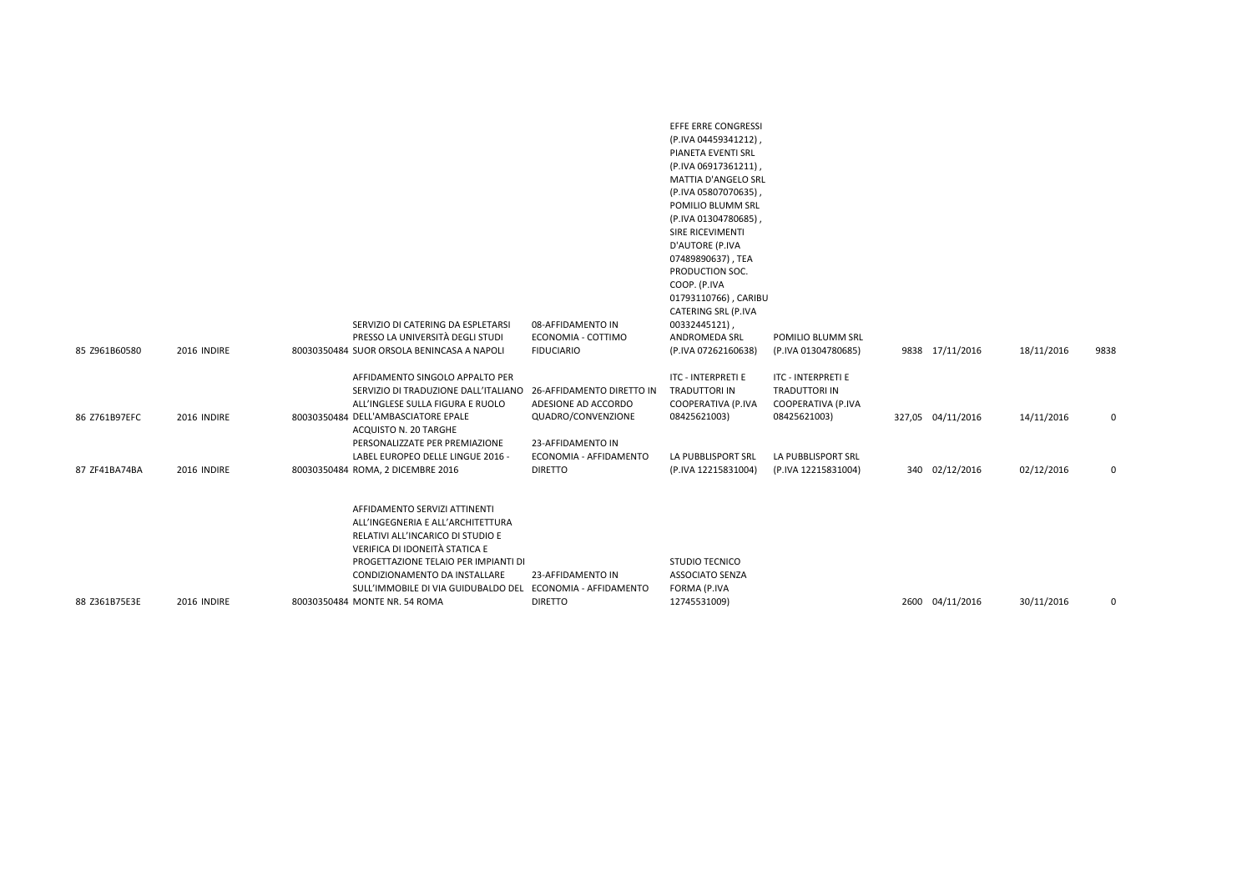|               |             | SERVIZIO DI CATERING DA ESPLETARSI<br>PRESSO LA UNIVERSITÀ DEGLI STUDI                                                                                                                                                                                                                                            | 08-AFFIDAMENTO IN<br>ECONOMIA - COTTIMO          | EFFE ERRE CONGRESSI<br>(P.IVA 04459341212),<br>PIANETA EVENTI SRL<br>(P.IVA 06917361211),<br>MATTIA D'ANGELO SRL<br>(P.IVA 05807070635),<br>POMILIO BLUMM SRL<br>(P.IVA 01304780685),<br>SIRE RICEVIMENTI<br>D'AUTORE (P.IVA<br>07489890637), TEA<br>PRODUCTION SOC.<br>COOP. (P.IVA<br>01793110766), CARIBU<br>CATERING SRL (P.IVA<br>00332445121),<br>ANDROMEDA SRL | POMILIO BLUMM SRL                                         |                   |            |      |
|---------------|-------------|-------------------------------------------------------------------------------------------------------------------------------------------------------------------------------------------------------------------------------------------------------------------------------------------------------------------|--------------------------------------------------|-----------------------------------------------------------------------------------------------------------------------------------------------------------------------------------------------------------------------------------------------------------------------------------------------------------------------------------------------------------------------|-----------------------------------------------------------|-------------------|------------|------|
| 85 Z961B60580 | 2016 INDIRE | 80030350484 SUOR ORSOLA BENINCASA A NAPOLI                                                                                                                                                                                                                                                                        | <b>FIDUCIARIO</b>                                | (P.IVA 07262160638)                                                                                                                                                                                                                                                                                                                                                   | (P.IVA 01304780685)                                       | 9838 17/11/2016   | 18/11/2016 | 9838 |
|               |             | AFFIDAMENTO SINGOLO APPALTO PER<br>SERVIZIO DI TRADUZIONE DALL'ITALIANO<br>ALL'INGLESE SULLA FIGURA E RUOLO                                                                                                                                                                                                       | 26-AFFIDAMENTO DIRETTO IN<br>ADESIONE AD ACCORDO | ITC - INTERPRETI E<br>TRADUTTORI IN<br>COOPERATIVA (P.IVA                                                                                                                                                                                                                                                                                                             | ITC - INTERPRETI E<br>TRADUTTORI IN<br>COOPERATIVA (P.IVA |                   |            |      |
| 86 Z761B97EFC | 2016 INDIRE | 80030350484 DELL'AMBASCIATORE EPALE<br>ACQUISTO N. 20 TARGHE<br>PERSONALIZZATE PER PREMIAZIONE                                                                                                                                                                                                                    | QUADRO/CONVENZIONE<br>23-AFFIDAMENTO IN          | 08425621003)                                                                                                                                                                                                                                                                                                                                                          | 08425621003)                                              | 327,05 04/11/2016 | 14/11/2016 | 0    |
| 87 ZF41BA74BA | 2016 INDIRE | LABEL EUROPEO DELLE LINGUE 2016 -<br>80030350484 ROMA, 2 DICEMBRE 2016                                                                                                                                                                                                                                            | ECONOMIA - AFFIDAMENTO<br><b>DIRETTO</b>         | LA PUBBLISPORT SRL<br>(P.IVA 12215831004)                                                                                                                                                                                                                                                                                                                             | LA PUBBLISPORT SRL<br>(P.IVA 12215831004)                 | 340 02/12/2016    | 02/12/2016 | 0    |
| 88 Z361B75E3E | 2016 INDIRE | AFFIDAMENTO SERVIZI ATTINENTI<br>ALL'INGEGNERIA E ALL'ARCHITETTURA<br>RELATIVI ALL'INCARICO DI STUDIO E<br>VERIFICA DI IDONEITÀ STATICA E<br>PROGETTAZIONE TELAIO PER IMPIANTI DI<br>CONDIZIONAMENTO DA INSTALLARE<br>SULL'IMMOBILE DI VIA GUIDUBALDO DEL ECONOMIA - AFFIDAMENTO<br>80030350484 MONTE NR. 54 ROMA | 23-AFFIDAMENTO IN<br><b>DIRETTO</b>              | STUDIO TECNICO<br><b>ASSOCIATO SENZA</b><br>FORMA (P.IVA<br>12745531009)                                                                                                                                                                                                                                                                                              |                                                           | 2600 04/11/2016   | 30/11/2016 | 0    |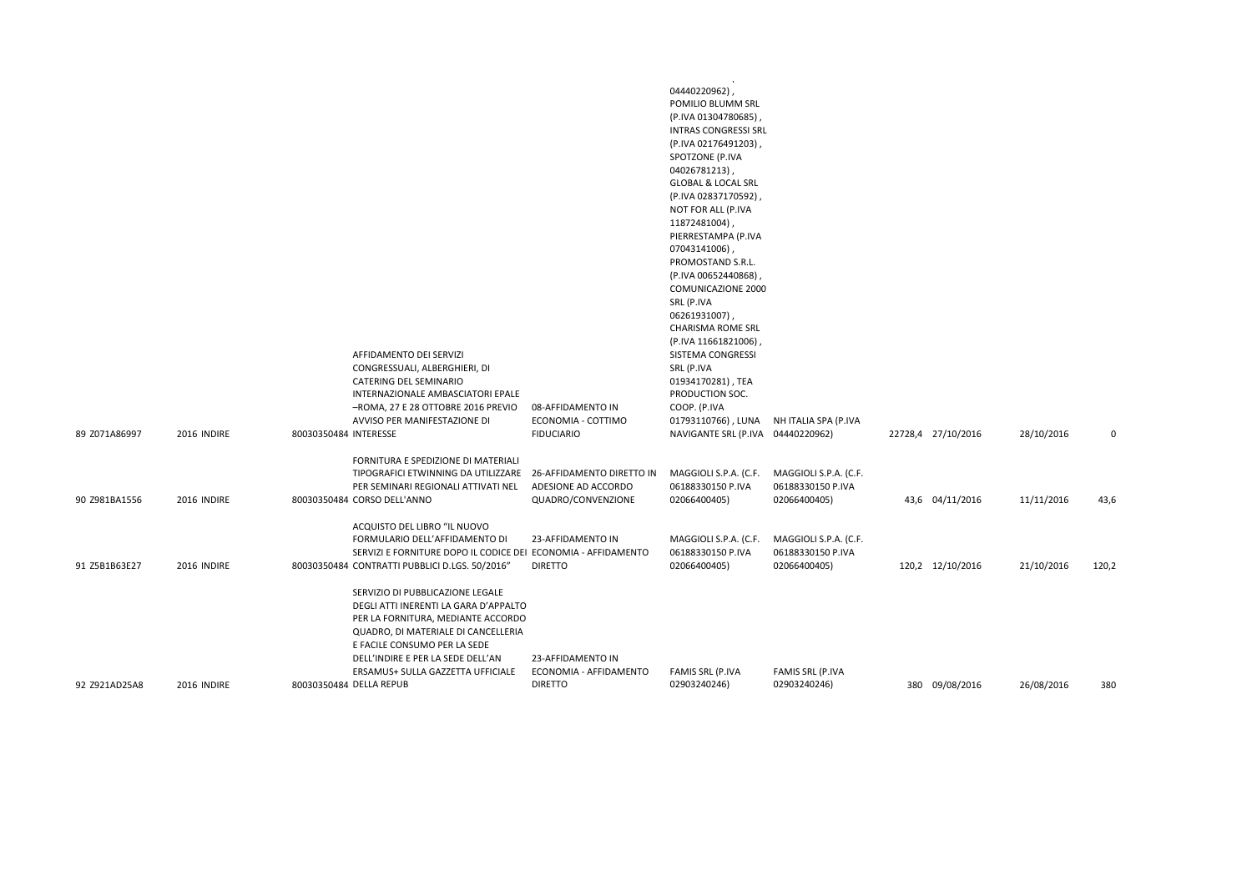| 89 Z071A86997 | 2016 INDIRE | 80030350484 INTERESSE | AFFIDAMENTO DEI SERVIZI<br>CONGRESSUALI, ALBERGHIERI, DI<br>CATERING DEL SEMINARIO<br>INTERNAZIONALE AMBASCIATORI EPALE<br>-ROMA, 27 E 28 OTTOBRE 2016 PREVIO<br>AVVISO PER MANIFESTAZIONE DI                                                                                               | 08-AFFIDAMENTO IN<br>ECONOMIA - COTTIMO<br><b>FIDUCIARIO</b>           | a ser e era mais e mais e que es ser<br>04440220962)<br>POMILIO BLUMM SRL<br>(P.IVA 01304780685),<br><b>INTRAS CONGRESSI SRL</b><br>(P.IVA 02176491203),<br>SPOTZONE (P.IVA<br>04026781213),<br><b>GLOBAL &amp; LOCAL SRL</b><br>(P.IVA 02837170592),<br>NOT FOR ALL (P.IVA<br>11872481004),<br>PIERRESTAMPA (P.IVA<br>07043141006),<br>PROMOSTAND S.R.L.<br>(P.IVA 00652440868),<br>COMUNICAZIONE 2000<br>SRL (P.IVA<br>06261931007),<br><b>CHARISMA ROME SRL</b><br>(P.IVA 11661821006)<br>SISTEMA CONGRESSI<br>SRL (P.IVA<br>01934170281), TEA<br>PRODUCTION SOC.<br>COOP. (P.IVA<br>01793110766), LUNA<br>NAVIGANTE SRL (P.IVA 04440220962) | NH ITALIA SPA (P.IVA                                       | 22728,4 27/10/2016 | 28/10/2016 | 0     |
|---------------|-------------|-----------------------|---------------------------------------------------------------------------------------------------------------------------------------------------------------------------------------------------------------------------------------------------------------------------------------------|------------------------------------------------------------------------|-------------------------------------------------------------------------------------------------------------------------------------------------------------------------------------------------------------------------------------------------------------------------------------------------------------------------------------------------------------------------------------------------------------------------------------------------------------------------------------------------------------------------------------------------------------------------------------------------------------------------------------------------|------------------------------------------------------------|--------------------|------------|-------|
|               |             |                       | FORNITURA E SPEDIZIONE DI MATERIALI                                                                                                                                                                                                                                                         |                                                                        |                                                                                                                                                                                                                                                                                                                                                                                                                                                                                                                                                                                                                                                 |                                                            |                    |            |       |
| 90 Z981BA1556 | 2016 INDIRE |                       | TIPOGRAFICI ETWINNING DA UTILIZZARE<br>PER SEMINARI REGIONALI ATTIVATI NEL<br>80030350484 CORSO DELL'ANNO                                                                                                                                                                                   | 26-AFFIDAMENTO DIRETTO IN<br>ADESIONE AD ACCORDO<br>QUADRO/CONVENZIONE | MAGGIOLI S.P.A. (C.F.<br>06188330150 P.IVA<br>02066400405)                                                                                                                                                                                                                                                                                                                                                                                                                                                                                                                                                                                      | MAGGIOLI S.P.A. (C.F.<br>06188330150 P.IVA<br>02066400405) | 43,6 04/11/2016    | 11/11/2016 | 43,6  |
| 91 Z5B1B63E27 | 2016 INDIRE |                       | ACQUISTO DEL LIBRO "IL NUOVO<br>FORMULARIO DELL'AFFIDAMENTO DI<br>SERVIZI E FORNITURE DOPO IL CODICE DEI ECONOMIA - AFFIDAMENTO<br>80030350484 CONTRATTI PUBBLICI D.LGS. 50/2016"                                                                                                           | 23-AFFIDAMENTO IN<br><b>DIRETTO</b>                                    | MAGGIOLI S.P.A. (C.F.<br>06188330150 P.IVA<br>02066400405)                                                                                                                                                                                                                                                                                                                                                                                                                                                                                                                                                                                      | MAGGIOLI S.P.A. (C.F.<br>06188330150 P.IVA<br>02066400405) | 120,2 12/10/2016   | 21/10/2016 | 120,2 |
| 92 Z921AD25A8 | 2016 INDIRE |                       | SERVIZIO DI PUBBLICAZIONE LEGALE<br>DEGLI ATTI INERENTI LA GARA D'APPALTO<br>PER LA FORNITURA, MEDIANTE ACCORDO<br>QUADRO, DI MATERIALE DI CANCELLERIA<br>E FACILE CONSUMO PER LA SEDE<br>DELL'INDIRE E PER LA SEDE DELL'AN<br>ERSAMUS+ SULLA GAZZETTA UFFICIALE<br>80030350484 DELLA REPUB | 23-AFFIDAMENTO IN<br>ECONOMIA - AFFIDAMENTO<br><b>DIRETTO</b>          | FAMIS SRL (P.IVA<br>02903240246)                                                                                                                                                                                                                                                                                                                                                                                                                                                                                                                                                                                                                | FAMIS SRL (P.IVA<br>02903240246)                           | 380 09/08/2016     | 26/08/2016 | 380   |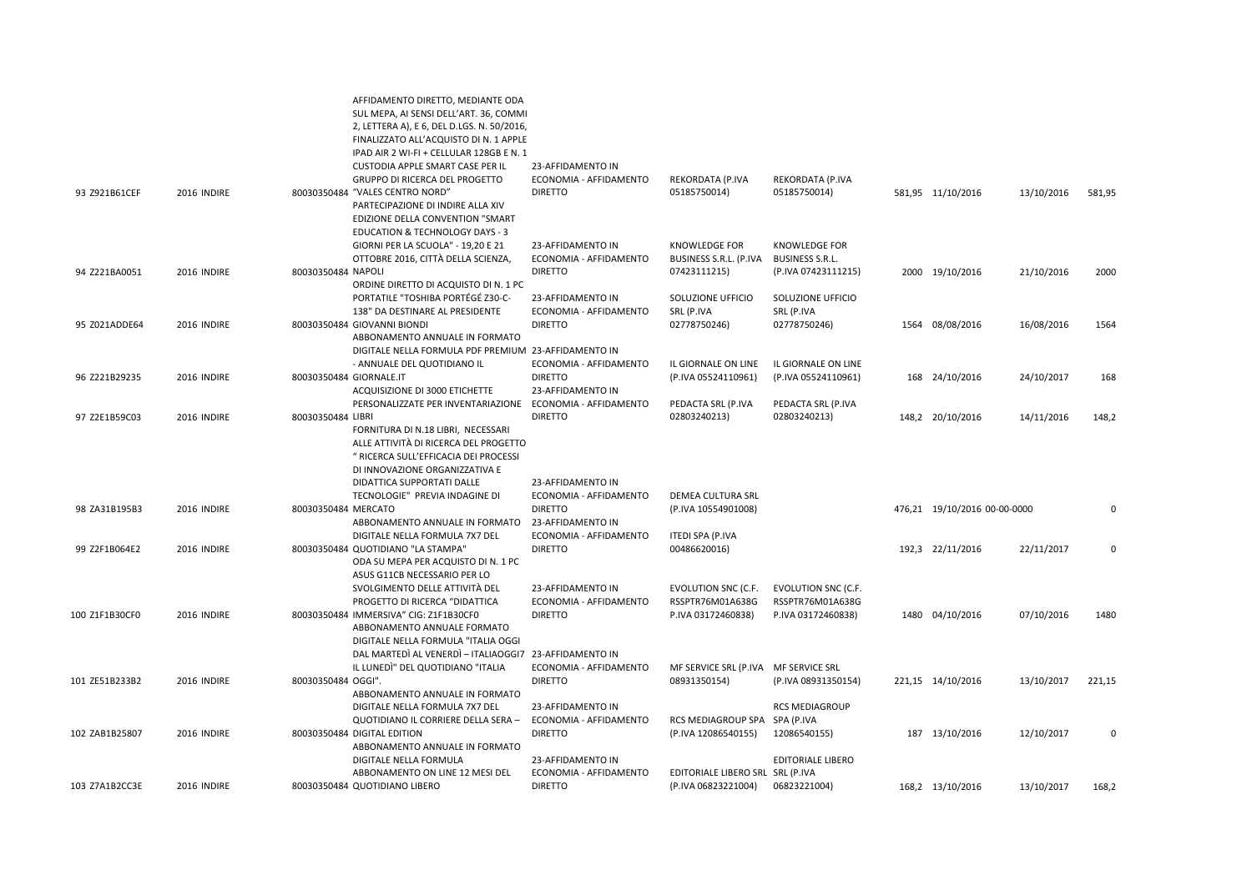|                |             | SUL MEPA, AI SENSI DELL'ART. 36, COMMI<br>2, LETTERA A), E 6, DEL D.LGS. N. 50/2016,<br>FINALIZZATO ALL'ACQUISTO DI N. 1 APPLE<br>IPAD AIR 2 WI-FI + CELLULAR 128GB E N. 1<br>CUSTODIA APPLE SMART CASE PER IL | 23-AFFIDAMENTO IN                                             |                                                                      |                                                                      |                              |            |          |
|----------------|-------------|----------------------------------------------------------------------------------------------------------------------------------------------------------------------------------------------------------------|---------------------------------------------------------------|----------------------------------------------------------------------|----------------------------------------------------------------------|------------------------------|------------|----------|
| 93 Z921B61CEF  | 2016 INDIRE | GRUPPO DI RICERCA DEL PROGETTO<br>80030350484 "VALES CENTRO NORD"<br>PARTECIPAZIONE DI INDIRE ALLA XIV<br>EDIZIONE DELLA CONVENTION "SMART<br><b>EDUCATION &amp; TECHNOLOGY DAYS - 3</b>                       | ECONOMIA - AFFIDAMENTO<br><b>DIRETTO</b>                      | REKORDATA (P.IVA<br>05185750014)                                     | REKORDATA (P.IVA<br>05185750014)                                     | 581,95 11/10/2016            | 13/10/2016 | 581,95   |
|                |             | GIORNI PER LA SCUOLA" - 19,20 E 21<br>OTTOBRE 2016, CITTÀ DELLA SCIENZA,                                                                                                                                       | 23-AFFIDAMENTO IN<br>ECONOMIA - AFFIDAMENTO                   | <b>KNOWLEDGE FOR</b><br>BUSINESS S.R.L. (P.IVA                       | <b>KNOWLEDGE FOR</b><br><b>BUSINESS S.R.L.</b>                       |                              |            |          |
| 94 Z221BA0051  | 2016 INDIRE | 80030350484 NAPOLI<br>ORDINE DIRETTO DI ACQUISTO DI N. 1 PC<br>PORTATILE "TOSHIBA PORTÉGÉ Z30-C-                                                                                                               | <b>DIRETTO</b><br>23-AFFIDAMENTO IN                           | 07423111215)<br>SOLUZIONE UFFICIO                                    | (P.IVA 07423111215)<br>SOLUZIONE UFFICIO                             | 2000 19/10/2016              | 21/10/2016 | 2000     |
|                |             | 138" DA DESTINARE AL PRESIDENTE                                                                                                                                                                                | ECONOMIA - AFFIDAMENTO                                        | SRL (P.IVA                                                           | SRL (P.IVA                                                           |                              |            |          |
| 95 Z021ADDE64  | 2016 INDIRE | 80030350484 GIOVANNI BIONDI<br>ABBONAMENTO ANNUALE IN FORMATO<br>DIGITALE NELLA FORMULA PDF PREMIUM 23-AFFIDAMENTO IN                                                                                          | <b>DIRETTO</b>                                                | 02778750246)                                                         | 02778750246)                                                         | 1564 08/08/2016              | 16/08/2016 | 1564     |
| 96 Z221B29235  | 2016 INDIRE | - ANNUALE DEL QUOTIDIANO IL<br>80030350484 GIORNALE.IT<br>ACQUISIZIONE DI 3000 ETICHETTE                                                                                                                       | ECONOMIA - AFFIDAMENTO<br><b>DIRETTO</b><br>23-AFFIDAMENTO IN | IL GIORNALE ON LINE<br>(P.IVA 05524110961)                           | IL GIORNALE ON LINE<br>(P.IVA 05524110961)                           | 168 24/10/2016               | 24/10/2017 | 168      |
| 97 Z2E1B59C03  | 2016 INDIRE | PERSONALIZZATE PER INVENTARIAZIONE<br>80030350484 LIBRI<br>FORNITURA DI N.18 LIBRI, NECESSARI<br>ALLE ATTIVITÀ DI RICERCA DEL PROGETTO<br>" RICERCA SULL'EFFICACIA DEI PROCESSI                                | ECONOMIA - AFFIDAMENTO<br><b>DIRETTO</b>                      | PEDACTA SRL (P.IVA<br>02803240213)                                   | PEDACTA SRL (P.IVA<br>02803240213)                                   | 148,2 20/10/2016             | 14/11/2016 | 148,2    |
|                |             | DI INNOVAZIONE ORGANIZZATIVA E<br>DIDATTICA SUPPORTATI DALLE<br>TECNOLOGIE" PREVIA INDAGINE DI                                                                                                                 | 23-AFFIDAMENTO IN<br>ECONOMIA - AFFIDAMENTO                   | DEMEA CULTURA SRL                                                    |                                                                      |                              |            |          |
| 98 ZA31B195B3  | 2016 INDIRE | 80030350484 MERCATO<br>ABBONAMENTO ANNUALE IN FORMATO<br>DIGITALE NELLA FORMULA 7X7 DEL                                                                                                                        | <b>DIRETTO</b><br>23-AFFIDAMENTO IN<br>ECONOMIA - AFFIDAMENTO | (P.IVA 10554901008)<br>ITEDI SPA (P.IVA                              |                                                                      | 476,21 19/10/2016 00-00-0000 |            | 0        |
| 99 Z2F1B064E2  | 2016 INDIRE | 80030350484 QUOTIDIANO "LA STAMPA"<br>ODA SU MEPA PER ACQUISTO DI N. 1 PC<br>ASUS G11CB NECESSARIO PER LO                                                                                                      | <b>DIRETTO</b>                                                | 00486620016)                                                         |                                                                      | 192,3 22/11/2016             | 22/11/2017 | $\Omega$ |
| 100 Z1F1B30CF0 | 2016 INDIRE | SVOLGIMENTO DELLE ATTIVITÀ DEL<br>PROGETTO DI RICERCA "DIDATTICA<br>80030350484 IMMERSIVA" CIG: Z1F1B30CF0<br>ABBONAMENTO ANNUALE FORMATO                                                                      | 23-AFFIDAMENTO IN<br>ECONOMIA - AFFIDAMENTO<br><b>DIRETTO</b> | <b>EVOLUTION SNC (C.F.</b><br>RSSPTR76M01A638G<br>P.IVA 03172460838) | <b>EVOLUTION SNC (C.F.</b><br>RSSPTR76M01A638G<br>P.IVA 03172460838) | 1480 04/10/2016              | 07/10/2016 | 1480     |
|                |             | DIGITALE NELLA FORMULA "ITALIA OGGI<br>DAL MARTEDÌ AL VENERDÌ - ITALIAOGGI7 23-AFFIDAMENTO IN<br>IL LUNEDI" DEL QUOTIDIANO "ITALIA                                                                             | ECONOMIA - AFFIDAMENTO                                        | MF SERVICE SRL (P.IVA MF SERVICE SRL                                 |                                                                      |                              |            |          |
| 101 ZE51B233B2 | 2016 INDIRE | 80030350484 OGGI".<br>ABBONAMENTO ANNUALE IN FORMATO<br>DIGITALE NELLA FORMULA 7X7 DEL                                                                                                                         | <b>DIRETTO</b><br>23-AFFIDAMENTO IN                           | 08931350154)                                                         | (P.IVA 08931350154)<br><b>RCS MEDIAGROUP</b>                         | 221,15 14/10/2016            | 13/10/2017 | 221,15   |
| 102 ZAB1B25807 | 2016 INDIRE | QUOTIDIANO IL CORRIERE DELLA SERA -<br>80030350484 DIGITAL EDITION<br>ABBONAMENTO ANNUALE IN FORMATO                                                                                                           | ECONOMIA - AFFIDAMENTO<br><b>DIRETTO</b>                      | RCS MEDIAGROUP SPA SPA (P.IVA<br>(P.IVA 12086540155)                 | 12086540155)                                                         | 187 13/10/2016               | 12/10/2017 | $\Omega$ |
| 103 Z7A1B2CC3E | 2016 INDIRE | DIGITALE NELLA FORMULA<br>ABBONAMENTO ON LINE 12 MESI DEL<br>80030350484 QUOTIDIANO LIBERO                                                                                                                     | 23-AFFIDAMENTO IN<br>ECONOMIA - AFFIDAMENTO<br><b>DIRETTO</b> | EDITORIALE LIBERO SRL SRL (P.IVA<br>(P.IVA 06823221004)              | <b>EDITORIALE LIBERO</b><br>06823221004)                             | 168,2 13/10/2016             | 13/10/2017 | 168,2    |
|                |             |                                                                                                                                                                                                                |                                                               |                                                                      |                                                                      |                              |            |          |

AFFIDAMENTO DIRETTO, MEDIANTE ODA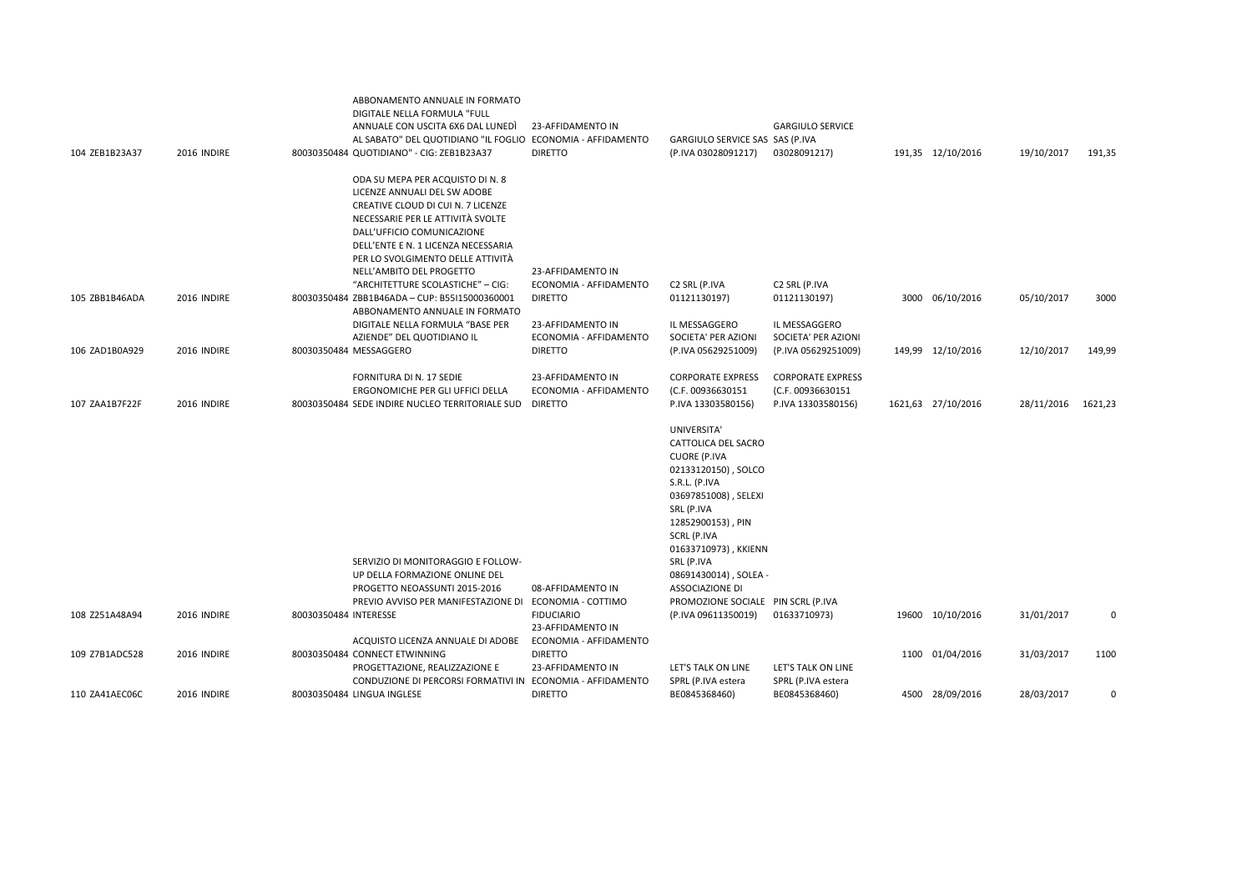|                |             | ABBONAMENTO ANNUALE IN FORMATO<br>DIGITALE NELLA FORMULA "FULL<br>ANNUALE CON USCITA 6X6 DAL LUNEDI                                                                                                                                                   | 23-AFFIDAMENTO IN<br>AL SABATO" DEL QUOTIDIANO "IL FOGLIO ECONOMIA - AFFIDAMENTO                                            | GARGIULO SERVICE SAS SAS (P.IVA                                                                                                                                                                                                                                                                     | <b>GARGIULO SERVICE</b>                                             |                    |            |         |
|----------------|-------------|-------------------------------------------------------------------------------------------------------------------------------------------------------------------------------------------------------------------------------------------------------|-----------------------------------------------------------------------------------------------------------------------------|-----------------------------------------------------------------------------------------------------------------------------------------------------------------------------------------------------------------------------------------------------------------------------------------------------|---------------------------------------------------------------------|--------------------|------------|---------|
| 104 ZEB1B23A37 | 2016 INDIRE | 80030350484 QUOTIDIANO" - CIG: ZEB1B23A37                                                                                                                                                                                                             | <b>DIRETTO</b>                                                                                                              | (P.IVA 03028091217)                                                                                                                                                                                                                                                                                 | 03028091217)                                                        | 191,35 12/10/2016  | 19/10/2017 | 191,35  |
|                |             | ODA SU MEPA PER ACQUISTO DI N. 8<br>LICENZE ANNUALI DEL SW ADOBE<br>CREATIVE CLOUD DI CUI N. 7 LICENZE<br>NECESSARIE PER LE ATTIVITÀ SVOLTE<br>DALL'UFFICIO COMUNICAZIONE<br>DELL'ENTE E N. 1 LICENZA NECESSARIA<br>PER LO SVOLGIMENTO DELLE ATTIVITÀ |                                                                                                                             |                                                                                                                                                                                                                                                                                                     |                                                                     |                    |            |         |
|                |             | NELL'AMBITO DEL PROGETTO                                                                                                                                                                                                                              | 23-AFFIDAMENTO IN                                                                                                           |                                                                                                                                                                                                                                                                                                     |                                                                     |                    |            |         |
| 105 ZBB1B46ADA | 2016 INDIRE | "ARCHITETTURE SCOLASTICHE" - CIG:<br>80030350484 ZBB1B46ADA - CUP: B55I15000360001<br>ABBONAMENTO ANNUALE IN FORMATO                                                                                                                                  | ECONOMIA - AFFIDAMENTO<br><b>DIRETTO</b>                                                                                    | C <sub>2</sub> SRL (P.IVA<br>01121130197)                                                                                                                                                                                                                                                           | C2 SRL (P.IVA<br>01121130197)                                       | 3000 06/10/2016    | 05/10/2017 | 3000    |
|                |             | DIGITALE NELLA FORMULA "BASE PER<br>AZIENDE" DEL QUOTIDIANO IL                                                                                                                                                                                        | 23-AFFIDAMENTO IN<br>ECONOMIA - AFFIDAMENTO                                                                                 | IL MESSAGGERO<br>SOCIETA' PER AZIONI                                                                                                                                                                                                                                                                | IL MESSAGGERO<br>SOCIETA' PER AZIONI                                |                    |            |         |
| 106 ZAD1B0A929 | 2016 INDIRE | 80030350484 MESSAGGERO                                                                                                                                                                                                                                | <b>DIRETTO</b>                                                                                                              | (P.IVA 05629251009)                                                                                                                                                                                                                                                                                 | (P.IVA 05629251009)                                                 | 149,99 12/10/2016  | 12/10/2017 | 149,99  |
| 107 ZAA1B7F22F | 2016 INDIRE | FORNITURA DI N. 17 SEDIE<br>ERGONOMICHE PER GLI UFFICI DELLA<br>80030350484 SEDE INDIRE NUCLEO TERRITORIALE SUD                                                                                                                                       | 23-AFFIDAMENTO IN<br>ECONOMIA - AFFIDAMENTO<br><b>DIRETTO</b>                                                               | <b>CORPORATE EXPRESS</b><br>(C.F. 00936630151<br>P.IVA 13303580156)                                                                                                                                                                                                                                 | <b>CORPORATE EXPRESS</b><br>(C.F. 00936630151<br>P.IVA 13303580156) | 1621,63 27/10/2016 | 28/11/2016 | 1621,23 |
|                |             | SERVIZIO DI MONITORAGGIO E FOLLOW-<br>UP DELLA FORMAZIONE ONLINE DEL<br>PROGETTO NEOASSUNTI 2015-2016<br>PREVIO AVVISO PER MANIFESTAZIONE DI                                                                                                          | 08-AFFIDAMENTO IN<br>ECONOMIA - COTTIMO                                                                                     | UNIVERSITA'<br>CATTOLICA DEL SACRO<br><b>CUORE (P.IVA</b><br>02133120150), SOLCO<br>S.R.L. (P.IVA<br>03697851008), SELEXI<br>SRL (P.IVA<br>12852900153), PIN<br>SCRL (P.IVA<br>01633710973), KKIENN<br>SRL (P.IVA<br>08691430014), SOLEA -<br>ASSOCIAZIONE DI<br>PROMOZIONE SOCIALE PIN SCRL (P.IVA |                                                                     |                    |            |         |
| 108 Z251A48A94 | 2016 INDIRE | 80030350484 INTERESSE                                                                                                                                                                                                                                 | <b>FIDUCIARIO</b><br>23-AFFIDAMENTO IN                                                                                      | (P.IVA 09611350019)                                                                                                                                                                                                                                                                                 | 01633710973)                                                        | 19600 10/10/2016   | 31/01/2017 | 0       |
| 109 Z7B1ADC528 | 2016 INDIRE | ACQUISTO LICENZA ANNUALE DI ADOBE<br>80030350484 CONNECT ETWINNING<br>PROGETTAZIONE, REALIZZAZIONE E                                                                                                                                                  | ECONOMIA - AFFIDAMENTO<br><b>DIRETTO</b><br>23-AFFIDAMENTO IN<br>CONDUZIONE DI PERCORSI FORMATIVI IN ECONOMIA - AFFIDAMENTO | LET'S TALK ON LINE<br>SPRL (P.IVA estera                                                                                                                                                                                                                                                            | LET'S TALK ON LINE<br>SPRL (P.IVA estera                            | 1100 01/04/2016    | 31/03/2017 | 1100    |
| 110 ZA41AEC06C | 2016 INDIRE | 80030350484 LINGUA INGLESE                                                                                                                                                                                                                            | <b>DIRETTO</b>                                                                                                              | BE0845368460)                                                                                                                                                                                                                                                                                       | BE0845368460)                                                       | 4500 28/09/2016    | 28/03/2017 | 0       |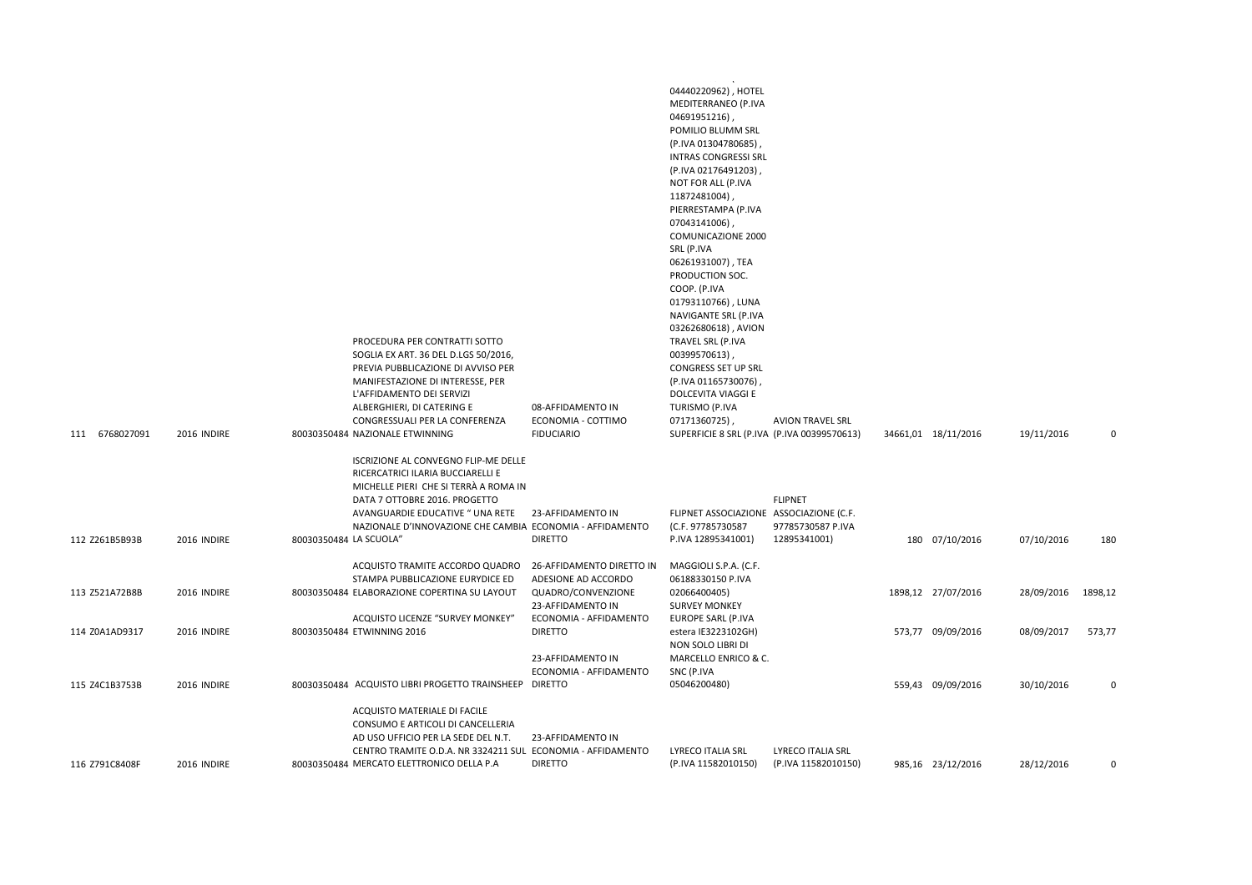|                                  |                            |                        | PROCEDURA PER CONTRATTI SOTTO<br>SOGLIA EX ART. 36 DEL D.LGS 50/2016,<br>PREVIA PUBBLICAZIONE DI AVVISO PER<br>MANIFESTAZIONE DI INTERESSE, PER<br>L'AFFIDAMENTO DEI SERVIZI<br>ALBERGHIERI, DI CATERING E<br>CONGRESSUALI PER LA CONFERENZA                                            | 08-AFFIDAMENTO IN<br>ECONOMIA - COTTIMO                        | .<br>04440220962), HOTEL<br>MEDITERRANEO (P.IVA<br>04691951216),<br>POMILIO BLUMM SRL<br>(P.IVA 01304780685),<br><b>INTRAS CONGRESSI SRL</b><br>(P.IVA 02176491203),<br>NOT FOR ALL (P.IVA<br>11872481004)<br>PIERRESTAMPA (P.IVA<br>07043141006),<br>COMUNICAZIONE 2000<br>SRL (P.IVA<br>06261931007), TEA<br>PRODUCTION SOC.<br>COOP. (P.IVA<br>01793110766), LUNA<br>NAVIGANTE SRL (P.IVA<br>03262680618), AVION<br>TRAVEL SRL (P.IVA<br>00399570613),<br>CONGRESS SET UP SRL<br>(P.IVA 01165730076)<br>DOLCEVITA VIAGGI E<br>TURISMO (P.IVA<br>07171360725), | <b>AVION TRAVEL SRL</b>                             |                                       |                          |          |
|----------------------------------|----------------------------|------------------------|-----------------------------------------------------------------------------------------------------------------------------------------------------------------------------------------------------------------------------------------------------------------------------------------|----------------------------------------------------------------|------------------------------------------------------------------------------------------------------------------------------------------------------------------------------------------------------------------------------------------------------------------------------------------------------------------------------------------------------------------------------------------------------------------------------------------------------------------------------------------------------------------------------------------------------------------|-----------------------------------------------------|---------------------------------------|--------------------------|----------|
| 111 6768027091<br>112 Z261B5B93B | 2016 INDIRE<br>2016 INDIRE | 80030350484 LA SCUOLA" | 80030350484 NAZIONALE ETWINNING<br>ISCRIZIONE AL CONVEGNO FLIP-ME DELLE<br>RICERCATRICI ILARIA BUCCIARELLI E<br>MICHELLE PIERI CHE SI TERRÀ A ROMA IN<br>DATA 7 OTTOBRE 2016. PROGETTO<br>AVANGUARDIE EDUCATIVE " UNA RETE<br>NAZIONALE D'INNOVAZIONE CHE CAMBIA ECONOMIA - AFFIDAMENTO | <b>FIDUCIARIO</b><br>23-AFFIDAMENTO IN<br><b>DIRETTO</b>       | SUPERFICIE 8 SRL (P.IVA (P.IVA 00399570613)<br>FLIPNET ASSOCIAZIONE ASSOCIAZIONE (C.F.<br>(C.F. 97785730587<br>P.IVA 12895341001)                                                                                                                                                                                                                                                                                                                                                                                                                                | <b>FLIPNET</b><br>97785730587 P.IVA<br>12895341001) | 34661,01 18/11/2016<br>180 07/10/2016 | 19/11/2016<br>07/10/2016 | 0<br>180 |
|                                  |                            |                        | ACQUISTO TRAMITE ACCORDO QUADRO                                                                                                                                                                                                                                                         | 26-AFFIDAMENTO DIRETTO IN                                      | MAGGIOLI S.P.A. (C.F.                                                                                                                                                                                                                                                                                                                                                                                                                                                                                                                                            |                                                     |                                       |                          |          |
| 113 Z521A72B8B                   | 2016 INDIRE                |                        | STAMPA PUBBLICAZIONE EURYDICE ED<br>80030350484 ELABORAZIONE COPERTINA SU LAYOUT<br>ACQUISTO LICENZE "SURVEY MONKEY"                                                                                                                                                                    | ADESIONE AD ACCORDO<br>QUADRO/CONVENZIONE<br>23-AFFIDAMENTO IN | 06188330150 P.IVA<br>02066400405)<br><b>SURVEY MONKEY</b>                                                                                                                                                                                                                                                                                                                                                                                                                                                                                                        |                                                     | 1898,12 27/07/2016                    | 28/09/2016               | 1898,12  |
| 114 Z0A1AD9317                   | 2016 INDIRE                |                        | 80030350484 ETWINNING 2016                                                                                                                                                                                                                                                              | ECONOMIA - AFFIDAMENTO<br><b>DIRETTO</b>                       | EUROPE SARL (P.IVA<br>estera IE3223102GH)<br>NON SOLO LIBRI DI                                                                                                                                                                                                                                                                                                                                                                                                                                                                                                   |                                                     | 573,77 09/09/2016                     | 08/09/2017               | 573,77   |
| 115 Z4C1B3753B                   | 2016 INDIRE                |                        | 80030350484 ACQUISTO LIBRI PROGETTO TRAINSHEEP DIRETTO                                                                                                                                                                                                                                  | 23-AFFIDAMENTO IN<br>ECONOMIA - AFFIDAMENTO                    | MARCELLO ENRICO & C.<br>SNC (P.IVA<br>05046200480)                                                                                                                                                                                                                                                                                                                                                                                                                                                                                                               |                                                     | 559,43 09/09/2016                     | 30/10/2016               | 0        |
| 116 Z791C8408F                   | 2016 INDIRE                |                        | ACQUISTO MATERIALE DI FACILE<br>CONSUMO E ARTICOLI DI CANCELLERIA<br>AD USO UFFICIO PER LA SEDE DEL N.T.<br>CENTRO TRAMITE O.D.A. NR 3324211 SUL ECONOMIA - AFFIDAMENTO<br>80030350484 MERCATO ELETTRONICO DELLA P.A                                                                    | 23-AFFIDAMENTO IN<br><b>DIRETTO</b>                            | LYRECO ITALIA SRL<br>(P.IVA 11582010150)                                                                                                                                                                                                                                                                                                                                                                                                                                                                                                                         | LYRECO ITALIA SRL<br>(P.IVA 11582010150)            | 985,16 23/12/2016                     | 28/12/2016               | $\Omega$ |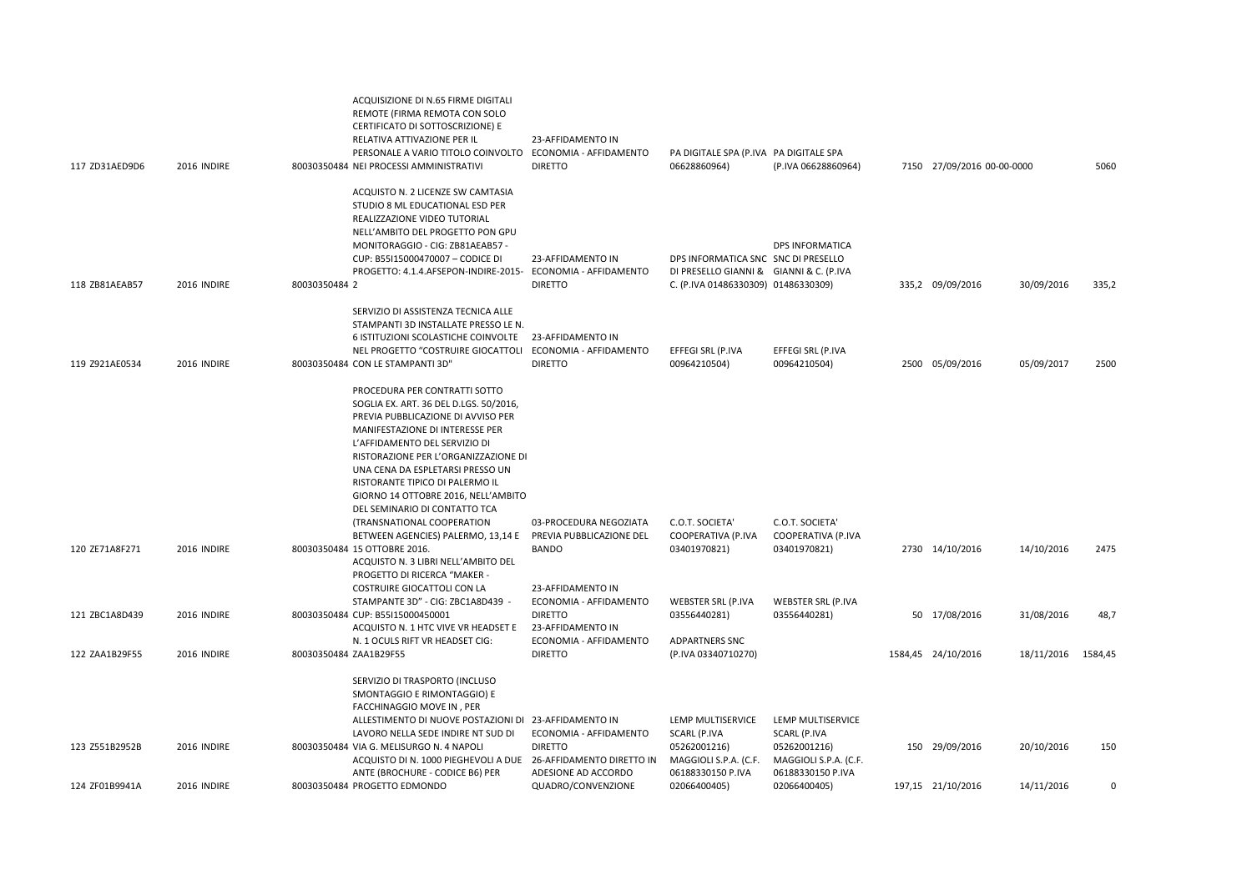| 117 ZD31AED9D6 | 2016 INDIRE | ACQUISIZIONE DI N.65 FIRME DIGITALI<br>REMOTE (FIRMA REMOTA CON SOLO<br>CERTIFICATO DI SOTTOSCRIZIONE) E<br>RELATIVA ATTIVAZIONE PER IL<br>PERSONALE A VARIO TITOLO COINVOLTO<br>80030350484 NEI PROCESSI AMMINISTRATIVI                                                                                                                                                 | 23-AFFIDAMENTO IN<br>ECONOMIA - AFFIDAMENTO<br><b>DIRETTO</b>                      | PA DIGITALE SPA (P.IVA PA DIGITALE SPA<br>06628860964)                                                                | (P.IVA 06628860964)                                        | 7150 27/09/2016 00-00-0000 |            | 5060     |
|----------------|-------------|--------------------------------------------------------------------------------------------------------------------------------------------------------------------------------------------------------------------------------------------------------------------------------------------------------------------------------------------------------------------------|------------------------------------------------------------------------------------|-----------------------------------------------------------------------------------------------------------------------|------------------------------------------------------------|----------------------------|------------|----------|
| 118 ZB81AEAB57 | 2016 INDIRE | ACQUISTO N. 2 LICENZE SW CAMTASIA<br>STUDIO 8 ML EDUCATIONAL ESD PER<br>REALIZZAZIONE VIDEO TUTORIAL<br>NELL'AMBITO DEL PROGETTO PON GPU<br>MONITORAGGIO - CIG: ZB81AEAB57 -<br>CUP: B55I15000470007 - CODICE DI<br>PROGETTO: 4.1.4.AFSEPON-INDIRE-2015-<br>80030350484 2                                                                                                | 23-AFFIDAMENTO IN<br>ECONOMIA - AFFIDAMENTO<br><b>DIRETTO</b>                      | DPS INFORMATICA SNC SNC DI PRESELLO<br>DI PRESELLO GIANNI & GIANNI & C. (P.IVA<br>C. (P.IVA 01486330309) 01486330309) | <b>DPS INFORMATICA</b>                                     | 335,2 09/09/2016           | 30/09/2016 | 335,2    |
|                |             | SERVIZIO DI ASSISTENZA TECNICA ALLE                                                                                                                                                                                                                                                                                                                                      |                                                                                    |                                                                                                                       |                                                            |                            |            |          |
| 119 Z921AE0534 | 2016 INDIRE | STAMPANTI 3D INSTALLATE PRESSO LE N.<br>6 ISTITUZIONI SCOLASTICHE COINVOLTE<br>NEL PROGETTO "COSTRUIRE GIOCATTOLI<br>80030350484 CON LE STAMPANTI 3D"                                                                                                                                                                                                                    | 23-AFFIDAMENTO IN<br>ECONOMIA - AFFIDAMENTO<br><b>DIRETTO</b>                      | EFFEGI SRL (P.IVA<br>00964210504)                                                                                     | EFFEGI SRL (P.IVA<br>00964210504)                          | 2500 05/09/2016            | 05/09/2017 | 2500     |
|                |             | PROCEDURA PER CONTRATTI SOTTO<br>SOGLIA EX. ART. 36 DEL D.LGS. 50/2016,<br>PREVIA PUBBLICAZIONE DI AVVISO PER<br>MANIFESTAZIONE DI INTERESSE PER<br>L'AFFIDAMENTO DEL SERVIZIO DI<br>RISTORAZIONE PER L'ORGANIZZAZIONE DI<br>UNA CENA DA ESPLETARSI PRESSO UN<br>RISTORANTE TIPICO DI PALERMO IL<br>GIORNO 14 OTTOBRE 2016, NELL'AMBITO<br>DEL SEMINARIO DI CONTATTO TCA |                                                                                    |                                                                                                                       |                                                            |                            |            |          |
| 120 ZE71A8F271 | 2016 INDIRE | (TRANSNATIONAL COOPERATION<br>BETWEEN AGENCIES) PALERMO, 13,14 E<br>80030350484 15 OTTOBRE 2016.<br>ACQUISTO N. 3 LIBRI NELL'AMBITO DEL                                                                                                                                                                                                                                  | 03-PROCEDURA NEGOZIATA<br>PREVIA PUBBLICAZIONE DEL<br><b>BANDO</b>                 | C.O.T. SOCIETA'<br>COOPERATIVA (P.IVA<br>03401970821)                                                                 | C.O.T. SOCIETA'<br>COOPERATIVA (P.IVA<br>03401970821)      | 2730 14/10/2016            | 14/10/2016 | 2475     |
| 121 ZBC1A8D439 | 2016 INDIRE | PROGETTO DI RICERCA "MAKER -<br>COSTRUIRE GIOCATTOLI CON LA<br>STAMPANTE 3D" - CIG: ZBC1A8D439 -<br>80030350484 CUP: B55I15000450001<br>ACQUISTO N. 1 HTC VIVE VR HEADSET E                                                                                                                                                                                              | 23-AFFIDAMENTO IN<br>ECONOMIA - AFFIDAMENTO<br><b>DIRETTO</b><br>23-AFFIDAMENTO IN | WEBSTER SRL (P.IVA<br>03556440281)                                                                                    | <b>WEBSTER SRL (P.IVA</b><br>03556440281)                  | 50 17/08/2016              | 31/08/2016 | 48,7     |
| 122 ZAA1B29F55 | 2016 INDIRE | N. 1 OCULS RIFT VR HEADSET CIG:<br>80030350484 ZAA1B29F55                                                                                                                                                                                                                                                                                                                | ECONOMIA - AFFIDAMENTO<br><b>DIRETTO</b>                                           | ADPARTNERS SNC<br>(P.IVA 03340710270)                                                                                 |                                                            | 1584,45 24/10/2016         | 18/11/2016 | 1584,45  |
|                |             | SERVIZIO DI TRASPORTO (INCLUSO<br>SMONTAGGIO E RIMONTAGGIO) E<br>FACCHINAGGIO MOVE IN, PER<br>ALLESTIMENTO DI NUOVE POSTAZIONI DI 23-AFFIDAMENTO IN<br>LAVORO NELLA SEDE INDIRE NT SUD DI                                                                                                                                                                                | ECONOMIA - AFFIDAMENTO                                                             | LEMP MULTISERVICE<br>SCARL (P.IVA                                                                                     | LEMP MULTISERVICE<br>SCARL (P.IVA                          |                            |            |          |
| 123 Z551B2952B | 2016 INDIRE | 80030350484 VIA G. MELISURGO N. 4 NAPOLI<br>ACQUISTO DI N. 1000 PIEGHEVOLI A DUE 26-AFFIDAMENTO DIRETTO IN<br>ANTE (BROCHURE - CODICE B6) PER                                                                                                                                                                                                                            | <b>DIRETTO</b><br>ADESIONE AD ACCORDO                                              | 05262001216)<br>MAGGIOLI S.P.A. (C.F.<br>06188330150 P.IVA                                                            | 05262001216)<br>MAGGIOLI S.P.A. (C.F.<br>06188330150 P.IVA | 150 29/09/2016             | 20/10/2016 | 150      |
| 124 ZF01B9941A | 2016 INDIRE | 80030350484 PROGETTO EDMONDO                                                                                                                                                                                                                                                                                                                                             | QUADRO/CONVENZIONE                                                                 | 02066400405)                                                                                                          | 02066400405)                                               | 197,15 21/10/2016          | 14/11/2016 | $\Omega$ |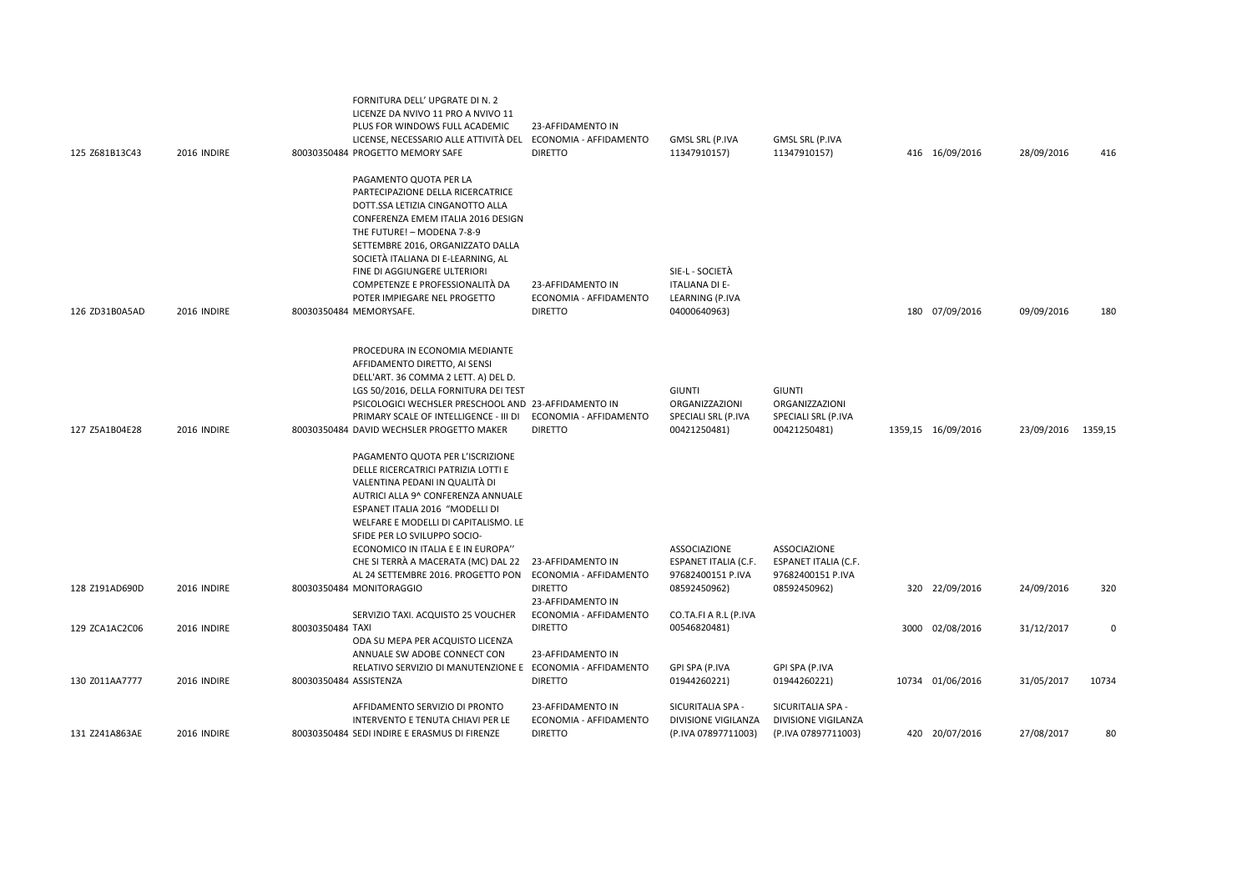| 125 Z681B13C43 | 2016 INDIRE | FORNITURA DELL' UPGRATE DI N. 2<br>LICENZE DA NVIVO 11 PRO A NVIVO 11<br>PLUS FOR WINDOWS FULL ACADEMIC<br>LICENSE, NECESSARIO ALLE ATTIVITÀ DEL ECONOMIA - AFFIDAMENTO<br>80030350484 PROGETTO MEMORY SAFE                | 23-AFFIDAMENTO IN<br><b>DIRETTO</b>                           | GMSL SRL (P.IVA<br>11347910157)          | GMSL SRL (P.IVA<br>11347910157)             | 416 16/09/2016     | 28/09/2016         | 416      |
|----------------|-------------|----------------------------------------------------------------------------------------------------------------------------------------------------------------------------------------------------------------------------|---------------------------------------------------------------|------------------------------------------|---------------------------------------------|--------------------|--------------------|----------|
|                |             | PAGAMENTO QUOTA PER LA<br>PARTECIPAZIONE DELLA RICERCATRICE<br>DOTT.SSA LETIZIA CINGANOTTO ALLA<br>CONFERENZA EMEM ITALIA 2016 DESIGN<br>THE FUTURE! - MODENA 7-8-9<br>SETTEMBRE 2016, ORGANIZZATO DALLA                   |                                                               |                                          |                                             |                    |                    |          |
|                |             | SOCIETÀ ITALIANA DI E-LEARNING, AL<br>FINE DI AGGIUNGERE ULTERIORI<br>COMPETENZE E PROFESSIONALITÀ DA                                                                                                                      | 23-AFFIDAMENTO IN                                             | SIE-L - SOCIETÀ<br><b>ITALIANA DI E-</b> |                                             |                    |                    |          |
| 126 ZD31B0A5AD | 2016 INDIRE | POTER IMPIEGARE NEL PROGETTO<br>80030350484 MEMORYSAFE.                                                                                                                                                                    | ECONOMIA - AFFIDAMENTO<br><b>DIRETTO</b>                      | LEARNING (P.IVA<br>04000640963)          |                                             | 180 07/09/2016     | 09/09/2016         | 180      |
|                |             | PROCEDURA IN ECONOMIA MEDIANTE<br>AFFIDAMENTO DIRETTO, AI SENSI<br>DELL'ART. 36 COMMA 2 LETT. A) DEL D.<br>LGS 50/2016, DELLA FORNITURA DEI TEST<br>PSICOLOGICI WECHSLER PRESCHOOL AND 23-AFFIDAMENTO IN                   |                                                               | <b>GIUNTI</b><br>ORGANIZZAZIONI          | <b>GIUNTI</b><br>ORGANIZZAZIONI             |                    |                    |          |
| 127 Z5A1B04E28 | 2016 INDIRE | PRIMARY SCALE OF INTELLIGENCE - III DI<br>80030350484 DAVID WECHSLER PROGETTO MAKER                                                                                                                                        | ECONOMIA - AFFIDAMENTO<br><b>DIRETTO</b>                      | SPECIALI SRL (P.IVA<br>00421250481)      | SPECIALI SRL (P.IVA<br>00421250481)         | 1359,15 16/09/2016 | 23/09/2016 1359,15 |          |
|                |             | PAGAMENTO QUOTA PER L'ISCRIZIONE<br>DELLE RICERCATRICI PATRIZIA LOTTI E<br>VALENTINA PEDANI IN QUALITÀ DI<br>AUTRICI ALLA 9^ CONFERENZA ANNUALE<br>ESPANET ITALIA 2016 "MODELLI DI<br>WELFARE E MODELLI DI CAPITALISMO. LE |                                                               |                                          |                                             |                    |                    |          |
|                |             | SFIDE PER LO SVILUPPO SOCIO-<br>ECONOMICO IN ITALIA E E IN EUROPA"<br>CHE SI TERRÀ A MACERATA (MC) DAL 22                                                                                                                  | 23-AFFIDAMENTO IN                                             | ASSOCIAZIONE<br>ESPANET ITALIA (C.F.     | ASSOCIAZIONE<br><b>ESPANET ITALIA (C.F.</b> |                    |                    |          |
| 128 Z191AD690D | 2016 INDIRE | AL 24 SETTEMBRE 2016. PROGETTO PON<br>80030350484 MONITORAGGIO                                                                                                                                                             | ECONOMIA - AFFIDAMENTO<br><b>DIRETTO</b><br>23-AFFIDAMENTO IN | 97682400151 P.IVA<br>08592450962)        | 97682400151 P.IVA<br>08592450962)           | 320 22/09/2016     | 24/09/2016         | 320      |
| 129 ZCA1AC2C06 | 2016 INDIRE | SERVIZIO TAXI. ACQUISTO 25 VOUCHER<br>80030350484 TAXI<br>ODA SU MEPA PER ACQUISTO LICENZA                                                                                                                                 | ECONOMIA - AFFIDAMENTO<br><b>DIRETTO</b>                      | CO.TA.FI A R.L (P.IVA<br>00546820481)    |                                             | 3000 02/08/2016    | 31/12/2017         | $\Omega$ |
| 130 Z011AA7777 | 2016 INDIRE | ANNUALE SW ADOBE CONNECT CON<br>RELATIVO SERVIZIO DI MANUTENZIONE E ECONOMIA - AFFIDAMENTO<br>80030350484 ASSISTENZA                                                                                                       | 23-AFFIDAMENTO IN<br><b>DIRETTO</b>                           | GPI SPA (P.IVA<br>01944260221)           | GPI SPA (P.IVA<br>01944260221)              | 10734 01/06/2016   | 31/05/2017         | 10734    |
|                |             | AFFIDAMENTO SERVIZIO DI PRONTO<br>INTERVENTO E TENUTA CHIAVI PER LE                                                                                                                                                        | 23-AFFIDAMENTO IN<br>ECONOMIA - AFFIDAMENTO                   | SICURITALIA SPA -<br>DIVISIONE VIGILANZA | SICURITALIA SPA -<br>DIVISIONE VIGILANZA    |                    |                    |          |
| 131 Z241A863AE | 2016 INDIRE | 80030350484 SEDI INDIRE E ERASMUS DI FIRENZE                                                                                                                                                                               | <b>DIRETTO</b>                                                | (P.IVA 07897711003)                      | (P.IVA 07897711003)                         | 420 20/07/2016     | 27/08/2017         | 80       |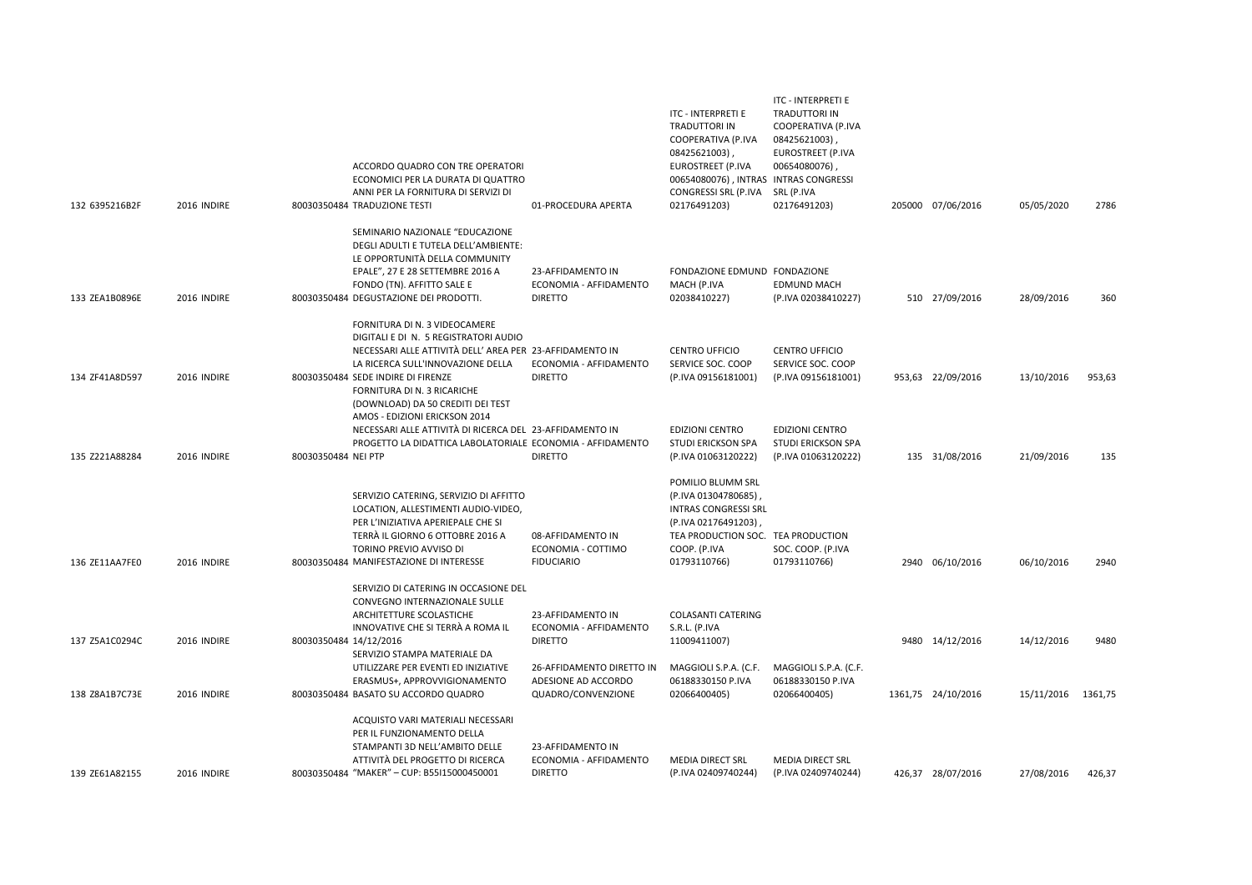|                |             | ACCORDO QUADRO CON TRE OPERATORI<br>ECONOMICI PER LA DURATA DI QUATTRO<br>ANNI PER LA FORNITURA DI SERVIZI DI                                                                                                                                |                                                                  | ITC - INTERPRETI E<br>TRADUTTORI IN<br>COOPERATIVA (P.IVA<br>08425621003),<br>EUROSTREET (P.IVA<br>00654080076), INTRAS INTRAS CONGRESSI<br>CONGRESSI SRL (P.IVA | ITC - INTERPRETI E<br><b>TRADUTTORI IN</b><br>COOPERATIVA (P.IVA<br>08425621003)<br>EUROSTREET (P.IVA<br>00654080076)<br>SRL (P.IVA |                    |            |         |
|----------------|-------------|----------------------------------------------------------------------------------------------------------------------------------------------------------------------------------------------------------------------------------------------|------------------------------------------------------------------|------------------------------------------------------------------------------------------------------------------------------------------------------------------|-------------------------------------------------------------------------------------------------------------------------------------|--------------------|------------|---------|
| 132 6395216B2F | 2016 INDIRE | 80030350484 TRADUZIONE TESTI                                                                                                                                                                                                                 | 01-PROCEDURA APERTA                                              | 02176491203)                                                                                                                                                     | 02176491203)                                                                                                                        | 205000 07/06/2016  | 05/05/2020 | 2786    |
| 133 ZEA1B0896E | 2016 INDIRE | SEMINARIO NAZIONALE "EDUCAZIONE<br>DEGLI ADULTI E TUTELA DELL'AMBIENTE:<br>LE OPPORTUNITÀ DELLA COMMUNITY<br>EPALE", 27 E 28 SETTEMBRE 2016 A<br>FONDO (TN). AFFITTO SALE E<br>80030350484 DEGUSTAZIONE DEI PRODOTTI.                        | 23-AFFIDAMENTO IN<br>ECONOMIA - AFFIDAMENTO<br><b>DIRETTO</b>    | FONDAZIONE EDMUND FONDAZIONE<br>MACH (P.IVA<br>02038410227)                                                                                                      | <b>EDMUND MACH</b><br>(P.IVA 02038410227)                                                                                           | 510 27/09/2016     | 28/09/2016 | 360     |
| 134 ZF41A8D597 | 2016 INDIRE | FORNITURA DI N. 3 VIDEOCAMERE<br>DIGITALI E DI N. 5 REGISTRATORI AUDIO<br>NECESSARI ALLE ATTIVITÀ DELL' AREA PER 23-AFFIDAMENTO IN<br>LA RICERCA SULL'INNOVAZIONE DELLA<br>80030350484 SEDE INDIRE DI FIRENZE<br>FORNITURA DI N. 3 RICARICHE | ECONOMIA - AFFIDAMENTO<br><b>DIRETTO</b>                         | <b>CENTRO UFFICIO</b><br>SERVICE SOC. COOP<br>(P.IVA 09156181001)                                                                                                | <b>CENTRO UFFICIO</b><br>SERVICE SOC. COOP<br>(P.IVA 09156181001)                                                                   | 953,63 22/09/2016  | 13/10/2016 | 953,63  |
| 135 Z221A88284 | 2016 INDIRE | (DOWNLOAD) DA 50 CREDITI DEI TEST<br>AMOS - EDIZIONI ERICKSON 2014<br>NECESSARI ALLE ATTIVITÀ DI RICERCA DEL 23-AFFIDAMENTO IN<br>PROGETTO LA DIDATTICA LABOLATORIALE ECONOMIA - AFFIDAMENTO<br>80030350484 NEI PTP                          | <b>DIRETTO</b>                                                   | <b>EDIZIONI CENTRO</b><br><b>STUDI ERICKSON SPA</b><br>(P.IVA 01063120222)                                                                                       | <b>EDIZIONI CENTRO</b><br><b>STUDI ERICKSON SPA</b><br>(P.IVA 01063120222)                                                          | 135 31/08/2016     | 21/09/2016 | 135     |
|                |             | SERVIZIO CATERING, SERVIZIO DI AFFITTO<br>LOCATION, ALLESTIMENTI AUDIO-VIDEO,<br>PER L'INIZIATIVA APERIEPALE CHE SI<br>TERRÀ IL GIORNO 6 OTTOBRE 2016 A<br>TORINO PREVIO AVVISO DI                                                           | 08-AFFIDAMENTO IN<br>ECONOMIA - COTTIMO                          | POMILIO BLUMM SRL<br>(P.IVA 01304780685)<br><b>INTRAS CONGRESSI SRL</b><br>(P.IVA 02176491203),<br>TEA PRODUCTION SOC. TEA PRODUCTION<br>COOP. (P.IVA            | SOC. COOP. (P.IVA                                                                                                                   |                    |            |         |
| 136 ZE11AA7FE0 | 2016 INDIRE | 80030350484 MANIFESTAZIONE DI INTERESSE<br>SERVIZIO DI CATERING IN OCCASIONE DEL<br>CONVEGNO INTERNAZIONALE SULLE<br>ARCHITETTURE SCOLASTICHE<br>INNOVATIVE CHE SI TERRÀ A ROMA IL                                                           | <b>FIDUCIARIO</b><br>23-AFFIDAMENTO IN<br>ECONOMIA - AFFIDAMENTO | 01793110766)<br><b>COLASANTI CATERING</b><br>S.R.L. (P.IVA                                                                                                       | 01793110766)                                                                                                                        | 2940 06/10/2016    | 06/10/2016 | 2940    |
| 137 Z5A1C0294C | 2016 INDIRE | 80030350484 14/12/2016<br>SERVIZIO STAMPA MATERIALE DA<br>UTILIZZARE PER EVENTI ED INIZIATIVE                                                                                                                                                | <b>DIRETTO</b><br>26-AFFIDAMENTO DIRETTO IN                      | 11009411007)<br>MAGGIOLI S.P.A. (C.F.                                                                                                                            | MAGGIOLI S.P.A. (C.F.                                                                                                               | 9480 14/12/2016    | 14/12/2016 | 9480    |
| 138 Z8A1B7C73E | 2016 INDIRE | ERASMUS+, APPROVVIGIONAMENTO<br>80030350484 BASATO SU ACCORDO QUADRO                                                                                                                                                                         | ADESIONE AD ACCORDO<br>QUADRO/CONVENZIONE                        | 06188330150 P.IVA<br>02066400405)                                                                                                                                | 06188330150 P.IVA<br>02066400405)                                                                                                   | 1361,75 24/10/2016 | 15/11/2016 | 1361,75 |
| 139 ZE61A82155 | 2016 INDIRE | ACQUISTO VARI MATERIALI NECESSARI<br>PER IL FUNZIONAMENTO DELLA<br>STAMPANTI 3D NELL'AMBITO DELLE<br>ATTIVITÀ DEL PROGETTO DI RICERCA<br>80030350484 "MAKER" - CUP: B55I15000450001                                                          | 23-AFFIDAMENTO IN<br>ECONOMIA - AFFIDAMENTO<br><b>DIRETTO</b>    | <b>MEDIA DIRECT SRL</b><br>(P.IVA 02409740244)                                                                                                                   | <b>MEDIA DIRECT SRL</b><br>(P.IVA 02409740244)                                                                                      | 426,37 28/07/2016  | 27/08/2016 | 426.37  |
|                |             |                                                                                                                                                                                                                                              |                                                                  |                                                                                                                                                                  |                                                                                                                                     |                    |            |         |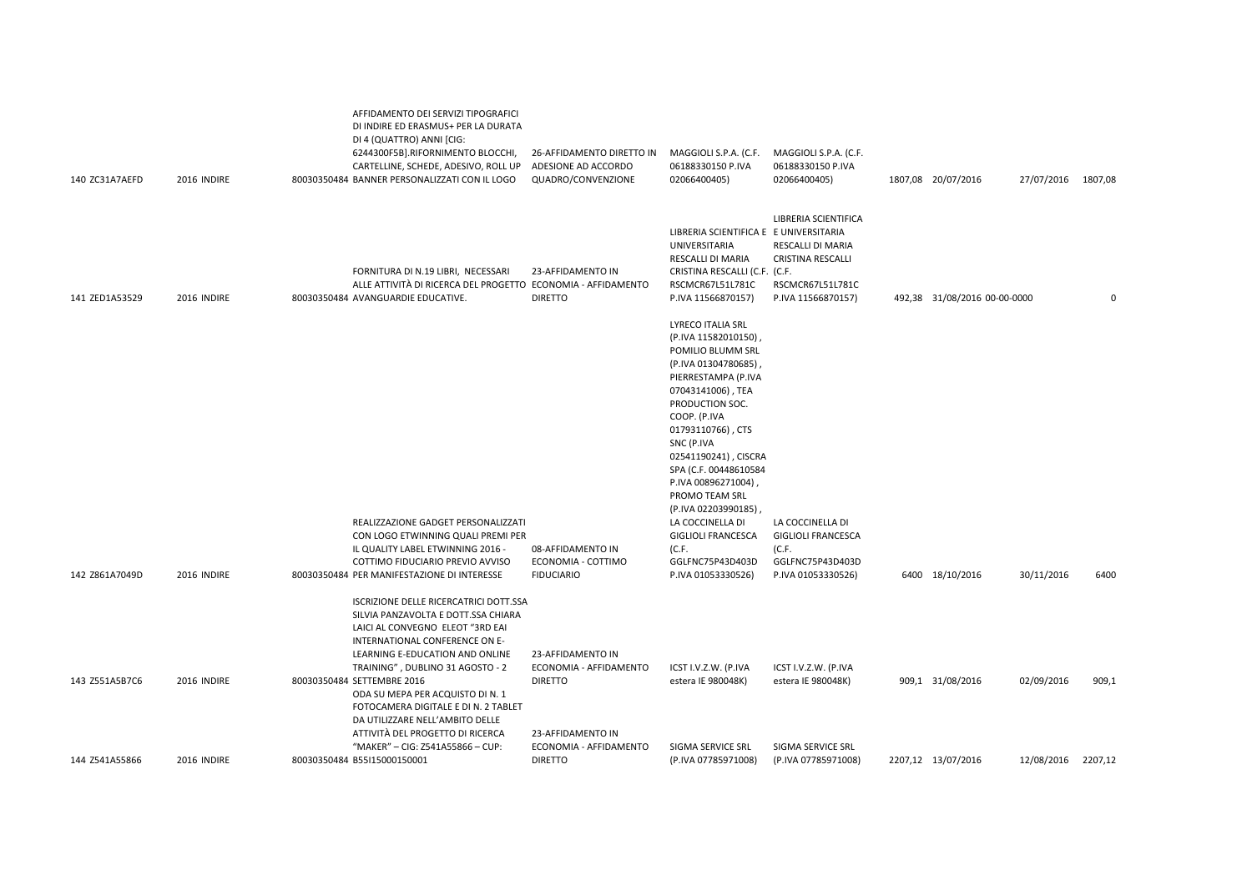| 140 ZC31A7AEFD | 2016 INDIRE | AFFIDAMENTO DEI SERVIZI TIPOGRAFICI<br>DI INDIRE ED ERASMUS+ PER LA DURATA<br>DI 4 (QUATTRO) ANNI [CIG:<br>6244300F5B].RIFORNIMENTO BLOCCHI,<br>CARTELLINE, SCHEDE, ADESIVO, ROLL UP<br>80030350484 BANNER PERSONALIZZATI CON IL LOGO                                                        | 26-AFFIDAMENTO DIRETTO IN<br>ADESIONE AD ACCORDO<br>QUADRO/CONVENZIONE | MAGGIOLI S.P.A. (C.F.<br>06188330150 P.IVA<br>02066400405)                                                                                                                                                                                                                                                                                                                                                                            | MAGGIOLI S.P.A. (C.F.<br>06188330150 P.IVA<br>02066400405)                                               | 1807,08 20/07/2016           | 27/07/2016 1807,08 |       |
|----------------|-------------|----------------------------------------------------------------------------------------------------------------------------------------------------------------------------------------------------------------------------------------------------------------------------------------------|------------------------------------------------------------------------|---------------------------------------------------------------------------------------------------------------------------------------------------------------------------------------------------------------------------------------------------------------------------------------------------------------------------------------------------------------------------------------------------------------------------------------|----------------------------------------------------------------------------------------------------------|------------------------------|--------------------|-------|
| 141 ZED1A53529 | 2016 INDIRE | FORNITURA DI N.19 LIBRI, NECESSARI<br>ALLE ATTIVITÀ DI RICERCA DEL PROGETTO ECONOMIA - AFFIDAMENTO<br>80030350484 AVANGUARDIE EDUCATIVE.                                                                                                                                                     | 23-AFFIDAMENTO IN<br><b>DIRETTO</b>                                    | LIBRERIA SCIENTIFICA E E UNIVERSITARIA<br>UNIVERSITARIA<br>RESCALLI DI MARIA<br>CRISTINA RESCALLI (C.F. (C.F.<br>RSCMCR67L51L781C<br>P.IVA 11566870157)                                                                                                                                                                                                                                                                               | LIBRERIA SCIENTIFICA<br>RESCALLI DI MARIA<br>CRISTINA RESCALLI<br>RSCMCR67L51L781C<br>P.IVA 11566870157) | 492,38 31/08/2016 00-00-0000 |                    | 0     |
| 142 Z861A7049D | 2016 INDIRE | REALIZZAZIONE GADGET PERSONALIZZATI<br>CON LOGO ETWINNING QUALI PREMI PER<br>IL QUALITY LABEL ETWINNING 2016 -<br>COTTIMO FIDUCIARIO PREVIO AVVISO<br>80030350484 PER MANIFESTAZIONE DI INTERESSE                                                                                            | 08-AFFIDAMENTO IN<br>ECONOMIA - COTTIMO<br><b>FIDUCIARIO</b>           | <b>LYRECO ITALIA SRL</b><br>(P.IVA 11582010150),<br>POMILIO BLUMM SRL<br>(P.IVA 01304780685),<br>PIERRESTAMPA (P.IVA<br>07043141006), TEA<br>PRODUCTION SOC.<br>COOP. (P.IVA<br>01793110766), CTS<br>SNC (P.IVA<br>02541190241), CISCRA<br>SPA (C.F. 00448610584<br>P.IVA 00896271004),<br>PROMO TEAM SRL<br>(P.IVA 02203990185),<br>LA COCCINELLA DI<br><b>GIGLIOLI FRANCESCA</b><br>(C.F.<br>GGLFNC75P43D403D<br>P.IVA 01053330526) | LA COCCINELLA DI<br><b>GIGLIOLI FRANCESCA</b><br>(C.F.<br>GGLFNC75P43D403D<br>P.IVA 01053330526)         | 6400 18/10/2016              | 30/11/2016         | 6400  |
| 143 Z551A5B7C6 | 2016 INDIRE | ISCRIZIONE DELLE RICERCATRICI DOTT.SSA<br>SILVIA PANZAVOLTA E DOTT.SSA CHIARA<br>LAICI AL CONVEGNO ELEOT "3RD EAI<br>INTERNATIONAL CONFERENCE ON E-<br>LEARNING E-EDUCATION AND ONLINE<br>TRAINING", DUBLINO 31 AGOSTO - 2<br>80030350484 SETTEMBRE 2016<br>ODA SU MEPA PER ACQUISTO DI N. 1 | 23-AFFIDAMENTO IN<br>ECONOMIA - AFFIDAMENTO<br><b>DIRETTO</b>          | ICST I.V.Z.W. (P.IVA<br>estera IE 980048K)                                                                                                                                                                                                                                                                                                                                                                                            | ICST I.V.Z.W. (P.IVA<br>estera IE 980048K)                                                               | 909,1 31/08/2016             | 02/09/2016         | 909,1 |
| 144 Z541A55866 | 2016 INDIRE | FOTOCAMERA DIGITALE E DI N. 2 TABLET<br>DA UTILIZZARE NELL'AMBITO DELLE<br>ATTIVITÀ DEL PROGETTO DI RICERCA<br>"MAKER" - CIG: Z541A55866 - CUP:<br>80030350484 B55I15000150001                                                                                                               | 23-AFFIDAMENTO IN<br>ECONOMIA - AFFIDAMENTO<br><b>DIRETTO</b>          | SIGMA SERVICE SRL<br>(P.IVA 07785971008)                                                                                                                                                                                                                                                                                                                                                                                              | SIGMA SERVICE SRL<br>(P.IVA 07785971008)                                                                 | 2207,12 13/07/2016           | 12/08/2016 2207,12 |       |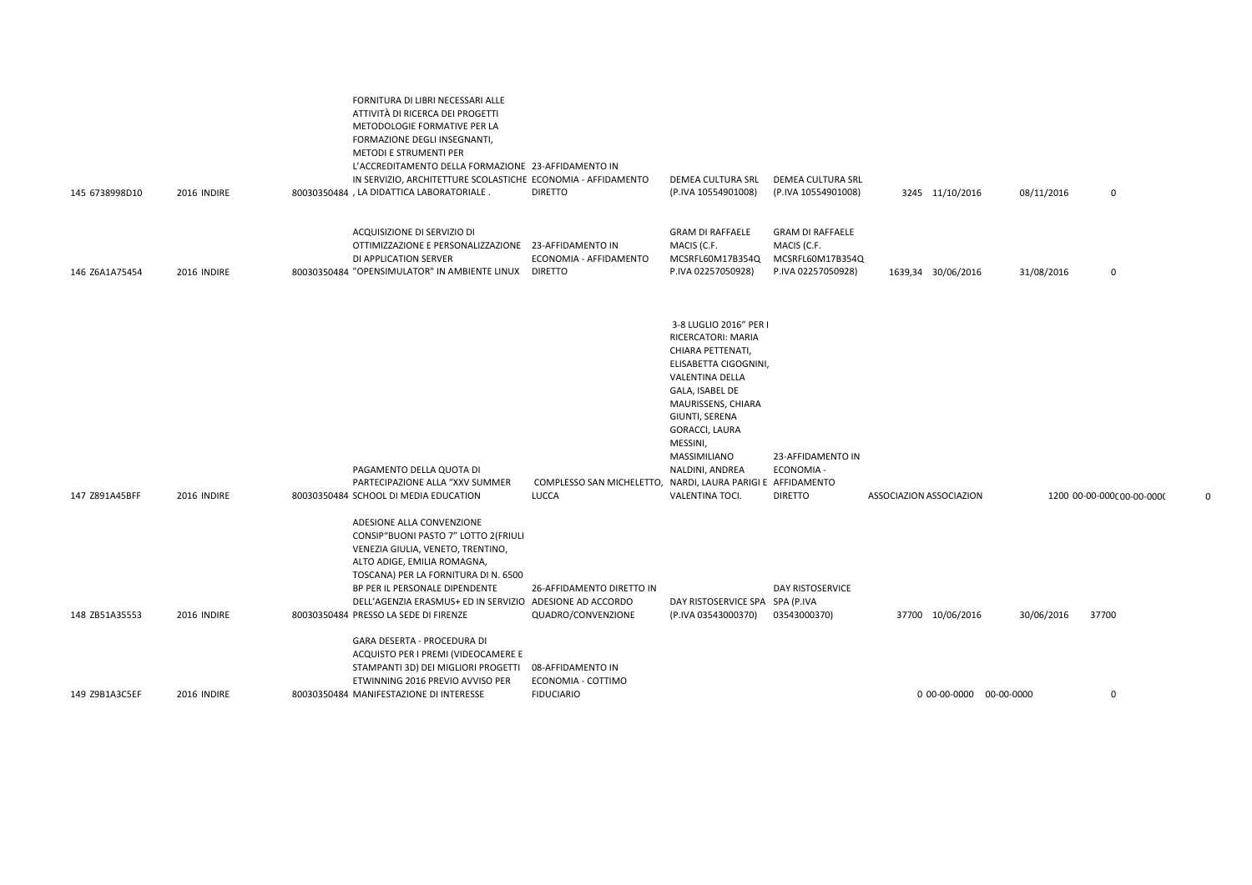| 145 6738998D10 | 2016 INDIRE | ATTIVITÀ DI RICERCA DEI PROGETTI<br>METODOLOGIE FORMATIVE PER LA<br>FORMAZIONE DEGLI INSEGNANTI,<br>METODI E STRUMENTI PER<br>L'ACCREDITAMENTO DELLA FORMAZIONE 23-AFFIDAMENTO IN<br>IN SERVIZIO, ARCHITETTURE SCOLASTICHE ECONOMIA - AFFIDAMENTO<br>80030350484, LA DIDATTICA LABORATORIALE.                         | <b>DIRETTO</b>                                                              | DEMEA CULTURA SRL<br>(P.IVA 10554901008)                                                                                                                                                                                                                   | DEMEA CULTURA SRL<br>(P.IVA 10554901008)                                         |                         | 3245 11/10/2016         | 08/11/2016 | 0                          |  |
|----------------|-------------|-----------------------------------------------------------------------------------------------------------------------------------------------------------------------------------------------------------------------------------------------------------------------------------------------------------------------|-----------------------------------------------------------------------------|------------------------------------------------------------------------------------------------------------------------------------------------------------------------------------------------------------------------------------------------------------|----------------------------------------------------------------------------------|-------------------------|-------------------------|------------|----------------------------|--|
|                |             |                                                                                                                                                                                                                                                                                                                       |                                                                             |                                                                                                                                                                                                                                                            |                                                                                  |                         |                         |            |                            |  |
| 146 Z6A1A75454 | 2016 INDIRE | ACQUISIZIONE DI SERVIZIO DI<br>OTTIMIZZAZIONE E PERSONALIZZAZIONE 23-AFFIDAMENTO IN<br>DI APPLICATION SERVER<br>80030350484 "OPENSIMULATOR" IN AMBIENTE LINUX                                                                                                                                                         | ECONOMIA - AFFIDAMENTO<br><b>DIRETTO</b>                                    | <b>GRAM DI RAFFAELE</b><br>MACIS (C.F.<br>MCSRFL60M17B354Q<br>P.IVA 02257050928)                                                                                                                                                                           | <b>GRAM DI RAFFAELE</b><br>MACIS (C.F.<br>MCSRFL60M17B354Q<br>P.IVA 02257050928) |                         | 1639,34 30/06/2016      | 31/08/2016 | 0                          |  |
| 147 Z891A45BFF | 2016 INDIRE | PAGAMENTO DELLA QUOTA DI<br>PARTECIPAZIONE ALLA "XXV SUMMER<br>80030350484 SCHOOL DI MEDIA EDUCATION                                                                                                                                                                                                                  | COMPLESSO SAN MICHELETTO, NARDI, LAURA PARIGI E AFFIDAMENTO<br><b>LUCCA</b> | 3-8 LUGLIO 2016" PER<br>RICERCATORI: MARIA<br>CHIARA PETTENATI,<br>ELISABETTA CIGOGNINI,<br>VALENTINA DELLA<br>GALA, ISABEL DE<br>MAURISSENS, CHIARA<br>GIUNTI, SERENA<br>GORACCI, LAURA<br>MESSINI,<br>MASSIMILIANO<br>NALDINI, ANDREA<br>VALENTINA TOCI. | 23-AFFIDAMENTO IN<br>ECONOMIA -<br><b>DIRETTO</b>                                | ASSOCIAZION ASSOCIAZION |                         |            | 1200 00-00-0000 00-00-0000 |  |
| 148 ZB51A35553 | 2016 INDIRE | ADESIONE ALLA CONVENZIONE<br>CONSIP"BUONI PASTO 7" LOTTO 2 (FRIULI<br>VENEZIA GIULIA, VENETO, TRENTINO,<br>ALTO ADIGE, EMILIA ROMAGNA,<br>TOSCANA) PER LA FORNITURA DI N. 6500<br>BP PER IL PERSONALE DIPENDENTE<br>DELL'AGENZIA ERASMUS+ ED IN SERVIZIO ADESIONE AD ACCORDO<br>80030350484 PRESSO LA SEDE DI FIRENZE | 26-AFFIDAMENTO DIRETTO IN<br>QUADRO/CONVENZIONE                             | DAY RISTOSERVICE SPA SPA (P.IVA<br>(P.IVA 03543000370)                                                                                                                                                                                                     | DAY RISTOSERVICE<br>03543000370)                                                 |                         | 37700 10/06/2016        | 30/06/2016 | 37700                      |  |
| 149 Z9B1A3C5EF | 2016 INDIRE | GARA DESERTA - PROCEDURA DI<br>ACQUISTO PER I PREMI (VIDEOCAMERE E<br>STAMPANTI 3D) DEI MIGLIORI PROGETTI<br>ETWINNING 2016 PREVIO AVVISO PER<br>80030350484 MANIFESTAZIONE DI INTERESSE                                                                                                                              | 08-AFFIDAMENTO IN<br>ECONOMIA - COTTIMO<br><b>FIDUCIARIO</b>                |                                                                                                                                                                                                                                                            |                                                                                  |                         | 0 00-00-0000 00-00-0000 |            | 0                          |  |
|                |             |                                                                                                                                                                                                                                                                                                                       |                                                                             |                                                                                                                                                                                                                                                            |                                                                                  |                         |                         |            |                            |  |

FORNITURA DI LIBRI NECESSARI ALLE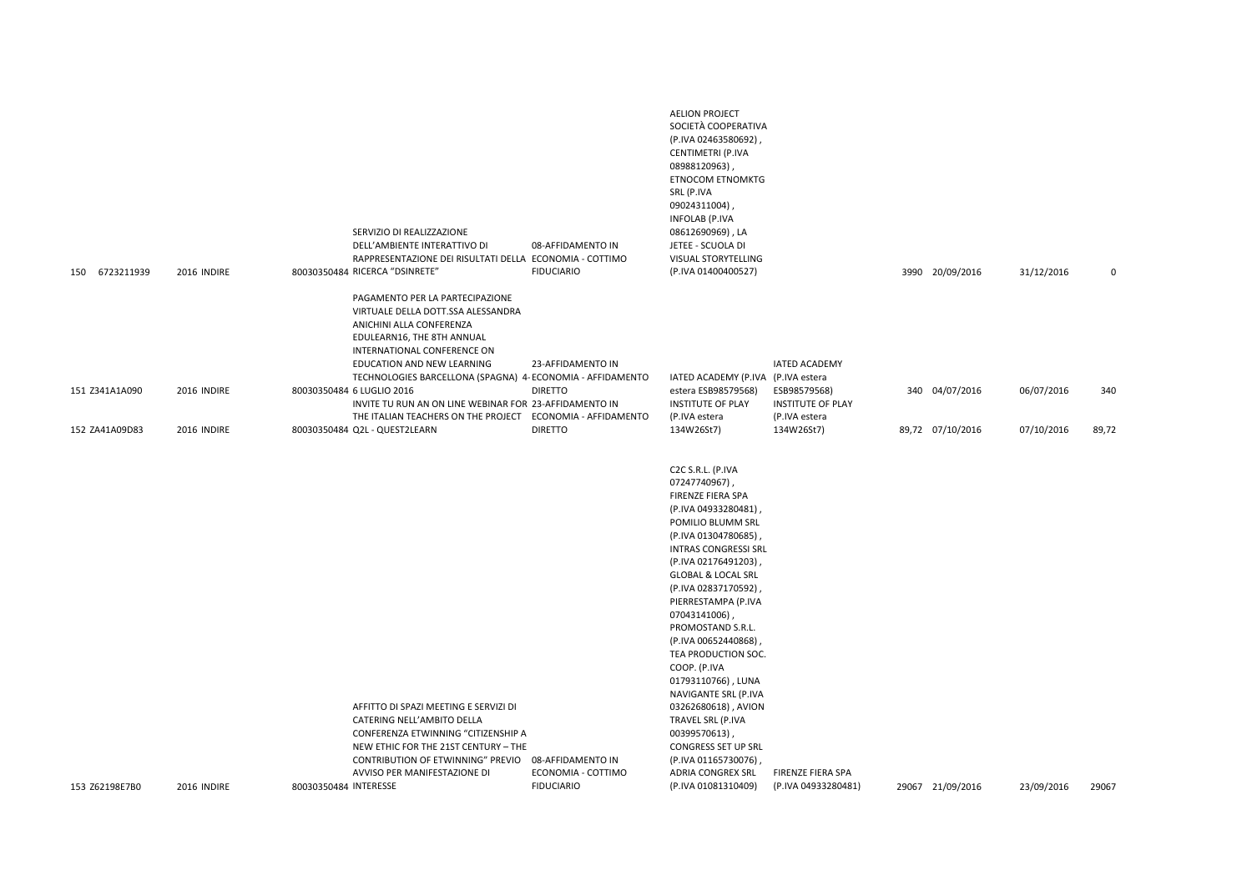| PAGAMENTO PER LA PARTECIPAZIONE<br>VIRTUALE DELLA DOTT.SSA ALESSANDRA<br>ANICHINI ALLA CONFERENZA<br>EDULEARN16, THE 8TH ANNUAL<br>INTERNATIONAL CONFERENCE ON<br>EDUCATION AND NEW LEARNING<br>23-AFFIDAMENTO IN<br><b>IATED ACADEMY</b><br>TECHNOLOGIES BARCELLONA (SPAGNA) 4- ECONOMIA - AFFIDAMENTO<br>IATED ACADEMY (P.IVA (P.IVA estera<br>80030350484 6 LUGLIO 2016<br><b>DIRETTO</b><br>estera ESB98579568)<br>ESB98579568)<br>151 Z341A1A090<br>2016 INDIRE<br>340 04/07/2016<br>06/07/2016<br>INVITE TU RUN AN ON LINE WEBINAR FOR 23-AFFIDAMENTO IN<br><b>INSTITUTE OF PLAY</b><br><b>INSTITUTE OF PLAY</b><br>THE ITALIAN TEACHERS ON THE PROJECT ECONOMIA - AFFIDAMENTO<br>(P.IVA estera<br>(P.IVA estera<br>80030350484 Q2L - QUEST2LEARN<br><b>DIRETTO</b><br>134W26St7)<br>134W26St7)<br>89,72 07/10/2016<br>07/10/2016<br>152 ZA41A09D83<br>2016 INDIRE<br>C2C S.R.L. (P.IVA<br>07247740967),<br>FIRENZE FIERA SPA<br>(P.IVA 04933280481)<br>POMILIO BLUMM SRL<br>(P.IVA 01304780685),<br><b>INTRAS CONGRESSI SRL</b><br>(P.IVA 02176491203)<br><b>GLOBAL &amp; LOCAL SRL</b><br>(P.IVA 02837170592),<br>PIERRESTAMPA (P.IVA<br>07043141006),<br>PROMOSTAND S.R.L.<br>(P.IVA 00652440868),<br>TEA PRODUCTION SOC.<br>COOP. (P.IVA<br>01793110766), LUNA<br>NAVIGANTE SRL (P.IVA<br>AFFITTO DI SPAZI MEETING E SERVIZI DI<br>03262680618), AVION<br>CATERING NELL'AMBITO DELLA<br>TRAVEL SRL (P.IVA<br>CONFERENZA ETWINNING "CITIZENSHIP A<br>00399570613),<br>NEW ETHIC FOR THE 21ST CENTURY - THE<br>CONGRESS SET UP SRL<br>CONTRIBUTION OF ETWINNING" PREVIO<br>08-AFFIDAMENTO IN<br>(P.IVA 01165730076),<br>AVVISO PER MANIFESTAZIONE DI<br>ECONOMIA - COTTIMO<br>ADRIA CONGREX SRL<br>FIRENZE FIERA SPA<br>2016 INDIRE<br>80030350484 INTERESSE<br><b>FIDUCIARIO</b><br>(P.IVA 01081310409)<br>29067 21/09/2016<br>23/09/2016<br>29067<br>153 Z62198E7B0<br>(P.IVA 04933280481) | 150 6723211939 | 2016 INDIRE | SERVIZIO DI REALIZZAZIONE<br>DELL'AMBIENTE INTERATTIVO DI<br>RAPPRESENTAZIONE DEI RISULTATI DELLA ECONOMIA - COTTIMO<br>80030350484 RICERCA "DSINRETE" | 08-AFFIDAMENTO IN<br><b>FIDUCIARIO</b> | <b>AELION PROJECT</b><br>SOCIETÀ COOPERATIVA<br>(P.IVA 02463580692)<br>CENTIMETRI (P.IVA<br>08988120963),<br><b>ETNOCOM ETNOMKTG</b><br>SRL (P.IVA<br>09024311004)<br><b>INFOLAB (P.IVA</b><br>08612690969), LA<br>JETEE - SCUOLA DI<br>VISUAL STORYTELLING<br>(P.IVA 01400400527) |  | 3990 20/09/2016 | 31/12/2016 | 0     |
|------------------------------------------------------------------------------------------------------------------------------------------------------------------------------------------------------------------------------------------------------------------------------------------------------------------------------------------------------------------------------------------------------------------------------------------------------------------------------------------------------------------------------------------------------------------------------------------------------------------------------------------------------------------------------------------------------------------------------------------------------------------------------------------------------------------------------------------------------------------------------------------------------------------------------------------------------------------------------------------------------------------------------------------------------------------------------------------------------------------------------------------------------------------------------------------------------------------------------------------------------------------------------------------------------------------------------------------------------------------------------------------------------------------------------------------------------------------------------------------------------------------------------------------------------------------------------------------------------------------------------------------------------------------------------------------------------------------------------------------------------------------------------------------------------------------------------------------------------------------------------------------------------|----------------|-------------|--------------------------------------------------------------------------------------------------------------------------------------------------------|----------------------------------------|------------------------------------------------------------------------------------------------------------------------------------------------------------------------------------------------------------------------------------------------------------------------------------|--|-----------------|------------|-------|
|                                                                                                                                                                                                                                                                                                                                                                                                                                                                                                                                                                                                                                                                                                                                                                                                                                                                                                                                                                                                                                                                                                                                                                                                                                                                                                                                                                                                                                                                                                                                                                                                                                                                                                                                                                                                                                                                                                      |                |             |                                                                                                                                                        |                                        |                                                                                                                                                                                                                                                                                    |  |                 |            | 340   |
|                                                                                                                                                                                                                                                                                                                                                                                                                                                                                                                                                                                                                                                                                                                                                                                                                                                                                                                                                                                                                                                                                                                                                                                                                                                                                                                                                                                                                                                                                                                                                                                                                                                                                                                                                                                                                                                                                                      |                |             |                                                                                                                                                        |                                        |                                                                                                                                                                                                                                                                                    |  |                 |            | 89,72 |
|                                                                                                                                                                                                                                                                                                                                                                                                                                                                                                                                                                                                                                                                                                                                                                                                                                                                                                                                                                                                                                                                                                                                                                                                                                                                                                                                                                                                                                                                                                                                                                                                                                                                                                                                                                                                                                                                                                      |                |             |                                                                                                                                                        |                                        |                                                                                                                                                                                                                                                                                    |  |                 |            |       |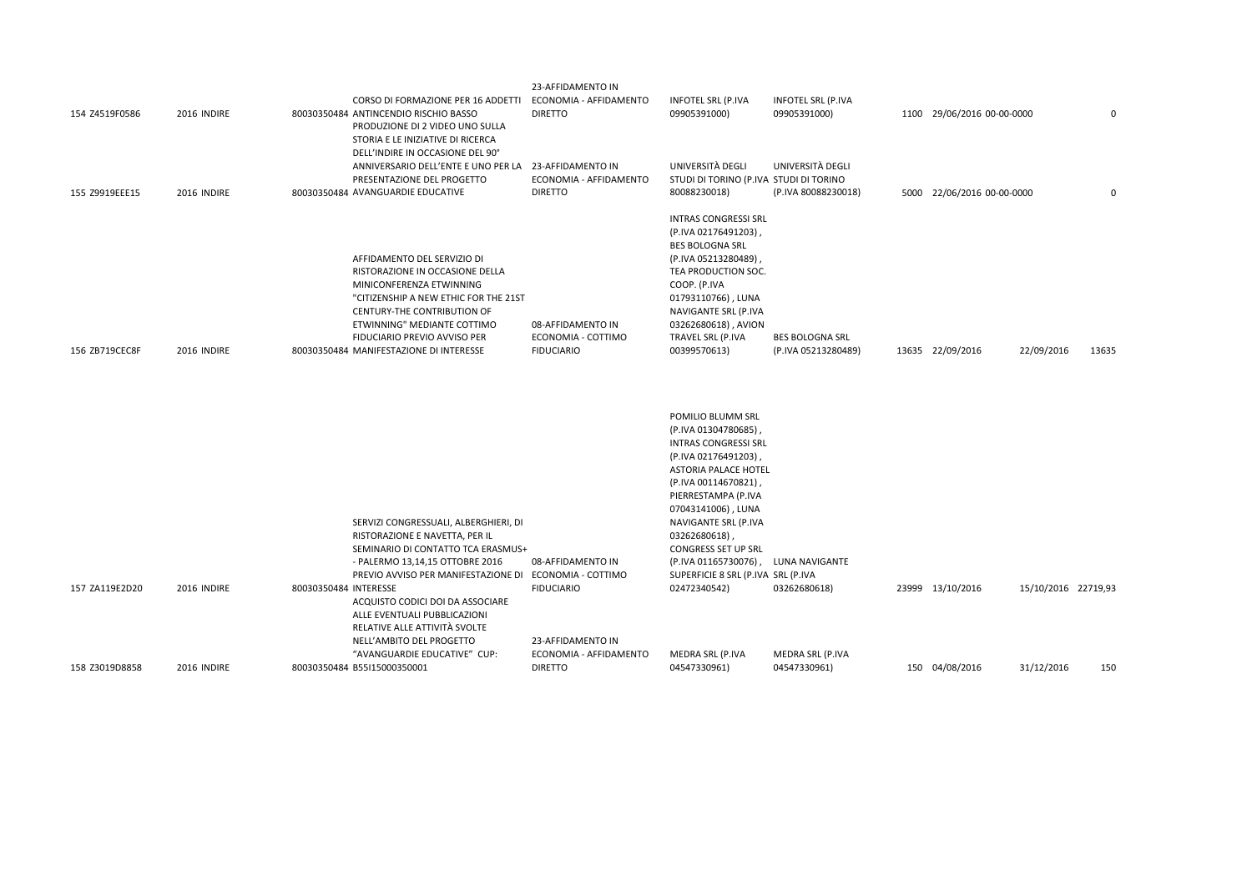| 155 Z9919EEE15 | 2016 INDIRE | STORIA E LE INIZIATIVE DI RICERCA<br>DELL'INDIRE IN OCCASIONE DEL 90°<br>ANNIVERSARIO DELL'ENTE E UNO PER LA<br>PRESENTAZIONE DEL PROGETTO<br>80030350484 AVANGUARDIE EDUCATIVE                                                                                                                         | 23-AFFIDAMENTO IN<br>ECONOMIA - AFFIDAMENTO<br><b>DIRETTO</b> | UNIVERSITÀ DEGLI<br>STUDI DI TORINO (P.IVA STUDI DI TORINO<br>80088230018)                                                                                                                                                                             | UNIVERSITÀ DEGLI<br>(P.IVA 80088230018)       | 5000 22/06/2016 00-00-0000 |                     | $\mathbf 0$ |
|----------------|-------------|---------------------------------------------------------------------------------------------------------------------------------------------------------------------------------------------------------------------------------------------------------------------------------------------------------|---------------------------------------------------------------|--------------------------------------------------------------------------------------------------------------------------------------------------------------------------------------------------------------------------------------------------------|-----------------------------------------------|----------------------------|---------------------|-------------|
| 156 ZB719CEC8F | 2016 INDIRE | AFFIDAMENTO DEL SERVIZIO DI<br>RISTORAZIONE IN OCCASIONE DELLA<br>MINICONFERENZA ETWINNING<br>"CITIZENSHIP A NEW ETHIC FOR THE 21ST<br>CENTURY-THE CONTRIBUTION OF<br>ETWINNING" MEDIANTE COTTIMO<br>FIDUCIARIO PREVIO AVVISO PER<br>80030350484 MANIFESTAZIONE DI INTERESSE                            | 08-AFFIDAMENTO IN<br>ECONOMIA - COTTIMO<br><b>FIDUCIARIO</b>  | <b>INTRAS CONGRESSI SRL</b><br>(P.IVA 02176491203),<br><b>BES BOLOGNA SRL</b><br>(P.IVA 05213280489),<br>TEA PRODUCTION SOC.<br>COOP. (P.IVA<br>01793110766), LUNA<br>NAVIGANTE SRL (P.IVA<br>03262680618), AVION<br>TRAVEL SRL (P.IVA<br>00399570613) | <b>BES BOLOGNA SRL</b><br>(P.IVA 05213280489) | 13635 22/09/2016           | 22/09/2016          | 13635       |
|                |             |                                                                                                                                                                                                                                                                                                         |                                                               | POMILIO BLUMM SRL<br>(P.IVA 01304780685),<br><b>INTRAS CONGRESSI SRL</b><br>(P.IVA 02176491203)<br><b>ASTORIA PALACE HOTEL</b><br>(P.IVA 00114670821)<br>PIERRESTAMPA (P.IVA<br>07043141006), LUNA                                                     |                                               |                            |                     |             |
| 157 ZA119E2D20 | 2016 INDIRE | SERVIZI CONGRESSUALI, ALBERGHIERI, DI<br>RISTORAZIONE E NAVETTA, PER IL<br>SEMINARIO DI CONTATTO TCA ERASMUS+<br>- PALERMO 13,14,15 OTTOBRE 2016<br>PREVIO AVVISO PER MANIFESTAZIONE DI ECONOMIA - COTTIMO<br>80030350484 INTERESSE<br>ACQUISTO CODICI DOI DA ASSOCIARE<br>ALLE EVENTUALI PUBBLICAZIONI | 08-AFFIDAMENTO IN<br><b>FIDUCIARIO</b>                        | NAVIGANTE SRL (P.IVA<br>03262680618)<br><b>CONGRESS SET UP SRL</b><br>(P.IVA 01165730076), LUNA NAVIGANTE<br>SUPERFICIE 8 SRL (P.IVA SRL (P.IVA<br>02472340542)                                                                                        | 03262680618)                                  | 23999 13/10/2016           | 15/10/2016 22719,93 |             |
| 158 Z3019D8858 | 2016 INDIRE | RELATIVE ALLE ATTIVITÀ SVOLTE<br>NELL'AMBITO DEL PROGETTO<br>"AVANGUARDIE EDUCATIVE" CUP:<br>80030350484 B55I15000350001                                                                                                                                                                                | 23-AFFIDAMENTO IN<br>ECONOMIA - AFFIDAMENTO<br><b>DIRETTO</b> | MEDRA SRL (P.IVA<br>04547330961)                                                                                                                                                                                                                       | MEDRA SRL (P.IVA<br>04547330961)              | 150 04/08/2016             | 31/12/2016          | 150         |

CORSO DI FORMAZIONE PER 16 ADDETTI ECONOMIA ‐ AFFIDAMENTO

23‐AFFIDAMENTO IN

INFOTEL SRL (P.IVA 09905391000)

INFOTEL SRL (P.IVA

09905391000) 1100 29/06/2016 00-00-0000 0

DIRETTO

ANTINCENDIO RISCHIO BASSO

PRODUZIONE DI 2 VIDEO UNO SULLA

154 Z4519F0586 2016 INDIRE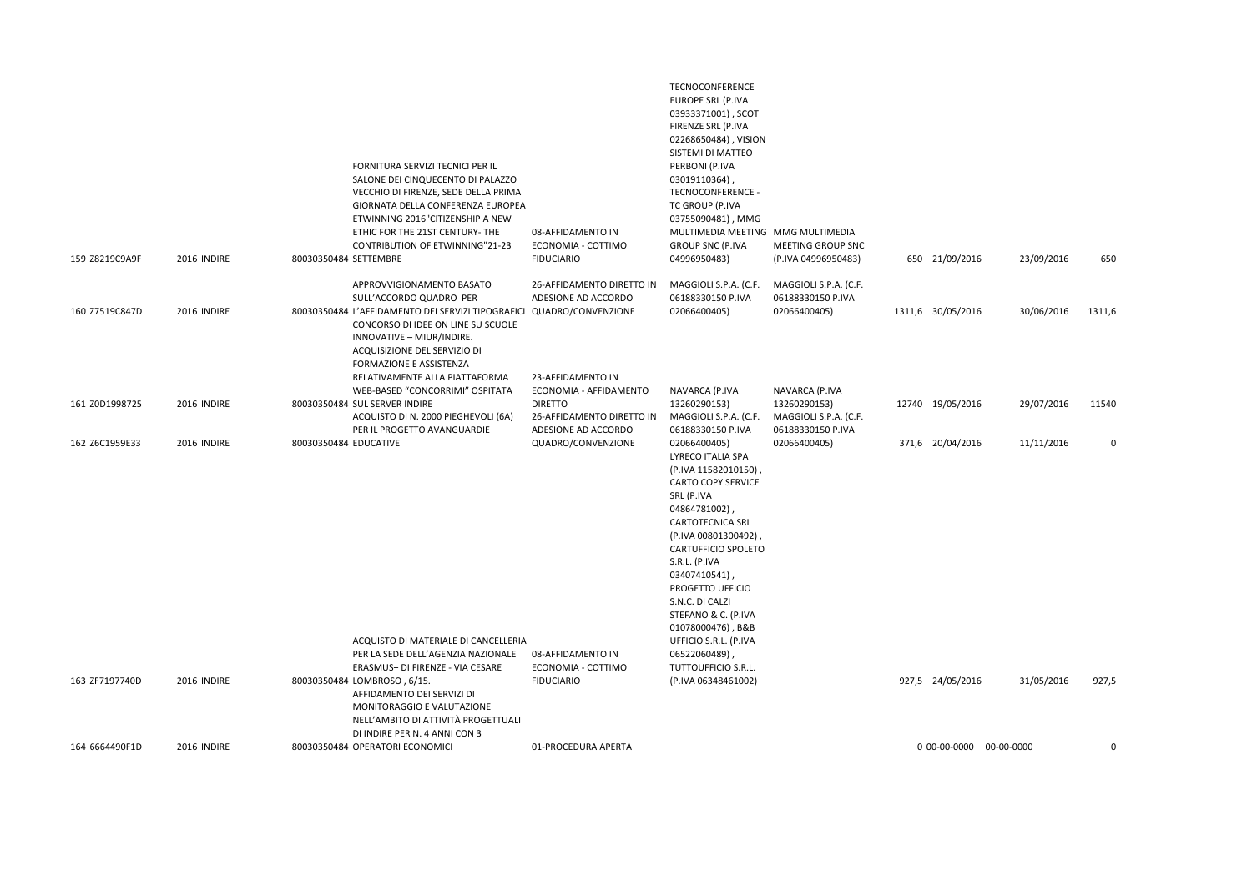| 159 Z8219C9A9F | 2016 INDIRE | FORNITURA SERVIZI TECNICI PER IL<br>SALONE DEI CINQUECENTO DI PALAZZO<br>VECCHIO DI FIRENZE, SEDE DELLA PRIMA<br>GIORNATA DELLA CONFERENZA EUROPEA<br>ETWINNING 2016"CITIZENSHIP A NEW<br>ETHIC FOR THE 21ST CENTURY- THE<br><b>CONTRIBUTION OF ETWINNING"21-23</b><br>80030350484 SETTEMBRE | 08-AFFIDAMENTO IN<br>ECONOMIA - COTTIMO<br><b>FIDUCIARIO</b>       | TECNOCONFERENCE<br>EUROPE SRL (P.IVA<br>03933371001), SCOT<br>FIRENZE SRL (P.IVA<br>02268650484), VISION<br>SISTEMI DI MATTEO<br>PERBONI (P.IVA<br>03019110364)<br>TECNOCONFERENCE -<br>TC GROUP (P.IVA<br>03755090481), MMG<br>MULTIMEDIA MEETING MMG MULTIMEDIA<br><b>GROUP SNC (P.IVA</b><br>04996950483)        | MEETING GROUP SNC<br>(P.IVA 04996950483)                   | 650 21/09/2016          | 23/09/2016 | 650         |
|----------------|-------------|----------------------------------------------------------------------------------------------------------------------------------------------------------------------------------------------------------------------------------------------------------------------------------------------|--------------------------------------------------------------------|---------------------------------------------------------------------------------------------------------------------------------------------------------------------------------------------------------------------------------------------------------------------------------------------------------------------|------------------------------------------------------------|-------------------------|------------|-------------|
| 160 Z7519C847D | 2016 INDIRE | APPROVVIGIONAMENTO BASATO<br>SULL'ACCORDO QUADRO PER<br>80030350484 L'AFFIDAMENTO DEI SERVIZI TIPOGRAFICI QUADRO/CONVENZIONE                                                                                                                                                                 | 26-AFFIDAMENTO DIRETTO IN<br>ADESIONE AD ACCORDO                   | MAGGIOLI S.P.A. (C.F.<br>06188330150 P.IVA<br>02066400405)                                                                                                                                                                                                                                                          | MAGGIOLI S.P.A. (C.F.<br>06188330150 P.IVA<br>02066400405) | 1311,6 30/05/2016       | 30/06/2016 | 1311,6      |
|                |             | CONCORSO DI IDEE ON LINE SU SCUOLE<br>INNOVATIVE - MIUR/INDIRE.<br>ACQUISIZIONE DEL SERVIZIO DI<br>FORMAZIONE E ASSISTENZA                                                                                                                                                                   |                                                                    |                                                                                                                                                                                                                                                                                                                     |                                                            |                         |            |             |
|                |             | RELATIVAMENTE ALLA PIATTAFORMA<br>WEB-BASED "CONCORRIMI" OSPITATA                                                                                                                                                                                                                            | 23-AFFIDAMENTO IN<br>ECONOMIA - AFFIDAMENTO                        | NAVARCA (P.IVA                                                                                                                                                                                                                                                                                                      | NAVARCA (P.IVA                                             |                         |            |             |
| 161 Z0D1998725 | 2016 INDIRE | 80030350484 SUL SERVER INDIRE<br>ACQUISTO DI N. 2000 PIEGHEVOLI (6A)<br>PER IL PROGETTO AVANGUARDIE                                                                                                                                                                                          | <b>DIRETTO</b><br>26-AFFIDAMENTO DIRETTO IN<br>ADESIONE AD ACCORDO | 13260290153)<br>MAGGIOLI S.P.A. (C.F.<br>06188330150 P.IVA                                                                                                                                                                                                                                                          | 13260290153)<br>MAGGIOLI S.P.A. (C.F.<br>06188330150 P.IVA | 12740 19/05/2016        | 29/07/2016 | 11540       |
| 162 Z6C1959E33 | 2016 INDIRE | 80030350484 EDUCATIVE                                                                                                                                                                                                                                                                        | QUADRO/CONVENZIONE                                                 | 02066400405)<br>LYRECO ITALIA SPA<br>(P.IVA 11582010150),<br><b>CARTO COPY SERVICE</b><br>SRL (P.IVA<br>04864781002),<br>CARTOTECNICA SRL<br>(P.IVA 00801300492),<br><b>CARTUFFICIO SPOLETO</b><br>S.R.L. (P.IVA<br>03407410541)<br>PROGETTO UFFICIO<br>S.N.C. DI CALZI<br>STEFANO & C. (P.IVA<br>01078000476), B&B | 02066400405)                                               | 371,6 20/04/2016        | 11/11/2016 | $\Omega$    |
|                |             | ACQUISTO DI MATERIALE DI CANCELLERIA<br>PER LA SEDE DELL'AGENZIA NAZIONALE                                                                                                                                                                                                                   | 08-AFFIDAMENTO IN                                                  | UFFICIO S.R.L. (P.IVA<br>06522060489),                                                                                                                                                                                                                                                                              |                                                            |                         |            |             |
|                |             | ERASMUS+ DI FIRENZE - VIA CESARE                                                                                                                                                                                                                                                             | ECONOMIA - COTTIMO                                                 | TUTTOUFFICIO S.R.L.                                                                                                                                                                                                                                                                                                 |                                                            |                         |            |             |
| 163 ZF7197740D | 2016 INDIRE | 80030350484 LOMBROSO, 6/15.<br>AFFIDAMENTO DEI SERVIZI DI<br>MONITORAGGIO E VALUTAZIONE<br>NELL'AMBITO DI ATTIVITÀ PROGETTUALI<br>DI INDIRE PER N. 4 ANNI CON 3                                                                                                                              | <b>FIDUCIARIO</b>                                                  | (P.IVA 06348461002)                                                                                                                                                                                                                                                                                                 |                                                            | 927,5 24/05/2016        | 31/05/2016 | 927,5       |
| 164 6664490F1D | 2016 INDIRE | 80030350484 OPERATORI ECONOMICI                                                                                                                                                                                                                                                              | 01-PROCEDURA APERTA                                                |                                                                                                                                                                                                                                                                                                                     |                                                            | 0 00-00-0000 00-00-0000 |            | $\mathsf 0$ |
|                |             |                                                                                                                                                                                                                                                                                              |                                                                    |                                                                                                                                                                                                                                                                                                                     |                                                            |                         |            |             |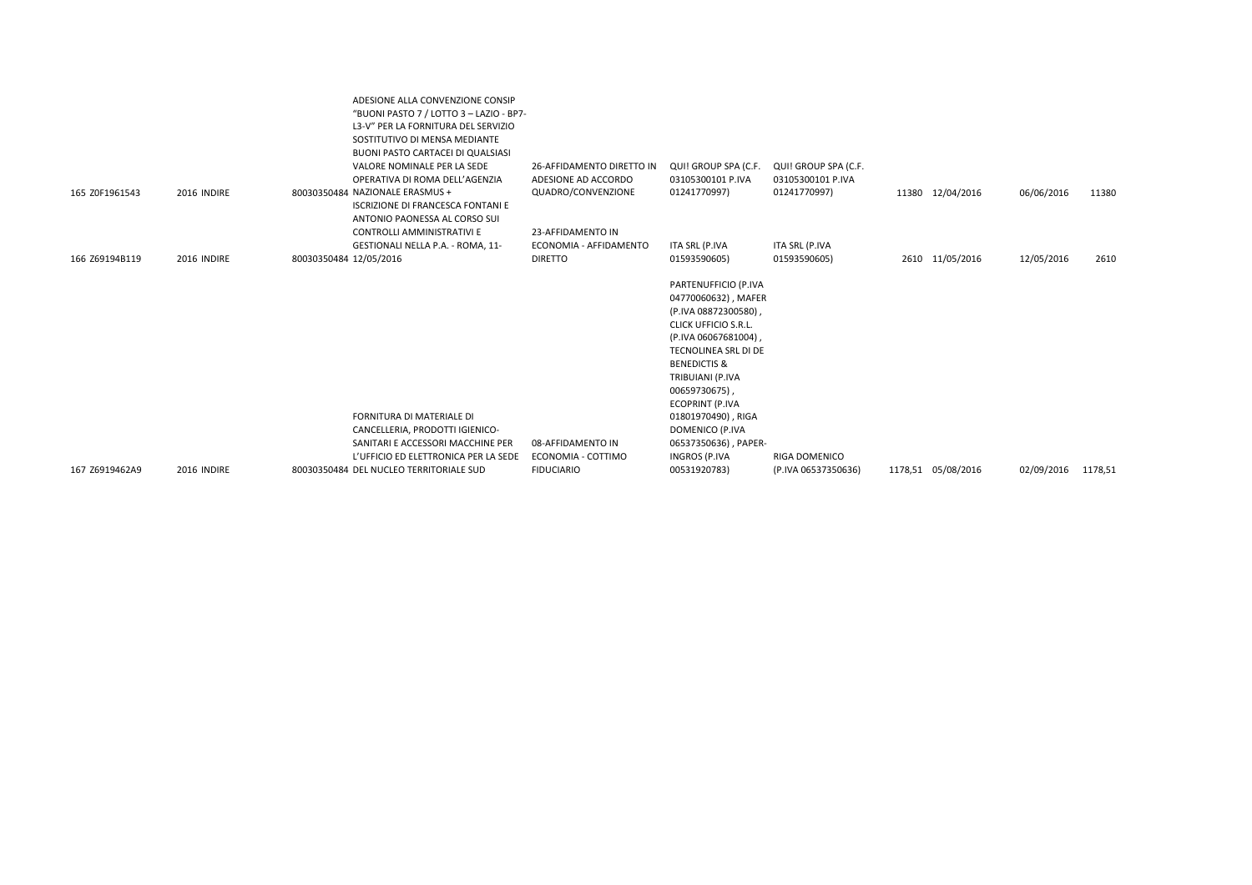| 165 Z0F1961543 | 2016 INDIRE | ADESIONE ALLA CONVENZIONE CONSIP<br>"BUONI PASTO 7 / LOTTO 3 - LAZIO - BP7-<br>L3-V" PER LA FORNITURA DEL SERVIZIO<br>SOSTITUTIVO DI MENSA MEDIANTE<br>BUONI PASTO CARTACEI DI QUALSIASI<br>VALORE NOMINALE PER LA SEDE<br>OPERATIVA DI ROMA DELL'AGENZIA<br>80030350484 NAZIONALE ERASMUS + | 26-AFFIDAMENTO DIRETTO IN<br>ADESIONE AD ACCORDO<br>QUADRO/CONVENZIONE | QUI! GROUP SPA (C.F.<br>03105300101 P.IVA<br>01241770997)                                                                                                                                                                                                                             | QUI! GROUP SPA (C.F.<br>03105300101 P.IVA<br>01241770997) | 11380 12/04/2016   | 06/06/2016 | 11380   |
|----------------|-------------|----------------------------------------------------------------------------------------------------------------------------------------------------------------------------------------------------------------------------------------------------------------------------------------------|------------------------------------------------------------------------|---------------------------------------------------------------------------------------------------------------------------------------------------------------------------------------------------------------------------------------------------------------------------------------|-----------------------------------------------------------|--------------------|------------|---------|
|                |             | <b>ISCRIZIONE DI FRANCESCA FONTANI E</b>                                                                                                                                                                                                                                                     |                                                                        |                                                                                                                                                                                                                                                                                       |                                                           |                    |            |         |
|                |             | ANTONIO PAONESSA AL CORSO SUI<br>CONTROLLI AMMINISTRATIVI E                                                                                                                                                                                                                                  | 23-AFFIDAMENTO IN                                                      |                                                                                                                                                                                                                                                                                       |                                                           |                    |            |         |
|                |             | GESTIONALI NELLA P.A. - ROMA, 11-                                                                                                                                                                                                                                                            | ECONOMIA - AFFIDAMENTO                                                 | ITA SRL (P.IVA                                                                                                                                                                                                                                                                        | ITA SRL (P.IVA                                            |                    |            |         |
| 166 Z69194B119 | 2016 INDIRE | 80030350484 12/05/2016                                                                                                                                                                                                                                                                       | <b>DIRETTO</b>                                                         | 01593590605)                                                                                                                                                                                                                                                                          | 01593590605)                                              | 2610 11/05/2016    | 12/05/2016 | 2610    |
|                |             | <b>FORNITURA DI MATERIALE DI</b><br>CANCELLERIA, PRODOTTI IGIENICO-                                                                                                                                                                                                                          |                                                                        | PARTENUFFICIO (P.IVA<br>04770060632), MAFER<br>(P.IVA 08872300580),<br><b>CLICK UFFICIO S.R.L.</b><br>(P.IVA 06067681004),<br>TECNOLINEA SRL DI DE<br><b>BENEDICTIS &amp;</b><br>TRIBUIANI (P.IVA<br>00659730675),<br><b>ECOPRINT (P.IVA</b><br>01801970490), RIGA<br>DOMENICO (P.IVA |                                                           |                    |            |         |
|                |             | SANITARI E ACCESSORI MACCHINE PER<br>L'UFFICIO ED ELETTRONICA PER LA SEDE                                                                                                                                                                                                                    | 08-AFFIDAMENTO IN<br>ECONOMIA - COTTIMO                                | 06537350636), PAPER-<br>INGROS (P.IVA                                                                                                                                                                                                                                                 | <b>RIGA DOMENICO</b>                                      |                    |            |         |
| 167 Z6919462A9 | 2016 INDIRE | 80030350484 DEL NUCLEO TERRITORIALE SUD                                                                                                                                                                                                                                                      | <b>FIDUCIARIO</b>                                                      | 00531920783)                                                                                                                                                                                                                                                                          | (P.IVA 06537350636)                                       | 1178,51 05/08/2016 | 02/09/2016 | 1178,51 |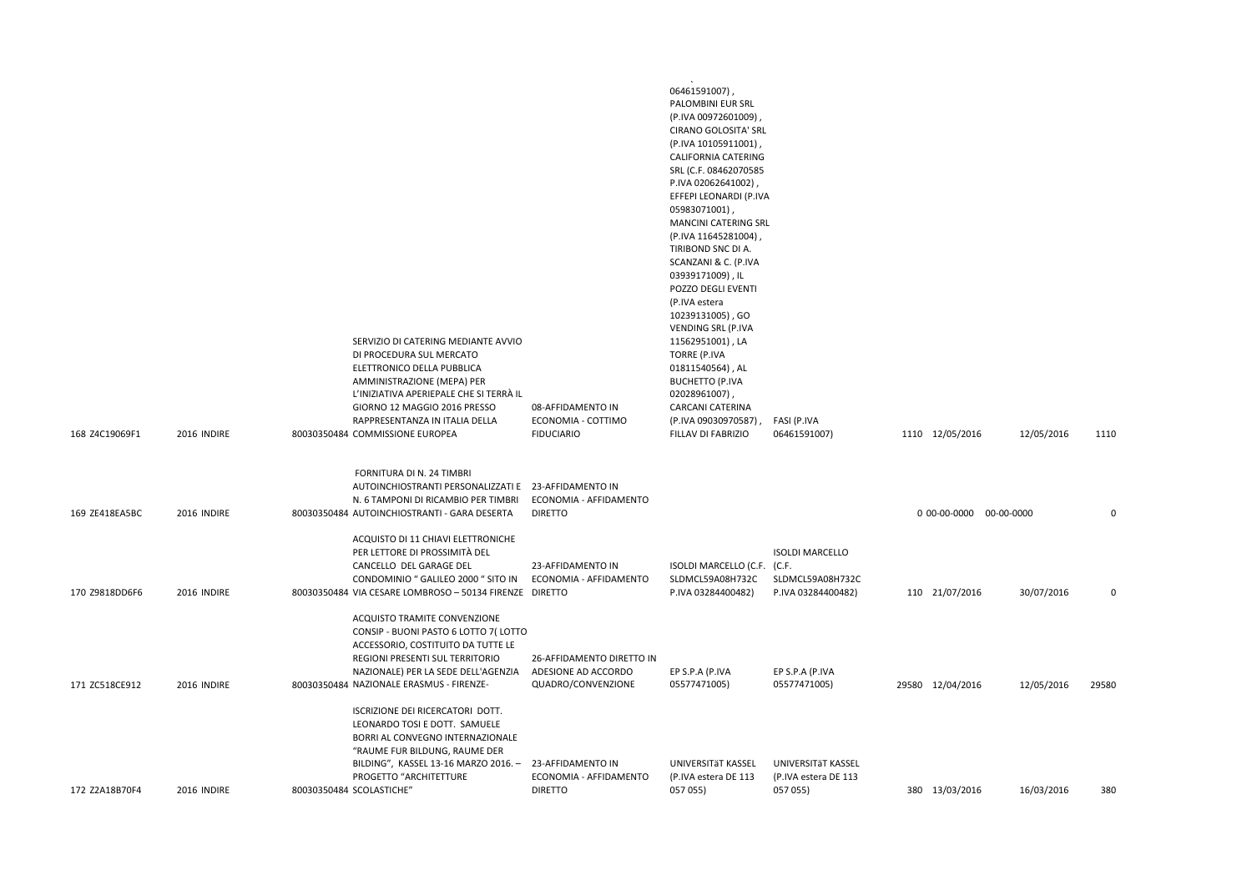| 168 Z4C19069F1 | 2016 INDIRE | SERVIZIO DI CATERING MEDIANTE AVVIO<br>DI PROCEDURA SUL MERCATO<br>ELETTRONICO DELLA PUBBLICA<br>AMMINISTRAZIONE (MEPA) PER<br>L'INIZIATIVA APERIEPALE CHE SI TERRÀ IL<br>GIORNO 12 MAGGIO 2016 PRESSO<br>RAPPRESENTANZA IN ITALIA DELLA<br>80030350484 COMMISSIONE EUROPEA | 08-AFFIDAMENTO IN<br>ECONOMIA - COTTIMO<br><b>FIDUCIARIO</b>           | والمعاونين وتساوير<br>06461591007),<br>PALOMBINI EUR SRL<br>(P.IVA 00972601009),<br>CIRANO GOLOSITA' SRL<br>(P.IVA 10105911001),<br>CALIFORNIA CATERING<br>SRL (C.F. 08462070585<br>P.IVA 02062641002),<br>EFFEPI LEONARDI (P.IVA<br>05983071001)<br>MANCINI CATERING SRL<br>(P.IVA 11645281004),<br>TIRIBOND SNC DI A.<br>SCANZANI & C. (P.IVA<br>03939171009), IL<br>POZZO DEGLI EVENTI<br>(P.IVA estera<br>10239131005), GO<br>VENDING SRL (P.IVA<br>11562951001), LA<br><b>TORRE (P.IVA</b><br>01811540564), AL<br><b>BUCHETTO (P.IVA</b><br>02028961007),<br><b>CARCANI CATERINA</b><br>(P.IVA 09030970587),<br>FILLAV DI FABRIZIO | FASI (P.IVA<br>06461591007)                                      | 1110 12/05/2016         | 12/05/2016 | 1110        |
|----------------|-------------|-----------------------------------------------------------------------------------------------------------------------------------------------------------------------------------------------------------------------------------------------------------------------------|------------------------------------------------------------------------|-----------------------------------------------------------------------------------------------------------------------------------------------------------------------------------------------------------------------------------------------------------------------------------------------------------------------------------------------------------------------------------------------------------------------------------------------------------------------------------------------------------------------------------------------------------------------------------------------------------------------------------------|------------------------------------------------------------------|-------------------------|------------|-------------|
| 169 ZE418EA5BC | 2016 INDIRE | FORNITURA DI N. 24 TIMBRI<br>AUTOINCHIOSTRANTI PERSONALIZZATI E 23-AFFIDAMENTO IN<br>N. 6 TAMPONI DI RICAMBIO PER TIMBRI<br>80030350484 AUTOINCHIOSTRANTI - GARA DESERTA                                                                                                    | ECONOMIA - AFFIDAMENTO<br><b>DIRETTO</b>                               |                                                                                                                                                                                                                                                                                                                                                                                                                                                                                                                                                                                                                                         |                                                                  | 0 00-00-0000 00-00-0000 |            | $\mathbf 0$ |
| 170 Z9818DD6F6 | 2016 INDIRE | ACQUISTO DI 11 CHIAVI ELETTRONICHE<br>PER LETTORE DI PROSSIMITÀ DEL<br>CANCELLO DEL GARAGE DEL<br>CONDOMINIO " GALILEO 2000 " SITO IN<br>80030350484 VIA CESARE LOMBROSO - 50134 FIRENZE DIRETTO                                                                            | 23-AFFIDAMENTO IN<br>ECONOMIA - AFFIDAMENTO                            | ISOLDI MARCELLO (C.F. (C.F.<br>SLDMCL59A08H732C<br>P.IVA 03284400482)                                                                                                                                                                                                                                                                                                                                                                                                                                                                                                                                                                   | <b>ISOLDI MARCELLO</b><br>SLDMCL59A08H732C<br>P.IVA 03284400482) | 110 21/07/2016          | 30/07/2016 | $\Omega$    |
| 171 ZC518CE912 | 2016 INDIRE | ACQUISTO TRAMITE CONVENZIONE<br>CONSIP - BUONI PASTO 6 LOTTO 7(LOTTO<br>ACCESSORIO, COSTITUITO DA TUTTE LE<br>REGIONI PRESENTI SUL TERRITORIO<br>NAZIONALE) PER LA SEDE DELL'AGENZIA<br>80030350484 NAZIONALE ERASMUS - FIRENZE-                                            | 26-AFFIDAMENTO DIRETTO IN<br>ADESIONE AD ACCORDO<br>QUADRO/CONVENZIONE | EP S.P.A (P.IVA<br>05577471005)                                                                                                                                                                                                                                                                                                                                                                                                                                                                                                                                                                                                         | EP S.P.A (P.IVA<br>05577471005)                                  | 29580 12/04/2016        | 12/05/2016 | 29580       |
| 172 Z2A18B70F4 | 2016 INDIRE | ISCRIZIONE DEI RICERCATORI DOTT.<br>LEONARDO TOSI E DOTT. SAMUELE<br>BORRI AL CONVEGNO INTERNAZIONALE<br>"RAUME FUR BILDUNG, RAUME DER<br>BILDING", KASSEL 13-16 MARZO 2016. - 23-AFFIDAMENTO IN<br>PROGETTO "ARCHITETTURE<br>80030350484 SCOLASTICHE"                      | ECONOMIA - AFFIDAMENTO<br><b>DIRETTO</b>                               | UNIVERSITÄT KASSEL<br>(P.IVA estera DE 113<br>057 055)                                                                                                                                                                                                                                                                                                                                                                                                                                                                                                                                                                                  | UNIVERSITÄT KASSEL<br>(P.IVA estera DE 113<br>057 055)           | 380 13/03/2016          | 16/03/2016 | 380         |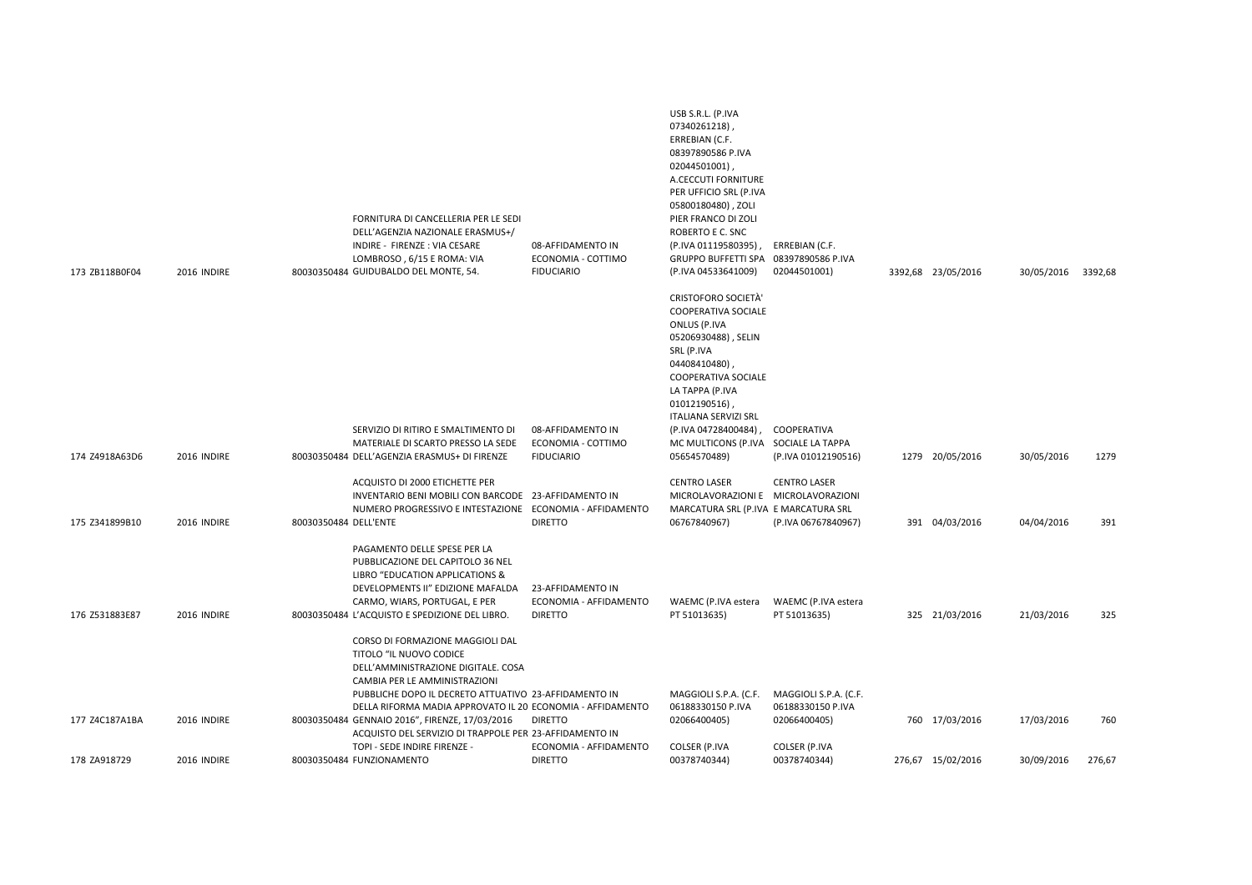| 173 ZB118B0F04 | 2016 INDIRE | FORNITURA DI CANCELLERIA PER LE SEDI<br>DELL'AGENZIA NAZIONALE ERASMUS+/<br>INDIRE - FIRENZE : VIA CESARE<br>LOMBROSO, 6/15 E ROMA: VIA<br>80030350484 GUIDUBALDO DEL MONTE, 54.                                                                                                                                                    | 08-AFFIDAMENTO IN<br>ECONOMIA - COTTIMO<br><b>FIDUCIARIO</b>  | USB S.R.L. (P.IVA<br>07340261218)<br>ERREBIAN (C.F.<br>08397890586 P.IVA<br>02044501001)<br>A.CECCUTI FORNITURE<br>PER UFFICIO SRL (P.IVA<br>05800180480), ZOLI<br>PIER FRANCO DI ZOLI<br>ROBERTO E C. SNC<br>(P.IVA 01119580395), ERREBIAN (C.F.<br>GRUPPO BUFFETTI SPA 08397890586 P.IVA<br>(P.IVA 04533641009) | 02044501001)                                               | 3392,68 23/05/2016 | 30/05/2016 | 3392,68 |
|----------------|-------------|-------------------------------------------------------------------------------------------------------------------------------------------------------------------------------------------------------------------------------------------------------------------------------------------------------------------------------------|---------------------------------------------------------------|-------------------------------------------------------------------------------------------------------------------------------------------------------------------------------------------------------------------------------------------------------------------------------------------------------------------|------------------------------------------------------------|--------------------|------------|---------|
|                |             |                                                                                                                                                                                                                                                                                                                                     |                                                               | <b>CRISTOFORO SOCIETÀ'</b><br><b>COOPERATIVA SOCIALE</b><br>ONLUS (P.IVA<br>05206930488), SELIN<br>SRL (P.IVA<br>04408410480)<br>COOPERATIVA SOCIALE<br>LA TAPPA (P.IVA<br>01012190516)<br><b>ITALIANA SERVIZI SRL</b>                                                                                            |                                                            |                    |            |         |
| 174 Z4918A63D6 | 2016 INDIRE | SERVIZIO DI RITIRO E SMALTIMENTO DI<br>MATERIALE DI SCARTO PRESSO LA SEDE<br>80030350484 DELL'AGENZIA ERASMUS+ DI FIRENZE                                                                                                                                                                                                           | 08-AFFIDAMENTO IN<br>ECONOMIA - COTTIMO<br><b>FIDUCIARIO</b>  | (P.IVA 04728400484),<br>MC MULTICONS (P.IVA SOCIALE LA TAPPA<br>05654570489)                                                                                                                                                                                                                                      | COOPERATIVA<br>(P.IVA 01012190516)                         | 1279 20/05/2016    | 30/05/2016 | 1279    |
|                |             | ACQUISTO DI 2000 ETICHETTE PER<br>INVENTARIO BENI MOBILI CON BARCODE 23-AFFIDAMENTO IN<br>NUMERO PROGRESSIVO E INTESTAZIONE ECONOMIA - AFFIDAMENTO                                                                                                                                                                                  |                                                               | <b>CENTRO LASER</b><br>MICROLAVORAZIONI E MICROLAVORAZIONI<br>MARCATURA SRL (P.IVA E MARCATURA SRL                                                                                                                                                                                                                | <b>CENTRO LASER</b>                                        |                    |            |         |
| 175 Z341899B10 | 2016 INDIRE | 80030350484 DELL'ENTE                                                                                                                                                                                                                                                                                                               | <b>DIRETTO</b>                                                | 06767840967)                                                                                                                                                                                                                                                                                                      | (P.IVA 06767840967)                                        | 391 04/03/2016     | 04/04/2016 | 391     |
| 176 Z531883E87 | 2016 INDIRE | PAGAMENTO DELLE SPESE PER LA<br>PUBBLICAZIONE DEL CAPITOLO 36 NEL<br>LIBRO "EDUCATION APPLICATIONS &<br>DEVELOPMENTS II" EDIZIONE MAFALDA<br>CARMO, WIARS, PORTUGAL, E PER<br>80030350484 L'ACQUISTO E SPEDIZIONE DEL LIBRO.<br>CORSO DI FORMAZIONE MAGGIOLI DAL                                                                    | 23-AFFIDAMENTO IN<br>ECONOMIA - AFFIDAMENTO<br><b>DIRETTO</b> | WAEMC (P.IVA estera<br>PT 51013635)                                                                                                                                                                                                                                                                               | WAEMC (P.IVA estera<br>PT 51013635)                        | 325 21/03/2016     | 21/03/2016 | 325     |
| 177 Z4C187A1BA | 2016 INDIRE | TITOLO "IL NUOVO CODICE<br>DELL'AMMINISTRAZIONE DIGITALE. COSA<br>CAMBIA PER LE AMMINISTRAZIONI<br>PUBBLICHE DOPO IL DECRETO ATTUATIVO 23-AFFIDAMENTO IN<br>DELLA RIFORMA MADIA APPROVATO IL 20 ECONOMIA - AFFIDAMENTO<br>80030350484 GENNAIO 2016", FIRENZE, 17/03/2016<br>ACQUISTO DEL SERVIZIO DI TRAPPOLE PER 23-AFFIDAMENTO IN | <b>DIRETTO</b>                                                | MAGGIOLI S.P.A. (C.F.<br>06188330150 P.IVA<br>02066400405)                                                                                                                                                                                                                                                        | MAGGIOLI S.P.A. (C.F.<br>06188330150 P.IVA<br>02066400405) | 760 17/03/2016     | 17/03/2016 | 760     |
| 178 ZA918729   | 2016 INDIRE | TOPI - SEDE INDIRE FIRENZE -<br>80030350484 FUNZIONAMENTO                                                                                                                                                                                                                                                                           | ECONOMIA - AFFIDAMENTO<br><b>DIRETTO</b>                      | COLSER (P.IVA<br>00378740344)                                                                                                                                                                                                                                                                                     | COLSER (P.IVA<br>00378740344)                              | 276,67 15/02/2016  | 30/09/2016 | 276,67  |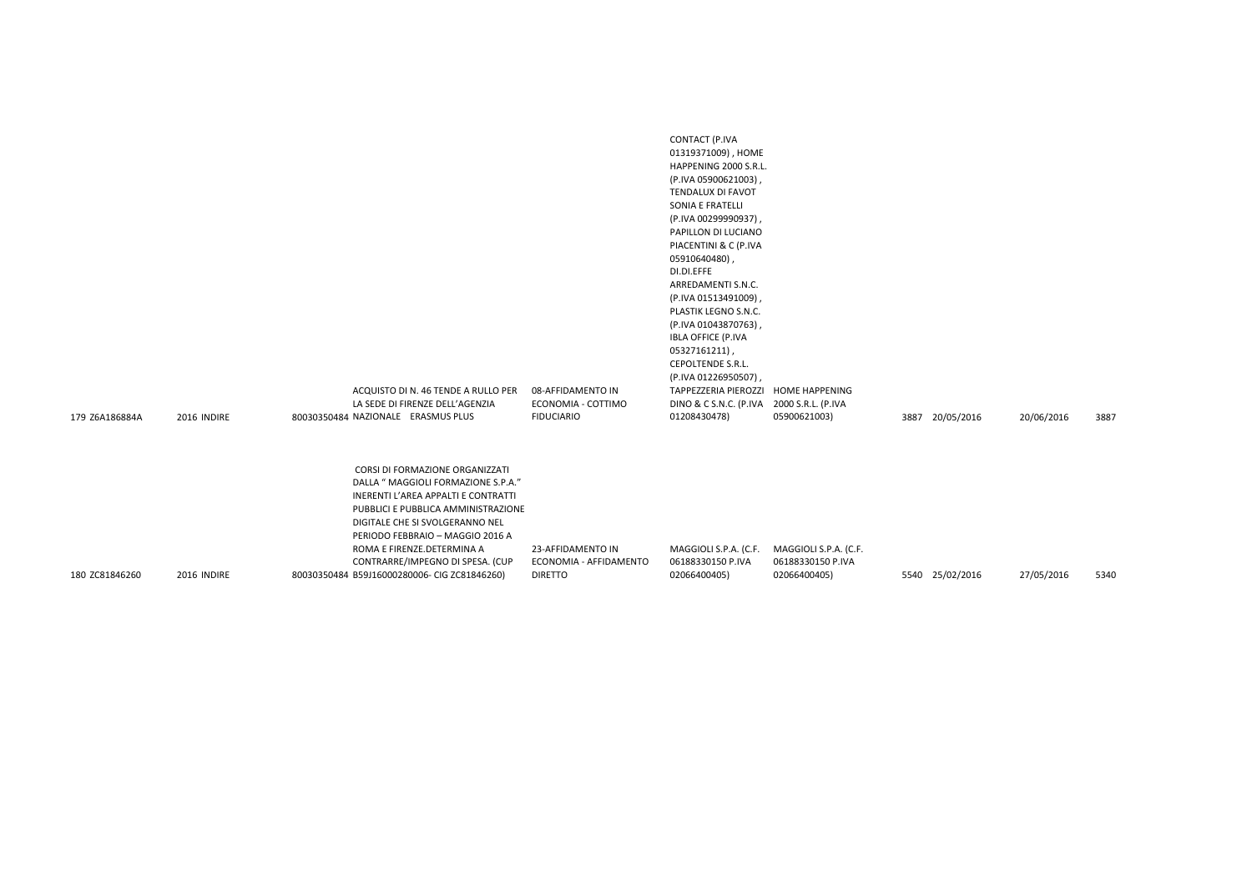| 179 Z6A186884A | 2016 INDIRE | ACQUISTO DI N. 46 TENDE A RULLO PER<br>LA SEDE DI FIRENZE DELL'AGENZIA<br>80030350484 NAZIONALE ERASMUS PLUS                                                                                                                                                                                  | 08-AFFIDAMENTO IN<br>ECONOMIA - COTTIMO<br><b>FIDUCIARIO</b> | (P.IVA 05900621003),<br>TENDALUX DI FAVOT<br>SONIA E FRATELLI<br>(P.IVA 00299990937),<br>PAPILLON DI LUCIANO<br>PIACENTINI & C (P.IVA<br>05910640480),<br>DI.DI.EFFE<br>ARREDAMENTI S.N.C.<br>(P.IVA 01513491009),<br>PLASTIK LEGNO S.N.C.<br>(P.IVA 01043870763),<br><b>IBLA OFFICE (P.IVA</b><br>05327161211),<br>CEPOLTENDE S.R.L.<br>(P.IVA 01226950507),<br>TAPPEZZERIA PIEROZZI HOME HAPPENING<br>DINO & C S.N.C. (P.IVA 2000 S.R.L. (P.IVA<br>01208430478) | 05900621003)                               | 3887 20/05/2016 | 20/06/2016 | 3887 |
|----------------|-------------|-----------------------------------------------------------------------------------------------------------------------------------------------------------------------------------------------------------------------------------------------------------------------------------------------|--------------------------------------------------------------|-------------------------------------------------------------------------------------------------------------------------------------------------------------------------------------------------------------------------------------------------------------------------------------------------------------------------------------------------------------------------------------------------------------------------------------------------------------------|--------------------------------------------|-----------------|------------|------|
|                |             | CORSI DI FORMAZIONE ORGANIZZATI<br>DALLA " MAGGIOLI FORMAZIONE S.P.A."<br>INERENTI L'AREA APPALTI E CONTRATTI<br>PUBBLICI E PUBBLICA AMMINISTRAZIONE<br>DIGITALE CHE SI SVOLGERANNO NEL<br>PERIODO FEBBRAIO - MAGGIO 2016 A<br>ROMA E FIRENZE.DETERMINA A<br>CONTRARRE/IMPEGNO DI SPESA. (CUP | 23-AFFIDAMENTO IN<br>ECONOMIA - AFFIDAMENTO                  | MAGGIOLI S.P.A. (C.F.<br>06188330150 P.IVA                                                                                                                                                                                                                                                                                                                                                                                                                        | MAGGIOLI S.P.A. (C.F.<br>06188330150 P.IVA |                 |            |      |
| 180 ZC81846260 | 2016 INDIRE | 80030350484 B59J16000280006- CIG ZC81846260)                                                                                                                                                                                                                                                  | <b>DIRETTO</b>                                               | 02066400405)                                                                                                                                                                                                                                                                                                                                                                                                                                                      | 02066400405)                               | 5540 25/02/2016 | 27/05/2016 | 5340 |

CONTACT (P.IVA 01319371009) , HOME HAPPENING 2000 S.R.L.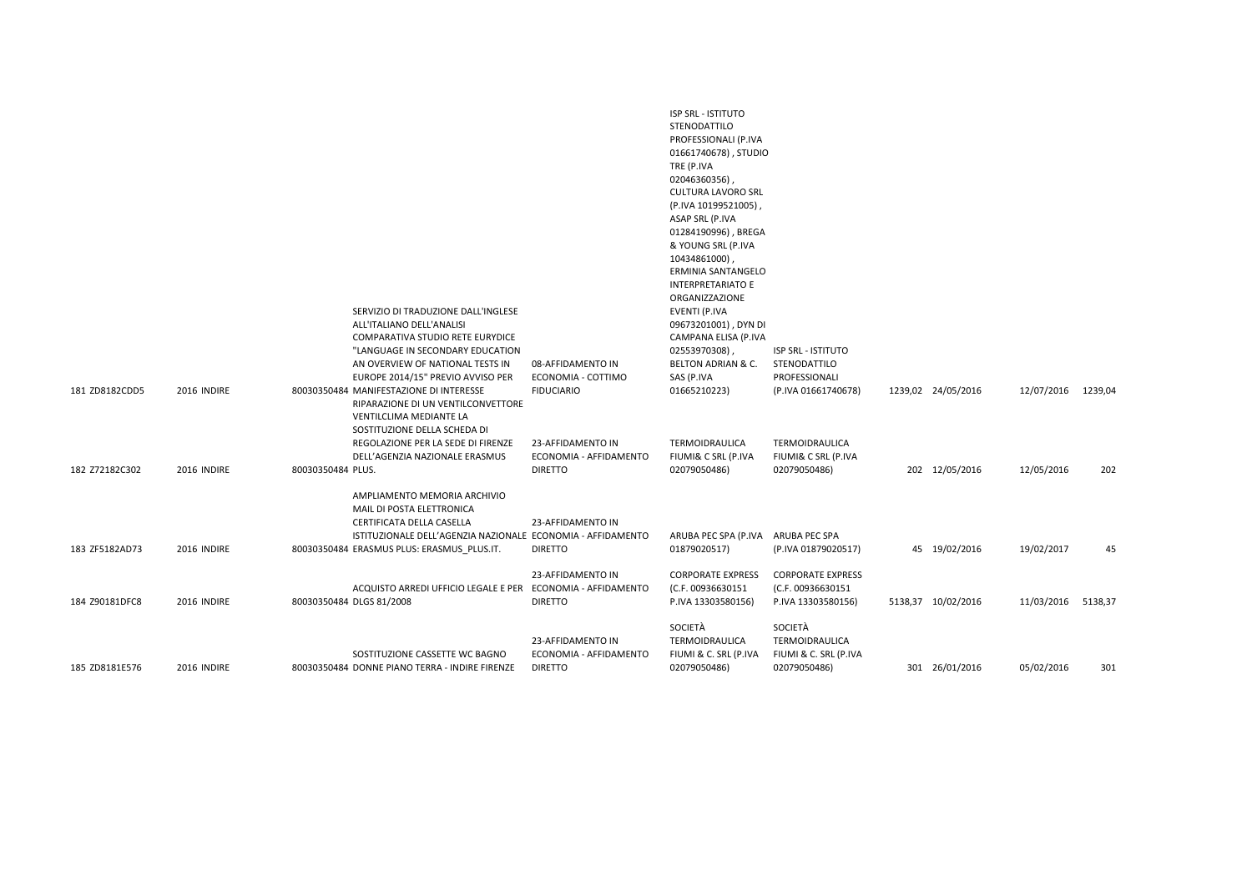|                |             |                   | SERVIZIO DI TRADUZIONE DALL'INGLESE<br>ALL'ITALIANO DELL'ANALISI<br>COMPARATIVA STUDIO RETE EURYDICE<br>"LANGUAGE IN SECONDARY EDUCATION<br>AN OVERVIEW OF NATIONAL TESTS IN<br>EUROPE 2014/15" PREVIO AVVISO PER | 08-AFFIDAMENTO IN<br>ECONOMIA - COTTIMO                       | <b>ISP SRL - ISTITUTO</b><br>STENODATTILO<br>PROFESSIONALI (P.IVA<br>01661740678), STUDIO<br>TRE (P.IVA<br>02046360356),<br><b>CULTURA LAVORO SRL</b><br>(P.IVA 10199521005),<br>ASAP SRL (P.IVA<br>01284190996), BREGA<br>& YOUNG SRL (P.IVA<br>10434861000),<br><b>ERMINIA SANTANGELO</b><br><b>INTERPRETARIATO E</b><br>ORGANIZZAZIONE<br><b>EVENTI (P.IVA</b><br>09673201001), DYN DI<br>CAMPANA ELISA (P.IVA<br>02553970308),<br>BELTON ADRIAN & C.<br>SAS (P.IVA | <b>ISP SRL - ISTITUTO</b><br>STENODATTILO<br>PROFESSIONALI          |                    |            |         |
|----------------|-------------|-------------------|-------------------------------------------------------------------------------------------------------------------------------------------------------------------------------------------------------------------|---------------------------------------------------------------|------------------------------------------------------------------------------------------------------------------------------------------------------------------------------------------------------------------------------------------------------------------------------------------------------------------------------------------------------------------------------------------------------------------------------------------------------------------------|---------------------------------------------------------------------|--------------------|------------|---------|
| 181 ZD8182CDD5 | 2016 INDIRE |                   | 80030350484 MANIFESTAZIONE DI INTERESSE<br>RIPARAZIONE DI UN VENTILCONVETTORE<br>VENTILCLIMA MEDIANTE LA<br>SOSTITUZIONE DELLA SCHEDA DI                                                                          | <b>FIDUCIARIO</b>                                             | 01665210223)                                                                                                                                                                                                                                                                                                                                                                                                                                                           | (P.IVA 01661740678)                                                 | 1239,02 24/05/2016 | 12/07/2016 | 1239,04 |
| 182 Z72182C302 | 2016 INDIRE | 80030350484 PLUS. | REGOLAZIONE PER LA SEDE DI FIRENZE<br>DELL'AGENZIA NAZIONALE ERASMUS                                                                                                                                              | 23-AFFIDAMENTO IN<br>ECONOMIA - AFFIDAMENTO<br><b>DIRETTO</b> | TERMOIDRAULICA<br>FIUMI& C SRL (P.IVA<br>02079050486)                                                                                                                                                                                                                                                                                                                                                                                                                  | <b>TERMOIDRAULICA</b><br>FIUMI& C SRL (P.IVA<br>02079050486)        | 202 12/05/2016     | 12/05/2016 | 202     |
|                |             |                   | AMPLIAMENTO MEMORIA ARCHIVIO<br>MAIL DI POSTA ELETTRONICA<br>CERTIFICATA DELLA CASELLA<br>ISTITUZIONALE DELL'AGENZIA NAZIONALE ECONOMIA - AFFIDAMENTO                                                             | 23-AFFIDAMENTO IN                                             | ARUBA PEC SPA (P.IVA ARUBA PEC SPA                                                                                                                                                                                                                                                                                                                                                                                                                                     |                                                                     |                    |            |         |
| 183 ZF5182AD73 | 2016 INDIRE |                   | 80030350484 ERASMUS PLUS: ERASMUS PLUS.IT.                                                                                                                                                                        | <b>DIRETTO</b>                                                | 01879020517)                                                                                                                                                                                                                                                                                                                                                                                                                                                           | (P.IVA 01879020517)                                                 | 45 19/02/2016      | 19/02/2017 | 45      |
| 184 Z90181DFC8 | 2016 INDIRE |                   | ACQUISTO ARREDI UFFICIO LEGALE E PER ECONOMIA - AFFIDAMENTO<br>80030350484 DLGS 81/2008                                                                                                                           | 23-AFFIDAMENTO IN<br><b>DIRETTO</b>                           | <b>CORPORATE EXPRESS</b><br>(C.F. 00936630151<br>P.IVA 13303580156)                                                                                                                                                                                                                                                                                                                                                                                                    | <b>CORPORATE EXPRESS</b><br>(C.F. 00936630151<br>P.IVA 13303580156) | 5138,37 10/02/2016 | 11/03/2016 | 5138,37 |
| 185 ZD8181E576 | 2016 INDIRE |                   | SOSTITUZIONE CASSETTE WC BAGNO<br>80030350484 DONNE PIANO TERRA - INDIRE FIRENZE                                                                                                                                  | 23-AFFIDAMENTO IN<br>ECONOMIA - AFFIDAMENTO<br><b>DIRETTO</b> | SOCIETÀ<br>TERMOIDRAULICA<br>FIUMI & C. SRL (P.IVA<br>02079050486)                                                                                                                                                                                                                                                                                                                                                                                                     | SOCIETÀ<br>TERMOIDRAULICA<br>FIUMI & C. SRL (P.IVA<br>02079050486)  | 301 26/01/2016     | 05/02/2016 | 301     |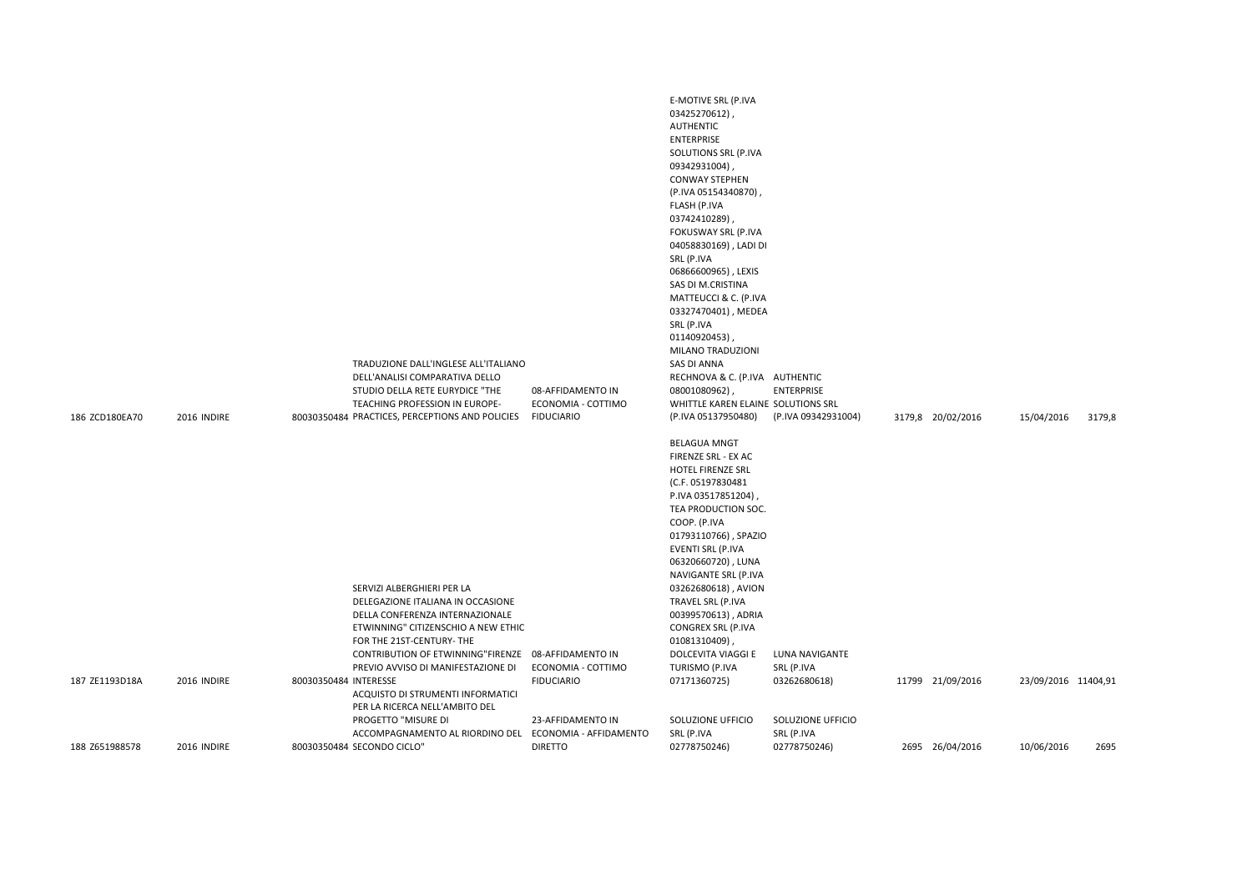| 186 ZCD180EA70 | 2016 INDIRE |                       | TRADUZIONE DALL'INGLESE ALL'ITALIANO<br>DELL'ANALISI COMPARATIVA DELLO<br>STUDIO DELLA RETE EURYDICE "THE<br>TEACHING PROFESSION IN EUROPE-<br>80030350484 PRACTICES, PERCEPTIONS AND POLICIES                                                                                                                                                                    | 08-AFFIDAMENTO IN<br>ECONOMIA - COTTIMO<br><b>FIDUCIARIO</b> | E-MOTIVE SRL (P.IVA<br>03425270612),<br><b>AUTHENTIC</b><br><b>ENTERPRISE</b><br>SOLUTIONS SRL (P.IVA<br>09342931004),<br><b>CONWAY STEPHEN</b><br>(P.IVA 05154340870),<br>FLASH (P.IVA<br>03742410289)<br>FOKUSWAY SRL (P.IVA<br>04058830169), LADI DI<br>SRL (P.IVA<br>06866600965), LEXIS<br>SAS DI M.CRISTINA<br>MATTEUCCI & C. (P.IVA<br>03327470401), MEDEA<br>SRL (P.IVA<br>01140920453)<br>MILANO TRADUZIONI<br><b>SAS DI ANNA</b><br>RECHNOVA & C. (P.IVA AUTHENTIC<br>08001080962),<br>WHITTLE KAREN ELAINE SOLUTIONS SRL<br>(P.IVA 05137950480) | <b>ENTERPRISE</b><br>(P.IVA 09342931004)                          | 3179,8 20/02/2016 | 15/04/2016          | 3179,8 |
|----------------|-------------|-----------------------|-------------------------------------------------------------------------------------------------------------------------------------------------------------------------------------------------------------------------------------------------------------------------------------------------------------------------------------------------------------------|--------------------------------------------------------------|------------------------------------------------------------------------------------------------------------------------------------------------------------------------------------------------------------------------------------------------------------------------------------------------------------------------------------------------------------------------------------------------------------------------------------------------------------------------------------------------------------------------------------------------------------|-------------------------------------------------------------------|-------------------|---------------------|--------|
| 187 ZE1193D18A | 2016 INDIRE | 80030350484 INTERESSE | SERVIZI ALBERGHIERI PER LA<br>DELEGAZIONE ITALIANA IN OCCASIONE<br>DELLA CONFERENZA INTERNAZIONALE<br>ETWINNING" CITIZENSCHIO A NEW ETHIC<br>FOR THE 21ST-CENTURY- THE<br>CONTRIBUTION OF ETWINNING"FIRENZE 08-AFFIDAMENTO IN<br>PREVIO AVVISO DI MANIFESTAZIONE DI<br>ACQUISTO DI STRUMENTI INFORMATICI<br>PER LA RICERCA NELL'AMBITO DEL<br>PROGETTO "MISURE DI | ECONOMIA - COTTIMO<br><b>FIDUCIARIO</b><br>23-AFFIDAMENTO IN | <b>BELAGUA MNGT</b><br>FIRENZE SRL - EX AC<br>HOTEL FIRENZE SRL<br>(C.F. 05197830481<br>P.IVA 03517851204),<br>TEA PRODUCTION SOC.<br>COOP. (P.IVA<br>01793110766), SPAZIO<br><b>EVENTI SRL (P.IVA</b><br>06320660720), LUNA<br>NAVIGANTE SRL (P.IVA<br>03262680618), AVION<br>TRAVEL SRL (P.IVA<br>00399570613), ADRIA<br>CONGREX SRL (P.IVA<br>01081310409),<br>DOLCEVITA VIAGGI E<br>TURISMO (P.IVA<br>07171360725)<br>SOLUZIONE UFFICIO                                                                                                                | LUNA NAVIGANTE<br>SRL (P.IVA<br>03262680618)<br>SOLUZIONE UFFICIO | 11799 21/09/2016  | 23/09/2016 11404,91 |        |
| 188 Z651988578 | 2016 INDIRE |                       | ACCOMPAGNAMENTO AL RIORDINO DEL<br>80030350484 SECONDO CICLO"                                                                                                                                                                                                                                                                                                     | ECONOMIA - AFFIDAMENTO<br><b>DIRETTO</b>                     | SRL (P.IVA<br>02778750246)                                                                                                                                                                                                                                                                                                                                                                                                                                                                                                                                 | SRL (P.IVA<br>02778750246)                                        | 2695 26/04/2016   | 10/06/2016          | 2695   |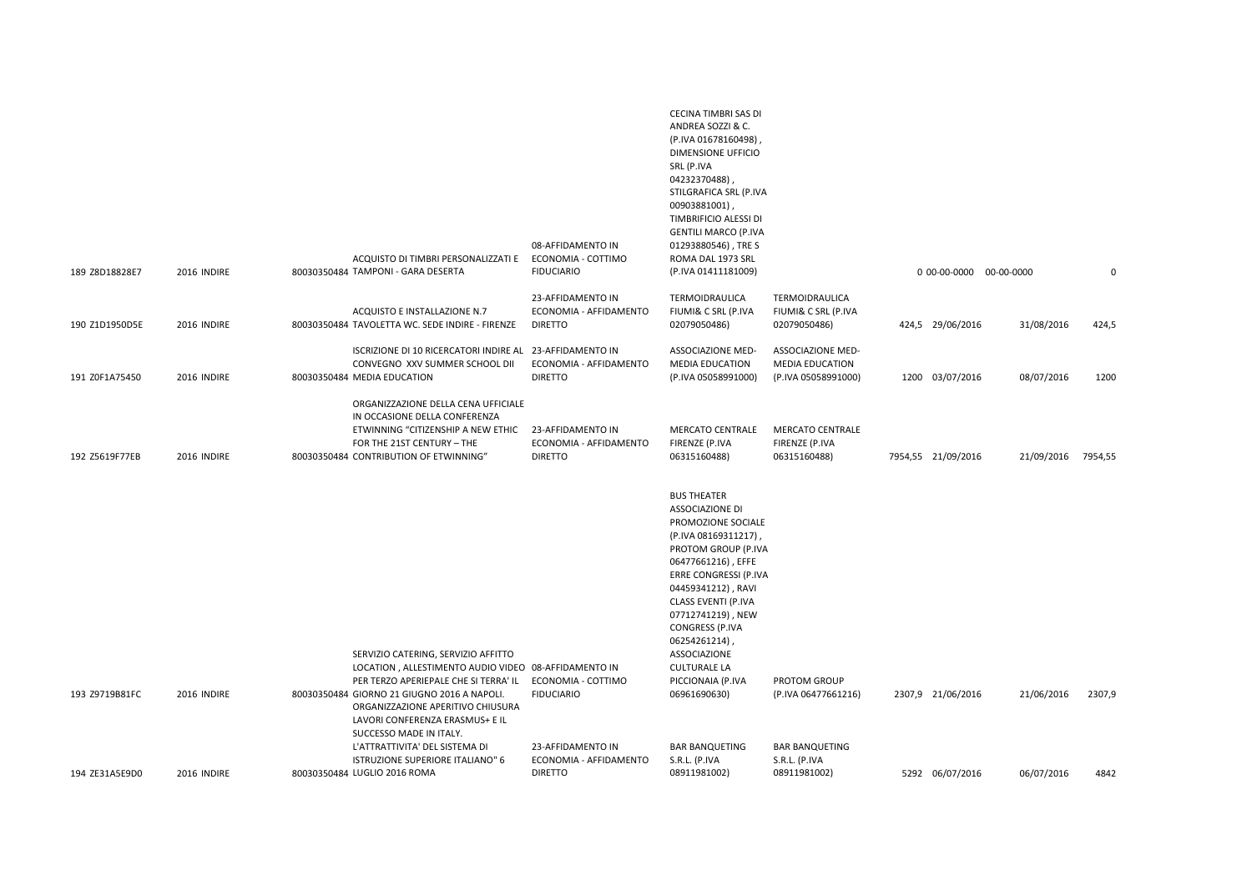| 189 Z8D18828E7 | 2016 INDIRE        | ACQUISTO DI TIMBRI PERSONALIZZATI E<br>80030350484 TAMPONI - GARA DESERTA                                                                                                                                                                                   | 08-AFFIDAMENTO IN<br>ECONOMIA - COTTIMO<br><b>FIDUCIARIO</b>  | CECINA TIMBRI SAS DI<br>ANDREA SOZZI & C.<br>(P.IVA 01678160498)<br><b>DIMENSIONE UFFICIO</b><br>SRL (P.IVA<br>04232370488),<br>STILGRAFICA SRL (P.IVA<br>00903881001),<br>TIMBRIFICIO ALESSI DI<br><b>GENTILI MARCO (P.IVA</b><br>01293880546), TRE S<br>ROMA DAL 1973 SRL<br>(P.IVA 01411181009)                                                        |                                                                    | 0 00-00-0000 00-00-0000 |                    | 0      |
|----------------|--------------------|-------------------------------------------------------------------------------------------------------------------------------------------------------------------------------------------------------------------------------------------------------------|---------------------------------------------------------------|-----------------------------------------------------------------------------------------------------------------------------------------------------------------------------------------------------------------------------------------------------------------------------------------------------------------------------------------------------------|--------------------------------------------------------------------|-------------------------|--------------------|--------|
| 190 Z1D1950D5E | 2016 INDIRE        | ACQUISTO E INSTALLAZIONE N.7<br>80030350484 TAVOLETTA WC. SEDE INDIRE - FIRENZE                                                                                                                                                                             | 23-AFFIDAMENTO IN<br>ECONOMIA - AFFIDAMENTO<br><b>DIRETTO</b> | TERMOIDRAULICA<br>FIUMI& C SRL (P.IVA<br>02079050486)                                                                                                                                                                                                                                                                                                     | TERMOIDRAULICA<br>FIUMI& C SRL (P.IVA<br>02079050486)              | 424,5 29/06/2016        | 31/08/2016         | 424,5  |
| 191 Z0F1A75450 | 2016 INDIRE        | ISCRIZIONE DI 10 RICERCATORI INDIRE AL 23-AFFIDAMENTO IN<br>CONVEGNO XXV SUMMER SCHOOL DII<br>80030350484 MEDIA EDUCATION                                                                                                                                   | ECONOMIA - AFFIDAMENTO<br><b>DIRETTO</b>                      | ASSOCIAZIONE MED-<br><b>MEDIA EDUCATION</b><br>(P.IVA 05058991000)                                                                                                                                                                                                                                                                                        | ASSOCIAZIONE MED-<br><b>MEDIA EDUCATION</b><br>(P.IVA 05058991000) | 1200 03/07/2016         | 08/07/2016         | 1200   |
| 192 Z5619F77EB | 2016 INDIRE        | ORGANIZZAZIONE DELLA CENA UFFICIALE<br>IN OCCASIONE DELLA CONFERENZA<br>ETWINNING "CITIZENSHIP A NEW ETHIC<br>FOR THE 21ST CENTURY - THE<br>80030350484 CONTRIBUTION OF ETWINNING"                                                                          | 23-AFFIDAMENTO IN<br>ECONOMIA - AFFIDAMENTO<br><b>DIRETTO</b> | <b>MERCATO CENTRALE</b><br>FIRENZE (P.IVA<br>06315160488)                                                                                                                                                                                                                                                                                                 | <b>MERCATO CENTRALE</b><br>FIRENZE (P.IVA<br>06315160488)          | 7954,55 21/09/2016      | 21/09/2016 7954,55 |        |
| 193 Z9719B81FC | 2016 INDIRE        | SERVIZIO CATERING, SERVIZIO AFFITTO<br>LOCATION, ALLESTIMENTO AUDIO VIDEO 08-AFFIDAMENTO IN<br>PER TERZO APERIEPALE CHE SI TERRA' IL<br>80030350484 GIORNO 21 GIUGNO 2016 A NAPOLI.<br>ORGANIZZAZIONE APERITIVO CHIUSURA<br>LAVORI CONFERENZA ERASMUS+ E IL | ECONOMIA - COTTIMO<br><b>FIDUCIARIO</b>                       | <b>BUS THEATER</b><br><b>ASSOCIAZIONE DI</b><br>PROMOZIONE SOCIALE<br>(P.IVA 08169311217),<br>PROTOM GROUP (P.IVA<br>06477661216), EFFE<br>ERRE CONGRESSI (P.IVA<br>04459341212), RAVI<br>CLASS EVENTI (P.IVA<br>07712741219), NEW<br><b>CONGRESS (P.IVA</b><br>06254261214),<br>ASSOCIAZIONE<br><b>CULTURALE LA</b><br>PICCIONAIA (P.IVA<br>06961690630) | PROTOM GROUP<br>(P.IVA 06477661216)                                | 2307,9 21/06/2016       | 21/06/2016         | 2307,9 |
| 194 ZE31A5E9D0 | <b>2016 INDIRE</b> | SUCCESSO MADE IN ITALY.<br>L'ATTRATTIVITA' DEL SISTEMA DI<br>ISTRUZIONE SUPERIORE ITALIANO" 6<br>80030350484 LUGLIO 2016 ROMA                                                                                                                               | 23-AFFIDAMENTO IN<br>ECONOMIA - AFFIDAMENTO<br><b>DIRETTO</b> | <b>BAR BANQUETING</b><br>S.R.L. (P.IVA<br>08911981002)                                                                                                                                                                                                                                                                                                    | <b>BAR BANQUETING</b><br>S.R.L. (P.IVA<br>08911981002)             | 5292 06/07/2016         | 06/07/2016         | 4842   |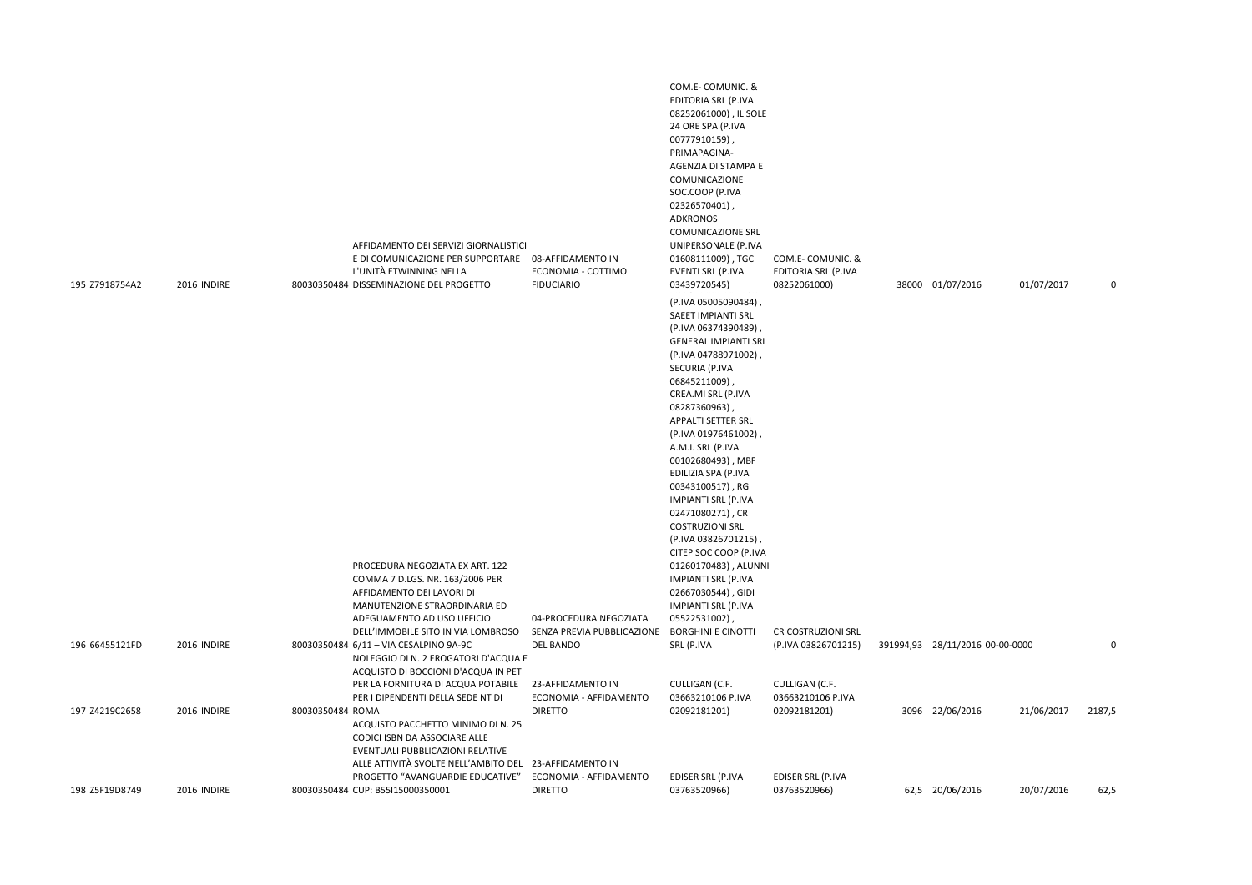| 195 Z7918754A2 | 2016 INDIRE | AFFIDAMENTO DEI SERVIZI GIORNALISTICI<br>E DI COMUNICAZIONE PER SUPPORTARE 08-AFFIDAMENTO IN<br>L'UNITÀ ETWINNING NELLA<br>80030350484 DISSEMINAZIONE DEL PROGETTO<br><b>FIDUCIARIO</b> | COM.E-COMUNIC. &<br>EDITORIA SRL (P.IVA<br>08252061000), IL SOLE<br>24 ORE SPA (P.IVA<br>00777910159),<br>PRIMAPAGINA-<br>AGENZIA DI STAMPA E<br>COMUNICAZIONE<br>SOC.COOP (P.IVA<br>02326570401),<br>ADKRONOS<br><b>COMUNICAZIONE SRL</b><br>UNIPERSONALE (P.IVA<br>01608111009), TGC<br>ECONOMIA - COTTIMO<br>EVENTI SRL (P.IVA<br>03439720545)<br>(P.IVA 05005090484),<br>SAEET IMPIANTI SRL<br>(P.IVA 06374390489)<br><b>GENERAL IMPIANTI SRL</b><br>(P.IVA 04788971002)<br>SECURIA (P.IVA<br>06845211009)<br>CREA.MI SRL (P.IVA<br>08287360963),<br><b>APPALTI SETTER SRL</b><br>(P.IVA 01976461002)<br>A.M.I. SRL (P.IVA<br>00102680493), MBF<br>EDILIZIA SPA (P.IVA<br>00343100517), RG<br><b>IMPIANTI SRL (P.IVA</b><br>02471080271), CR<br><b>COSTRUZIONI SRL</b><br>(P.IVA 03826701215),<br>CITEP SOC COOP (P.IVA | COM.E-COMUNIC. &<br>EDITORIA SRL (P.IVA<br>08252061000) | 38000 01/07/2016<br>01/07/2017  | $\mathbf 0$ |
|----------------|-------------|-----------------------------------------------------------------------------------------------------------------------------------------------------------------------------------------|-----------------------------------------------------------------------------------------------------------------------------------------------------------------------------------------------------------------------------------------------------------------------------------------------------------------------------------------------------------------------------------------------------------------------------------------------------------------------------------------------------------------------------------------------------------------------------------------------------------------------------------------------------------------------------------------------------------------------------------------------------------------------------------------------------------------------------|---------------------------------------------------------|---------------------------------|-------------|
|                |             | PROCEDURA NEGOZIATA EX ART. 122<br>COMMA 7 D.LGS. NR. 163/2006 PER<br>AFFIDAMENTO DEI LAVORI DI<br>MANUTENZIONE STRAORDINARIA ED<br>ADEGUAMENTO AD USO UFFICIO                          | 01260170483), ALUNNI<br><b>IMPIANTI SRL (P.IVA</b><br>02667030544), GIDI<br><b>IMPIANTI SRL (P.IVA</b><br>04-PROCEDURA NEGOZIATA<br>05522531002),<br><b>BORGHINI E CINOTTI</b>                                                                                                                                                                                                                                                                                                                                                                                                                                                                                                                                                                                                                                              |                                                         |                                 |             |
| 196 66455121FD | 2016 INDIRE | DELL'IMMOBILE SITO IN VIA LOMBROSO<br>80030350484 6/11 - VIA CESALPINO 9A-9C<br><b>DEL BANDO</b><br>NOLEGGIO DI N. 2 EROGATORI D'ACQUA E<br>ACQUISTO DI BOCCIONI D'ACQUA IN PET         | SENZA PREVIA PUBBLICAZIONE<br>SRL (P.IVA                                                                                                                                                                                                                                                                                                                                                                                                                                                                                                                                                                                                                                                                                                                                                                                    | CR COSTRUZIONI SRL<br>(P.IVA 03826701215)               | 391994,93 28/11/2016 00-00-0000 | $\mathbf 0$ |
|                |             | PER LA FORNITURA DI ACQUA POTABILE<br>23-AFFIDAMENTO IN<br>PER I DIPENDENTI DELLA SEDE NT DI                                                                                            | CULLIGAN (C.F.<br>ECONOMIA - AFFIDAMENTO<br>03663210106 P.IVA                                                                                                                                                                                                                                                                                                                                                                                                                                                                                                                                                                                                                                                                                                                                                               | CULLIGAN (C.F.<br>03663210106 P.IVA                     |                                 |             |
| 197 Z4219C2658 | 2016 INDIRE | 80030350484 ROMA<br><b>DIRETTO</b><br>ACQUISTO PACCHETTO MINIMO DI N. 25<br>CODICI ISBN DA ASSOCIARE ALLE<br>EVENTUALI PUBBLICAZIONI RELATIVE                                           | 02092181201)                                                                                                                                                                                                                                                                                                                                                                                                                                                                                                                                                                                                                                                                                                                                                                                                                | 02092181201)                                            | 3096 22/06/2016<br>21/06/2017   | 2187,5      |
|                |             | ALLE ATTIVITÀ SVOLTE NELL'AMBITO DEL 23-AFFIDAMENTO IN<br>PROGETTO "AVANGUARDIE EDUCATIVE"                                                                                              | ECONOMIA - AFFIDAMENTO<br>EDISER SRL (P.IVA                                                                                                                                                                                                                                                                                                                                                                                                                                                                                                                                                                                                                                                                                                                                                                                 | EDISER SRL (P.IVA                                       |                                 |             |
| 198 Z5F19D8749 | 2016 INDIRE | 80030350484 CUP: B55I15000350001<br><b>DIRETTO</b>                                                                                                                                      | 03763520966)                                                                                                                                                                                                                                                                                                                                                                                                                                                                                                                                                                                                                                                                                                                                                                                                                | 03763520966)                                            | 62,5 20/06/2016<br>20/07/2016   | 62,5        |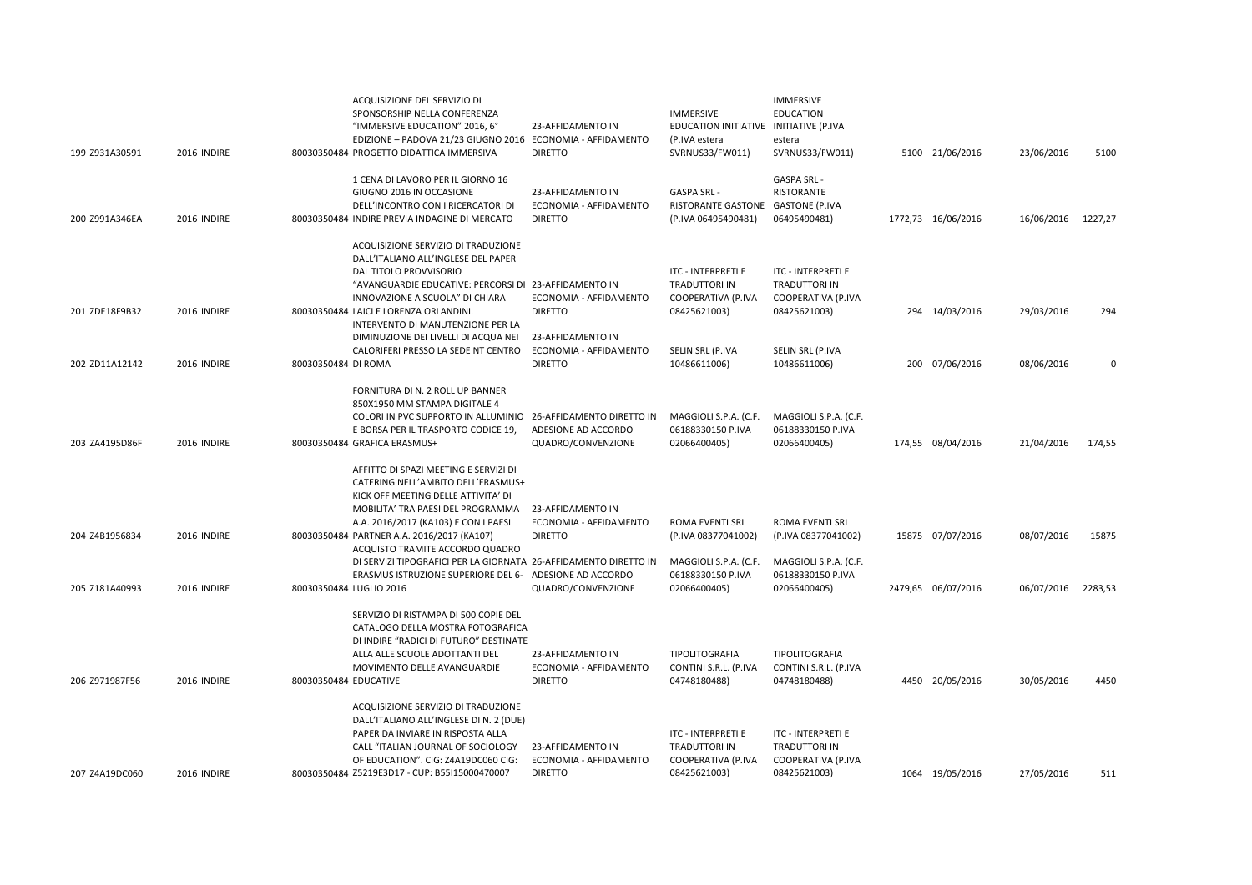| 199 Z931A30591 | 2016 INDIRE | ACQUISIZIONE DEL SERVIZIO DI<br>SPONSORSHIP NELLA CONFERENZA<br>"IMMERSIVE EDUCATION" 2016, 6°<br>EDIZIONE - PADOVA 21/23 GIUGNO 2016 ECONOMIA - AFFIDAMENTO<br>80030350484 PROGETTO DIDATTICA IMMERSIVA                                                                                                                                                                                                        | 23-AFFIDAMENTO IN<br><b>DIRETTO</b>                                    | <b>IMMERSIVE</b><br>EDUCATION INITIATIVE INITIATIVE (P.IVA<br>(P.IVA estera<br>SVRNUS33/FW011) | IMMERSIVE<br><b>EDUCATION</b><br>estera<br>SVRNUS33/FW011)                           | 5100 21/06/2016    | 23/06/2016         | 5100     |
|----------------|-------------|-----------------------------------------------------------------------------------------------------------------------------------------------------------------------------------------------------------------------------------------------------------------------------------------------------------------------------------------------------------------------------------------------------------------|------------------------------------------------------------------------|------------------------------------------------------------------------------------------------|--------------------------------------------------------------------------------------|--------------------|--------------------|----------|
| 200 Z991A346EA | 2016 INDIRE | 1 CENA DI LAVORO PER IL GIORNO 16<br>GIUGNO 2016 IN OCCASIONE<br>DELL'INCONTRO CON I RICERCATORI DI<br>80030350484 INDIRE PREVIA INDAGINE DI MERCATO                                                                                                                                                                                                                                                            | 23-AFFIDAMENTO IN<br>ECONOMIA - AFFIDAMENTO<br><b>DIRETTO</b>          | <b>GASPA SRL</b><br>RISTORANTE GASTONE<br>(P.IVA 06495490481)                                  | <b>GASPA SRL-</b><br>RISTORANTE<br><b>GASTONE (P.IVA</b><br>06495490481)             | 1772,73 16/06/2016 | 16/06/2016 1227,27 |          |
| 201 ZDE18F9B32 | 2016 INDIRE | ACQUISIZIONE SERVIZIO DI TRADUZIONE<br>DALL'ITALIANO ALL'INGLESE DEL PAPER<br>DAL TITOLO PROVVISORIO<br>"AVANGUARDIE EDUCATIVE: PERCORSI DI 23-AFFIDAMENTO IN<br>INNOVAZIONE A SCUOLA" DI CHIARA<br>80030350484 LAICI E LORENZA ORLANDINI.                                                                                                                                                                      | ECONOMIA - AFFIDAMENTO<br><b>DIRETTO</b>                               | ITC - INTERPRETI E<br>TRADUTTORI IN<br>COOPERATIVA (P.IVA<br>08425621003)                      | ITC - INTERPRETI E<br><b>TRADUTTORI IN</b><br>COOPERATIVA (P.IVA<br>08425621003)     | 294 14/03/2016     | 29/03/2016         | 294      |
| 202 ZD11A12142 | 2016 INDIRE | INTERVENTO DI MANUTENZIONE PER LA<br>DIMINUZIONE DEI LIVELLI DI ACQUA NEI<br>CALORIFERI PRESSO LA SEDE NT CENTRO<br>80030350484 DI ROMA                                                                                                                                                                                                                                                                         | 23-AFFIDAMENTO IN<br>ECONOMIA - AFFIDAMENTO<br><b>DIRETTO</b>          | SELIN SRL (P.IVA<br>10486611006)                                                               | SELIN SRL (P.IVA<br>10486611006)                                                     | 200 07/06/2016     | 08/06/2016         | $\Omega$ |
| 203 ZA4195D86F | 2016 INDIRE | FORNITURA DI N. 2 ROLL UP BANNER<br>850X1950 MM STAMPA DIGITALE 4<br>COLORI IN PVC SUPPORTO IN ALLUMINIO<br>E BORSA PER IL TRASPORTO CODICE 19.<br>80030350484 GRAFICA ERASMUS+                                                                                                                                                                                                                                 | 26-AFFIDAMENTO DIRETTO IN<br>ADESIONE AD ACCORDO<br>QUADRO/CONVENZIONE | MAGGIOLI S.P.A. (C.F.<br>06188330150 P.IVA<br>02066400405)                                     | MAGGIOLI S.P.A. (C.F.<br>06188330150 P.IVA<br>02066400405)                           | 174,55 08/04/2016  | 21/04/2016         | 174,55   |
| 204 Z4B1956834 | 2016 INDIRE | AFFITTO DI SPAZI MEETING E SERVIZI DI<br>CATERING NELL'AMBITO DELL'ERASMUS+<br>KICK OFF MEETING DELLE ATTIVITA' DI<br>MOBILITA' TRA PAESI DEL PROGRAMMA<br>A.A. 2016/2017 (KA103) E CON I PAESI<br>80030350484 PARTNER A.A. 2016/2017 (KA107)<br>ACQUISTO TRAMITE ACCORDO QUADRO<br>DI SERVIZI TIPOGRAFICI PER LA GIORNATA 26-AFFIDAMENTO DIRETTO IN<br>ERASMUS ISTRUZIONE SUPERIORE DEL 6- ADESIONE AD ACCORDO | 23-AFFIDAMENTO IN<br>ECONOMIA - AFFIDAMENTO<br><b>DIRETTO</b>          | ROMA EVENTI SRL<br>(P.IVA 08377041002)<br>MAGGIOLI S.P.A. (C.F.<br>06188330150 P.IVA           | ROMA EVENTI SRL<br>(P.IVA 08377041002)<br>MAGGIOLI S.P.A. (C.F.<br>06188330150 P.IVA | 15875 07/07/2016   | 08/07/2016         | 15875    |
| 205 Z181A40993 | 2016 INDIRE | 80030350484 LUGLIO 2016                                                                                                                                                                                                                                                                                                                                                                                         | QUADRO/CONVENZIONE                                                     | 02066400405)                                                                                   | 02066400405)                                                                         | 2479,65 06/07/2016 | 06/07/2016         | 2283,53  |
| 206 Z971987F56 | 2016 INDIRE | SERVIZIO DI RISTAMPA DI 500 COPIE DEL<br>CATALOGO DELLA MOSTRA FOTOGRAFICA<br>DI INDIRE "RADICI DI FUTURO" DESTINATE<br>ALLA ALLE SCUOLE ADOTTANTI DEL<br>MOVIMENTO DELLE AVANGUARDIE<br>80030350484 EDUCATIVE                                                                                                                                                                                                  | 23-AFFIDAMENTO IN<br>ECONOMIA - AFFIDAMENTO<br><b>DIRETTO</b>          | TIPOLITOGRAFIA<br>CONTINI S.R.L. (P.IVA<br>04748180488)                                        | TIPOLITOGRAFIA<br>CONTINI S.R.L. (P.IVA<br>04748180488)                              | 4450 20/05/2016    | 30/05/2016         | 4450     |
| 207 Z4A19DC060 | 2016 INDIRE | ACQUISIZIONE SERVIZIO DI TRADUZIONE<br>DALL'ITALIANO ALL'INGLESE DI N. 2 (DUE)<br>PAPER DA INVIARE IN RISPOSTA ALLA<br>CALL "ITALIAN JOURNAL OF SOCIOLOGY<br>OF EDUCATION". CIG: Z4A19DC060 CIG:<br>80030350484 Z5219E3D17 - CUP: B55I15000470007                                                                                                                                                               | 23-AFFIDAMENTO IN<br>ECONOMIA - AFFIDAMENTO<br><b>DIRETTO</b>          | <b>ITC - INTERPRETI E</b><br><b>TRADUTTORI IN</b><br>COOPERATIVA (P.IVA<br>08425621003)        | ITC - INTERPRETI E<br><b>TRADUTTORI IN</b><br>COOPERATIVA (P.IVA<br>08425621003)     | 1064 19/05/2016    | 27/05/2016         | 511      |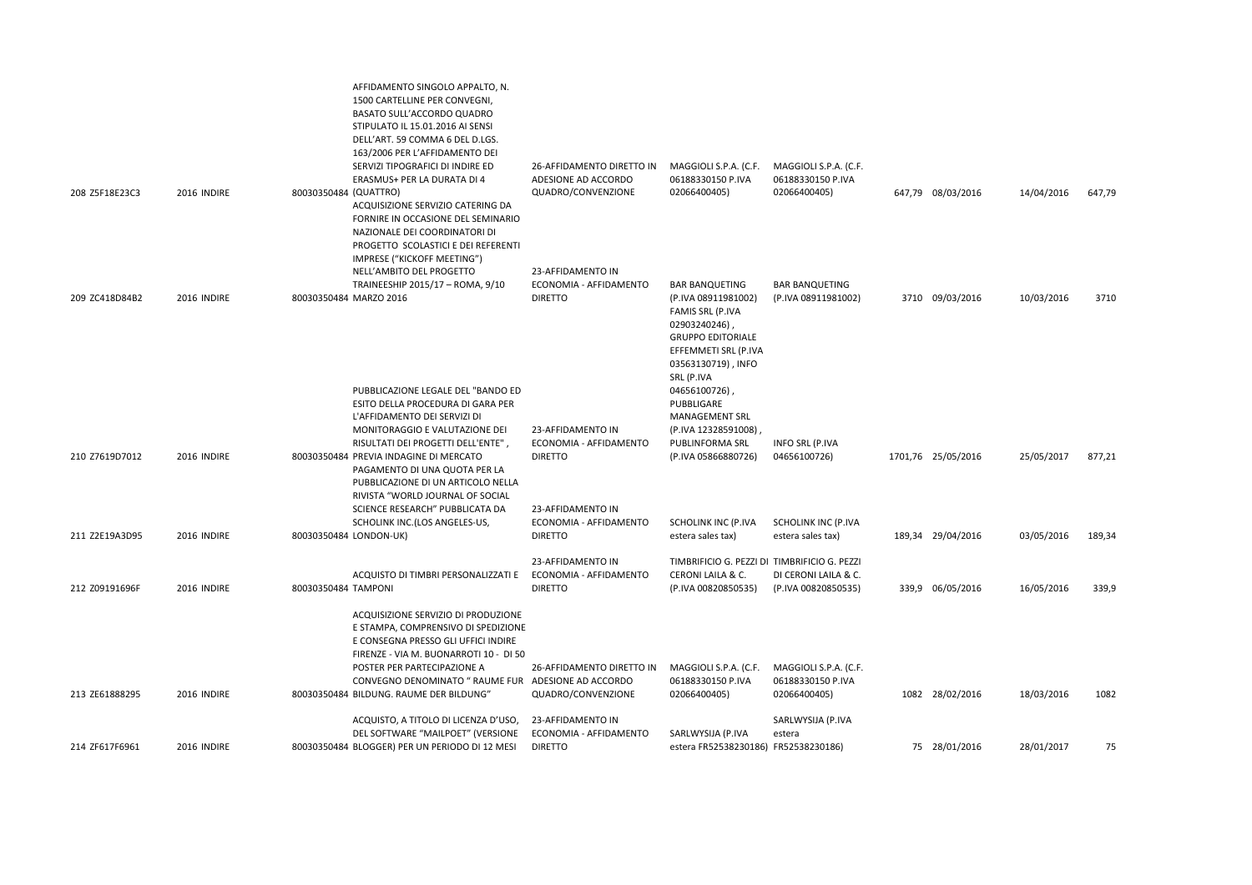|                |             | AFFIDAMENTO SINGOLO APPALTO, N.<br>1500 CARTELLINE PER CONVEGNI,<br>BASATO SULL'ACCORDO QUADRO<br>STIPULATO IL 15.01.2016 AI SENSI<br>DELL'ART. 59 COMMA 6 DEL D.LGS.<br>163/2006 PER L'AFFIDAMENTO DEI<br>SERVIZI TIPOGRAFICI DI INDIRE ED | 26-AFFIDAMENTO DIRETTO IN                                     | MAGGIOLI S.P.A. (C.F.                                                                                                                                                     | MAGGIOLI S.P.A. (C.F.             |                    |            |        |
|----------------|-------------|---------------------------------------------------------------------------------------------------------------------------------------------------------------------------------------------------------------------------------------------|---------------------------------------------------------------|---------------------------------------------------------------------------------------------------------------------------------------------------------------------------|-----------------------------------|--------------------|------------|--------|
| 208 Z5F18E23C3 | 2016 INDIRE | ERASMUS+ PER LA DURATA DI 4<br>80030350484 (QUATTRO)<br>ACQUISIZIONE SERVIZIO CATERING DA<br>FORNIRE IN OCCASIONE DEL SEMINARIO<br>NAZIONALE DEI COORDINATORI DI<br>PROGETTO SCOLASTICI E DEI REFERENTI<br>IMPRESE ("KICKOFF MEETING")      | ADESIONE AD ACCORDO<br>QUADRO/CONVENZIONE                     | 06188330150 P.IVA<br>02066400405)                                                                                                                                         | 06188330150 P.IVA<br>02066400405) | 647,79 08/03/2016  | 14/04/2016 | 647,79 |
|                |             | NELL'AMBITO DEL PROGETTO                                                                                                                                                                                                                    | 23-AFFIDAMENTO IN<br>ECONOMIA - AFFIDAMENTO                   |                                                                                                                                                                           | <b>BAR BANQUETING</b>             |                    |            |        |
| 209 ZC418D84B2 | 2016 INDIRE | TRAINEESHIP 2015/17 - ROMA, 9/10<br>80030350484 MARZO 2016                                                                                                                                                                                  | <b>DIRETTO</b>                                                | <b>BAR BANQUETING</b><br>(P.IVA 08911981002)<br>FAMIS SRL (P.IVA<br>02903240246),<br><b>GRUPPO EDITORIALE</b><br>EFFEMMETI SRL (P.IVA<br>03563130719), INFO<br>SRL (P.IVA | (P.IVA 08911981002)               | 3710 09/03/2016    | 10/03/2016 | 3710   |
|                |             | PUBBLICAZIONE LEGALE DEL "BANDO ED                                                                                                                                                                                                          |                                                               | 04656100726),                                                                                                                                                             |                                   |                    |            |        |
|                |             | ESITO DELLA PROCEDURA DI GARA PER<br>L'AFFIDAMENTO DEI SERVIZI DI                                                                                                                                                                           |                                                               | PUBBLIGARE<br>MANAGEMENT SRL                                                                                                                                              |                                   |                    |            |        |
| 210 Z7619D7012 | 2016 INDIRE | MONITORAGGIO E VALUTAZIONE DEI<br>RISULTATI DEI PROGETTI DELL'ENTE"<br>80030350484 PREVIA INDAGINE DI MERCATO<br>PAGAMENTO DI UNA QUOTA PER LA<br>PUBBLICAZIONE DI UN ARTICOLO NELLA                                                        | 23-AFFIDAMENTO IN<br>ECONOMIA - AFFIDAMENTO<br><b>DIRETTO</b> | (P.IVA 12328591008)<br>PUBLINFORMA SRL<br>(P.IVA 05866880726)                                                                                                             | INFO SRL (P.IVA<br>04656100726)   | 1701,76 25/05/2016 | 25/05/2017 | 877,21 |
|                |             | RIVISTA "WORLD JOURNAL OF SOCIAL<br>SCIENCE RESEARCH" PUBBLICATA DA                                                                                                                                                                         | 23-AFFIDAMENTO IN                                             |                                                                                                                                                                           |                                   |                    |            |        |
|                |             | SCHOLINK INC.(LOS ANGELES-US,                                                                                                                                                                                                               | ECONOMIA - AFFIDAMENTO                                        | SCHOLINK INC (P.IVA                                                                                                                                                       | SCHOLINK INC (P.IVA               |                    |            |        |
| 211 Z2E19A3D95 | 2016 INDIRE | 80030350484 LONDON-UK)                                                                                                                                                                                                                      | <b>DIRETTO</b>                                                | estera sales tax)                                                                                                                                                         | estera sales tax)                 | 189,34 29/04/2016  | 03/05/2016 | 189,34 |
|                |             | ACQUISTO DI TIMBRI PERSONALIZZATI E                                                                                                                                                                                                         | 23-AFFIDAMENTO IN<br>ECONOMIA - AFFIDAMENTO                   | TIMBRIFICIO G. PEZZI DI TIMBRIFICIO G. PEZZI<br>CERONI LAILA & C.                                                                                                         | DI CERONI LAILA & C.              |                    |            |        |
| 212 Z09191696F | 2016 INDIRE | 80030350484 TAMPONI                                                                                                                                                                                                                         | <b>DIRETTO</b>                                                | (P.IVA 00820850535)                                                                                                                                                       | (P.IVA 00820850535)               | 339,9 06/05/2016   | 16/05/2016 | 339,9  |
|                |             | ACQUISIZIONE SERVIZIO DI PRODUZIONE<br>E STAMPA, COMPRENSIVO DI SPEDIZIONE<br>E CONSEGNA PRESSO GLI UFFICI INDIRE<br>FIRENZE - VIA M. BUONARROTI 10 - DI 50<br>POSTER PER PARTECIPAZIONE A                                                  | 26-AFFIDAMENTO DIRETTO IN                                     | MAGGIOLI S.P.A. (C.F.                                                                                                                                                     | MAGGIOLI S.P.A. (C.F.             |                    |            |        |
|                |             | CONVEGNO DENOMINATO " RAUME FUR ADESIONE AD ACCORDO                                                                                                                                                                                         |                                                               | 06188330150 P.IVA                                                                                                                                                         | 06188330150 P.IVA                 |                    |            |        |
| 213 ZE61888295 | 2016 INDIRE | 80030350484 BILDUNG. RAUME DER BILDUNG"                                                                                                                                                                                                     | QUADRO/CONVENZIONE                                            | 02066400405)                                                                                                                                                              | 02066400405)                      | 1082 28/02/2016    | 18/03/2016 | 1082   |
|                |             | ACQUISTO, A TITOLO DI LICENZA D'USO,<br>DEL SOFTWARE "MAILPOET" (VERSIONE                                                                                                                                                                   | 23-AFFIDAMENTO IN<br>ECONOMIA - AFFIDAMENTO                   | SARLWYSIJA (P.IVA                                                                                                                                                         | SARLWYSIJA (P.IVA<br>estera       |                    |            |        |
| 214 ZF617F6961 | 2016 INDIRE | 80030350484 BLOGGER) PER UN PERIODO DI 12 MESI                                                                                                                                                                                              | <b>DIRETTO</b>                                                | estera FR52538230186) FR52538230186)                                                                                                                                      |                                   | 75 28/01/2016      | 28/01/2017 | 75     |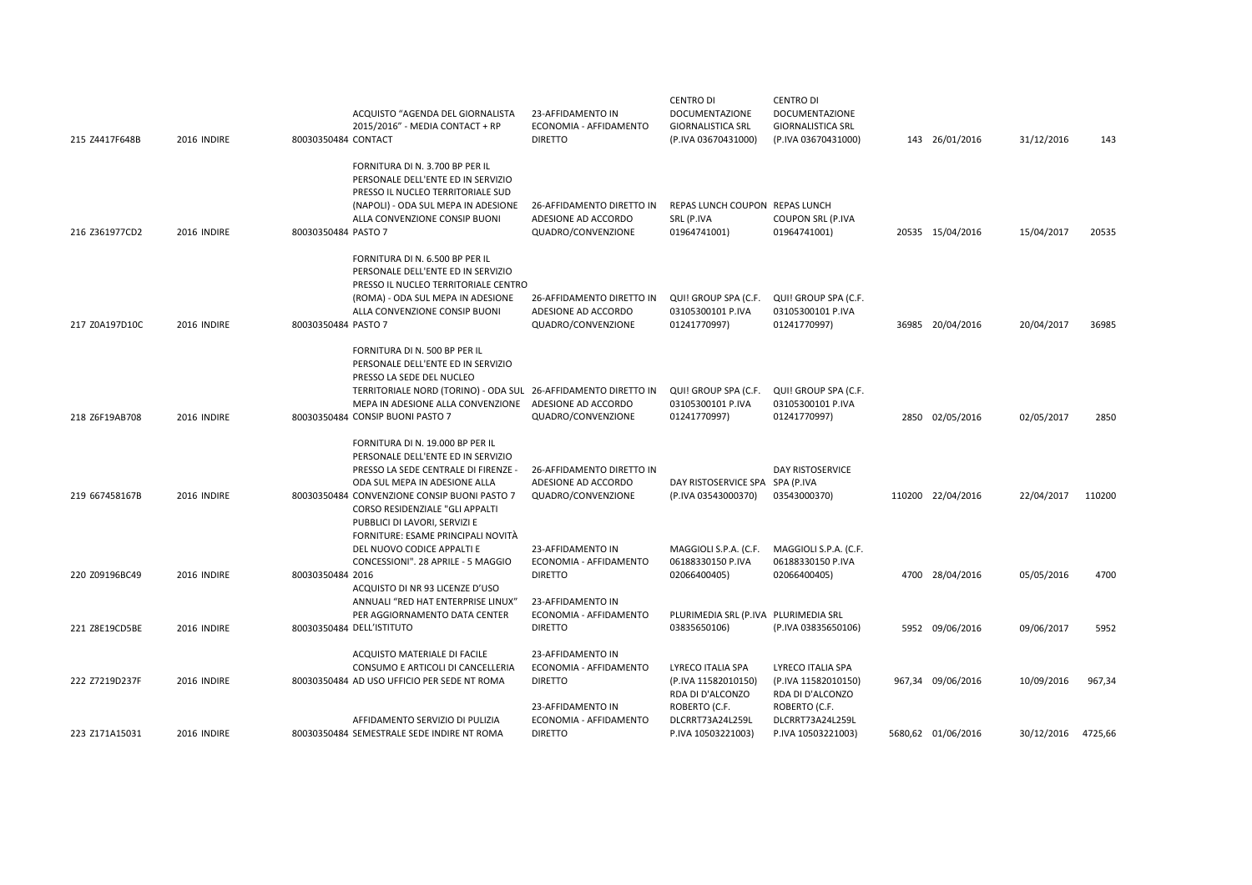| 215 Z4417F648B | 2016 INDIRE | ACQUISTO "AGENDA DEL GIORNALISTA<br>2015/2016" - MEDIA CONTACT + RP<br>80030350484 CONTACT                                                                                                                                                                          | 23-AFFIDAMENTO IN<br>ECONOMIA - AFFIDAMENTO<br><b>DIRETTO</b>          | CENTRO DI<br><b>DOCUMENTAZIONE</b><br><b>GIORNALISTICA SRL</b><br>(P.IVA 03670431000) | CENTRO DI<br><b>DOCUMENTAZIONE</b><br><b>GIORNALISTICA SRL</b><br>(P.IVA 03670431000) | 143 26/01/2016     | 31/12/2016 | 143     |
|----------------|-------------|---------------------------------------------------------------------------------------------------------------------------------------------------------------------------------------------------------------------------------------------------------------------|------------------------------------------------------------------------|---------------------------------------------------------------------------------------|---------------------------------------------------------------------------------------|--------------------|------------|---------|
| 216 Z361977CD2 | 2016 INDIRE | FORNITURA DI N. 3.700 BP PER IL<br>PERSONALE DELL'ENTE ED IN SERVIZIO<br>PRESSO IL NUCLEO TERRITORIALE SUD<br>(NAPOLI) - ODA SUL MEPA IN ADESIONE<br>ALLA CONVENZIONE CONSIP BUONI<br>80030350484 PASTO 7                                                           | 26-AFFIDAMENTO DIRETTO IN<br>ADESIONE AD ACCORDO<br>QUADRO/CONVENZIONE | REPAS LUNCH COUPON REPAS LUNCH<br>SRL (P.IVA<br>01964741001)                          | <b>COUPON SRL (P.IVA</b><br>01964741001)                                              | 20535 15/04/2016   | 15/04/2017 | 20535   |
| 217 Z0A197D10C | 2016 INDIRE | FORNITURA DI N. 6.500 BP PER IL<br>PERSONALE DELL'ENTE ED IN SERVIZIO<br>PRESSO IL NUCLEO TERRITORIALE CENTRO<br>(ROMA) - ODA SUL MEPA IN ADESIONE<br>ALLA CONVENZIONE CONSIP BUONI<br>80030350484 PASTO 7                                                          | 26-AFFIDAMENTO DIRETTO IN<br>ADESIONE AD ACCORDO<br>QUADRO/CONVENZIONE | QUI! GROUP SPA (C.F.<br>03105300101 P.IVA<br>01241770997)                             | QUI! GROUP SPA (C.F.<br>03105300101 P.IVA<br>01241770997)                             | 36985 20/04/2016   | 20/04/2017 | 36985   |
|                |             | FORNITURA DI N. 500 BP PER IL<br>PERSONALE DELL'ENTE ED IN SERVIZIO<br>PRESSO LA SEDE DEL NUCLEO                                                                                                                                                                    |                                                                        |                                                                                       |                                                                                       |                    |            |         |
| 218 Z6F19AB708 | 2016 INDIRE | TERRITORIALE NORD (TORINO) - ODA SUL 26-AFFIDAMENTO DIRETTO IN<br>MEPA IN ADESIONE ALLA CONVENZIONE<br>80030350484 CONSIP BUONI PASTO 7                                                                                                                             | ADESIONE AD ACCORDO<br>QUADRO/CONVENZIONE                              | QUI! GROUP SPA (C.F.<br>03105300101 P.IVA<br>01241770997)                             | QUI! GROUP SPA (C.F.<br>03105300101 P.IVA<br>01241770997)                             | 2850 02/05/2016    | 02/05/2017 | 2850    |
| 219 667458167B | 2016 INDIRE | FORNITURA DI N. 19.000 BP PER IL<br>PERSONALE DELL'ENTE ED IN SERVIZIO<br>PRESSO LA SEDE CENTRALE DI FIRENZE -<br>ODA SUL MEPA IN ADESIONE ALLA<br>80030350484 CONVENZIONE CONSIP BUONI PASTO 7<br>CORSO RESIDENZIALE "GLI APPALTI<br>PUBBLICI DI LAVORI, SERVIZI E | 26-AFFIDAMENTO DIRETTO IN<br>ADESIONE AD ACCORDO<br>QUADRO/CONVENZIONE | DAY RISTOSERVICE SPA SPA (P.IVA<br>(P.IVA 03543000370)                                | DAY RISTOSERVICE<br>03543000370)                                                      | 110200 22/04/2016  | 22/04/2017 | 110200  |
| 220 Z09196BC49 | 2016 INDIRE | FORNITURE: ESAME PRINCIPALI NOVITÀ<br>DEL NUOVO CODICE APPALTI E<br>CONCESSIONI". 28 APRILE - 5 MAGGIO<br>80030350484 2016<br>ACQUISTO DI NR 93 LICENZE D'USO                                                                                                       | 23-AFFIDAMENTO IN<br>ECONOMIA - AFFIDAMENTO<br><b>DIRETTO</b>          | MAGGIOLI S.P.A. (C.F.<br>06188330150 P.IVA<br>02066400405)                            | MAGGIOLI S.P.A. (C.F.<br>06188330150 P.IVA<br>02066400405)                            | 4700 28/04/2016    | 05/05/2016 | 4700    |
| 221 Z8E19CD5BE | 2016 INDIRE | ANNUALI "RED HAT ENTERPRISE LINUX"<br>PER AGGIORNAMENTO DATA CENTER<br>80030350484 DELL'ISTITUTO                                                                                                                                                                    | 23-AFFIDAMENTO IN<br>ECONOMIA - AFFIDAMENTO<br><b>DIRETTO</b>          | PLURIMEDIA SRL (P.IVA PLURIMEDIA SRL<br>03835650106)                                  | (P.IVA 03835650106)                                                                   | 5952 09/06/2016    | 09/06/2017 | 5952    |
| 222 Z7219D237F | 2016 INDIRE | ACQUISTO MATERIALE DI FACILE<br>CONSUMO E ARTICOLI DI CANCELLERIA<br>80030350484 AD USO UFFICIO PER SEDE NT ROMA                                                                                                                                                    | 23-AFFIDAMENTO IN<br>ECONOMIA - AFFIDAMENTO<br><b>DIRETTO</b>          | LYRECO ITALIA SPA<br>(P.IVA 11582010150)<br>RDA DI D'ALCONZO                          | LYRECO ITALIA SPA<br>(P.IVA 11582010150)<br>RDA DI D'ALCONZO                          | 967,34 09/06/2016  | 10/09/2016 | 967,34  |
| 223 Z171A15031 | 2016 INDIRE | AFFIDAMENTO SERVIZIO DI PULIZIA<br>80030350484 SEMESTRALE SEDE INDIRE NT ROMA                                                                                                                                                                                       | 23-AFFIDAMENTO IN<br>ECONOMIA - AFFIDAMENTO<br><b>DIRETTO</b>          | ROBERTO (C.F.<br>DLCRRT73A24L259L<br>P.IVA 10503221003)                               | ROBERTO (C.F.<br>DLCRRT73A24L259L<br>P.IVA 10503221003)                               | 5680,62 01/06/2016 | 30/12/2016 | 4725,66 |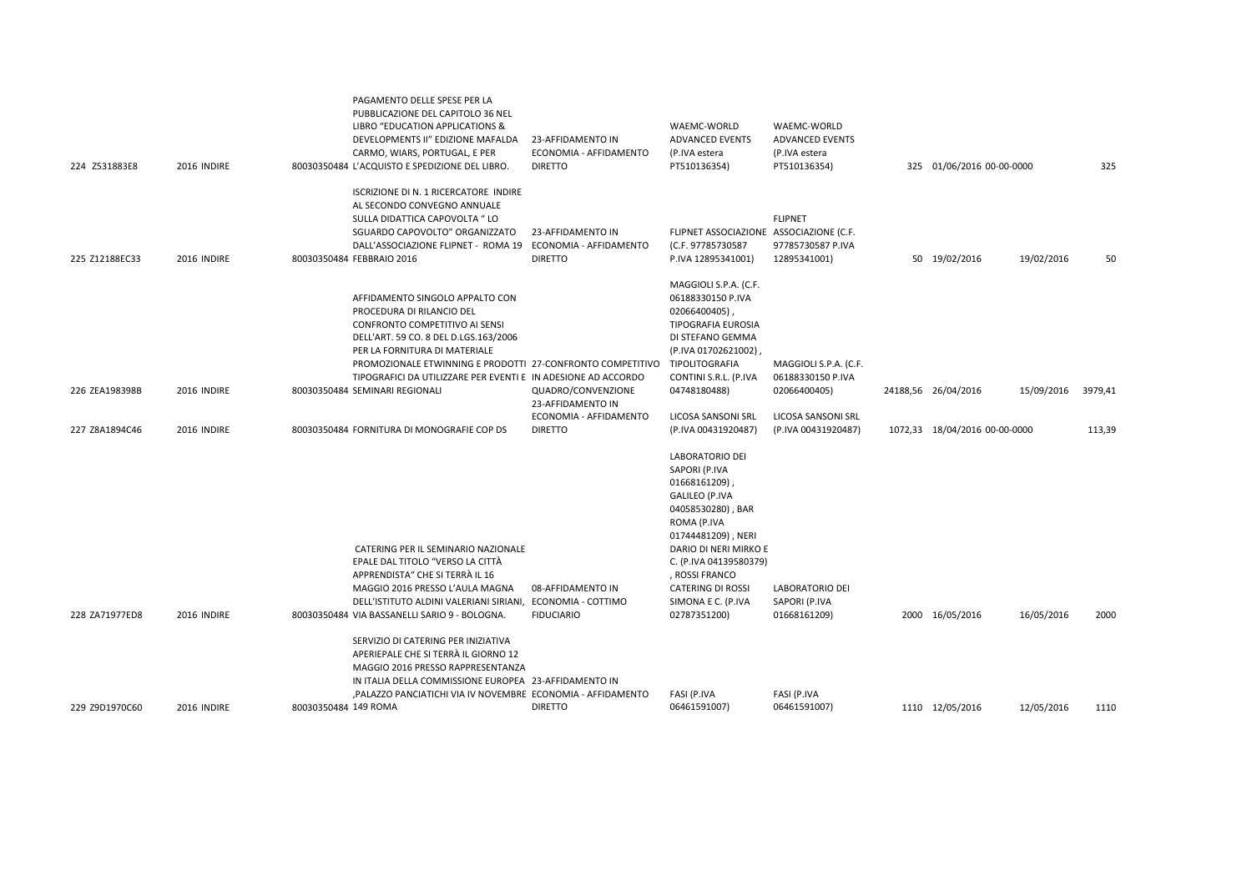| 224 Z531883E8  | 2016 INDIRE |                      | PUBBLICAZIONE DEL CAPITOLO 36 NEL<br>LIBRO "EDUCATION APPLICATIONS &<br>DEVELOPMENTS II" EDIZIONE MAFALDA<br>CARMO, WIARS, PORTUGAL, E PER<br>80030350484 L'ACQUISTO E SPEDIZIONE DEL LIBRO.                                                                                                                                              | 23-AFFIDAMENTO IN<br>ECONOMIA - AFFIDAMENTO<br><b>DIRETTO</b> | WAEMC-WORLD<br><b>ADVANCED EVENTS</b><br>(P.IVA estera<br>PT510136354)                                                                                                                                                                                                            | WAEMC-WORLD<br><b>ADVANCED EVENTS</b><br>(P.IVA estera<br>PT510136354) | 325 01/06/2016 00-00-0000     |            | 325     |
|----------------|-------------|----------------------|-------------------------------------------------------------------------------------------------------------------------------------------------------------------------------------------------------------------------------------------------------------------------------------------------------------------------------------------|---------------------------------------------------------------|-----------------------------------------------------------------------------------------------------------------------------------------------------------------------------------------------------------------------------------------------------------------------------------|------------------------------------------------------------------------|-------------------------------|------------|---------|
| 225 Z12188EC33 | 2016 INDIRE |                      | ISCRIZIONE DI N. 1 RICERCATORE INDIRE<br>AL SECONDO CONVEGNO ANNUALE<br>SULLA DIDATTICA CAPOVOLTA " LO<br>SGUARDO CAPOVOLTO" ORGANIZZATO<br>DALL'ASSOCIAZIONE FLIPNET - ROMA 19 ECONOMIA - AFFIDAMENTO<br>80030350484 FEBBRAIO 2016                                                                                                       | 23-AFFIDAMENTO IN<br><b>DIRETTO</b>                           | FLIPNET ASSOCIAZIONE ASSOCIAZIONE (C.F.<br>(C.F. 97785730587<br>P.IVA 12895341001)                                                                                                                                                                                                | <b>FLIPNET</b><br>97785730587 P.IVA<br>12895341001)                    | 50 19/02/2016                 | 19/02/2016 | 50      |
| 226 ZEA198398B | 2016 INDIRE |                      | AFFIDAMENTO SINGOLO APPALTO CON<br>PROCEDURA DI RILANCIO DEL<br>CONFRONTO COMPETITIVO AI SENSI<br>DELL'ART. 59 CO. 8 DEL D.LGS.163/2006<br>PER LA FORNITURA DI MATERIALE<br>PROMOZIONALE ETWINNING E PRODOTTI 27-CONFRONTO COMPETITIVO<br>TIPOGRAFICI DA UTILIZZARE PER EVENTI E IN ADESIONE AD ACCORDO<br>80030350484 SEMINARI REGIONALI | QUADRO/CONVENZIONE<br>23-AFFIDAMENTO IN                       | MAGGIOLI S.P.A. (C.F.<br>06188330150 P.IVA<br>02066400405)<br><b>TIPOGRAFIA EUROSIA</b><br>DI STEFANO GEMMA<br>(P.IVA 01702621002),<br>TIPOLITOGRAFIA<br>CONTINI S.R.L. (P.IVA<br>04748180488)                                                                                    | MAGGIOLI S.P.A. (C.F.<br>06188330150 P.IVA<br>02066400405)             | 24188,56 26/04/2016           | 15/09/2016 | 3979,41 |
| 227 Z8A1894C46 | 2016 INDIRE |                      | 80030350484 FORNITURA DI MONOGRAFIE COP DS                                                                                                                                                                                                                                                                                                | ECONOMIA - AFFIDAMENTO<br><b>DIRETTO</b>                      | LICOSA SANSONI SRL<br>(P.IVA 00431920487)                                                                                                                                                                                                                                         | LICOSA SANSONI SRL<br>(P.IVA 00431920487)                              | 1072,33 18/04/2016 00-00-0000 |            | 113,39  |
| 228 ZA71977ED8 | 2016 INDIRE |                      | CATERING PER IL SEMINARIO NAZIONALE<br>EPALE DAL TITOLO "VERSO LA CITTÀ<br>APPRENDISTA" CHE SI TERRÀ IL 16<br>MAGGIO 2016 PRESSO L'AULA MAGNA<br>DELL'ISTITUTO ALDINI VALERIANI SIRIANI, ECONOMIA - COTTIMO<br>80030350484 VIA BASSANELLI SARIO 9 - BOLOGNA.                                                                              | 08-AFFIDAMENTO IN<br><b>FIDUCIARIO</b>                        | <b>LABORATORIO DEI</b><br>SAPORI (P.IVA<br>01668161209)<br><b>GALILEO (P.IVA</b><br>04058530280), BAR<br>ROMA (P.IVA<br>01744481209), NERI<br>DARIO DI NERI MIRKO E<br>C. (P.IVA 04139580379)<br>, ROSSI FRANCO<br><b>CATERING DI ROSSI</b><br>SIMONA E C. (P.IVA<br>02787351200) | <b>LABORATORIO DEI</b><br>SAPORI (P.IVA<br>01668161209)                | 2000 16/05/2016               | 16/05/2016 | 2000    |
|                |             |                      | SERVIZIO DI CATERING PER INIZIATIVA<br>APERIEPALE CHE SI TERRÀ IL GIORNO 12<br>MAGGIO 2016 PRESSO RAPPRESENTANZA<br>IN ITALIA DELLA COMMISSIONE EUROPEA 23-AFFIDAMENTO IN                                                                                                                                                                 |                                                               |                                                                                                                                                                                                                                                                                   |                                                                        |                               |            |         |
| 229 Z9D1970C60 | 2016 INDIRE | 80030350484 149 ROMA | PALAZZO PANCIATICHI VIA IV NOVEMBRE ECONOMIA - AFFIDAMENTO                                                                                                                                                                                                                                                                                | <b>DIRETTO</b>                                                | FASI (P.IVA<br>06461591007)                                                                                                                                                                                                                                                       | FASI (P.IVA<br>06461591007)                                            | 1110 12/05/2016               | 12/05/2016 | 1110    |

PAGAMENTO DELLE SPESE PER LA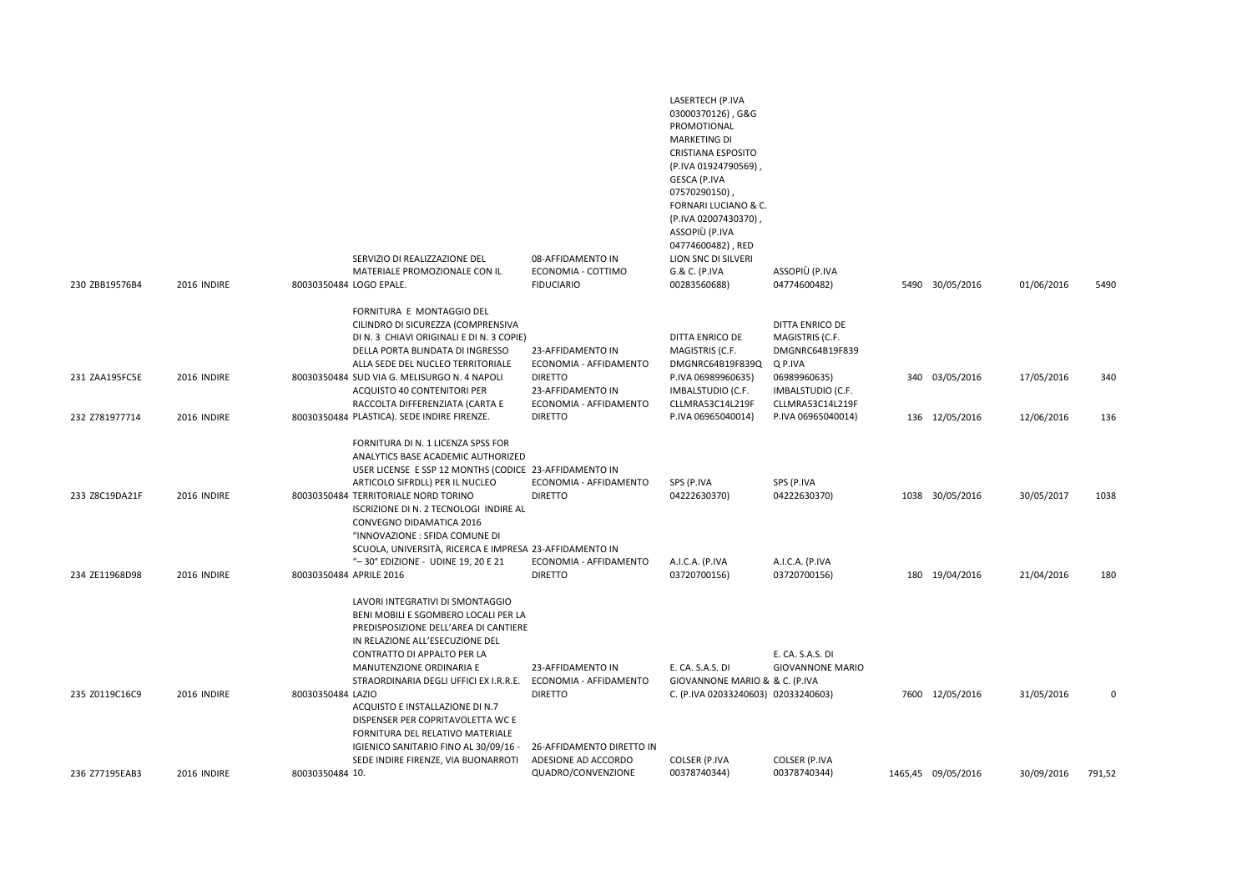| 230 ZBB19576B4 | 2016 INDIRE | SERVIZIO DI REALIZZAZIONE DEL<br>MATERIALE PROMOZIONALE CON IL<br>80030350484 LOGO EPALE.                                                                                                                                                                                                                                                                                                  | 08-AFFIDAMENTO IN<br>ECONOMIA - COTTIMO<br><b>FIDUCIARIO</b>           | LASERTECH (P.IVA<br>03000370126), G&G<br>PROMOTIONAL<br><b>MARKETING DI</b><br><b>CRISTIANA ESPOSITO</b><br>(P.IVA 01924790569)<br>GESCA (P.IVA<br>07570290150)<br>FORNARI LUCIANO & C.<br>(P.IVA 02007430370),<br>ASSOPIÙ (P.IVA<br>04774600482), RED<br>LION SNC DI SILVERI<br>G.& C. (P.IVA<br>00283560688) | ASSOPIÙ (P.IVA<br>04774600482)                                   | 5490 30/05/2016    | 01/06/2016 | 5490        |
|----------------|-------------|--------------------------------------------------------------------------------------------------------------------------------------------------------------------------------------------------------------------------------------------------------------------------------------------------------------------------------------------------------------------------------------------|------------------------------------------------------------------------|----------------------------------------------------------------------------------------------------------------------------------------------------------------------------------------------------------------------------------------------------------------------------------------------------------------|------------------------------------------------------------------|--------------------|------------|-------------|
|                |             | FORNITURA E MONTAGGIO DEL                                                                                                                                                                                                                                                                                                                                                                  |                                                                        |                                                                                                                                                                                                                                                                                                                |                                                                  |                    |            |             |
|                |             | CILINDRO DI SICUREZZA (COMPRENSIVA<br>DI N. 3 CHIAVI ORIGINALI E DI N. 3 COPIE)<br>DELLA PORTA BLINDATA DI INGRESSO<br>ALLA SEDE DEL NUCLEO TERRITORIALE                                                                                                                                                                                                                                   | 23-AFFIDAMENTO IN<br>ECONOMIA - AFFIDAMENTO                            | DITTA ENRICO DE<br>MAGISTRIS (C.F.<br>DMGNRC64B19F839Q                                                                                                                                                                                                                                                         | DITTA ENRICO DE<br>MAGISTRIS (C.F.<br>DMGNRC64B19F839<br>Q P.IVA |                    |            |             |
| 231 ZAA195FC5E | 2016 INDIRE | 80030350484 SUD VIA G. MELISURGO N. 4 NAPOLI<br>ACQUISTO 40 CONTENITORI PER<br>RACCOLTA DIFFERENZIATA (CARTA E                                                                                                                                                                                                                                                                             | <b>DIRETTO</b><br>23-AFFIDAMENTO IN<br>ECONOMIA - AFFIDAMENTO          | P.IVA 06989960635)<br>IMBALSTUDIO (C.F.<br>CLLMRA53C14L219F                                                                                                                                                                                                                                                    | 06989960635)<br>IMBALSTUDIO (C.F.<br>CLLMRA53C14L219F            | 340 03/05/2016     | 17/05/2016 | 340         |
| 232 Z781977714 | 2016 INDIRE | 80030350484 PLASTICA). SEDE INDIRE FIRENZE.                                                                                                                                                                                                                                                                                                                                                | <b>DIRETTO</b>                                                         | P.IVA 06965040014)                                                                                                                                                                                                                                                                                             | P.IVA 06965040014)                                               | 136 12/05/2016     | 12/06/2016 | 136         |
| 233 Z8C19DA21F | 2016 INDIRE | FORNITURA DI N. 1 LICENZA SPSS FOR<br>ANALYTICS BASE ACADEMIC AUTHORIZED<br>USER LICENSE E SSP 12 MONTHS (CODICE 23-AFFIDAMENTO IN<br>ARTICOLO SIFRDLL) PER IL NUCLEO<br>80030350484 TERRITORIALE NORD TORINO<br>ISCRIZIONE DI N. 2 TECNOLOGI INDIRE AL<br>CONVEGNO DIDAMATICA 2016                                                                                                        | ECONOMIA - AFFIDAMENTO<br><b>DIRETTO</b>                               | SPS (P.IVA<br>04222630370)                                                                                                                                                                                                                                                                                     | SPS (P.IVA<br>04222630370)                                       | 1038 30/05/2016    | 30/05/2017 | 1038        |
| 234 ZE11968D98 | 2016 INDIRE | "INNOVAZIONE : SFIDA COMUNE DI<br>SCUOLA, UNIVERSITÀ, RICERCA E IMPRESA 23-AFFIDAMENTO IN<br>"-30° EDIZIONE - UDINE 19, 20 E 21<br>80030350484 APRILE 2016                                                                                                                                                                                                                                 | ECONOMIA - AFFIDAMENTO<br><b>DIRETTO</b>                               | A.I.C.A. (P.IVA<br>03720700156)                                                                                                                                                                                                                                                                                | A.I.C.A. (P.IVA<br>03720700156)                                  | 180 19/04/2016     | 21/04/2016 | 180         |
| 235 Z0119C16C9 | 2016 INDIRE | LAVORI INTEGRATIVI DI SMONTAGGIO<br>BENI MOBILI E SGOMBERO LOCALI PER LA<br>PREDISPOSIZIONE DELL'AREA DI CANTIERE<br>IN RELAZIONE ALL'ESECUZIONE DEL<br>CONTRATTO DI APPALTO PER LA<br>MANUTENZIONE ORDINARIA E<br>STRAORDINARIA DEGLI UFFICI EX I.R.R.E.<br>80030350484 LAZIO<br>ACQUISTO E INSTALLAZIONE DI N.7<br>DISPENSER PER COPRITAVOLETTA WC E<br>FORNITURA DEL RELATIVO MATERIALE | 23-AFFIDAMENTO IN<br>ECONOMIA - AFFIDAMENTO<br><b>DIRETTO</b>          | E. CA. S.A.S. DI<br>GIOVANNONE MARIO & & C. (P.IVA<br>C. (P.IVA 02033240603) 02033240603)                                                                                                                                                                                                                      | E. CA. S.A.S. DI<br><b>GIOVANNONE MARIO</b>                      | 7600 12/05/2016    | 31/05/2016 | $\mathbf 0$ |
| 236 Z77195EAB3 | 2016 INDIRE | IGIENICO SANITARIO FINO AL 30/09/16 -<br>SEDE INDIRE FIRENZE, VIA BUONARROTI<br>80030350484 10.                                                                                                                                                                                                                                                                                            | 26-AFFIDAMENTO DIRETTO IN<br>ADESIONE AD ACCORDO<br>QUADRO/CONVENZIONE | COLSER (P.IVA<br>00378740344)                                                                                                                                                                                                                                                                                  | COLSER (P.IVA<br>00378740344)                                    | 1465,45 09/05/2016 | 30/09/2016 | 791,52      |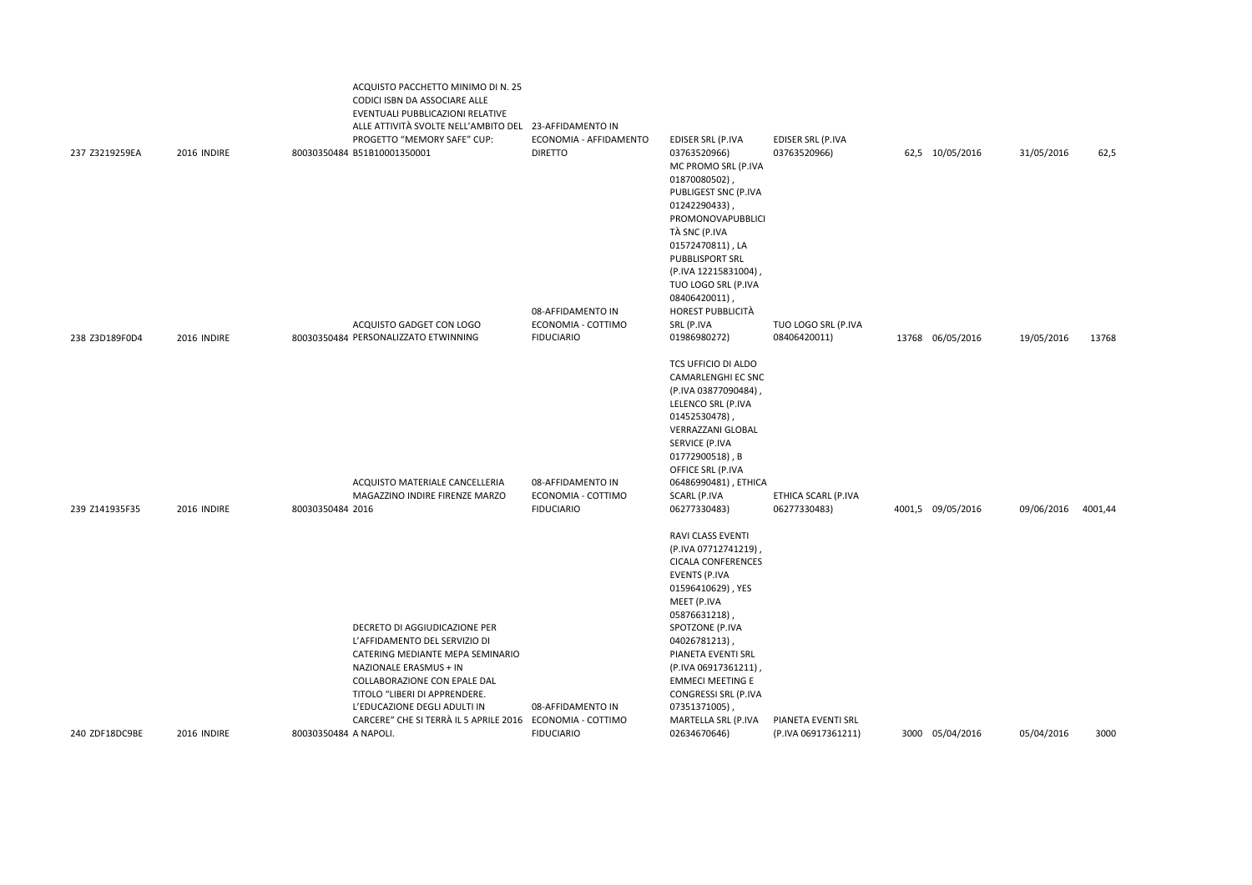|                |             | ACQUISTO PACCHETTO MINIMO DI N. 25<br>CODICI ISBN DA ASSOCIARE ALLE<br>EVENTUALI PUBBLICAZIONI RELATIVE<br>ALLE ATTIVITÀ SVOLTE NELL'AMBITO DEL 23-AFFIDAMENTO IN<br>PROGETTO "MEMORY SAFE" CUP:                                                                                           | ECONOMIA - AFFIDAMENTO                  | EDISER SRL (P.IVA                                                                                                                                                                                                                                                                                                                | EDISER SRL (P.IVA   |                   |            |         |
|----------------|-------------|--------------------------------------------------------------------------------------------------------------------------------------------------------------------------------------------------------------------------------------------------------------------------------------------|-----------------------------------------|----------------------------------------------------------------------------------------------------------------------------------------------------------------------------------------------------------------------------------------------------------------------------------------------------------------------------------|---------------------|-------------------|------------|---------|
| 237 Z3219259EA | 2016 INDIRE | 80030350484 B51B10001350001                                                                                                                                                                                                                                                                | <b>DIRETTO</b><br>08-AFFIDAMENTO IN     | 03763520966)<br>MC PROMO SRL (P.IVA<br>01870080502),<br>PUBLIGEST SNC (P.IVA<br>01242290433),<br>PROMONOVAPUBBLICI<br>TÀ SNC (P.IVA<br>01572470811), LA<br>PUBBLISPORT SRL<br>(P.IVA 12215831004),<br>TUO LOGO SRL (P.IVA<br>08406420011),<br>HOREST PUBBLICITÀ                                                                  | 03763520966)        | 62,5 10/05/2016   | 31/05/2016 | 62,5    |
|                |             | ACQUISTO GADGET CON LOGO                                                                                                                                                                                                                                                                   | ECONOMIA - COTTIMO                      | SRL (P.IVA                                                                                                                                                                                                                                                                                                                       | TUO LOGO SRL (P.IVA |                   |            |         |
| 238 Z3D189F0D4 | 2016 INDIRE | 80030350484 PERSONALIZZATO ETWINNING                                                                                                                                                                                                                                                       | <b>FIDUCIARIO</b>                       | 01986980272)                                                                                                                                                                                                                                                                                                                     | 08406420011)        | 13768 06/05/2016  | 19/05/2016 | 13768   |
|                |             | ACQUISTO MATERIALE CANCELLERIA<br>MAGAZZINO INDIRE FIRENZE MARZO                                                                                                                                                                                                                           | 08-AFFIDAMENTO IN<br>ECONOMIA - COTTIMO | TCS UFFICIO DI ALDO<br>CAMARLENGHI EC SNC<br>(P.IVA 03877090484)<br>LELENCO SRL (P.IVA<br>01452530478),<br>VERRAZZANI GLOBAL<br>SERVICE (P.IVA<br>01772900518), B<br>OFFICE SRL (P.IVA<br>06486990481), ETHICA<br>SCARL (P.IVA                                                                                                   | ETHICA SCARL (P.IVA |                   |            |         |
| 239 Z141935F35 | 2016 INDIRE | 80030350484 2016                                                                                                                                                                                                                                                                           | <b>FIDUCIARIO</b>                       | 06277330483)                                                                                                                                                                                                                                                                                                                     | 06277330483)        | 4001,5 09/05/2016 | 09/06/2016 | 4001,44 |
|                |             | DECRETO DI AGGIUDICAZIONE PER<br>L'AFFIDAMENTO DEL SERVIZIO DI<br>CATERING MEDIANTE MEPA SEMINARIO<br>NAZIONALE ERASMUS + IN<br>COLLABORAZIONE CON EPALE DAL<br>TITOLO "LIBERI DI APPRENDERE.<br>L'EDUCAZIONE DEGLI ADULTI IN<br>CARCERE" CHE SI TERRÀ IL 5 APRILE 2016 ECONOMIA - COTTIMO | 08-AFFIDAMENTO IN                       | RAVI CLASS EVENTI<br>(P.IVA 07712741219),<br><b>CICALA CONFERENCES</b><br><b>EVENTS (P.IVA</b><br>01596410629), YES<br>MEET (P.IVA<br>05876631218),<br>SPOTZONE (P.IVA<br>04026781213),<br>PIANETA EVENTI SRL<br>(P.IVA 06917361211),<br><b>EMMECI MEETING E</b><br>CONGRESSI SRL (P.IVA<br>07351371005),<br>MARTELLA SRL (P.IVA | PIANETA EVENTI SRL  |                   |            |         |
| 240 ZDF18DC9BE | 2016 INDIRE | 80030350484 A NAPOLI.                                                                                                                                                                                                                                                                      | <b>FIDUCIARIO</b>                       | 02634670646)                                                                                                                                                                                                                                                                                                                     | (P.IVA 06917361211) | 3000 05/04/2016   | 05/04/2016 | 3000    |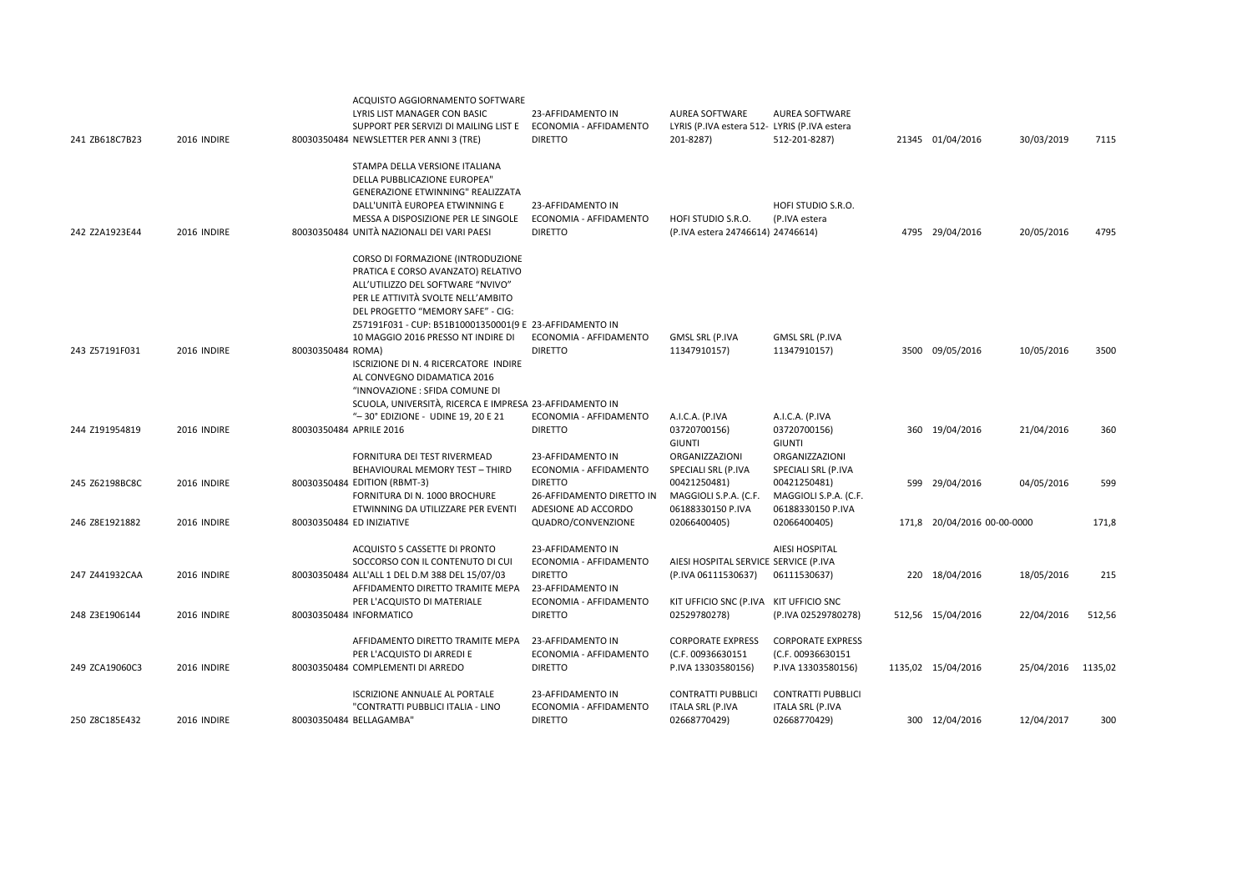| 241 ZB618C7B23 | 2016 INDIRE | ACQUISTO AGGIORNAMENTO SOFTWARE<br>LYRIS LIST MANAGER CON BASIC<br>SUPPORT PER SERVIZI DI MAILING LIST E<br>80030350484 NEWSLETTER PER ANNI 3 (TRE)                                                                                                                                      | 23-AFFIDAMENTO IN<br>ECONOMIA - AFFIDAMENTO<br><b>DIRETTO</b>                                | <b>AUREA SOFTWARE</b><br>LYRIS (P.IVA estera 512- LYRIS (P.IVA estera<br>201-8287) | <b>AUREA SOFTWARE</b><br>512-201-8287)                                            | 21345 01/04/2016            | 30/03/2019 | 7115    |
|----------------|-------------|------------------------------------------------------------------------------------------------------------------------------------------------------------------------------------------------------------------------------------------------------------------------------------------|----------------------------------------------------------------------------------------------|------------------------------------------------------------------------------------|-----------------------------------------------------------------------------------|-----------------------------|------------|---------|
| 242 Z2A1923E44 | 2016 INDIRE | STAMPA DELLA VERSIONE ITALIANA<br>DELLA PUBBLICAZIONE EUROPEA"<br><b>GENERAZIONE ETWINNING" REALIZZATA</b><br>DALL'UNITÀ EUROPEA ETWINNING E<br>MESSA A DISPOSIZIONE PER LE SINGOLE<br>80030350484 UNITÀ NAZIONALI DEI VARI PAESI                                                        | 23-AFFIDAMENTO IN<br>ECONOMIA - AFFIDAMENTO<br><b>DIRETTO</b>                                | HOFI STUDIO S.R.O.<br>(P.IVA estera 24746614) 24746614)                            | HOFI STUDIO S.R.O.<br>(P.IVA estera                                               | 4795 29/04/2016             | 20/05/2016 | 4795    |
|                |             | CORSO DI FORMAZIONE (INTRODUZIONE<br>PRATICA E CORSO AVANZATO) RELATIVO<br>ALL'UTILIZZO DEL SOFTWARE "NVIVO"<br>PER LE ATTIVITÀ SVOLTE NELL'AMBITO<br>DEL PROGETTO "MEMORY SAFE" - CIG:<br>Z57191F031 - CUP: B51B10001350001(9 E 23-AFFIDAMENTO IN<br>10 MAGGIO 2016 PRESSO NT INDIRE DI | ECONOMIA - AFFIDAMENTO                                                                       | <b>GMSL SRL (P.IVA</b>                                                             | <b>GMSL SRL (P.IVA</b>                                                            |                             |            |         |
| 243 Z57191F031 | 2016 INDIRE | 80030350484 ROMA)<br>ISCRIZIONE DI N. 4 RICERCATORE INDIRE<br>AL CONVEGNO DIDAMATICA 2016<br>"INNOVAZIONE : SFIDA COMUNE DI<br>SCUOLA, UNIVERSITÀ, RICERCA E IMPRESA 23-AFFIDAMENTO IN                                                                                                   | <b>DIRETTO</b>                                                                               | 11347910157)                                                                       | 11347910157)                                                                      | 3500 09/05/2016             | 10/05/2016 | 3500    |
| 244 Z191954819 | 2016 INDIRE | "-30° EDIZIONE - UDINE 19, 20 E 21<br>80030350484 APRILE 2016<br>FORNITURA DEI TEST RIVERMEAD                                                                                                                                                                                            | ECONOMIA - AFFIDAMENTO<br><b>DIRETTO</b><br>23-AFFIDAMENTO IN                                | A.I.C.A. (P.IVA<br>03720700156)<br><b>GIUNTI</b><br>ORGANIZZAZIONI                 | A.I.C.A. (P.IVA<br>03720700156)<br>GIUNTI<br>ORGANIZZAZIONI                       | 360 19/04/2016              | 21/04/2016 | 360     |
| 245 Z62198BC8C | 2016 INDIRE | BEHAVIOURAL MEMORY TEST - THIRD<br>80030350484 EDITION (RBMT-3)<br>FORNITURA DI N. 1000 BROCHURE<br>ETWINNING DA UTILIZZARE PER EVENTI                                                                                                                                                   | ECONOMIA - AFFIDAMENTO<br><b>DIRETTO</b><br>26-AFFIDAMENTO DIRETTO IN<br>ADESIONE AD ACCORDO | SPECIALI SRL (P.IVA<br>00421250481)<br>MAGGIOLI S.P.A. (C.F.<br>06188330150 P.IVA  | SPECIALI SRL (P.IVA<br>00421250481)<br>MAGGIOLI S.P.A. (C.F.<br>06188330150 P.IVA | 599 29/04/2016              | 04/05/2016 | 599     |
| 246 Z8E1921882 | 2016 INDIRE | 80030350484 ED INIZIATIVE                                                                                                                                                                                                                                                                | QUADRO/CONVENZIONE                                                                           | 02066400405)                                                                       | 02066400405)                                                                      | 171,8 20/04/2016 00-00-0000 |            | 171,8   |
|                |             | ACQUISTO 5 CASSETTE DI PRONTO<br>SOCCORSO CON IL CONTENUTO DI CUI                                                                                                                                                                                                                        | 23-AFFIDAMENTO IN<br>ECONOMIA - AFFIDAMENTO                                                  | AIESI HOSPITAL SERVICE SERVICE (P.IVA                                              | AIESI HOSPITAL                                                                    |                             |            |         |
| 247 Z441932CAA | 2016 INDIRE | 80030350484 ALL'ALL 1 DEL D.M 388 DEL 15/07/03<br>AFFIDAMENTO DIRETTO TRAMITE MEPA                                                                                                                                                                                                       | <b>DIRETTO</b><br>23-AFFIDAMENTO IN                                                          | (P.IVA 06111530637)                                                                | 06111530637)                                                                      | 220 18/04/2016              | 18/05/2016 | 215     |
| 248 Z3E1906144 | 2016 INDIRE | PER L'ACQUISTO DI MATERIALE<br>80030350484 INFORMATICO                                                                                                                                                                                                                                   | ECONOMIA - AFFIDAMENTO<br><b>DIRETTO</b>                                                     | KIT UFFICIO SNC (P.IVA KIT UFFICIO SNC<br>02529780278)                             | (P.IVA 02529780278)                                                               | 512,56 15/04/2016           | 22/04/2016 | 512,56  |
| 249 ZCA19060C3 | 2016 INDIRE | AFFIDAMENTO DIRETTO TRAMITE MEPA<br>PER L'ACQUISTO DI ARREDI E<br>80030350484 COMPLEMENTI DI ARREDO                                                                                                                                                                                      | 23-AFFIDAMENTO IN<br>ECONOMIA - AFFIDAMENTO<br><b>DIRETTO</b>                                | <b>CORPORATE EXPRESS</b><br>(C.F. 00936630151<br>P.IVA 13303580156)                | <b>CORPORATE EXPRESS</b><br>(C.F. 00936630151<br>P.IVA 13303580156)               | 1135,02 15/04/2016          | 25/04/2016 | 1135,02 |
|                |             | <b>ISCRIZIONE ANNUALE AL PORTALE</b>                                                                                                                                                                                                                                                     | 23-AFFIDAMENTO IN                                                                            | <b>CONTRATTI PUBBLICI</b>                                                          | <b>CONTRATTI PUBBLICI</b>                                                         |                             |            |         |
| 250 Z8C185E432 | 2016 INDIRE | "CONTRATTI PUBBLICI ITALIA - LINO<br>80030350484 BELLAGAMBA"                                                                                                                                                                                                                             | ECONOMIA - AFFIDAMENTO<br><b>DIRETTO</b>                                                     | ITALA SRL (P.IVA<br>02668770429)                                                   | <b>ITALA SRL (P.IVA</b><br>02668770429)                                           | 300 12/04/2016              | 12/04/2017 | 300     |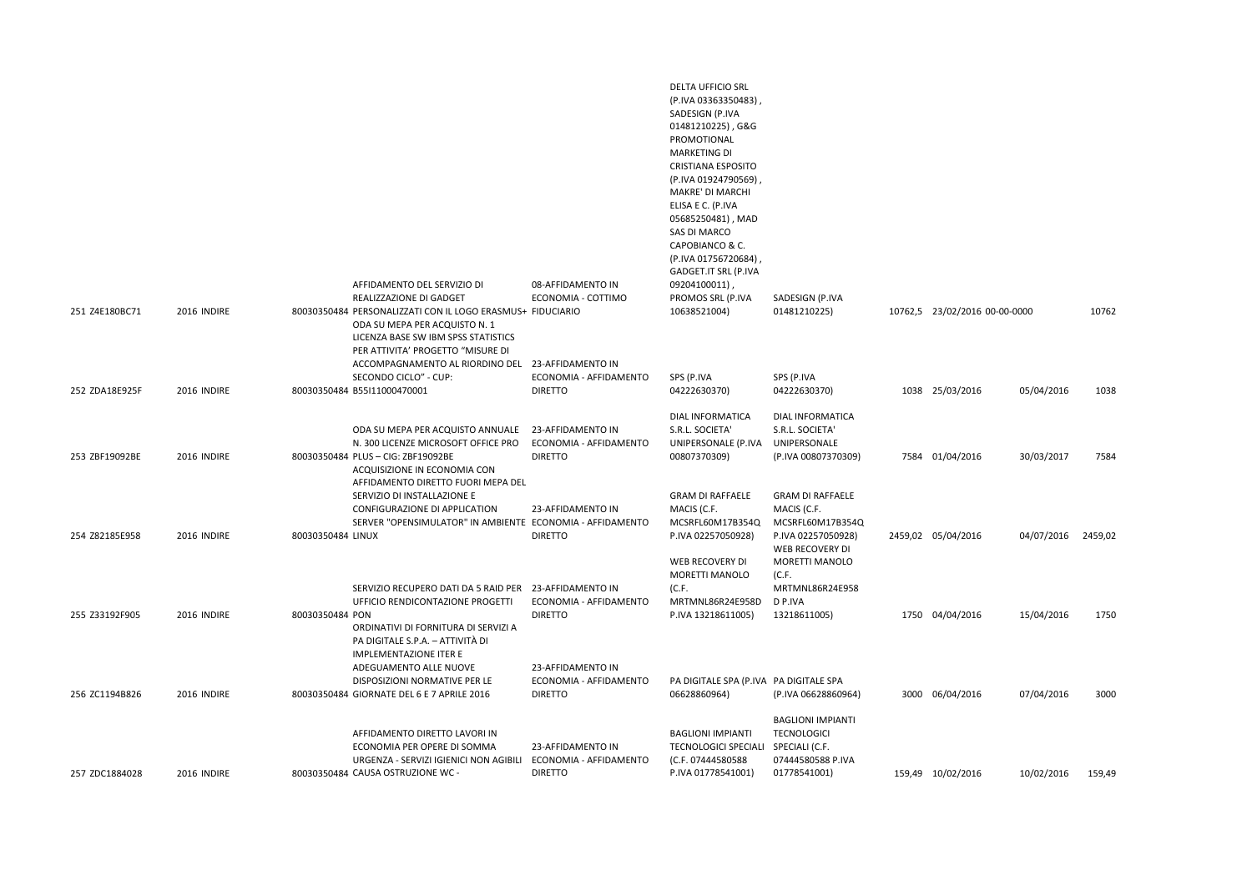|                |             | AFFIDAMENTO DEL SERVIZIO DI                                                                                                                                                                                                         | 08-AFFIDAMENTO IN                                             | <b>DELTA UFFICIO SRL</b><br>(P.IVA 03363350483)<br>SADESIGN (P.IVA<br>01481210225), G&G<br>PROMOTIONAL<br><b>MARKETING DI</b><br><b>CRISTIANA ESPOSITO</b><br>(P.IVA 01924790569),<br>MAKRE' DI MARCHI<br>ELISA E C. (P.IVA<br>05685250481), MAD<br><b>SAS DI MARCO</b><br>CAPOBIANCO & C.<br>(P.IVA 01756720684),<br>GADGET.IT SRL (P.IVA<br>09204100011) |                                                                                                                                |                               |                    |        |
|----------------|-------------|-------------------------------------------------------------------------------------------------------------------------------------------------------------------------------------------------------------------------------------|---------------------------------------------------------------|------------------------------------------------------------------------------------------------------------------------------------------------------------------------------------------------------------------------------------------------------------------------------------------------------------------------------------------------------------|--------------------------------------------------------------------------------------------------------------------------------|-------------------------------|--------------------|--------|
|                |             | REALIZZAZIONE DI GADGET                                                                                                                                                                                                             | ECONOMIA - COTTIMO                                            | PROMOS SRL (P.IVA                                                                                                                                                                                                                                                                                                                                          | SADESIGN (P.IVA                                                                                                                |                               |                    |        |
| 251 Z4E180BC71 | 2016 INDIRE | 80030350484 PERSONALIZZATI CON IL LOGO ERASMUS+ FIDUCIARIO<br>ODA SU MEPA PER ACQUISTO N. 1<br>LICENZA BASE SW IBM SPSS STATISTICS<br>PER ATTIVITA' PROGETTO "MISURE DI<br>ACCOMPAGNAMENTO AL RIORDINO DEL<br>SECONDO CICLO" - CUP: | 23-AFFIDAMENTO IN<br>ECONOMIA - AFFIDAMENTO                   | 10638521004)<br>SPS (P.IVA                                                                                                                                                                                                                                                                                                                                 | 01481210225)<br>SPS (P.IVA                                                                                                     | 10762,5 23/02/2016 00-00-0000 |                    | 10762  |
| 252 ZDA18E925F | 2016 INDIRE | 80030350484 B55I11000470001                                                                                                                                                                                                         | <b>DIRETTO</b>                                                | 04222630370)                                                                                                                                                                                                                                                                                                                                               | 04222630370)                                                                                                                   | 1038 25/03/2016               | 05/04/2016         | 1038   |
| 253 ZBF19092BE | 2016 INDIRE | ODA SU MEPA PER ACQUISTO ANNUALE<br>N. 300 LICENZE MICROSOFT OFFICE PRO<br>80030350484 PLUS - CIG: ZBF19092BE<br>ACQUISIZIONE IN ECONOMIA CON<br>AFFIDAMENTO DIRETTO FUORI MEPA DEL                                                 | 23-AFFIDAMENTO IN<br>ECONOMIA - AFFIDAMENTO<br><b>DIRETTO</b> | <b>DIAL INFORMATICA</b><br>S.R.L. SOCIETA'<br>UNIPERSONALE (P.IVA<br>00807370309)                                                                                                                                                                                                                                                                          | DIAL INFORMATICA<br>S.R.L. SOCIETA'<br>UNIPERSONALE<br>(P.IVA 00807370309)                                                     | 7584 01/04/2016               | 30/03/2017         | 7584   |
| 254 Z82185E958 | 2016 INDIRE | SERVIZIO DI INSTALLAZIONE E<br>CONFIGURAZIONE DI APPLICATION<br>SERVER "OPENSIMULATOR" IN AMBIENTE ECONOMIA - AFFIDAMENTO<br>80030350484 LINUX                                                                                      | 23-AFFIDAMENTO IN<br><b>DIRETTO</b>                           | <b>GRAM DI RAFFAELE</b><br>MACIS (C.F.<br>MCSRFL60M17B354Q<br>P.IVA 02257050928)<br>WEB RECOVERY DI<br>MORETTI MANOLO                                                                                                                                                                                                                                      | <b>GRAM DI RAFFAELE</b><br>MACIS (C.F.<br>MCSRFL60M17B354Q<br>P.IVA 02257050928)<br>WEB RECOVERY DI<br>MORETTI MANOLO<br>(C.F. | 2459,02 05/04/2016            | 04/07/2016 2459,02 |        |
| 255 Z33192F905 | 2016 INDIRE | SERVIZIO RECUPERO DATI DA 5 RAID PER<br>UFFICIO RENDICONTAZIONE PROGETTI<br>80030350484 PON<br>ORDINATIVI DI FORNITURA DI SERVIZI A<br>PA DIGITALE S.P.A. - ATTIVITÀ DI<br><b>IMPLEMENTAZIONE ITER E</b>                            | 23-AFFIDAMENTO IN<br>ECONOMIA - AFFIDAMENTO<br><b>DIRETTO</b> | (C.F.<br>MRTMNL86R24E958D<br>P.IVA 13218611005)                                                                                                                                                                                                                                                                                                            | MRTMNL86R24E958<br>D P.IVA<br>13218611005)                                                                                     | 1750 04/04/2016               | 15/04/2016         | 1750   |
| 256 ZC1194B826 | 2016 INDIRE | ADEGUAMENTO ALLE NUOVE<br>DISPOSIZIONI NORMATIVE PER LE<br>80030350484 GIORNATE DEL 6 E 7 APRILE 2016                                                                                                                               | 23-AFFIDAMENTO IN<br>ECONOMIA - AFFIDAMENTO<br><b>DIRETTO</b> | PA DIGITALE SPA (P.IVA PA DIGITALE SPA<br>06628860964)                                                                                                                                                                                                                                                                                                     | (P.IVA 06628860964)                                                                                                            | 3000 06/04/2016               | 07/04/2016         | 3000   |
| 257 ZDC1884028 | 2016 INDIRE | AFFIDAMENTO DIRETTO LAVORI IN<br>ECONOMIA PER OPERE DI SOMMA<br>URGENZA - SERVIZI IGIENICI NON AGIBILI<br>80030350484 CAUSA OSTRUZIONE WC -                                                                                         | 23-AFFIDAMENTO IN<br>ECONOMIA - AFFIDAMENTO<br><b>DIRETTO</b> | <b>BAGLIONI IMPIANTI</b><br><b>TECNOLOGICI SPECIALI</b><br>(C.F. 07444580588<br>P.IVA 01778541001)                                                                                                                                                                                                                                                         | <b>BAGLIONI IMPIANTI</b><br><b>TECNOLOGICI</b><br>SPECIALI (C.F.<br>07444580588 P.IVA<br>01778541001)                          | 159,49 10/02/2016             | 10/02/2016         | 159,49 |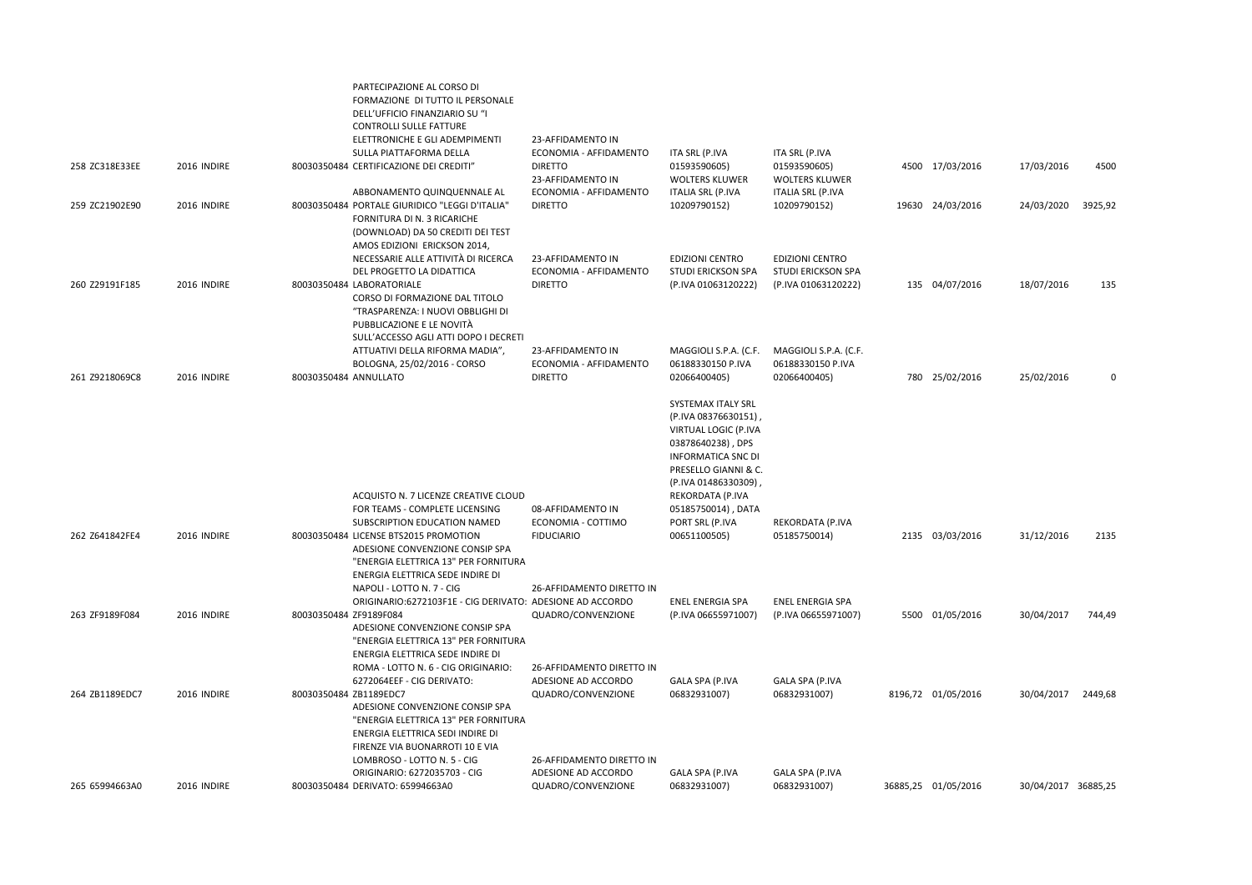|                |                    | PARTECIPAZIONE AL CORSO DI<br>FORMAZIONE DI TUTTO IL PERSONALE<br>DELL'UFFICIO FINANZIARIO SU "I<br><b>CONTROLLI SULLE FATTURE</b><br>ELETTRONICHE E GLI ADEMPIMENTI                                                   | 23-AFFIDAMENTO IN                                             |                                                                                                                                                                                         |                                                            |                     |                     |         |
|----------------|--------------------|------------------------------------------------------------------------------------------------------------------------------------------------------------------------------------------------------------------------|---------------------------------------------------------------|-----------------------------------------------------------------------------------------------------------------------------------------------------------------------------------------|------------------------------------------------------------|---------------------|---------------------|---------|
| 258 ZC318E33EE | 2016 INDIRE        | SULLA PIATTAFORMA DELLA<br>80030350484 CERTIFICAZIONE DEI CREDITI"                                                                                                                                                     | ECONOMIA - AFFIDAMENTO<br><b>DIRETTO</b><br>23-AFFIDAMENTO IN | ITA SRL (P.IVA<br>01593590605)<br><b>WOLTERS KLUWER</b>                                                                                                                                 | ITA SRL (P.IVA<br>01593590605)<br><b>WOLTERS KLUWER</b>    | 4500 17/03/2016     | 17/03/2016          | 4500    |
| 259 ZC21902E90 | <b>2016 INDIRE</b> | ABBONAMENTO QUINQUENNALE AL<br>80030350484 PORTALE GIURIDICO "LEGGI D'ITALIA"<br>FORNITURA DI N. 3 RICARICHE<br>(DOWNLOAD) DA 50 CREDITI DEI TEST<br>AMOS EDIZIONI ERICKSON 2014,                                      | ECONOMIA - AFFIDAMENTO<br><b>DIRETTO</b>                      | <b>ITALIA SRL (P.IVA</b><br>10209790152)                                                                                                                                                | ITALIA SRL (P.IVA<br>10209790152)                          | 19630 24/03/2016    | 24/03/2020          | 3925,92 |
|                |                    | NECESSARIE ALLE ATTIVITÀ DI RICERCA<br>DEL PROGETTO LA DIDATTICA                                                                                                                                                       | 23-AFFIDAMENTO IN<br>ECONOMIA - AFFIDAMENTO                   | EDIZIONI CENTRO<br>STUDI ERICKSON SPA                                                                                                                                                   | <b>EDIZIONI CENTRO</b><br><b>STUDI ERICKSON SPA</b>        |                     |                     |         |
| 260 Z29191F185 | 2016 INDIRE        | 80030350484 LABORATORIALE<br>CORSO DI FORMAZIONE DAL TITOLO<br>"TRASPARENZA: I NUOVI OBBLIGHI DI<br>PUBBLICAZIONE E LE NOVITÀ<br>SULL'ACCESSO AGLI ATTI DOPO I DECRETI                                                 | <b>DIRETTO</b>                                                | (P.IVA 01063120222)                                                                                                                                                                     | (P.IVA 01063120222)                                        | 135 04/07/2016      | 18/07/2016          | 135     |
| 261 Z9218069C8 | 2016 INDIRE        | ATTUATIVI DELLA RIFORMA MADIA",<br>BOLOGNA, 25/02/2016 - CORSO<br>80030350484 ANNULLATO                                                                                                                                | 23-AFFIDAMENTO IN<br>ECONOMIA - AFFIDAMENTO<br><b>DIRETTO</b> | MAGGIOLI S.P.A. (C.F.<br>06188330150 P.IVA<br>02066400405)                                                                                                                              | MAGGIOLI S.P.A. (C.F.<br>06188330150 P.IVA<br>02066400405) | 780 25/02/2016      | 25/02/2016          | 0       |
|                |                    | ACQUISTO N. 7 LICENZE CREATIVE CLOUD                                                                                                                                                                                   |                                                               | SYSTEMAX ITALY SRL<br>(P.IVA 08376630151)<br>VIRTUAL LOGIC (P.IVA<br>03878640238), DPS<br><b>INFORMATICA SNC DI</b><br>PRESELLO GIANNI & C.<br>(P.IVA 01486330309),<br>REKORDATA (P.IVA |                                                            |                     |                     |         |
| 262 Z641842FE4 | 2016 INDIRE        | FOR TEAMS - COMPLETE LICENSING<br>SUBSCRIPTION EDUCATION NAMED<br>80030350484 LICENSE BTS2015 PROMOTION<br>ADESIONE CONVENZIONE CONSIP SPA<br>"ENERGIA ELETTRICA 13" PER FORNITURA<br>ENERGIA ELETTRICA SEDE INDIRE DI | 08-AFFIDAMENTO IN<br>ECONOMIA - COTTIMO<br><b>FIDUCIARIO</b>  | 05185750014), DATA<br>PORT SRL (P.IVA<br>00651100505)                                                                                                                                   | REKORDATA (P.IVA<br>05185750014)                           | 2135 03/03/2016     | 31/12/2016          | 2135    |
| 263 ZF9189F084 | 2016 INDIRE        | NAPOLI - LOTTO N. 7 - CIG<br>ORIGINARIO:6272103F1E - CIG DERIVATO: ADESIONE AD ACCORDO<br>80030350484 ZF9189F084<br>ADESIONE CONVENZIONE CONSIP SPA<br>"ENERGIA ELETTRICA 13" PER FORNITURA                            | 26-AFFIDAMENTO DIRETTO IN<br>QUADRO/CONVENZIONE               | <b>ENEL ENERGIA SPA</b><br>(P.IVA 06655971007)                                                                                                                                          | <b>ENEL ENERGIA SPA</b><br>(P.IVA 06655971007)             | 5500 01/05/2016     | 30/04/2017          | 744,49  |
|                |                    | ENERGIA ELETTRICA SEDE INDIRE DI<br>ROMA - LOTTO N. 6 - CIG ORIGINARIO:<br>6272064EEF - CIG DERIVATO:                                                                                                                  | 26-AFFIDAMENTO DIRETTO IN<br>ADESIONE AD ACCORDO              | GALA SPA (P.IVA                                                                                                                                                                         | GALA SPA (P.IVA                                            |                     |                     |         |
| 264 ZB1189EDC7 | 2016 INDIRE        | 80030350484 ZB1189EDC7<br>ADESIONE CONVENZIONE CONSIP SPA<br>"ENERGIA ELETTRICA 13" PER FORNITURA<br>ENERGIA ELETTRICA SEDI INDIRE DI<br>FIRENZE VIA BUONARROTI 10 E VIA                                               | QUADRO/CONVENZIONE                                            | 06832931007)                                                                                                                                                                            | 06832931007)                                               | 8196,72 01/05/2016  | 30/04/2017          | 2449,68 |
|                |                    | LOMBROSO - LOTTO N. 5 - CIG<br>ORIGINARIO: 6272035703 - CIG                                                                                                                                                            | 26-AFFIDAMENTO DIRETTO IN<br>ADESIONE AD ACCORDO              | GALA SPA (P.IVA                                                                                                                                                                         | GALA SPA (P.IVA                                            |                     |                     |         |
| 265 65994663A0 | 2016 INDIRE        | 80030350484 DERIVATO: 65994663A0                                                                                                                                                                                       | QUADRO/CONVENZIONE                                            | 06832931007)                                                                                                                                                                            | 06832931007)                                               | 36885.25 01/05/2016 | 30/04/2017 36885.25 |         |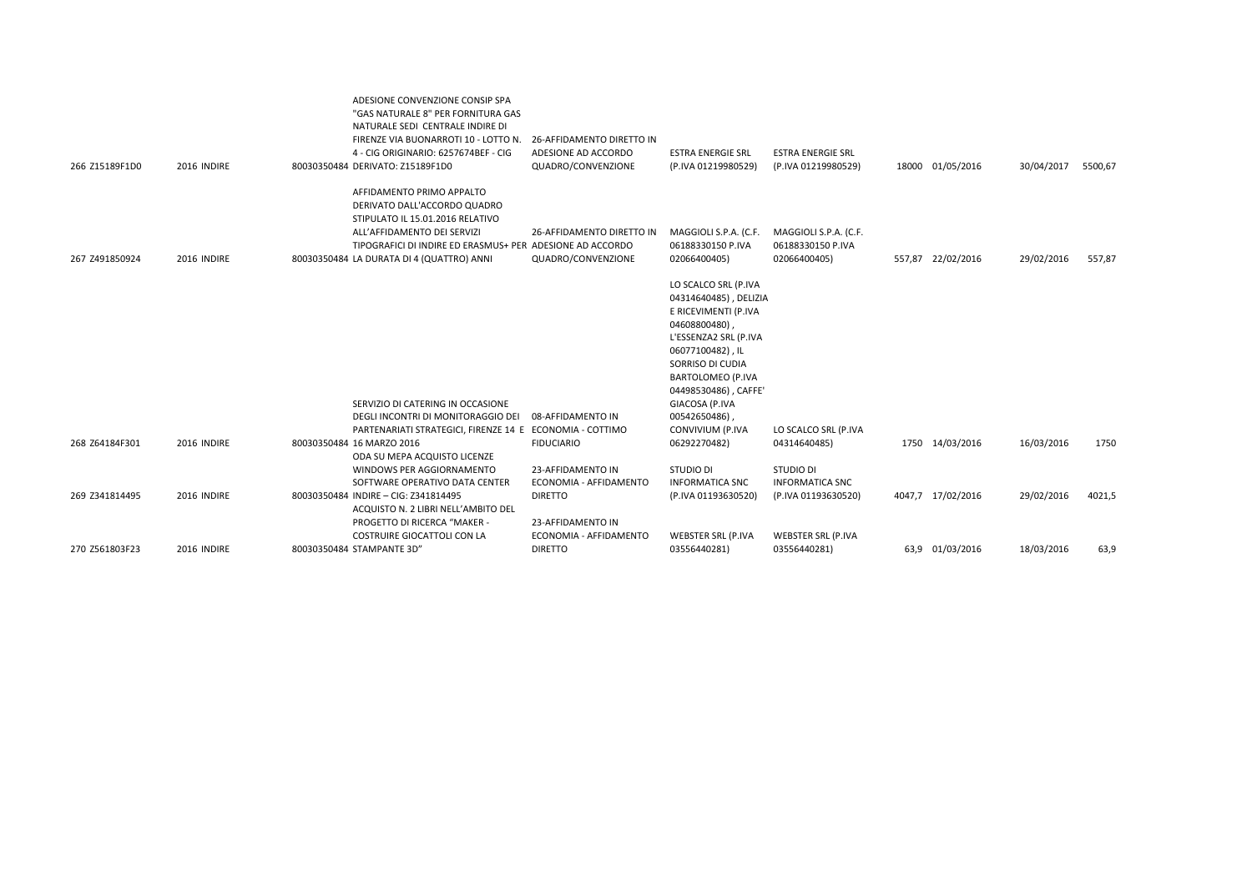| 266 Z15189F1D0 | 2016 INDIRE | ADESIONE CONVENZIONE CONSIP SPA<br>"GAS NATURALE 8" PER FORNITURA GAS<br>NATURALE SEDI CENTRALE INDIRE DI<br>FIRENZE VIA BUONARROTI 10 - LOTTO N.<br>4 - CIG ORIGINARIO: 6257674BEF - CIG<br>80030350484 DERIVATO: Z15189F1D0          | 26-AFFIDAMENTO DIRETTO IN<br>ADESIONE AD ACCORDO<br>QUADRO/CONVENZIONE | <b>ESTRA ENERGIE SRL</b><br>(P.IVA 01219980529)                                                                                                                                                                              | <b>ESTRA ENERGIE SRL</b><br>(P.IVA 01219980529)            |        | 18000 01/05/2016  | 30/04/2017 | 5500,67 |
|----------------|-------------|----------------------------------------------------------------------------------------------------------------------------------------------------------------------------------------------------------------------------------------|------------------------------------------------------------------------|------------------------------------------------------------------------------------------------------------------------------------------------------------------------------------------------------------------------------|------------------------------------------------------------|--------|-------------------|------------|---------|
| 267 Z491850924 | 2016 INDIRE | AFFIDAMENTO PRIMO APPALTO<br>DERIVATO DALL'ACCORDO QUADRO<br>STIPULATO IL 15.01.2016 RELATIVO<br>ALL'AFFIDAMENTO DEI SERVIZI<br>TIPOGRAFICI DI INDIRE ED ERASMUS+ PER ADESIONE AD ACCORDO<br>80030350484 LA DURATA DI 4 (QUATTRO) ANNI | 26-AFFIDAMENTO DIRETTO IN<br>QUADRO/CONVENZIONE                        | MAGGIOLI S.P.A. (C.F.<br>06188330150 P.IVA<br>02066400405)                                                                                                                                                                   | MAGGIOLI S.P.A. (C.F.<br>06188330150 P.IVA<br>02066400405) | 557,87 | 22/02/2016        | 29/02/2016 | 557,87  |
|                |             | SERVIZIO DI CATERING IN OCCASIONE                                                                                                                                                                                                      |                                                                        | LO SCALCO SRL (P.IVA<br>04314640485), DELIZIA<br>E RICEVIMENTI (P.IVA<br>04608800480)<br>L'ESSENZA2 SRL (P.IVA<br>06077100482), IL<br>SORRISO DI CUDIA<br><b>BARTOLOMEO (P.IVA</b><br>04498530486), CAFFE'<br>GIACOSA (P.IVA |                                                            |        |                   |            |         |
|                |             | DEGLI INCONTRI DI MONITORAGGIO DEI                                                                                                                                                                                                     | 08-AFFIDAMENTO IN                                                      | 00542650486),                                                                                                                                                                                                                |                                                            |        |                   |            |         |
| 268 Z64184F301 | 2016 INDIRE | PARTENARIATI STRATEGICI, FIRENZE 14 E ECONOMIA - COTTIMO<br>80030350484 16 MARZO 2016<br>ODA SU MEPA ACQUISTO LICENZE                                                                                                                  | <b>FIDUCIARIO</b>                                                      | CONVIVIUM (P.IVA<br>06292270482)                                                                                                                                                                                             | LO SCALCO SRL (P.IVA<br>04314640485)                       |        | 1750 14/03/2016   | 16/03/2016 | 1750    |
|                |             | WINDOWS PER AGGIORNAMENTO                                                                                                                                                                                                              | 23-AFFIDAMENTO IN                                                      | <b>STUDIO DI</b>                                                                                                                                                                                                             | <b>STUDIO DI</b>                                           |        |                   |            |         |
| 269 Z341814495 | 2016 INDIRE | SOFTWARE OPERATIVO DATA CENTER<br>80030350484 INDIRE - CIG: Z341814495<br>ACQUISTO N. 2 LIBRI NELL'AMBITO DEL                                                                                                                          | ECONOMIA - AFFIDAMENTO<br><b>DIRETTO</b>                               | <b>INFORMATICA SNC</b><br>(P.IVA 01193630520)                                                                                                                                                                                | <b>INFORMATICA SNC</b><br>(P.IVA 01193630520)              |        | 4047,7 17/02/2016 | 29/02/2016 | 4021,5  |
|                |             | PROGETTO DI RICERCA "MAKER -<br>COSTRUIRE GIOCATTOLI CON LA                                                                                                                                                                            | 23-AFFIDAMENTO IN<br>ECONOMIA - AFFIDAMENTO                            | <b>WEBSTER SRL (P.IVA</b>                                                                                                                                                                                                    | WEBSTER SRL (P.IVA                                         |        |                   |            |         |
| 270 Z561803F23 | 2016 INDIRE | 80030350484 STAMPANTE 3D"                                                                                                                                                                                                              | <b>DIRETTO</b>                                                         | 03556440281)                                                                                                                                                                                                                 | 03556440281)                                               |        | 63,9 01/03/2016   | 18/03/2016 | 63,9    |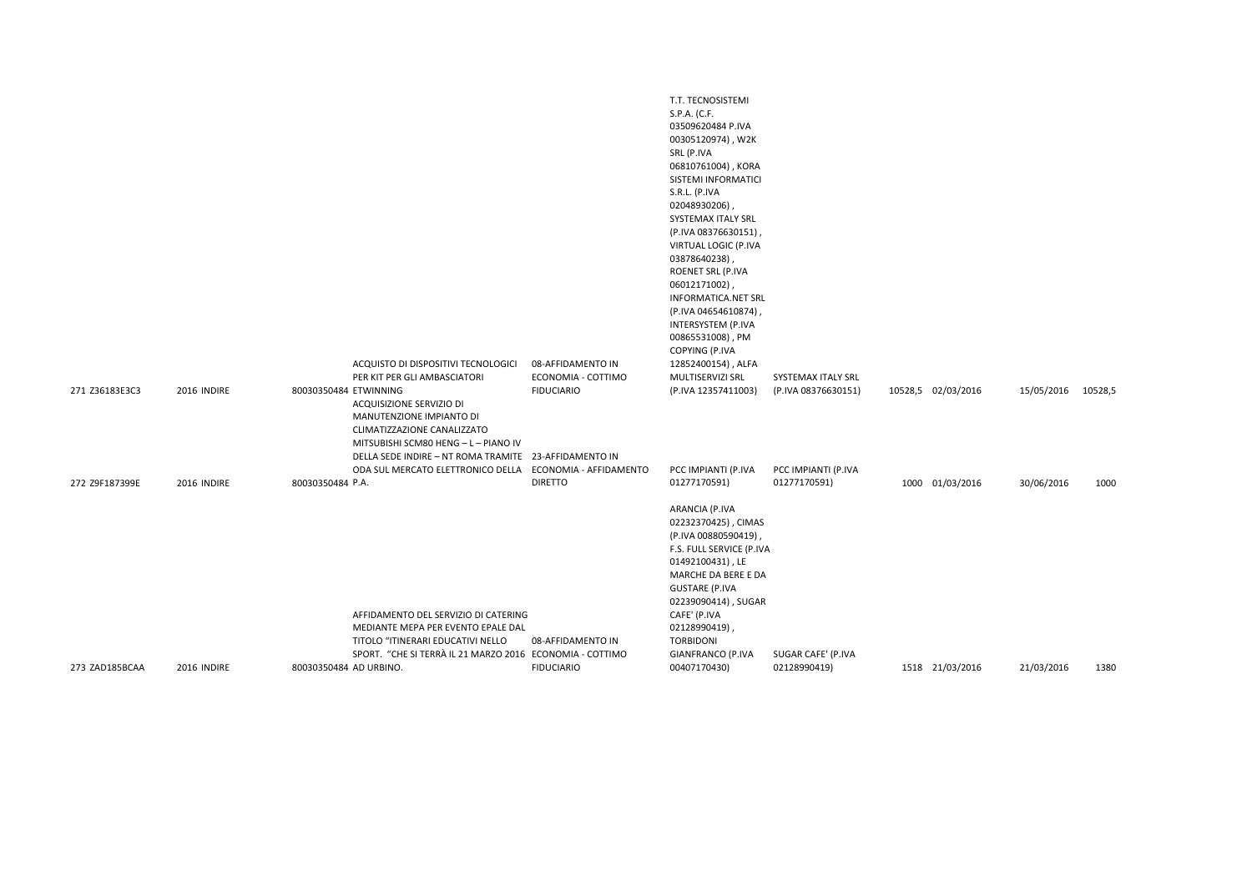|                |             |                        |                                                                                                                                                                                      |                                         | T.T. TECNOSISTEMI<br>S.P.A. (C.F.<br>03509620484 P.IVA<br>00305120974), W2K<br>SRL (P.IVA<br>06810761004), KORA<br>SISTEMI INFORMATICI<br>S.R.L. (P.IVA<br>02048930206),<br>SYSTEMAX ITALY SRL<br>(P.IVA 08376630151),<br>VIRTUAL LOGIC (P.IVA<br>03878640238),<br>ROENET SRL (P.IVA<br>06012171002),<br><b>INFORMATICA.NET SRL</b><br>(P.IVA 04654610874)<br>INTERSYSTEM (P.IVA<br>00865531008), PM<br>COPYING (P.IVA |                                    |                    |            |         |
|----------------|-------------|------------------------|--------------------------------------------------------------------------------------------------------------------------------------------------------------------------------------|-----------------------------------------|------------------------------------------------------------------------------------------------------------------------------------------------------------------------------------------------------------------------------------------------------------------------------------------------------------------------------------------------------------------------------------------------------------------------|------------------------------------|--------------------|------------|---------|
|                |             |                        | ACQUISTO DI DISPOSITIVI TECNOLOGICI<br>PER KIT PER GLI AMBASCIATORI                                                                                                                  | 08-AFFIDAMENTO IN<br>ECONOMIA - COTTIMO | 12852400154), ALFA<br>MULTISERVIZI SRL                                                                                                                                                                                                                                                                                                                                                                                 | SYSTEMAX ITALY SRL                 |                    |            |         |
| 271 Z36183E3C3 | 2016 INDIRE | 80030350484 ETWINNING  | ACQUISIZIONE SERVIZIO DI<br>MANUTENZIONE IMPIANTO DI<br>CLIMATIZZAZIONE CANALIZZATO<br>MITSUBISHI SCM80 HENG - L - PIANO IV<br>DELLA SEDE INDIRE - NT ROMA TRAMITE 23-AFFIDAMENTO IN | <b>FIDUCIARIO</b>                       | (P.IVA 12357411003)                                                                                                                                                                                                                                                                                                                                                                                                    | (P.IVA 08376630151)                | 10528,5 02/03/2016 | 15/05/2016 | 10528,5 |
|                |             |                        | ODA SUL MERCATO ELETTRONICO DELLA ECONOMIA - AFFIDAMENTO                                                                                                                             |                                         | PCC IMPIANTI (P.IVA                                                                                                                                                                                                                                                                                                                                                                                                    | PCC IMPIANTI (P.IVA                |                    |            |         |
| 272 Z9F187399E | 2016 INDIRE | 80030350484 P.A.       | AFFIDAMENTO DEL SERVIZIO DI CATERING<br>MEDIANTE MEPA PER EVENTO EPALE DAL<br>TITOLO "ITINERARI EDUCATIVI NELLO<br>SPORT. "CHE SI TERRÀ IL 21 MARZO 2016 ECONOMIA - COTTIMO          | <b>DIRETTO</b><br>08-AFFIDAMENTO IN     | 01277170591)<br>ARANCIA (P.IVA<br>02232370425), CIMAS<br>(P.IVA 00880590419),<br>F.S. FULL SERVICE (P.IVA<br>01492100431), LE<br>MARCHE DA BERE E DA<br><b>GUSTARE (P.IVA</b><br>02239090414), SUGAR<br>CAFE' (P.IVA<br>02128990419),<br><b>TORBIDONI</b><br>GIANFRANCO (P.IVA                                                                                                                                         | 01277170591)<br>SUGAR CAFE' (P.IVA | 1000 01/03/2016    | 30/06/2016 | 1000    |
| 273 ZAD185BCAA | 2016 INDIRE | 80030350484 AD URBINO. |                                                                                                                                                                                      | <b>FIDUCIARIO</b>                       | 00407170430)                                                                                                                                                                                                                                                                                                                                                                                                           | 02128990419)                       | 1518 21/03/2016    | 21/03/2016 | 1380    |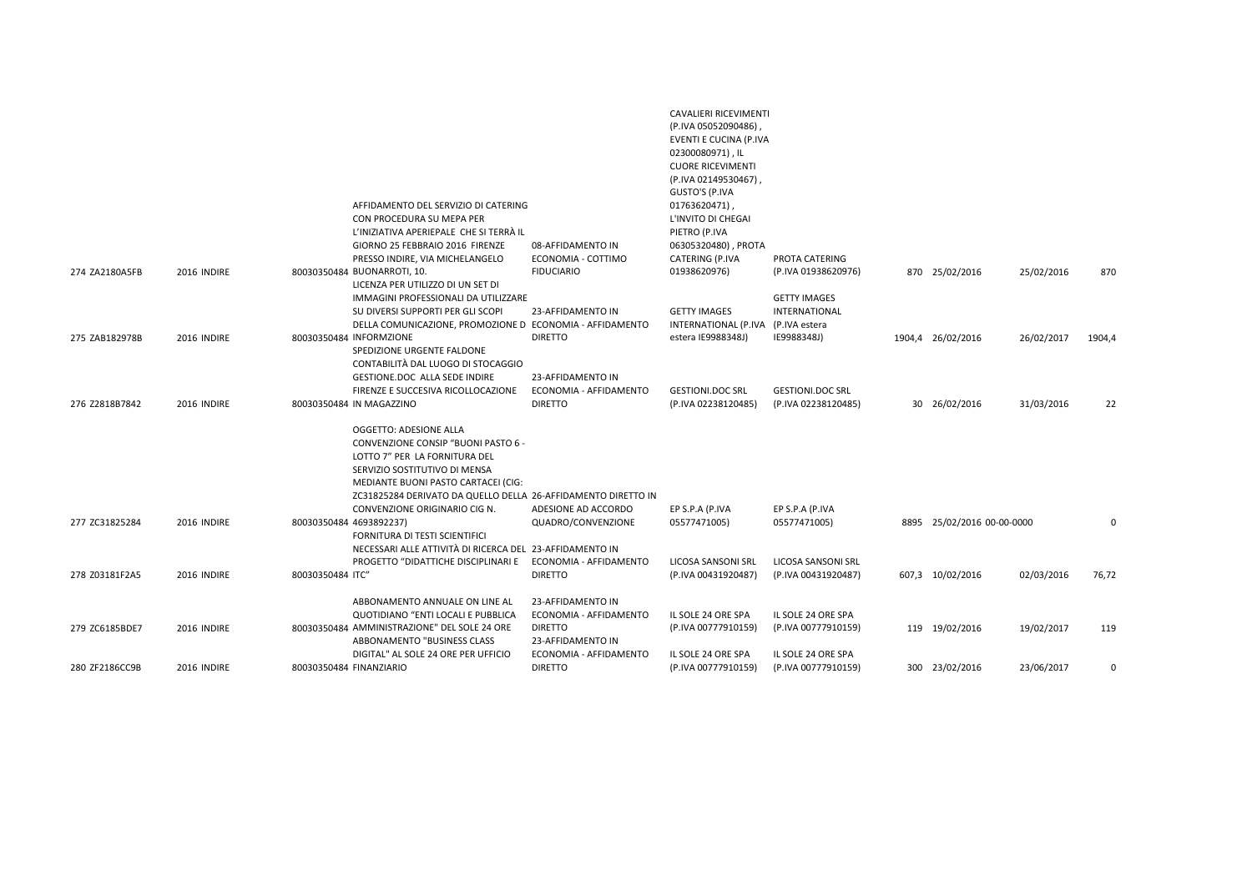|                |             | AFFIDAMENTO DEL SERVIZIO DI CATERING<br>CON PROCEDURA SU MEPA PER<br>L'INIZIATIVA APERIEPALE CHE SI TERRÀ IL<br>GIORNO 25 FEBBRAIO 2016 FIRENZE<br>PRESSO INDIRE, VIA MICHELANGELO                                                                                       | 08-AFFIDAMENTO IN<br>ECONOMIA - COTTIMO                       | CAVALIERI RICEVIMENTI<br>(P.IVA 05052090486)<br>EVENTI E CUCINA (P.IVA<br>02300080971), IL<br><b>CUORE RICEVIMENTI</b><br>(P.IVA 02149530467)<br>GUSTO'S (P.IVA<br>01763620471),<br>L'INVITO DI CHEGAI<br>PIETRO (P.IVA<br>06305320480), PROTA<br>CATERING (P.IVA | PROTA CATERING                                                       |                            |            |          |
|----------------|-------------|--------------------------------------------------------------------------------------------------------------------------------------------------------------------------------------------------------------------------------------------------------------------------|---------------------------------------------------------------|-------------------------------------------------------------------------------------------------------------------------------------------------------------------------------------------------------------------------------------------------------------------|----------------------------------------------------------------------|----------------------------|------------|----------|
| 274 ZA2180A5FB | 2016 INDIRE | 80030350484 BUONARROTI, 10.                                                                                                                                                                                                                                              | <b>FIDUCIARIO</b>                                             | 01938620976)                                                                                                                                                                                                                                                      | (P.IVA 01938620976)                                                  | 870 25/02/2016             | 25/02/2016 | 870      |
| 275 ZAB182978B | 2016 INDIRE | LICENZA PER UTILIZZO DI UN SET DI<br>IMMAGINI PROFESSIONALI DA UTILIZZARE<br>SU DIVERSI SUPPORTI PER GLI SCOPI<br>DELLA COMUNICAZIONE, PROMOZIONE D ECONOMIA - AFFIDAMENTO<br>80030350484 INFORMZIONE                                                                    | 23-AFFIDAMENTO IN<br><b>DIRETTO</b>                           | <b>GETTY IMAGES</b><br>INTERNATIONAL (P.IVA<br>estera IE9988348J)                                                                                                                                                                                                 | <b>GETTY IMAGES</b><br>INTERNATIONAL<br>(P.IVA estera<br>IE9988348J) | 1904,4 26/02/2016          | 26/02/2017 | 1904,4   |
|                |             | SPEDIZIONE URGENTE FALDONE<br>CONTABILITÀ DAL LUOGO DI STOCAGGIO<br>GESTIONE.DOC ALLA SEDE INDIRE                                                                                                                                                                        | 23-AFFIDAMENTO IN                                             |                                                                                                                                                                                                                                                                   |                                                                      |                            |            |          |
| 276 Z2818B7842 | 2016 INDIRE | FIRENZE E SUCCESIVA RICOLLOCAZIONE<br>80030350484 IN MAGAZZINO                                                                                                                                                                                                           | ECONOMIA - AFFIDAMENTO<br><b>DIRETTO</b>                      | <b>GESTIONI.DOC SRL</b><br>(P.IVA 02238120485)                                                                                                                                                                                                                    | <b>GESTIONI.DOC SRL</b><br>(P.IVA 02238120485)                       | 30 26/02/2016              | 31/03/2016 | 22       |
|                |             | OGGETTO: ADESIONE ALLA<br>CONVENZIONE CONSIP "BUONI PASTO 6 -<br>LOTTO 7" PER LA FORNITURA DEL<br>SERVIZIO SOSTITUTIVO DI MENSA<br>MEDIANTE BUONI PASTO CARTACEI (CIG:<br>ZC31825284 DERIVATO DA QUELLO DELLA 26-AFFIDAMENTO DIRETTO IN<br>CONVENZIONE ORIGINARIO CIG N. | ADESIONE AD ACCORDO                                           | EP S.P.A (P.IVA                                                                                                                                                                                                                                                   | EP S.P.A (P.IVA                                                      |                            |            |          |
| 277 ZC31825284 | 2016 INDIRE | 80030350484 4693892237)<br>FORNITURA DI TESTI SCIENTIFICI<br>NECESSARI ALLE ATTIVITÀ DI RICERCA DEL 23-AFFIDAMENTO IN                                                                                                                                                    | QUADRO/CONVENZIONE                                            | 05577471005)                                                                                                                                                                                                                                                      | 05577471005)                                                         | 8895 25/02/2016 00-00-0000 |            | $\Omega$ |
| 278 Z03181F2A5 | 2016 INDIRE | PROGETTO "DIDATTICHE DISCIPLINARI E<br>80030350484 ITC"                                                                                                                                                                                                                  | ECONOMIA - AFFIDAMENTO<br><b>DIRETTO</b>                      | LICOSA SANSONI SRL<br>(P.IVA 00431920487)                                                                                                                                                                                                                         | LICOSA SANSONI SRL<br>(P.IVA 00431920487)                            | 607,3 10/02/2016           | 02/03/2016 | 76,72    |
| 279 ZC6185BDE7 | 2016 INDIRE | ABBONAMENTO ANNUALE ON LINE AL<br>QUOTIDIANO "ENTI LOCALI E PUBBLICA<br>80030350484 AMMINISTRAZIONE" DEL SOLE 24 ORE                                                                                                                                                     | 23-AFFIDAMENTO IN<br>ECONOMIA - AFFIDAMENTO<br><b>DIRETTO</b> | IL SOLE 24 ORE SPA<br>(P.IVA 00777910159)                                                                                                                                                                                                                         | IL SOLE 24 ORE SPA<br>(P.IVA 00777910159)                            | 119 19/02/2016             | 19/02/2017 | 119      |
| 280 ZF2186CC9B | 2016 INDIRE | ABBONAMENTO "BUSINESS CLASS<br>DIGITAL" AL SOLE 24 ORE PER UFFICIO<br>80030350484 FINANZIARIO                                                                                                                                                                            | 23-AFFIDAMENTO IN<br>ECONOMIA - AFFIDAMENTO<br><b>DIRETTO</b> | IL SOLE 24 ORE SPA<br>(P.IVA 00777910159)                                                                                                                                                                                                                         | IL SOLE 24 ORE SPA<br>(P.IVA 00777910159)                            | 300 23/02/2016             | 23/06/2017 | $\Omega$ |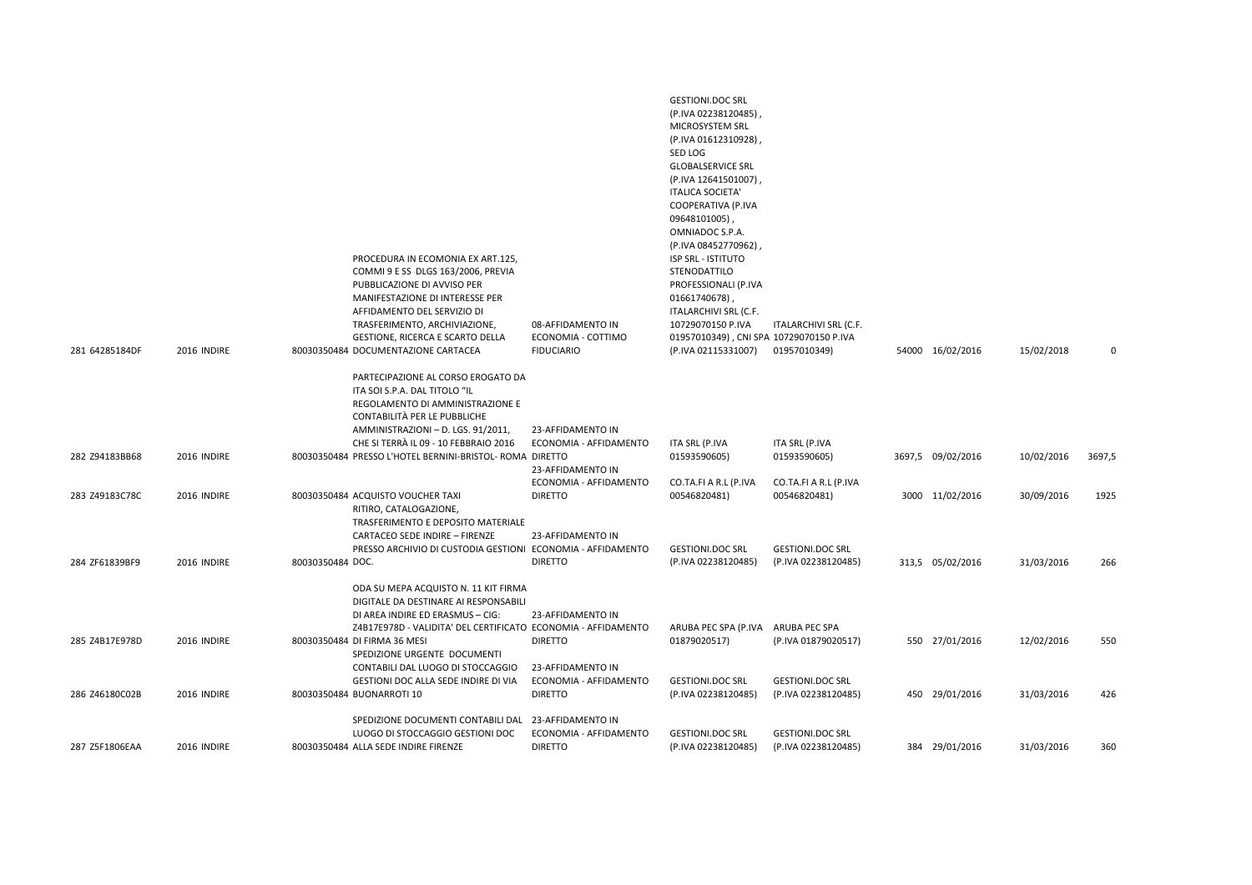|                |             | PROCEDURA IN ECOMONIA EX ART.125,<br>COMMI 9 E SS DLGS 163/2006, PREVIA<br>PUBBLICAZIONE DI AVVISO PER<br>MANIFESTAZIONE DI INTERESSE PER<br>AFFIDAMENTO DEL SERVIZIO DI<br>TRASFERIMENTO, ARCHIVIAZIONE,<br><b>GESTIONE, RICERCA E SCARTO DELLA</b>                               | 08-AFFIDAMENTO IN<br>ECONOMIA - COTTIMO                          | <b>GESTIONI.DOC SRL</b><br>(P.IVA 02238120485),<br>MICROSYSTEM SRL<br>(P.IVA 01612310928),<br>SED LOG<br><b>GLOBALSERVICE SRL</b><br>(P.IVA 12641501007),<br><b>ITALICA SOCIETA</b><br>COOPERATIVA (P.IVA<br>09648101005),<br>OMNIADOC S.P.A.<br>(P.IVA 08452770962),<br><b>ISP SRL - ISTITUTO</b><br>STENODATTILO<br>PROFESSIONALI (P.IVA<br>01661740678),<br>ITALARCHIVI SRL (C.F.<br>10729070150 P.IVA<br>01957010349), CNI SPA 10729070150 P.IVA | ITALARCHIVI SRL (C.F.                          |                   |            |        |
|----------------|-------------|------------------------------------------------------------------------------------------------------------------------------------------------------------------------------------------------------------------------------------------------------------------------------------|------------------------------------------------------------------|------------------------------------------------------------------------------------------------------------------------------------------------------------------------------------------------------------------------------------------------------------------------------------------------------------------------------------------------------------------------------------------------------------------------------------------------------|------------------------------------------------|-------------------|------------|--------|
| 281 64285184DF | 2016 INDIRE | 80030350484 DOCUMENTAZIONE CARTACEA                                                                                                                                                                                                                                                | <b>FIDUCIARIO</b>                                                | (P.IVA 02115331007)                                                                                                                                                                                                                                                                                                                                                                                                                                  | 01957010349)                                   | 54000 16/02/2016  | 15/02/2018 | 0      |
| 282 Z94183BB68 | 2016 INDIRE | PARTECIPAZIONE AL CORSO EROGATO DA<br>ITA SOI S.P.A. DAL TITOLO "IL<br>REGOLAMENTO DI AMMINISTRAZIONE E<br>CONTABILITÀ PER LE PUBBLICHE<br>AMMINISTRAZIONI - D. LGS. 91/2011,<br>CHE SI TERRÀ IL 09 - 10 FEBBRAIO 2016<br>80030350484 PRESSO L'HOTEL BERNINI-BRISTOL- ROMA DIRETTO | 23-AFFIDAMENTO IN<br>ECONOMIA - AFFIDAMENTO<br>23-AFFIDAMENTO IN | ITA SRL (P.IVA<br>01593590605)                                                                                                                                                                                                                                                                                                                                                                                                                       | ITA SRL (P.IVA<br>01593590605)                 | 3697,5 09/02/2016 | 10/02/2016 | 3697,5 |
| 283 Z49183C78C | 2016 INDIRE | 80030350484 ACQUISTO VOUCHER TAXI                                                                                                                                                                                                                                                  | ECONOMIA - AFFIDAMENTO<br><b>DIRETTO</b>                         | CO.TA.FI A R.L (P.IVA<br>00546820481)                                                                                                                                                                                                                                                                                                                                                                                                                | CO.TA.FI A R.L (P.IVA<br>00546820481)          | 3000 11/02/2016   | 30/09/2016 | 1925   |
| 284 ZF61839BF9 | 2016 INDIRE | RITIRO, CATALOGAZIONE,<br>TRASFERIMENTO E DEPOSITO MATERIALE<br>CARTACEO SEDE INDIRE - FIRENZE<br>PRESSO ARCHIVIO DI CUSTODIA GESTIONI ECONOMIA - AFFIDAMENTO<br>80030350484 DOC.                                                                                                  | 23-AFFIDAMENTO IN<br><b>DIRETTO</b>                              | <b>GESTIONI.DOC SRL</b><br>(P.IVA 02238120485)                                                                                                                                                                                                                                                                                                                                                                                                       | <b>GESTIONI.DOC SRL</b><br>(P.IVA 02238120485) | 313,5 05/02/2016  | 31/03/2016 | 266    |
|                |             | ODA SU MEPA ACQUISTO N. 11 KIT FIRMA<br>DIGITALE DA DESTINARE AI RESPONSABILI<br>DI AREA INDIRE ED ERASMUS - CIG:<br>Z4B17E978D - VALIDITA' DEL CERTIFICATO ECONOMIA - AFFIDAMENTO                                                                                                 | 23-AFFIDAMENTO IN                                                | ARUBA PEC SPA (P.IVA                                                                                                                                                                                                                                                                                                                                                                                                                                 | ARUBA PEC SPA                                  |                   |            |        |
| 285 Z4B17E978D | 2016 INDIRE | 80030350484 DI FIRMA 36 MESI<br>SPEDIZIONE URGENTE DOCUMENTI<br>CONTABILI DAL LUOGO DI STOCCAGGIO                                                                                                                                                                                  | <b>DIRETTO</b><br>23-AFFIDAMENTO IN                              | 01879020517)                                                                                                                                                                                                                                                                                                                                                                                                                                         | (P.IVA 01879020517)                            | 550 27/01/2016    | 12/02/2016 | 550    |
|                |             | GESTIONI DOC ALLA SEDE INDIRE DI VIA                                                                                                                                                                                                                                               | ECONOMIA - AFFIDAMENTO                                           | <b>GESTIONI.DOC SRL</b>                                                                                                                                                                                                                                                                                                                                                                                                                              | <b>GESTIONI.DOC SRL</b>                        |                   |            |        |
| 286 Z46180C02B | 2016 INDIRE | 80030350484 BUONARROTI 10                                                                                                                                                                                                                                                          | <b>DIRETTO</b>                                                   | (P.IVA 02238120485)                                                                                                                                                                                                                                                                                                                                                                                                                                  | (P.IVA 02238120485)                            | 450 29/01/2016    | 31/03/2016 | 426    |
| 287 Z5F1806EAA | 2016 INDIRE | SPEDIZIONE DOCUMENTI CONTABILI DAL 23-AFFIDAMENTO IN<br>LUOGO DI STOCCAGGIO GESTIONI DOC<br>80030350484 ALLA SEDE INDIRE FIRENZE                                                                                                                                                   | ECONOMIA - AFFIDAMENTO<br><b>DIRETTO</b>                         | <b>GESTIONI.DOC SRL</b><br>(P.IVA 02238120485)                                                                                                                                                                                                                                                                                                                                                                                                       | <b>GESTIONI.DOC SRL</b><br>(P.IVA 02238120485) | 384 29/01/2016    | 31/03/2016 | 360    |